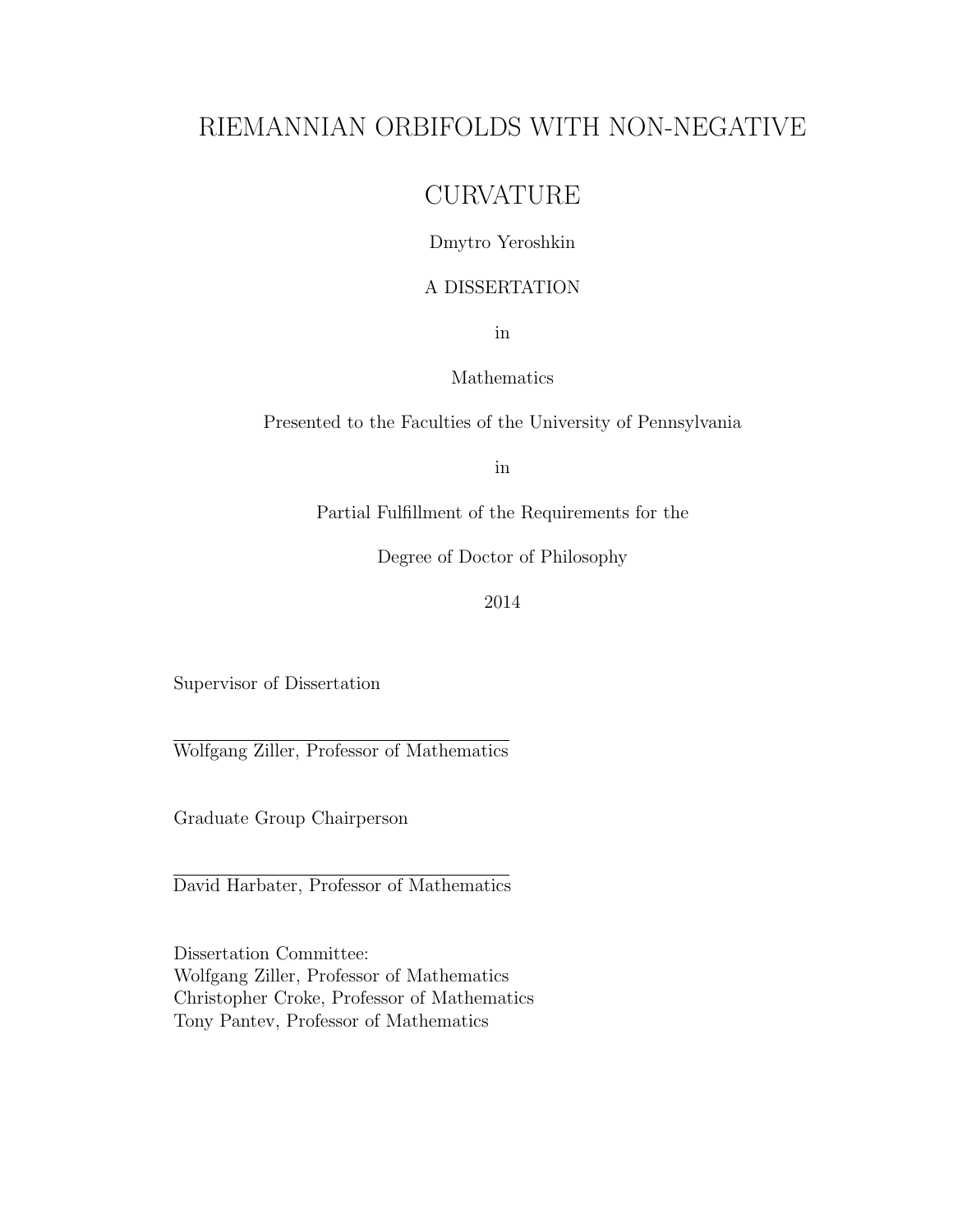## RIEMANNIAN ORBIFOLDS WITH NON-NEGATIVE

## **CURVATURE**

### Dmytro Yeroshkin

### A DISSERTATION

in

### Mathematics

Presented to the Faculties of the University of Pennsylvania

in

Partial Fulfillment of the Requirements for the

Degree of Doctor of Philosophy

2014

Supervisor of Dissertation

Wolfgang Ziller, Professor of Mathematics

Graduate Group Chairperson

David Harbater, Professor of Mathematics

Dissertation Committee: Wolfgang Ziller, Professor of Mathematics Christopher Croke, Professor of Mathematics Tony Pantev, Professor of Mathematics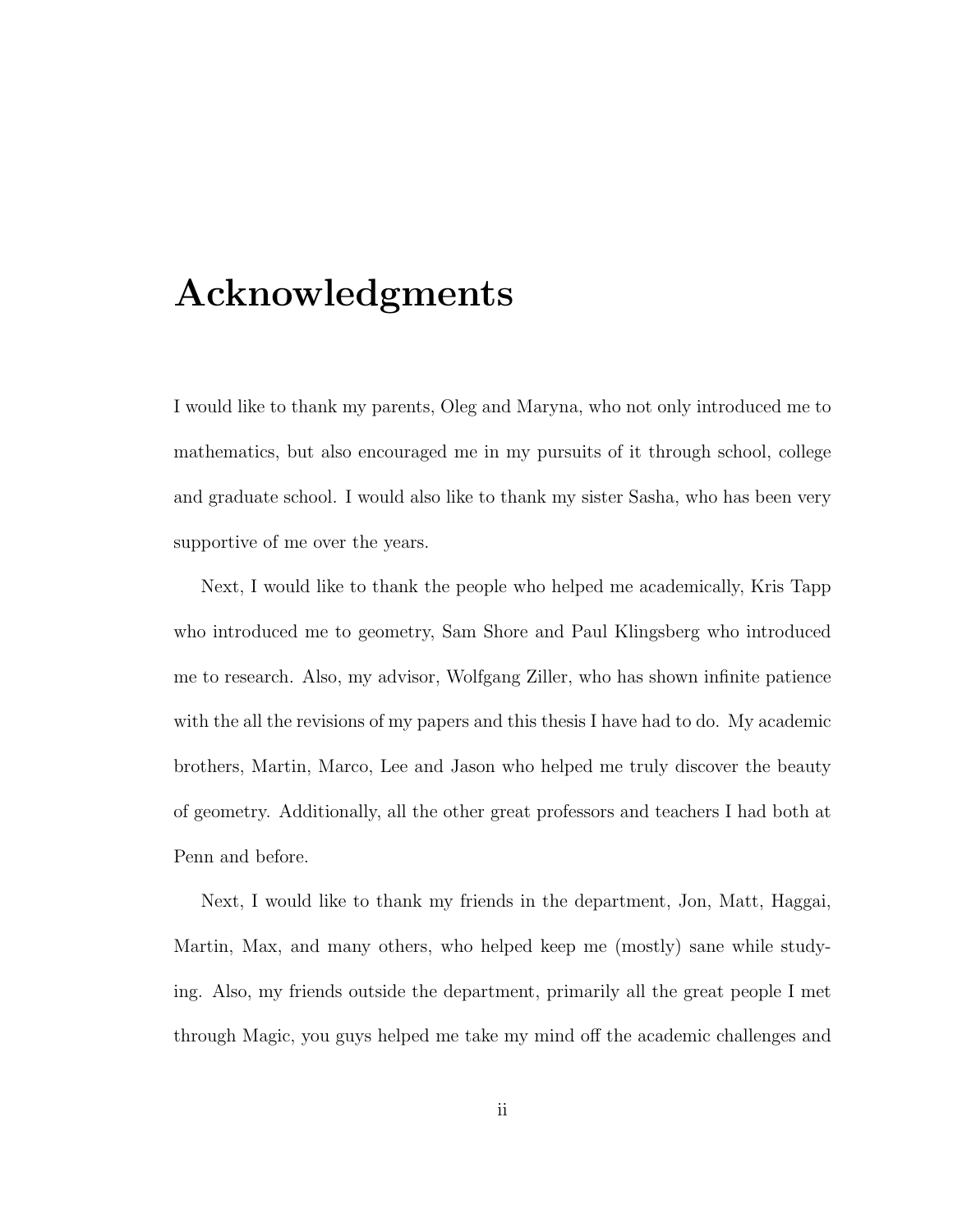## Acknowledgments

I would like to thank my parents, Oleg and Maryna, who not only introduced me to mathematics, but also encouraged me in my pursuits of it through school, college and graduate school. I would also like to thank my sister Sasha, who has been very supportive of me over the years.

Next, I would like to thank the people who helped me academically, Kris Tapp who introduced me to geometry, Sam Shore and Paul Klingsberg who introduced me to research. Also, my advisor, Wolfgang Ziller, who has shown infinite patience with the all the revisions of my papers and this thesis I have had to do. My academic brothers, Martin, Marco, Lee and Jason who helped me truly discover the beauty of geometry. Additionally, all the other great professors and teachers I had both at Penn and before.

Next, I would like to thank my friends in the department, Jon, Matt, Haggai, Martin, Max, and many others, who helped keep me (mostly) sane while studying. Also, my friends outside the department, primarily all the great people I met through Magic, you guys helped me take my mind off the academic challenges and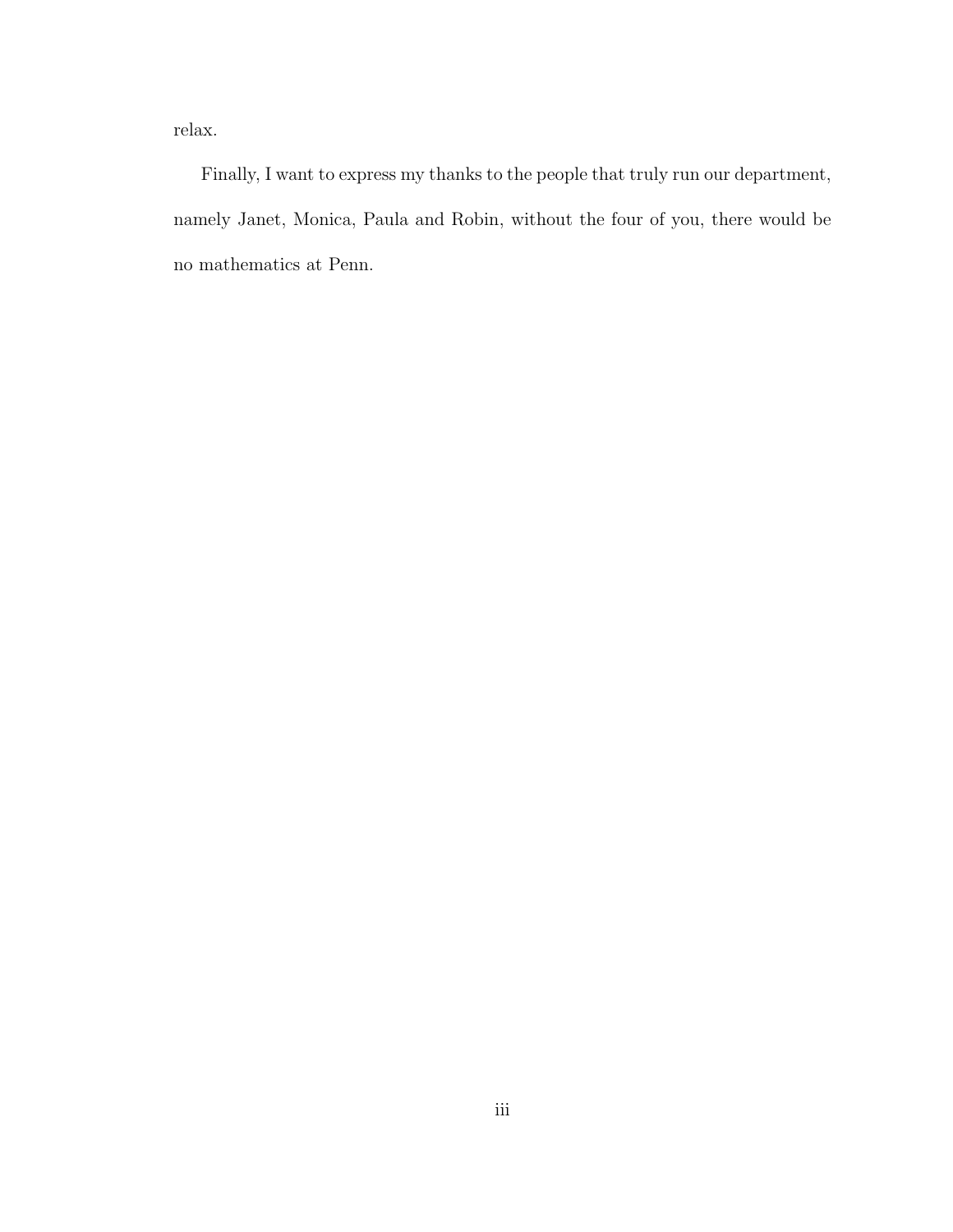relax.

Finally, I want to express my thanks to the people that truly run our department, namely Janet, Monica, Paula and Robin, without the four of you, there would be no mathematics at Penn.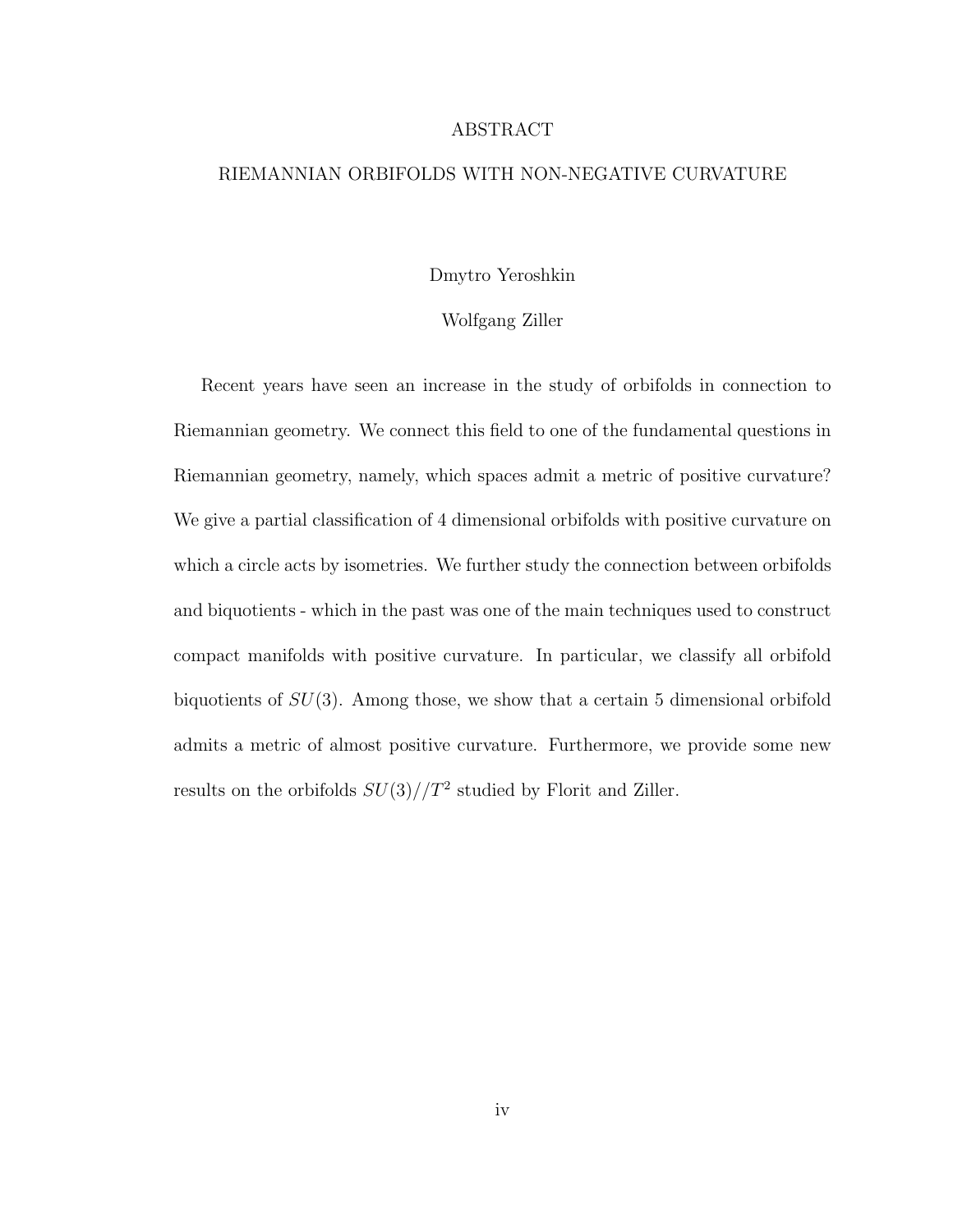#### ABSTRACT

#### RIEMANNIAN ORBIFOLDS WITH NON-NEGATIVE CURVATURE

#### Dmytro Yeroshkin

#### Wolfgang Ziller

Recent years have seen an increase in the study of orbifolds in connection to Riemannian geometry. We connect this field to one of the fundamental questions in Riemannian geometry, namely, which spaces admit a metric of positive curvature? We give a partial classification of 4 dimensional orbifolds with positive curvature on which a circle acts by isometries. We further study the connection between orbifolds and biquotients - which in the past was one of the main techniques used to construct compact manifolds with positive curvature. In particular, we classify all orbifold biquotients of  $SU(3)$ . Among those, we show that a certain 5 dimensional orbifold admits a metric of almost positive curvature. Furthermore, we provide some new results on the orbifolds  $SU(3)/T^2$  studied by Florit and Ziller.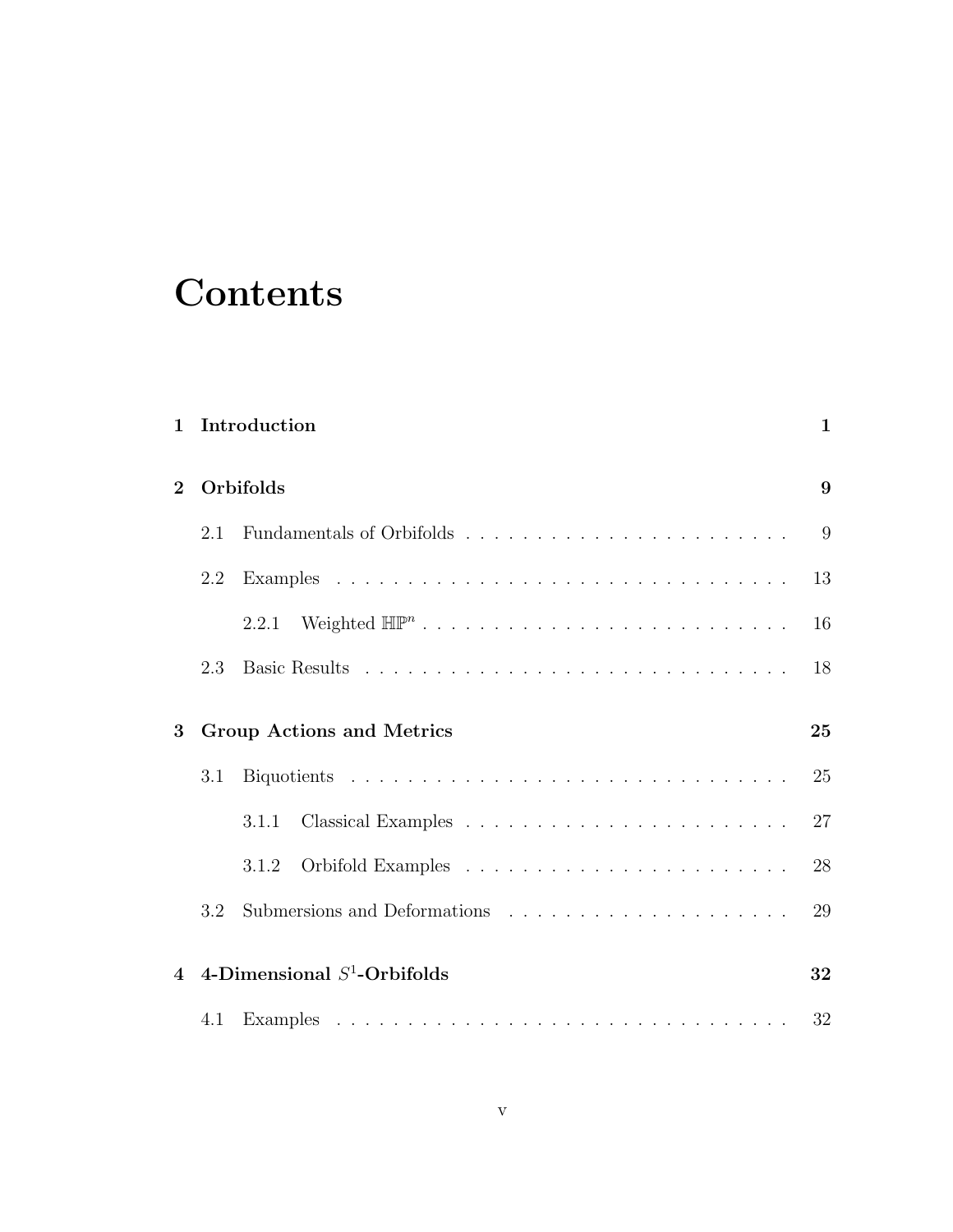# **Contents**

| $\mathbf{1}$   |     | Introduction                           |    |  |  |  |
|----------------|-----|----------------------------------------|----|--|--|--|
| $\bf{2}$       |     | Orbifolds                              |    |  |  |  |
|                | 2.1 |                                        | 9  |  |  |  |
|                | 2.2 |                                        | 13 |  |  |  |
|                |     | 2.2.1                                  | 16 |  |  |  |
|                | 2.3 |                                        | 18 |  |  |  |
| 3              |     | <b>Group Actions and Metrics</b><br>25 |    |  |  |  |
|                | 3.1 |                                        | 25 |  |  |  |
|                |     | 3.1.1                                  | 27 |  |  |  |
|                |     | 3.1.2                                  | 28 |  |  |  |
|                | 3.2 |                                        | 29 |  |  |  |
| $\overline{4}$ |     | 4-Dimensional $S^1$ -Orbifolds         | 32 |  |  |  |
|                | 4.1 |                                        | 32 |  |  |  |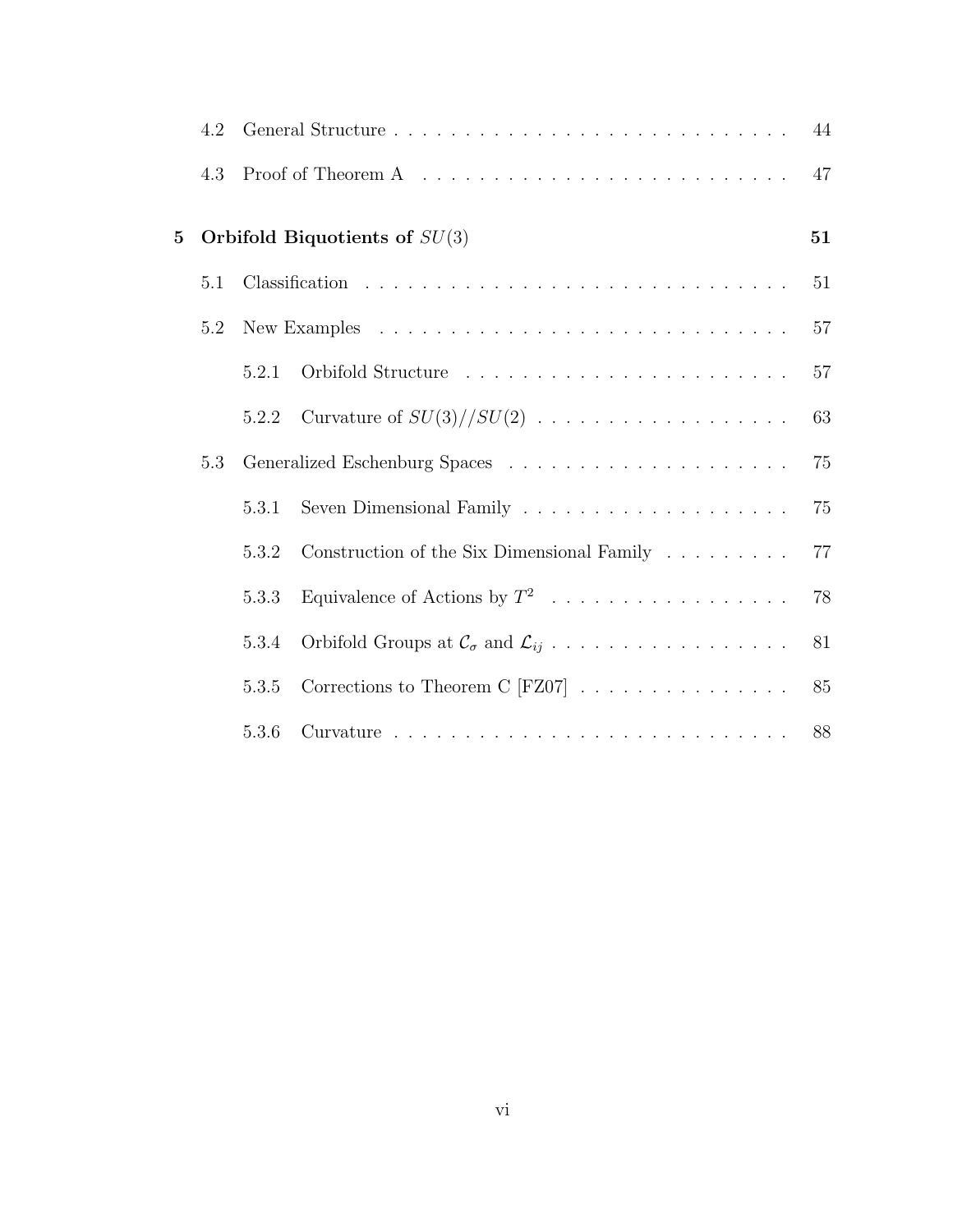|   | 4.2 |       |                                                                      | 44 |
|---|-----|-------|----------------------------------------------------------------------|----|
|   | 4.3 |       |                                                                      | 47 |
| 5 |     |       | Orbifold Biquotients of $SU(3)$                                      | 51 |
|   | 5.1 |       |                                                                      | 51 |
|   | 5.2 |       |                                                                      | 57 |
|   |     | 5.2.1 |                                                                      | 57 |
|   |     | 5.2.2 | Curvature of $SU(3)/\!/{SU(2)}$                                      | 63 |
|   | 5.3 |       |                                                                      | 75 |
|   |     | 5.3.1 |                                                                      | 75 |
|   |     | 5.3.2 | Construction of the Six Dimensional Family                           | 77 |
|   |     | 5.3.3 | Equivalence of Actions by $T^2$                                      | 78 |
|   |     | 5.3.4 | Orbifold Groups at $\mathcal{C}_{\sigma}$ and $\mathcal{L}_{ij}$     | 81 |
|   |     | 5.3.5 | Corrections to Theorem C [FZ07] $\ldots \ldots \ldots \ldots \ldots$ | 85 |
|   |     | 5.3.6 |                                                                      | 88 |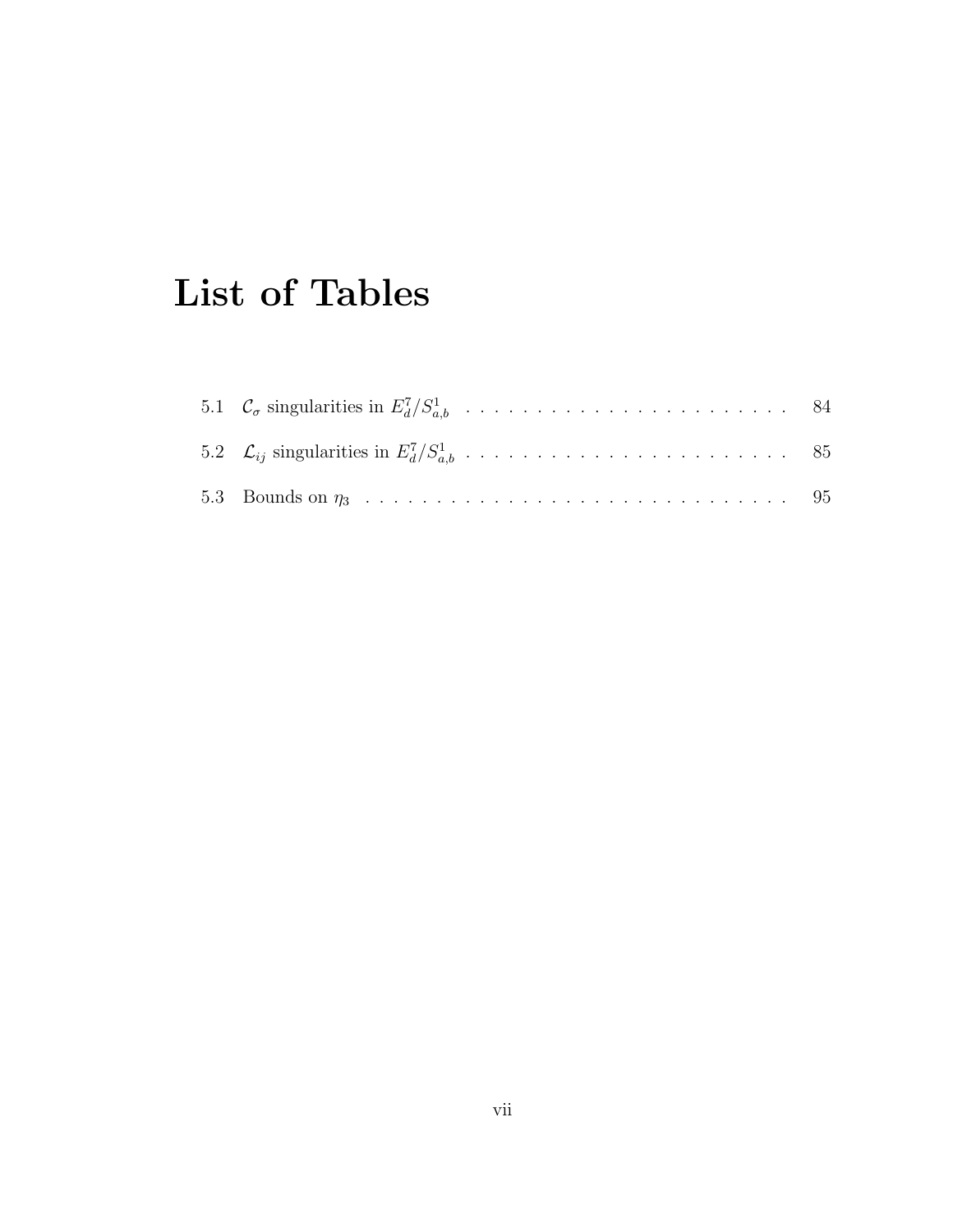# List of Tables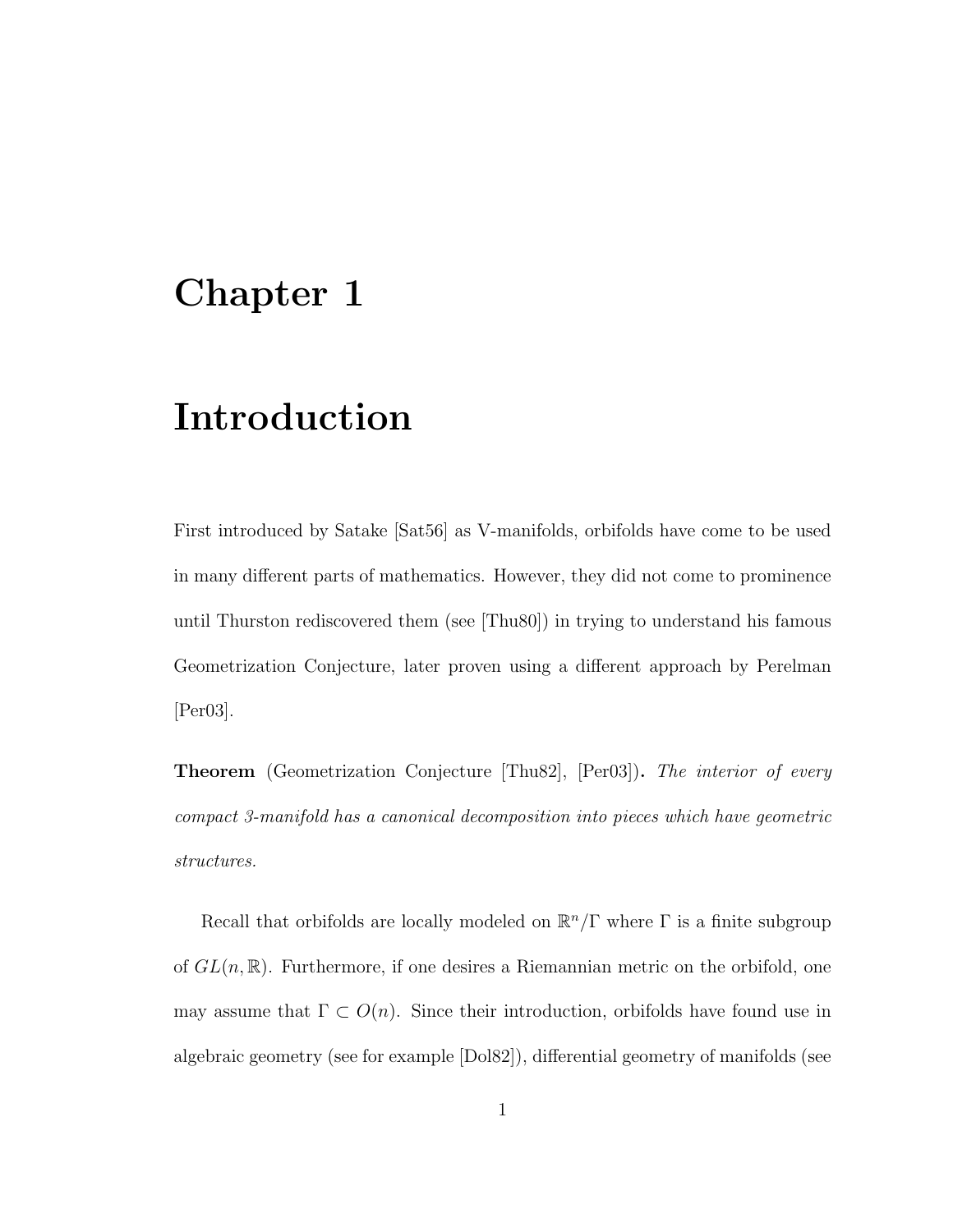## Chapter 1

## Introduction

First introduced by Satake [Sat56] as V-manifolds, orbifolds have come to be used in many different parts of mathematics. However, they did not come to prominence until Thurston rediscovered them (see [Thu80]) in trying to understand his famous Geometrization Conjecture, later proven using a different approach by Perelman [Per03].

**Theorem** (Geometrization Conjecture Thu82, [Per03]). The interior of every compact 3-manifold has a canonical decomposition into pieces which have geometric structures.

Recall that orbifolds are locally modeled on  $\mathbb{R}^n/\Gamma$  where  $\Gamma$  is a finite subgroup of  $GL(n,\mathbb{R})$ . Furthermore, if one desires a Riemannian metric on the orbifold, one may assume that  $\Gamma \subset O(n)$ . Since their introduction, orbifolds have found use in algebraic geometry (see for example [Dol82]), differential geometry of manifolds (see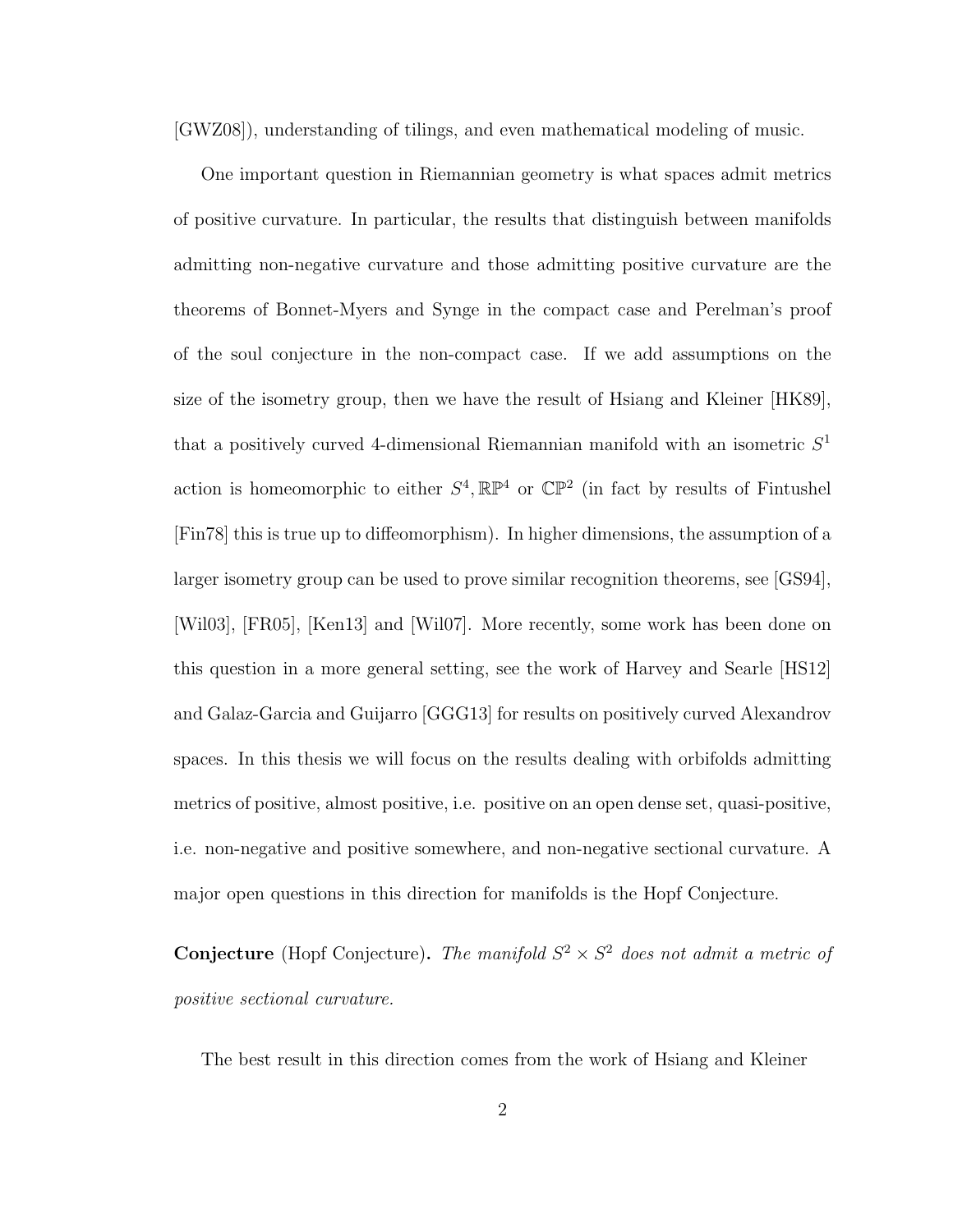[GWZ08]), understanding of tilings, and even mathematical modeling of music.

One important question in Riemannian geometry is what spaces admit metrics of positive curvature. In particular, the results that distinguish between manifolds admitting non-negative curvature and those admitting positive curvature are the theorems of Bonnet-Myers and Synge in the compact case and Perelman's proof of the soul conjecture in the non-compact case. If we add assumptions on the size of the isometry group, then we have the result of Hsiang and Kleiner [HK89], that a positively curved 4-dimensional Riemannian manifold with an isometric  $S<sup>1</sup>$ action is homeomorphic to either  $S^4$ ,  $\mathbb{RP}^4$  or  $\mathbb{CP}^2$  (in fact by results of Fintushel [Fin78] this is true up to diffeomorphism). In higher dimensions, the assumption of a larger isometry group can be used to prove similar recognition theorems, see [GS94], [Wil03], [FR05], [Ken13] and [Wil07]. More recently, some work has been done on this question in a more general setting, see the work of Harvey and Searle [HS12] and Galaz-Garcia and Guijarro [GGG13] for results on positively curved Alexandrov spaces. In this thesis we will focus on the results dealing with orbifolds admitting metrics of positive, almost positive, i.e. positive on an open dense set, quasi-positive, i.e. non-negative and positive somewhere, and non-negative sectional curvature. A major open questions in this direction for manifolds is the Hopf Conjecture.

**Conjecture** (Hopf Conjecture). The manifold  $S^2 \times S^2$  does not admit a metric of positive sectional curvature.

The best result in this direction comes from the work of Hsiang and Kleiner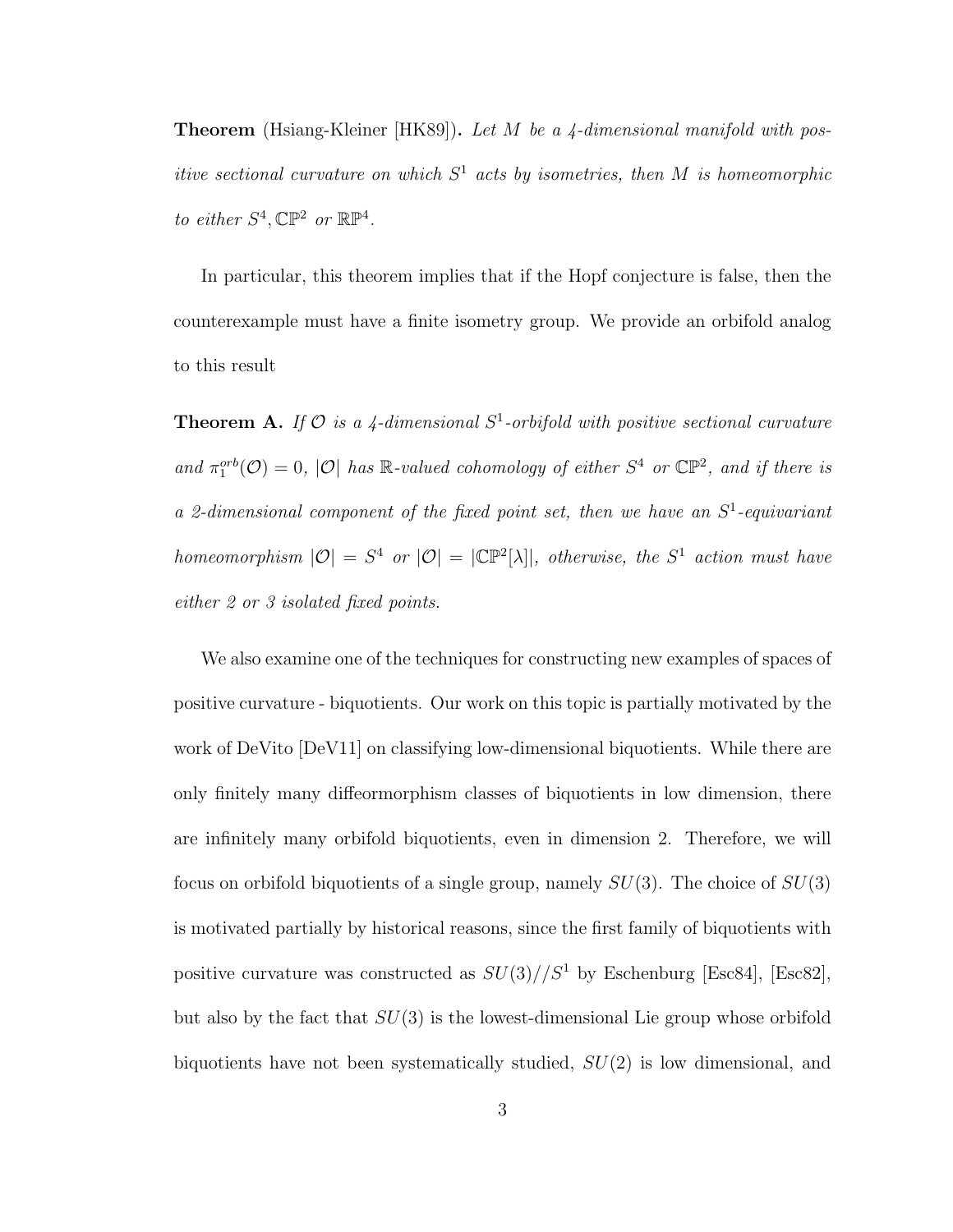**Theorem** (Hsiang-Kleiner [HK89]). Let M be a 4-dimensional manifold with positive sectional curvature on which  $S^1$  acts by isometries, then M is homeomorphic to either  $S^4$ ,  $\mathbb{CP}^2$  or  $\mathbb{RP}^4$ .

In particular, this theorem implies that if the Hopf conjecture is false, then the counterexample must have a finite isometry group. We provide an orbifold analog to this result

**Theorem A.** If  $\mathcal{O}$  is a 4-dimensional  $S^1$ -orbifold with positive sectional curvature and  $\pi_1^{orb}(\mathcal{O}) = 0$ , |O| has R-valued cohomology of either  $S^4$  or  $\mathbb{CP}^2$ , and if there is a 2-dimensional component of the fixed point set, then we have an  $S<sup>1</sup>$ -equivariant homeomorphism  $|O| = S^4$  or  $|O| = |\mathbb{CP}^2[\lambda]|$ , otherwise, the  $S^1$  action must have either 2 or 3 isolated fixed points.

We also examine one of the techniques for constructing new examples of spaces of positive curvature - biquotients. Our work on this topic is partially motivated by the work of DeVito  $[DeV11]$  on classifying low-dimensional biquotients. While there are only finitely many diffeormorphism classes of biquotients in low dimension, there are infinitely many orbifold biquotients, even in dimension 2. Therefore, we will focus on orbifold biquotients of a single group, namely  $SU(3)$ . The choice of  $SU(3)$ is motivated partially by historical reasons, since the first family of biquotients with positive curvature was constructed as  $SU(3)/\sqrt{S^1}$  by Eschenburg [Esc84], [Esc82], but also by the fact that  $SU(3)$  is the lowest-dimensional Lie group whose orbifold biquotients have not been systematically studied,  $SU(2)$  is low dimensional, and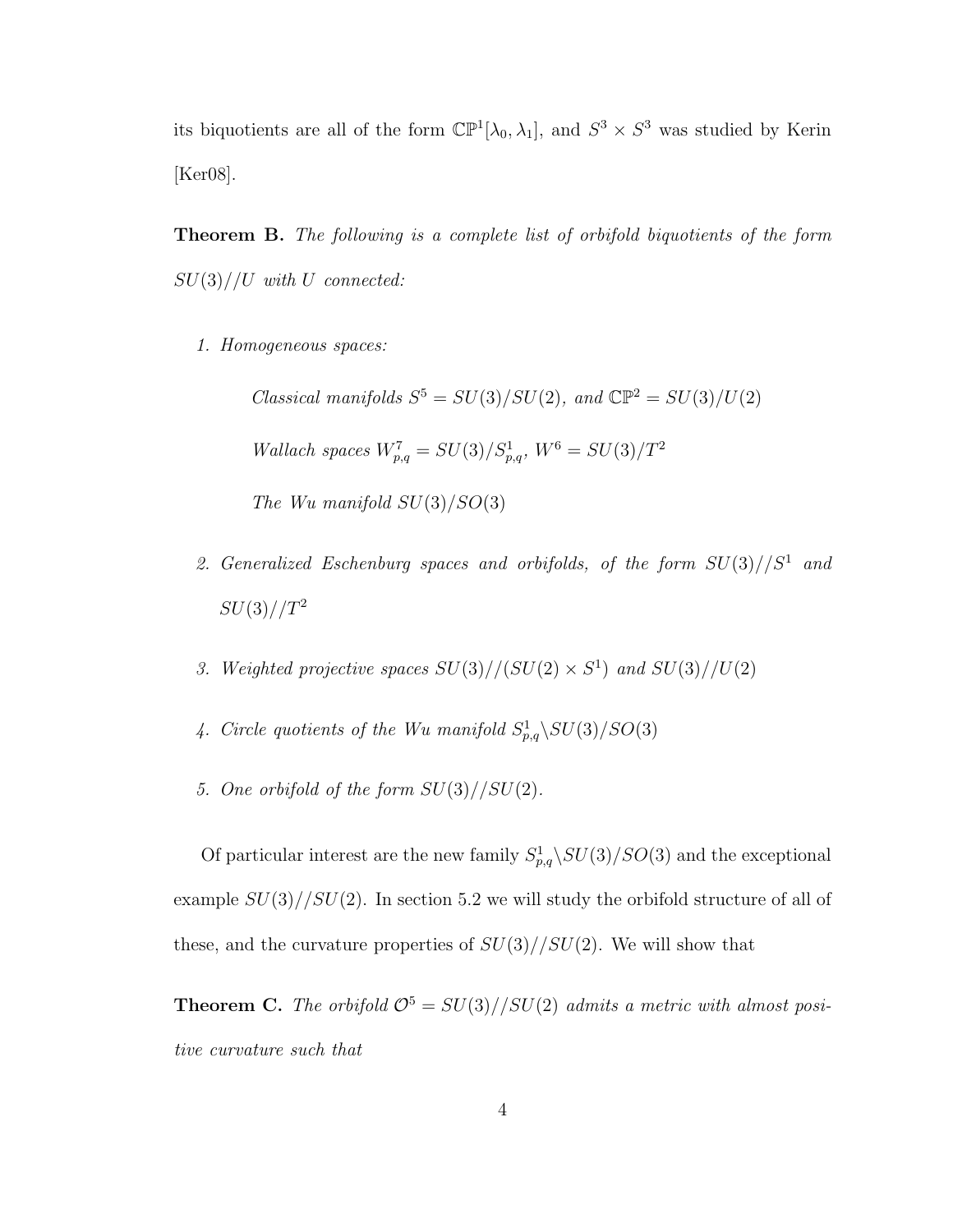its biquotients are all of the form  $\mathbb{CP}^1[\lambda_0, \lambda_1]$ , and  $S^3 \times S^3$  was studied by Kerin [Ker08].

Theorem B. The following is a complete list of orbifold biquotients of the form  $SU(3)/U$  with U connected:

1. Homogeneous spaces:

Classical manifolds  $S^5 = SU(3)/SU(2)$ , and  $\mathbb{CP}^2 = SU(3)/U(2)$ Wallach spaces  $W_{p,q}^7 = SU(3)/S_{p,q}^1$ ,  $W^6 = SU(3)/T^2$ The Wu manifold  $SU(3)/SO(3)$ 

- 2. Generalized Eschenburg spaces and orbifolds, of the form  $SU(3)/\sqrt{S^1}$  and  $SU(3)/T^2$
- 3. Weighted projective spaces  $SU(3)//(SU(2) \times S^1)$  and  $SU(3)//U(2)$
- 4. Circle quotients of the Wu manifold  $S^1_{p,q} \backslash SU(3)/SO(3)$
- 5. One orbifold of the form  $SU(3)/\!SU(2)$ .

Of particular interest are the new family  $S_{p,q}^1 \backslash SU(3)/SO(3)$  and the exceptional example  $SU(3)/\langle SU(2) \rangle$ . In section 5.2 we will study the orbifold structure of all of these, and the curvature properties of  $SU(3)/\sqrt{SU(2)}$ . We will show that

**Theorem C.** The orbifold  $\mathcal{O}^5 = SU(3)/\textcolor{blue}{SU(2)}$  admits a metric with almost positive curvature such that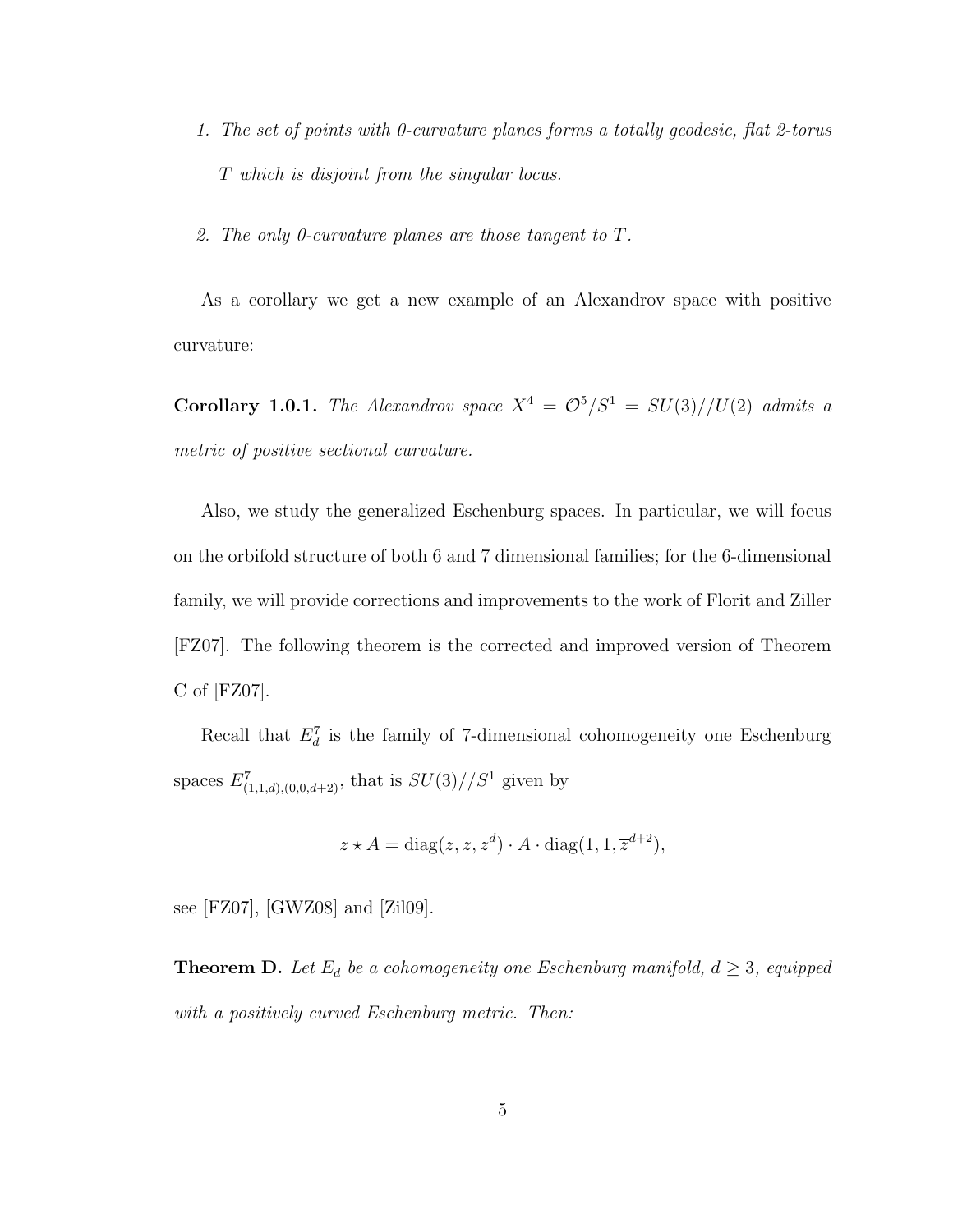- 1. The set of points with 0-curvature planes forms a totally geodesic, flat 2-torus T which is disjoint from the singular locus.
- 2. The only 0-curvature planes are those tangent to T.

As a corollary we get a new example of an Alexandrov space with positive curvature:

Corollary 1.0.1. The Alexandrov space  $X^4 = \mathcal{O}^5/S^1 = SU(3)//U(2)$  admits a metric of positive sectional curvature.

Also, we study the generalized Eschenburg spaces. In particular, we will focus on the orbifold structure of both 6 and 7 dimensional families; for the 6-dimensional family, we will provide corrections and improvements to the work of Florit and Ziller [FZ07]. The following theorem is the corrected and improved version of Theorem C of [FZ07].

Recall that  $E_d^7$  is the family of 7-dimensional cohomogeneity one Eschenburg spaces  $E^7_{(1,1,d),(0,0,d+2)}$ , that is  $SU(3)//S^1$  given by

$$
z \star A = \text{diag}(z, z, z^d) \cdot A \cdot \text{diag}(1, 1, \overline{z}^{d+2}),
$$

see [FZ07], [GWZ08] and [Zil09].

**Theorem D.** Let  $E_d$  be a cohomogeneity one Eschenburg manifold,  $d \geq 3$ , equipped with a positively curved Eschenburg metric. Then: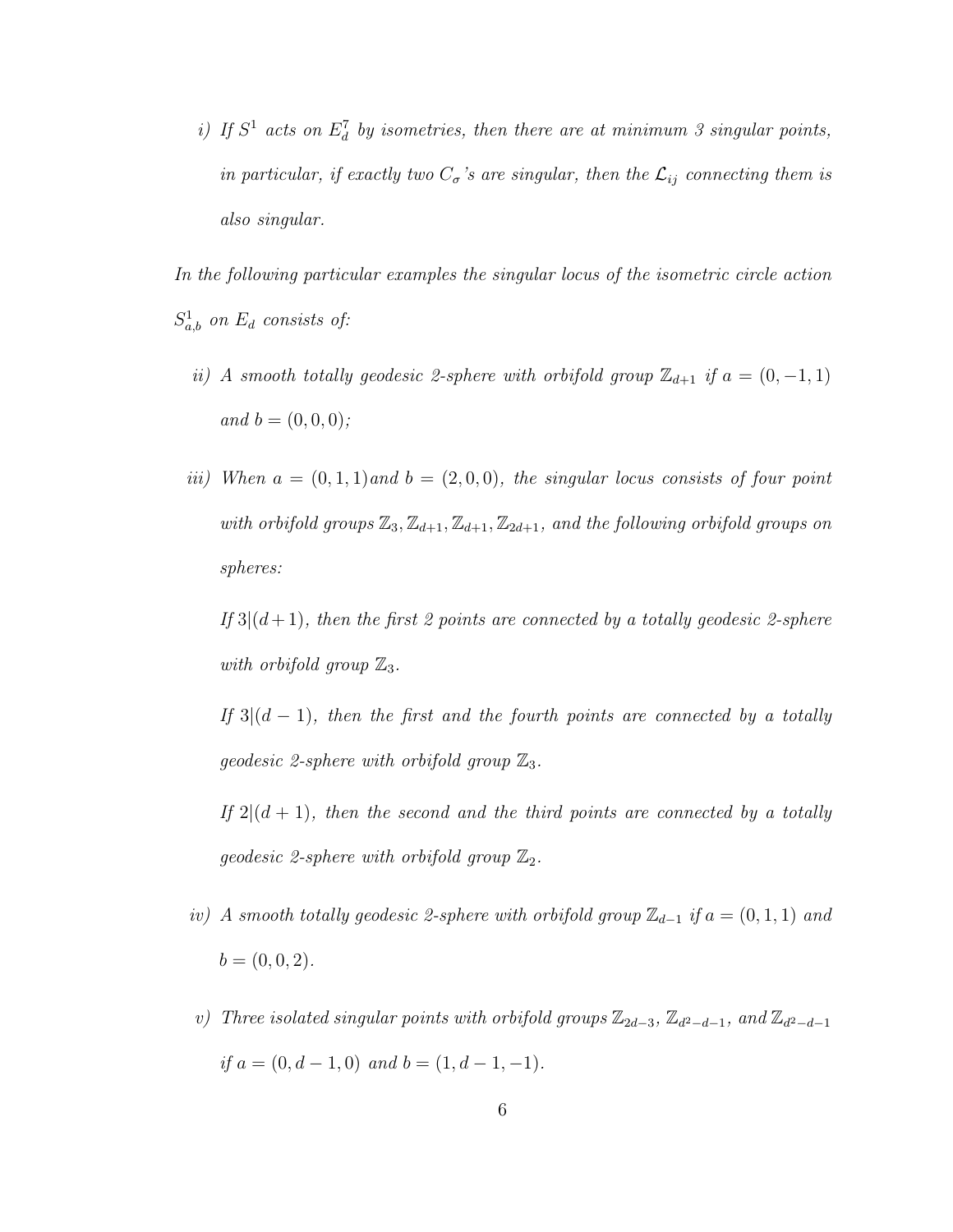i) If  $S^1$  acts on  $E_d^7$  by isometries, then there are at minimum 3 singular points, in particular, if exactly two  $C_{\sigma}$ 's are singular, then the  $\mathcal{L}_{ij}$  connecting them is also singular.

In the following particular examples the singular locus of the isometric circle action  $S_{a,b}^1$  on  $E_d$  consists of:

- ii) A smooth totally geodesic 2-sphere with orbifold group  $\mathbb{Z}_{d+1}$  if  $a = (0, -1, 1)$ and  $b = (0, 0, 0)$ ;
- iii) When  $a = (0, 1, 1)$  and  $b = (2, 0, 0)$ , the singular locus consists of four point with orbifold groups  $\mathbb{Z}_3, \mathbb{Z}_{d+1}, \mathbb{Z}_{d+1}, \mathbb{Z}_{2d+1}$ , and the following orbifold groups on spheres:

If  $3|(d+1)$ , then the first 2 points are connected by a totally geodesic 2-sphere with orbifold group  $\mathbb{Z}_3$ .

If  $3|(d-1)$ , then the first and the fourth points are connected by a totally geodesic 2-sphere with orbifold group  $\mathbb{Z}_3$ .

If  $2|(d+1)$ , then the second and the third points are connected by a totally geodesic 2-sphere with orbifold group  $\mathbb{Z}_2$ .

- iv) A smooth totally geodesic 2-sphere with orbifold group  $\mathbb{Z}_{d-1}$  if  $a = (0,1,1)$  and  $b = (0, 0, 2).$
- v) Three isolated singular points with orbifold groups  $\mathbb{Z}_{2d-3}$ ,  $\mathbb{Z}_{d^2-d-1}$ , and  $\mathbb{Z}_{d^2-d-1}$ if  $a = (0, d - 1, 0)$  and  $b = (1, d - 1, -1)$ .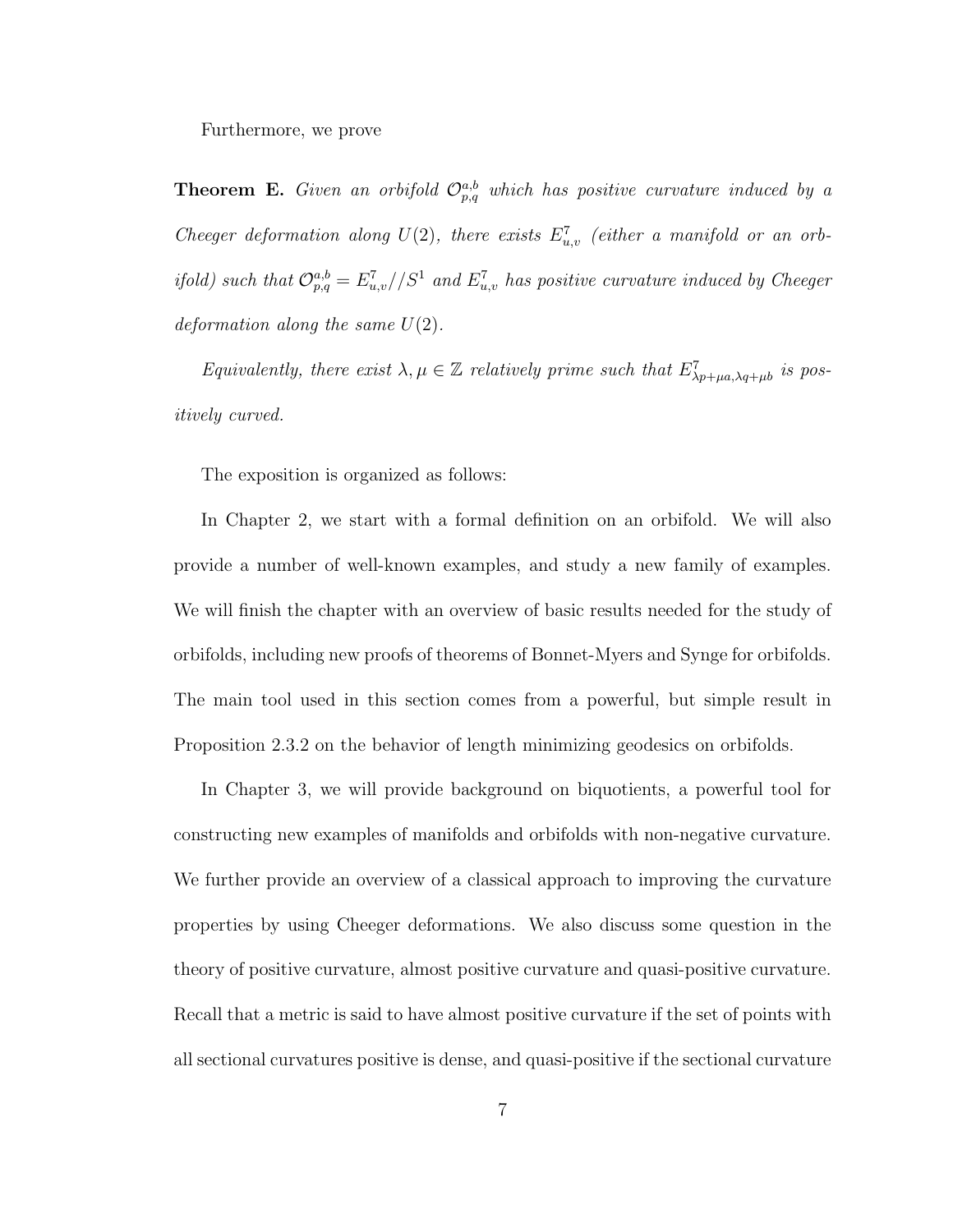Furthermore, we prove

**Theorem E.** Given an orbifold  $\mathcal{O}_{p,q}^{a,b}$  which has positive curvature induced by a Cheeger deformation along  $U(2)$ , there exists  $E_{u,v}^7$  (either a manifold or an orbifold) such that  $\mathcal{O}_{p,q}^{a,b} = E_{u,v}^7//S^1$  and  $E_{u,v}^7$  has positive curvature induced by Cheeger deformation along the same  $U(2)$ .

Equivalently, there exist  $\lambda, \mu \in \mathbb{Z}$  relatively prime such that  $E^7_{\lambda p+\mu a, \lambda q+\mu b}$  is positively curved.

The exposition is organized as follows:

In Chapter 2, we start with a formal definition on an orbifold. We will also provide a number of well-known examples, and study a new family of examples. We will finish the chapter with an overview of basic results needed for the study of orbifolds, including new proofs of theorems of Bonnet-Myers and Synge for orbifolds. The main tool used in this section comes from a powerful, but simple result in Proposition 2.3.2 on the behavior of length minimizing geodesics on orbifolds.

In Chapter 3, we will provide background on biquotients, a powerful tool for constructing new examples of manifolds and orbifolds with non-negative curvature. We further provide an overview of a classical approach to improving the curvature properties by using Cheeger deformations. We also discuss some question in the theory of positive curvature, almost positive curvature and quasi-positive curvature. Recall that a metric is said to have almost positive curvature if the set of points with all sectional curvatures positive is dense, and quasi-positive if the sectional curvature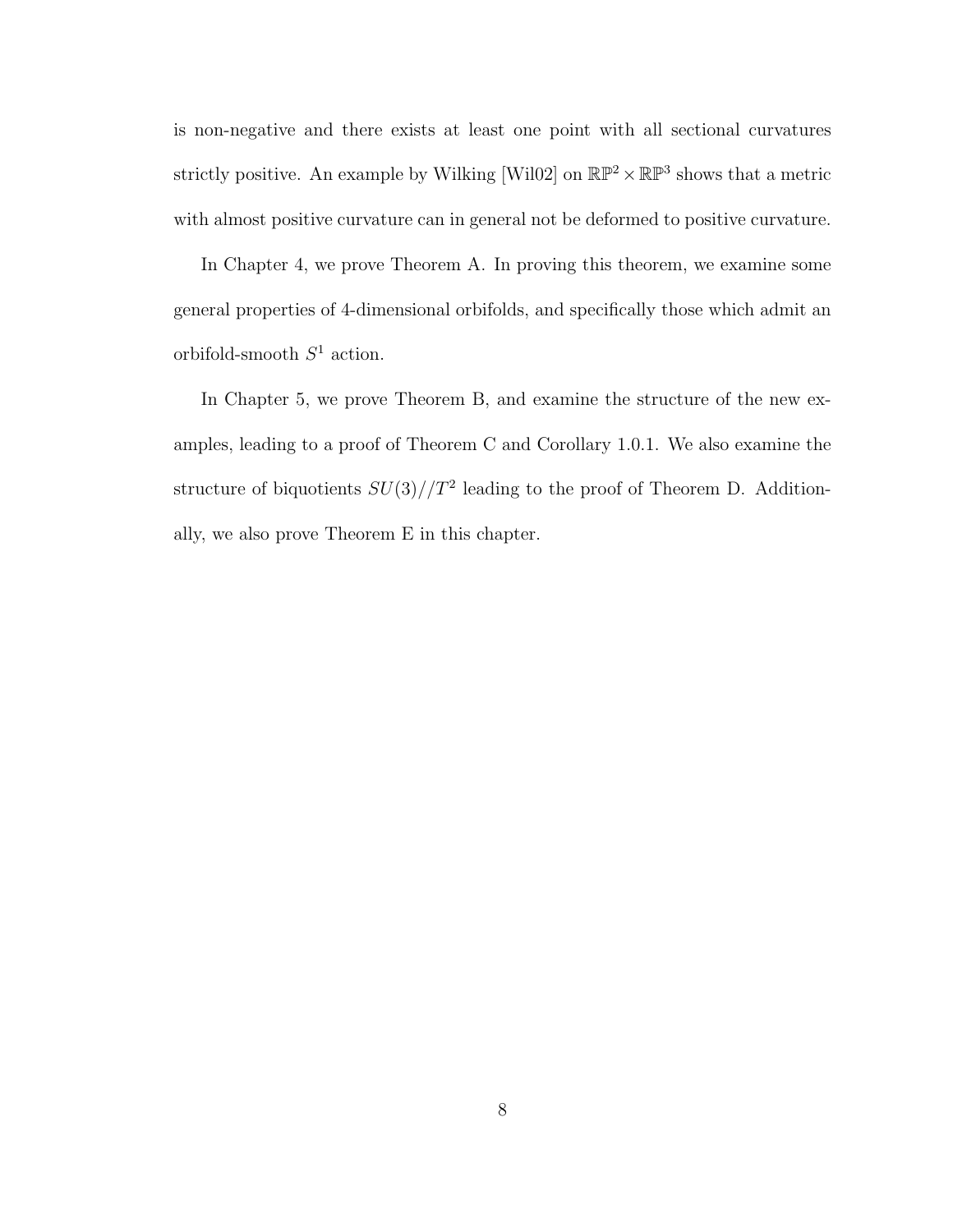is non-negative and there exists at least one point with all sectional curvatures strictly positive. An example by Wilking [Wil02] on  $\mathbb{RP}^2 \times \mathbb{RP}^3$  shows that a metric with almost positive curvature can in general not be deformed to positive curvature.

In Chapter 4, we prove Theorem A. In proving this theorem, we examine some general properties of 4-dimensional orbifolds, and specifically those which admit an orbifold-smooth  $S^1$  action.

In Chapter 5, we prove Theorem B, and examine the structure of the new examples, leading to a proof of Theorem C and Corollary 1.0.1. We also examine the structure of biquotients  $SU(3)/T^2$  leading to the proof of Theorem D. Additionally, we also prove Theorem E in this chapter.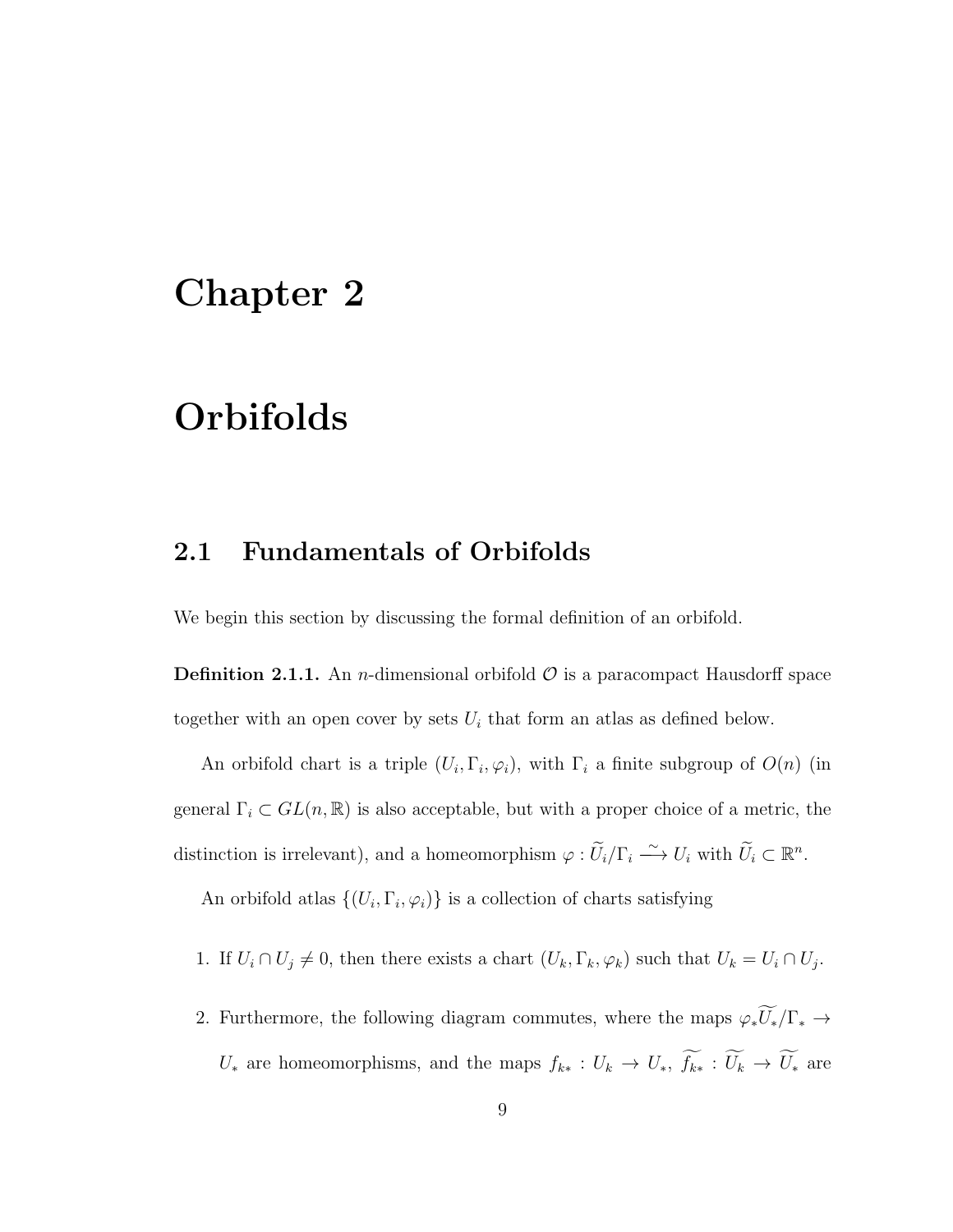## Chapter 2

## Orbifolds

### 2.1 Fundamentals of Orbifolds

We begin this section by discussing the formal definition of an orbifold.

**Definition 2.1.1.** An *n*-dimensional orbifold  $\mathcal{O}$  is a paracompact Hausdorff space together with an open cover by sets  $U_i$  that form an atlas as defined below.

An orbifold chart is a triple  $(U_i, \Gamma_i, \varphi_i)$ , with  $\Gamma_i$  a finite subgroup of  $O(n)$  (in general  $\Gamma_i \subset GL(n,\mathbb{R})$  is also acceptable, but with a proper choice of a metric, the distinction is irrelevant), and a homeomorphism  $\varphi : \widetilde{U}_i/\Gamma_i \longrightarrow U_i$  with  $\widetilde{U}_i \subset \mathbb{R}^n$ .

An orbifold atlas  $\{(U_i, \Gamma_i, \varphi_i)\}\$ is a collection of charts satisfying

- 1. If  $U_i \cap U_j \neq 0$ , then there exists a chart  $(U_k, \Gamma_k, \varphi_k)$  such that  $U_k = U_i \cap U_j$ .
- 2. Furthermore, the following diagram commutes, where the maps  $\varphi_*\widetilde{U_*}/\Gamma_* \to$  $U_*$  are homeomorphisms, and the maps  $f_{k*}: U_k \to U_*$ ,  $\widetilde{f_{k*}}: \widetilde{U_k} \to \widetilde{U_*}$  are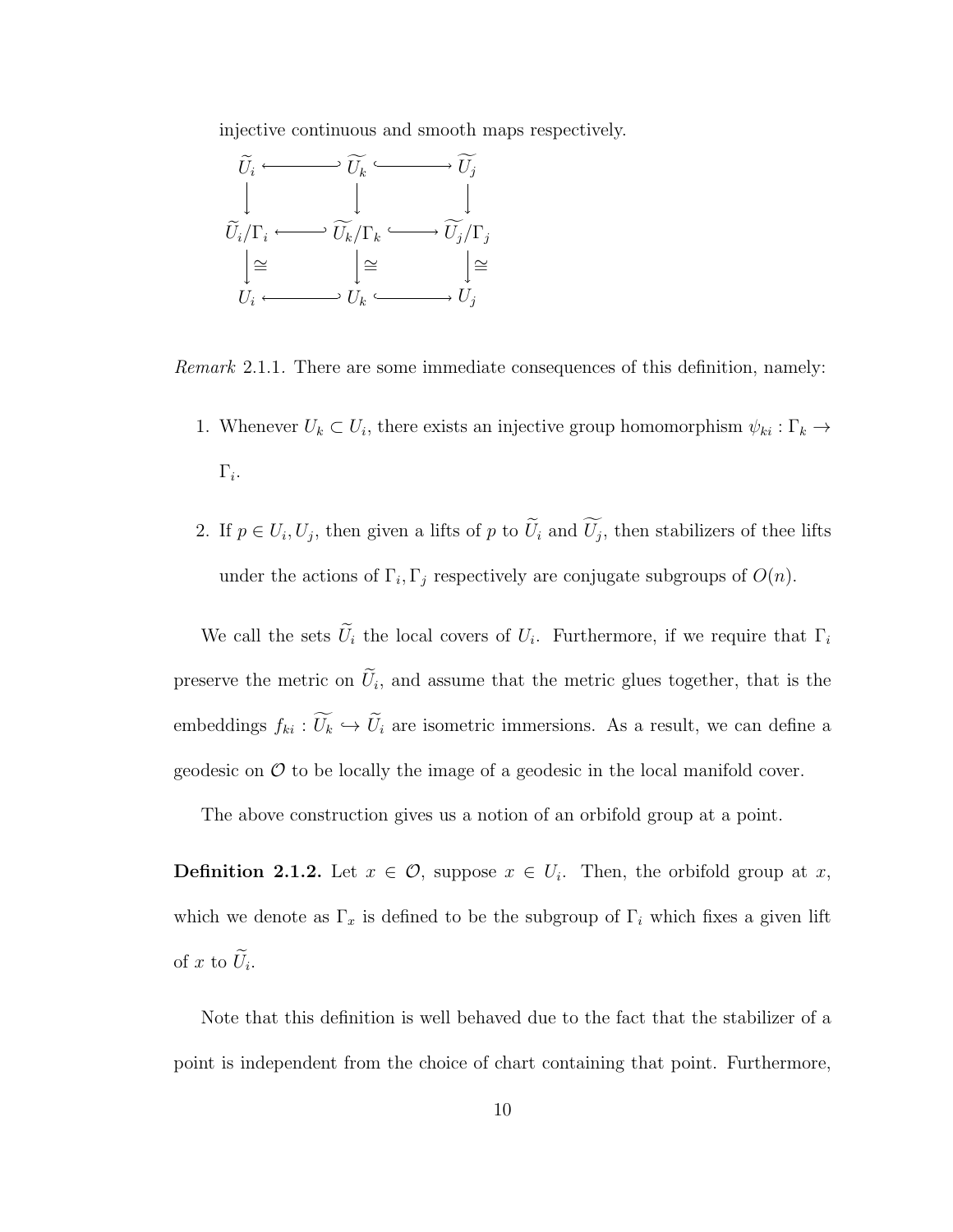injective continuous and smooth maps respectively.



Remark 2.1.1. There are some immediate consequences of this definition, namely:

- 1. Whenever  $U_k \subset U_i$ , there exists an injective group homomorphism  $\psi_{ki} : \Gamma_k \to$  $\Gamma_i.$
- 2. If  $p \in U_i, U_j$ , then given a lifts of p to  $U_i$  and  $U_j$ , then stabilizers of thee lifts under the actions of  $\Gamma_i, \Gamma_j$  respectively are conjugate subgroups of  $O(n)$ .

We call the sets  $U_i$  the local covers of  $U_i$ . Furthermore, if we require that  $\Gamma_i$ preserve the metric on  $U_i$ , and assume that the metric glues together, that is the embeddings  $f_{ki} : \widetilde{U}_k \hookrightarrow \widetilde{U}_i$  are isometric immersions. As a result, we can define a geodesic on  $\mathcal O$  to be locally the image of a geodesic in the local manifold cover.

The above construction gives us a notion of an orbifold group at a point.

**Definition 2.1.2.** Let  $x \in \mathcal{O}$ , suppose  $x \in U_i$ . Then, the orbifold group at x, which we denote as  $\Gamma_x$  is defined to be the subgroup of  $\Gamma_i$  which fixes a given lift of x to  $U_i$ .

Note that this definition is well behaved due to the fact that the stabilizer of a point is independent from the choice of chart containing that point. Furthermore,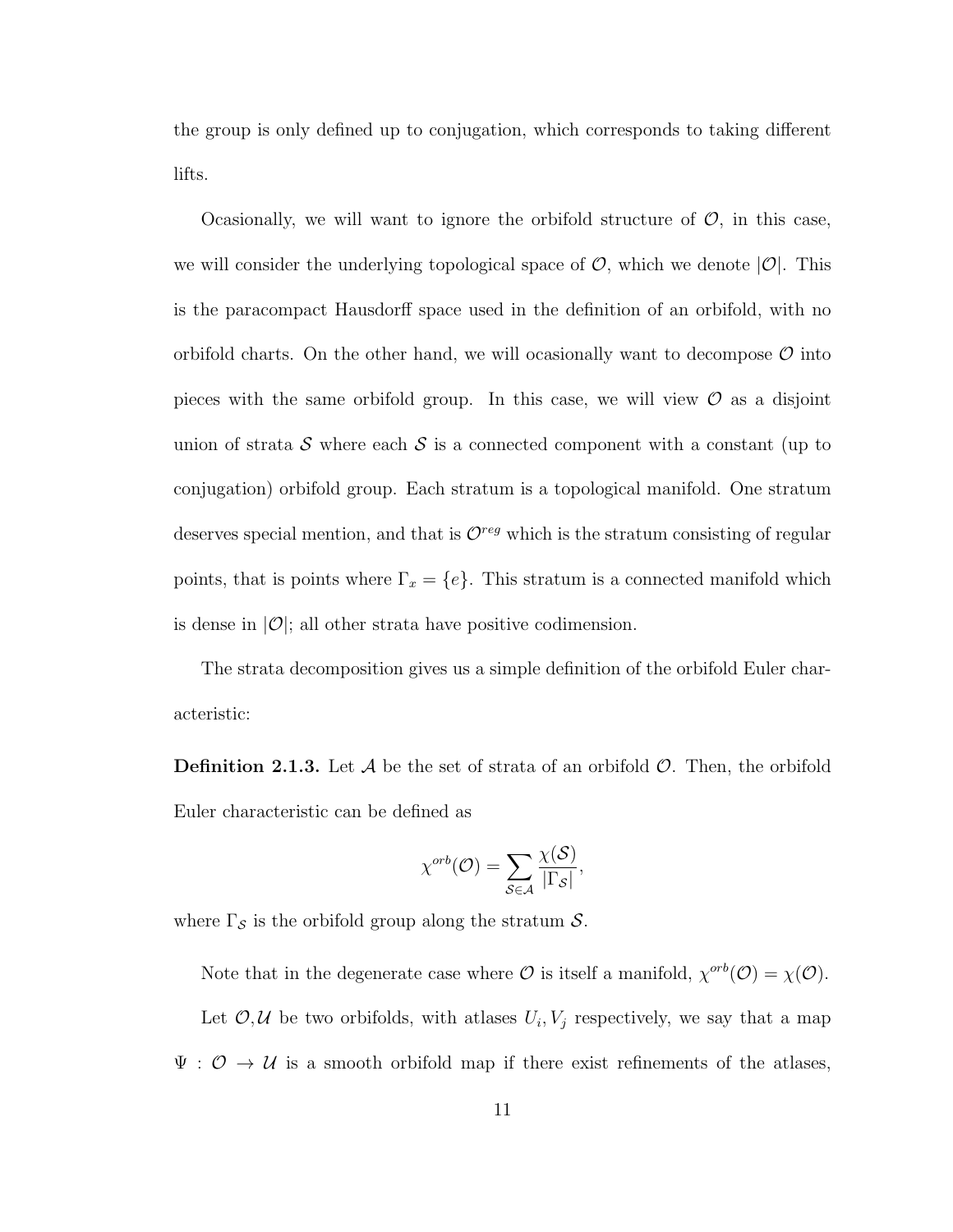the group is only defined up to conjugation, which corresponds to taking different lifts.

Ocasionally, we will want to ignore the orbifold structure of  $\mathcal{O}$ , in this case, we will consider the underlying topological space of  $\mathcal{O}$ , which we denote  $|\mathcal{O}|$ . This is the paracompact Hausdorff space used in the definition of an orbifold, with no orbifold charts. On the other hand, we will ocasionally want to decompose  $\mathcal O$  into pieces with the same orbifold group. In this case, we will view  $\mathcal O$  as a disjoint union of strata S where each S is a connected component with a constant (up to conjugation) orbifold group. Each stratum is a topological manifold. One stratum deserves special mention, and that is  $\mathcal{O}^{reg}$  which is the stratum consisting of regular points, that is points where  $\Gamma_x = \{e\}$ . This stratum is a connected manifold which is dense in  $|O|$ ; all other strata have positive codimension.

The strata decomposition gives us a simple definition of the orbifold Euler characteristic:

**Definition 2.1.3.** Let  $\mathcal A$  be the set of strata of an orbifold  $\mathcal O$ . Then, the orbifold Euler characteristic can be defined as

$$
\chi^{orb}(\mathcal{O}) = \sum_{\mathcal{S} \in \mathcal{A}} \frac{\chi(\mathcal{S})}{|\Gamma_{\mathcal{S}}|},
$$

where  $\Gamma_{\mathcal{S}}$  is the orbifold group along the stratum  $\mathcal{S}$ .

Note that in the degenerate case where  $\mathcal O$  is itself a manifold,  $\chi^{orb}(\mathcal O) = \chi(\mathcal O)$ . Let  $\mathcal{O}, \mathcal{U}$  be two orbifolds, with atlases  $U_i, V_j$  respectively, we say that a map  $\Psi : \mathcal{O} \to \mathcal{U}$  is a smooth orbifold map if there exist refinements of the atlases,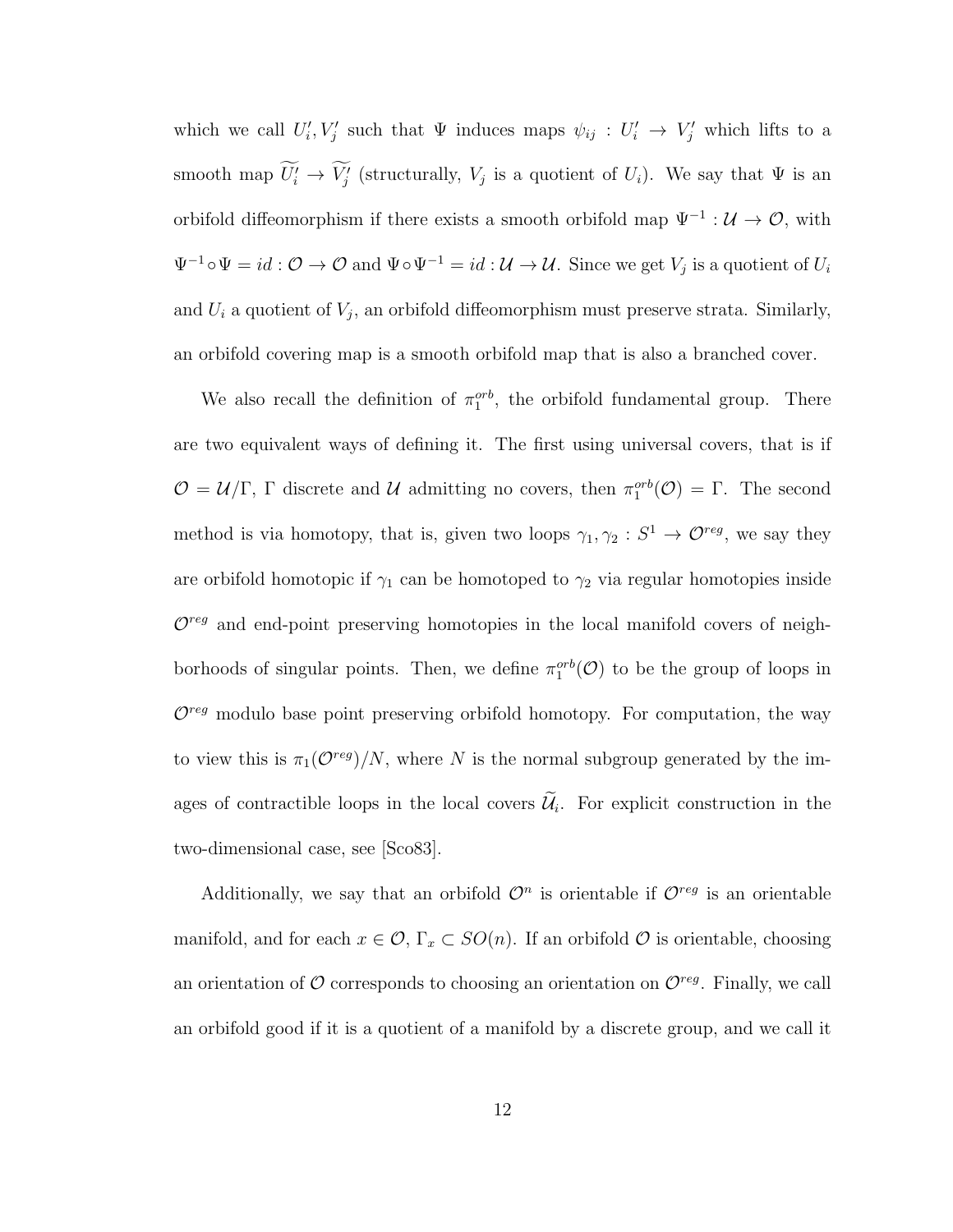which we call  $U'_i, V'_j$  such that  $\Psi$  induces maps  $\psi_{ij} : U'_i \to V'_j$  which lifts to a smooth map  $U'_i \to V'_j$  (structurally,  $V_j$  is a quotient of  $U_i$ ). We say that  $\Psi$  is an orbifold diffeomorphism if there exists a smooth orbifold map  $\Psi^{-1}$  :  $\mathcal{U} \to \mathcal{O}$ , with  $\Psi^{-1} \circ \Psi = id : \mathcal{O} \to \mathcal{O}$  and  $\Psi \circ \Psi^{-1} = id : \mathcal{U} \to \mathcal{U}$ . Since we get  $V_j$  is a quotient of  $U_i$ and  $U_i$  a quotient of  $V_j$ , an orbifold diffeomorphism must preserve strata. Similarly, an orbifold covering map is a smooth orbifold map that is also a branched cover.

We also recall the definition of  $\pi_1^{orb}$ , the orbifold fundamental group. There are two equivalent ways of defining it. The first using universal covers, that is if  $\mathcal{O} = \mathcal{U}/\Gamma$ ,  $\Gamma$  discrete and  $\mathcal{U}$  admitting no covers, then  $\pi_1^{orb}(\mathcal{O}) = \Gamma$ . The second method is via homotopy, that is, given two loops  $\gamma_1, \gamma_2 : S^1 \to \mathcal{O}^{reg}$ , we say they are orbifold homotopic if  $\gamma_1$  can be homotoped to  $\gamma_2$  via regular homotopies inside  $\mathcal{O}^{reg}$  and end-point preserving homotopies in the local manifold covers of neighborhoods of singular points. Then, we define  $\pi_1^{orb}(\mathcal{O})$  to be the group of loops in  $\mathcal{O}^{reg}$  modulo base point preserving orbifold homotopy. For computation, the way to view this is  $\pi_1(\mathcal{O}^{reg})/N$ , where N is the normal subgroup generated by the images of contractible loops in the local covers  $\mathcal{U}_i$ . For explicit construction in the two-dimensional case, see [Sco83].

Additionally, we say that an orbifold  $\mathcal{O}^n$  is orientable if  $\mathcal{O}^{reg}$  is an orientable manifold, and for each  $x \in \mathcal{O}$ ,  $\Gamma_x \subset SO(n)$ . If an orbifold  $\mathcal O$  is orientable, choosing an orientation of  $\mathcal O$  corresponds to choosing an orientation on  $\mathcal O^{reg}$ . Finally, we call an orbifold good if it is a quotient of a manifold by a discrete group, and we call it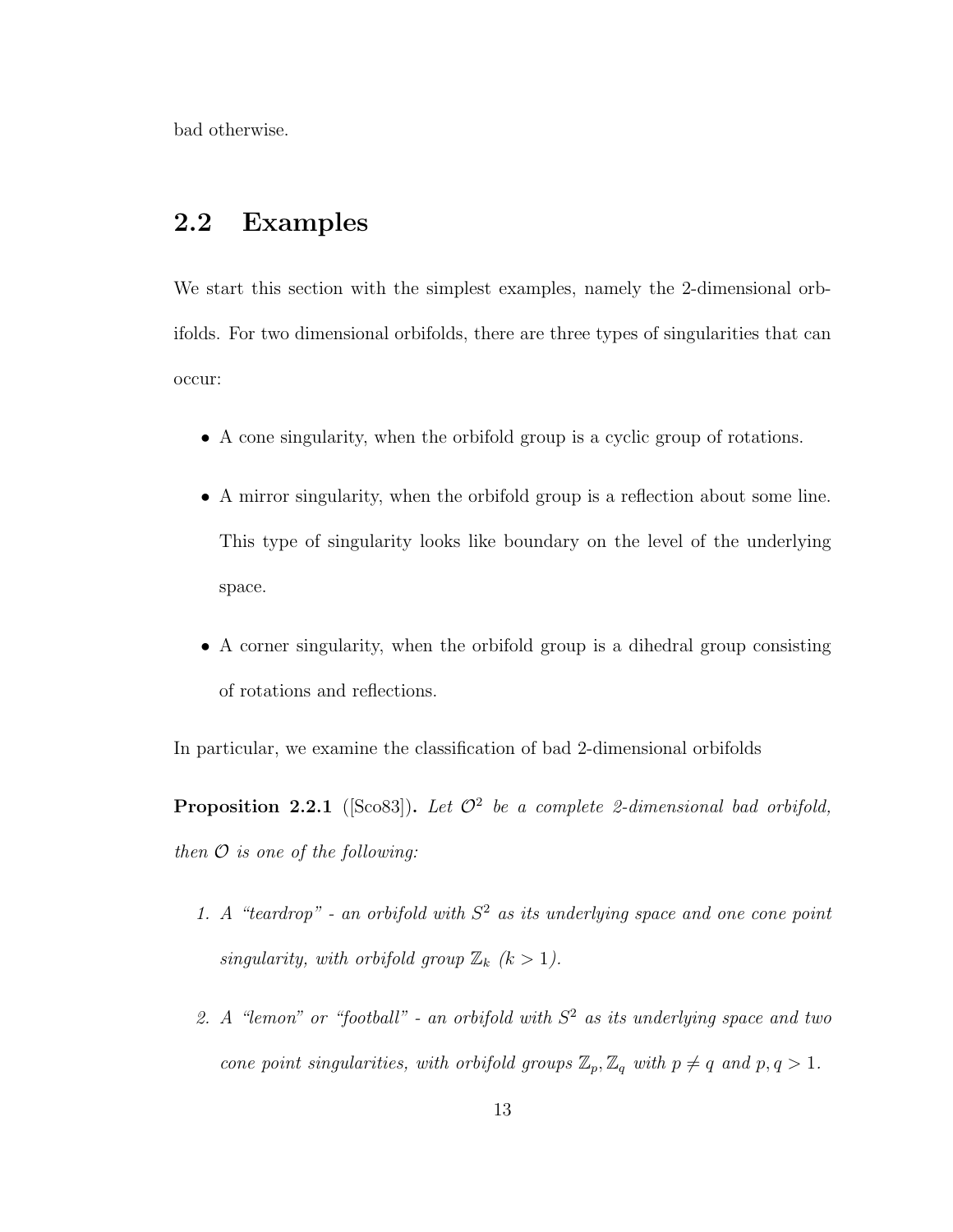bad otherwise.

### 2.2 Examples

We start this section with the simplest examples, namely the 2-dimensional orbifolds. For two dimensional orbifolds, there are three types of singularities that can occur:

- A cone singularity, when the orbifold group is a cyclic group of rotations.
- A mirror singularity, when the orbifold group is a reflection about some line. This type of singularity looks like boundary on the level of the underlying space.
- A corner singularity, when the orbifold group is a dihedral group consisting of rotations and reflections.

In particular, we examine the classification of bad 2-dimensional orbifolds

**Proposition 2.2.1** ([Sco83]). Let  $\mathcal{O}^2$  be a complete 2-dimensional bad orbifold, then  $\mathcal O$  is one of the following:

- 1. A "teardrop" an orbifold with  $S<sup>2</sup>$  as its underlying space and one cone point singularity, with orbifold group  $\mathbb{Z}_k$   $(k > 1)$ .
- 2. A "lemon" or "football" an orbifold with  $S<sup>2</sup>$  as its underlying space and two cone point singularities, with orbifold groups  $\mathbb{Z}_p$ ,  $\mathbb{Z}_q$  with  $p \neq q$  and  $p, q > 1$ .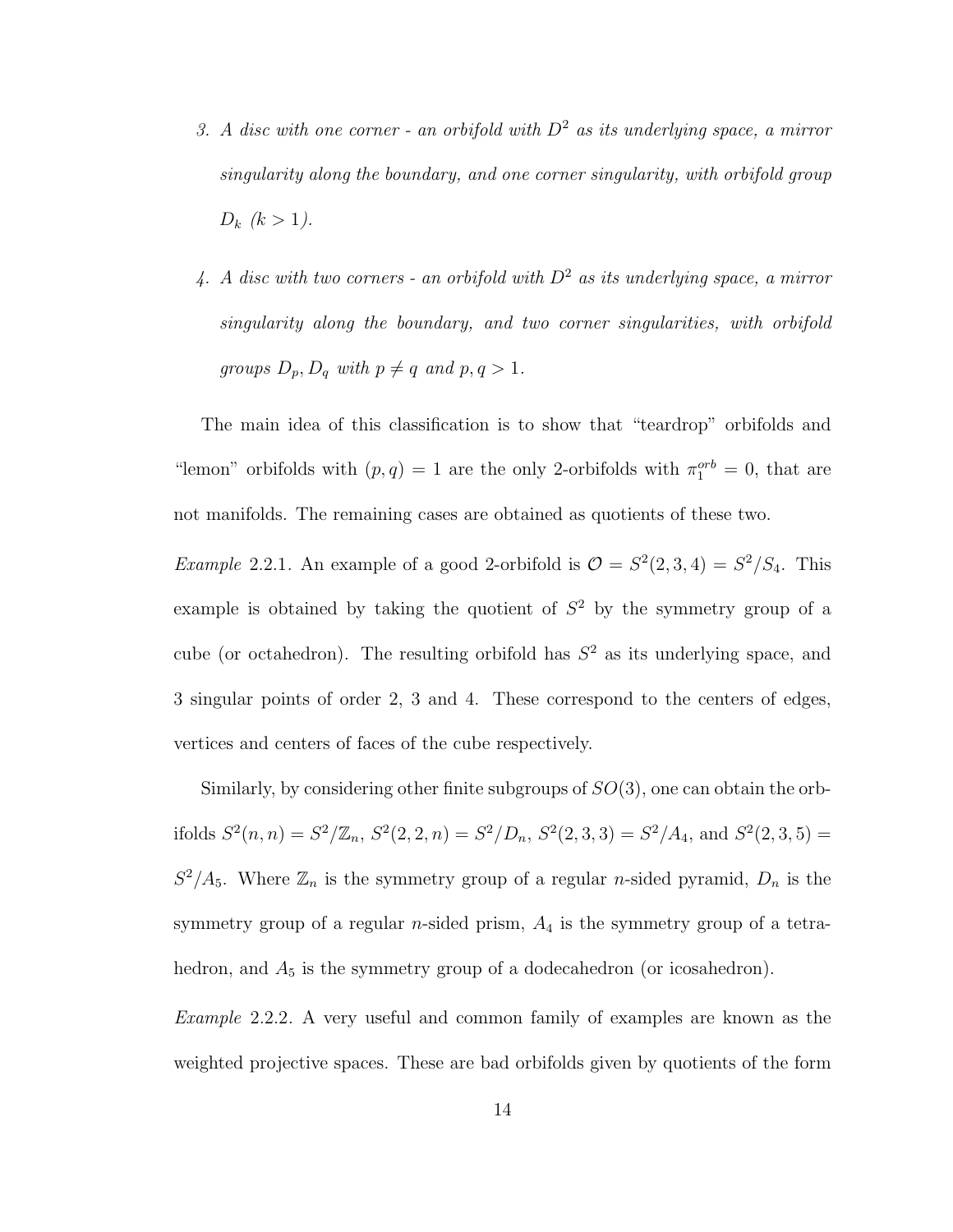- 3. A disc with one corner an orbifold with  $D^2$  as its underlying space, a mirror singularity along the boundary, and one corner singularity, with orbifold group  $D_k$   $(k > 1)$ .
- 4. A disc with two corners an orbifold with  $D^2$  as its underlying space, a mirror singularity along the boundary, and two corner singularities, with orbifold groups  $D_p$ ,  $D_q$  with  $p \neq q$  and  $p, q > 1$ .

The main idea of this classification is to show that "teardrop" orbifolds and "lemon" orbifolds with  $(p, q) = 1$  are the only 2-orbifolds with  $\pi_1^{orb} = 0$ , that are not manifolds. The remaining cases are obtained as quotients of these two.

*Example 2.2.1.* An example of a good 2-orbifold is  $\mathcal{O} = S^2(2,3,4) = S^2/S_4$ . This example is obtained by taking the quotient of  $S<sup>2</sup>$  by the symmetry group of a cube (or octahedron). The resulting orbifold has  $S<sup>2</sup>$  as its underlying space, and 3 singular points of order 2, 3 and 4. These correspond to the centers of edges, vertices and centers of faces of the cube respectively.

Similarly, by considering other finite subgroups of  $SO(3)$ , one can obtain the orbifolds  $S^2(n,n) = S^2/\mathbb{Z}_n$ ,  $S^2(2,2,n) = S^2/D_n$ ,  $S^2(2,3,3) = S^2/A_4$ , and  $S^2(2,3,5) =$  $S^2/A_5$ . Where  $\mathbb{Z}_n$  is the symmetry group of a regular *n*-sided pyramid,  $D_n$  is the symmetry group of a regular  $n$ -sided prism,  $A_4$  is the symmetry group of a tetrahedron, and  $A_5$  is the symmetry group of a dodecahedron (or icosahedron).

Example 2.2.2. A very useful and common family of examples are known as the weighted projective spaces. These are bad orbifolds given by quotients of the form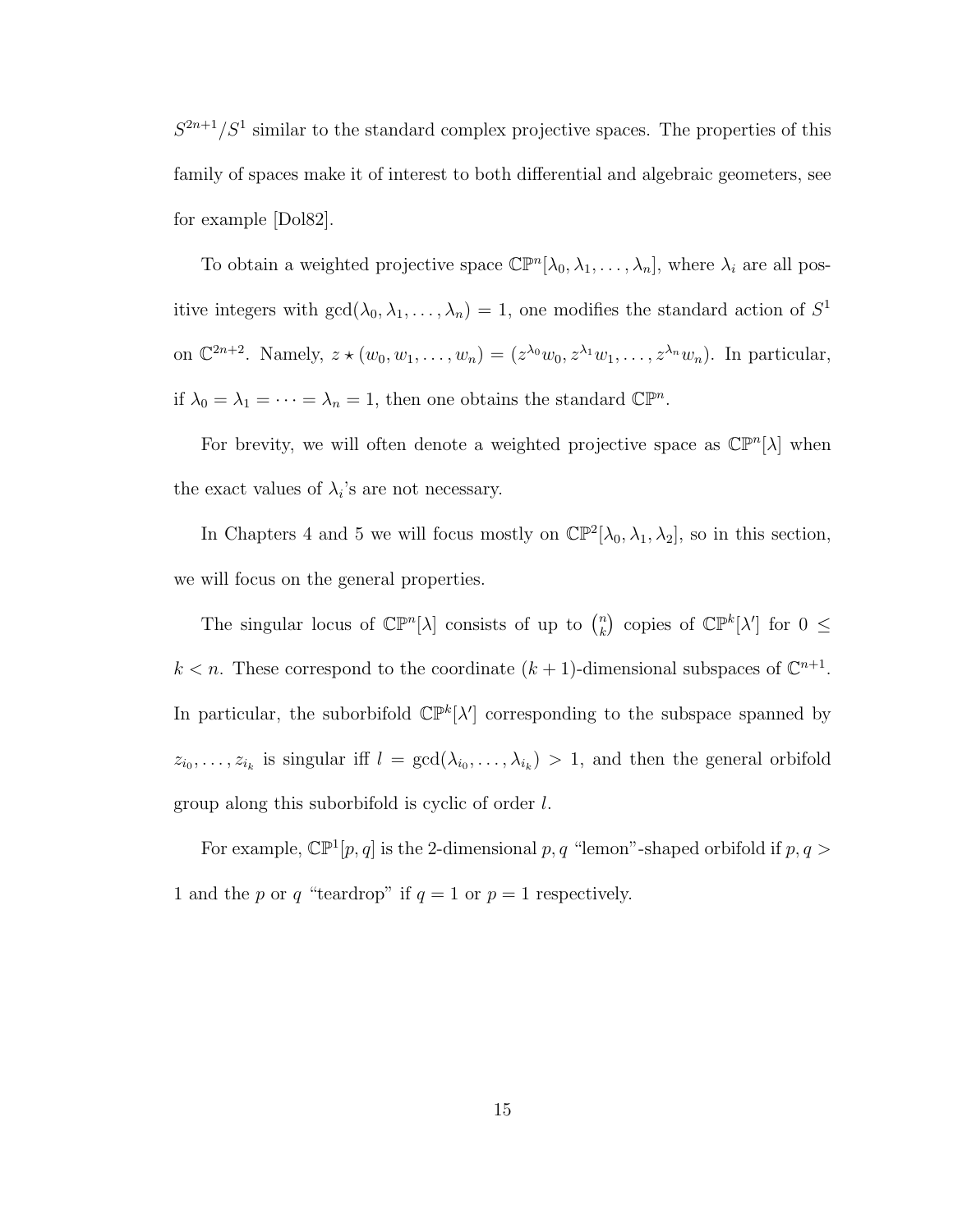$S^{2n+1}/S^1$  similar to the standard complex projective spaces. The properties of this family of spaces make it of interest to both differential and algebraic geometers, see for example [Dol82].

To obtain a weighted projective space  $\mathbb{CP}^n[\lambda_0, \lambda_1, \ldots, \lambda_n]$ , where  $\lambda_i$  are all positive integers with  $gcd(\lambda_0, \lambda_1, \ldots, \lambda_n) = 1$ , one modifies the standard action of  $S^1$ on  $\mathbb{C}^{2n+2}$ . Namely,  $z \star (w_0, w_1, \ldots, w_n) = (z^{\lambda_0} w_0, z^{\lambda_1} w_1, \ldots, z^{\lambda_n} w_n)$ . In particular, if  $\lambda_0 = \lambda_1 = \cdots = \lambda_n = 1$ , then one obtains the standard  $\mathbb{CP}^n$ .

For brevity, we will often denote a weighted projective space as  $\mathbb{CP}^n[\lambda]$  when the exact values of  $\lambda_i$ 's are not necessary.

In Chapters 4 and 5 we will focus mostly on  $\mathbb{CP}^2[\lambda_0, \lambda_1, \lambda_2]$ , so in this section, we will focus on the general properties.

The singular locus of  $\mathbb{CP}^n[\lambda]$  consists of up to  $\binom{n}{k}$  $\binom{n}{k}$  copies of  $\mathbb{CP}^k[\lambda']$  for  $0 \leq$  $k < n$ . These correspond to the coordinate  $(k + 1)$ -dimensional subspaces of  $\mathbb{C}^{n+1}$ . In particular, the suborbifold  $\mathbb{CP}^k[\lambda']$  corresponding to the subspace spanned by  $z_{i_0}, \ldots, z_{i_k}$  is singular iff  $l = \gcd(\lambda_{i_0}, \ldots, \lambda_{i_k}) > 1$ , and then the general orbifold group along this suborbifold is cyclic of order l.

For example,  $\mathbb{CP}^1[p, q]$  is the 2-dimensional p, q "lemon"-shaped orbifold if  $p, q >$ 1 and the p or q "teardrop" if  $q = 1$  or  $p = 1$  respectively.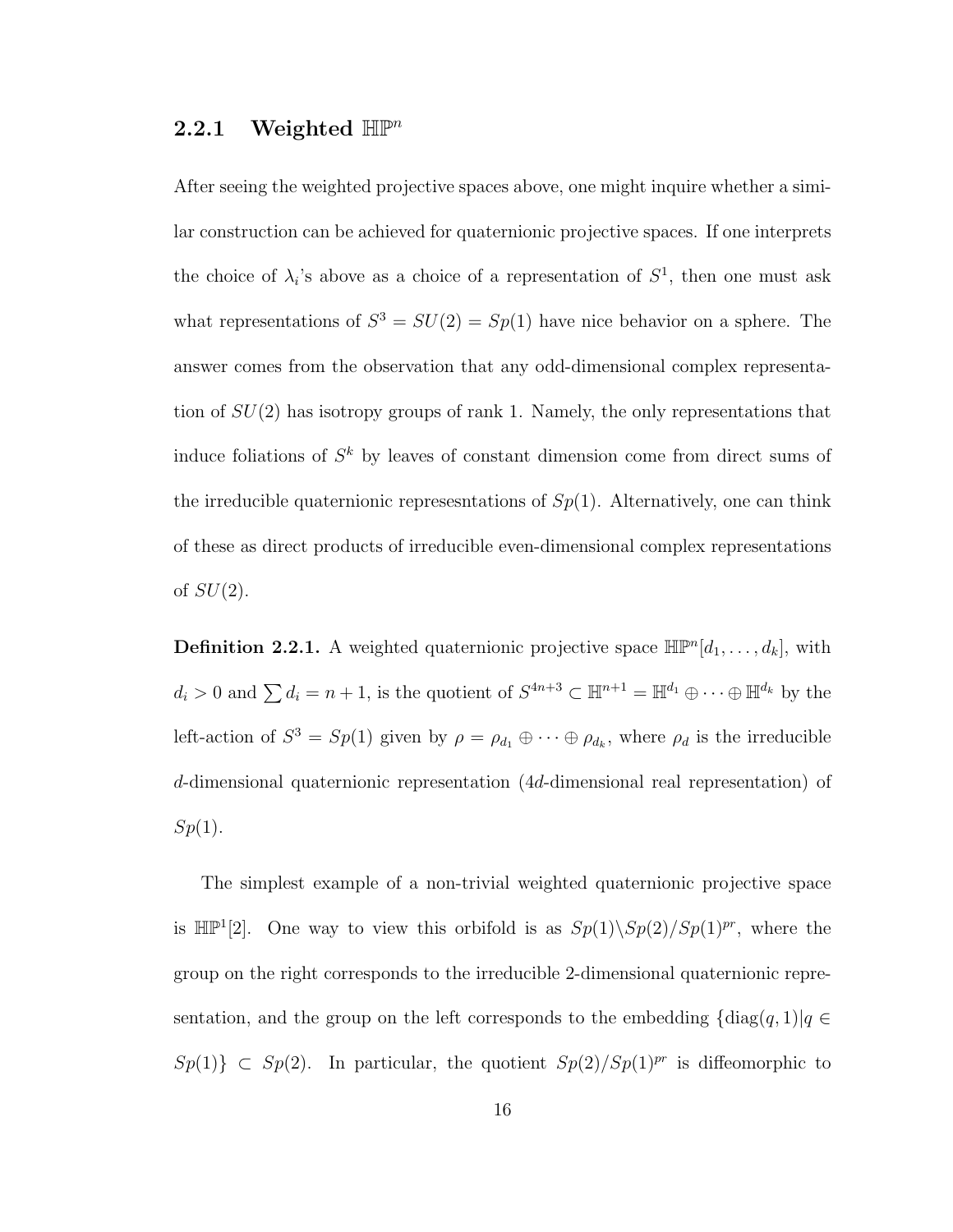#### 2.2.1 Weighted  $\mathbb{HP}^n$

After seeing the weighted projective spaces above, one might inquire whether a similar construction can be achieved for quaternionic projective spaces. If one interprets the choice of  $\lambda_i$ 's above as a choice of a representation of  $S^1$ , then one must ask what representations of  $S^3 = SU(2) = Sp(1)$  have nice behavior on a sphere. The answer comes from the observation that any odd-dimensional complex representation of  $SU(2)$  has isotropy groups of rank 1. Namely, the only representations that induce foliations of  $S^k$  by leaves of constant dimension come from direct sums of the irreducible quaternionic represesntations of  $Sp(1)$ . Alternatively, one can think of these as direct products of irreducible even-dimensional complex representations of  $SU(2)$ .

**Definition 2.2.1.** A weighted quaternionic projective space  $\mathbb{HP}^n[d_1,\ldots,d_k]$ , with  $d_i > 0$  and  $\sum d_i = n + 1$ , is the quotient of  $S^{4n+3} \subset \mathbb{H}^{n+1} = \mathbb{H}^{d_1} \oplus \cdots \oplus \mathbb{H}^{d_k}$  by the left-action of  $S^3 = Sp(1)$  given by  $\rho = \rho_{d_1} \oplus \cdots \oplus \rho_{d_k}$ , where  $\rho_d$  is the irreducible d-dimensional quaternionic representation (4d-dimensional real representation) of  $Sp(1).$ 

The simplest example of a non-trivial weighted quaternionic projective space is  $\mathbb{HP}^1[2]$ . One way to view this orbifold is as  $Sp(1)\backslash Sp(2)/Sp(1)^{pr}$ , where the group on the right corresponds to the irreducible 2-dimensional quaternionic representation, and the group on the left corresponds to the embedding  $\{\text{diag}(q, 1)|q \in$  $Sp(1)$ }  $\subset Sp(2)$ . In particular, the quotient  $Sp(2)/Sp(1)^{pr}$  is diffeomorphic to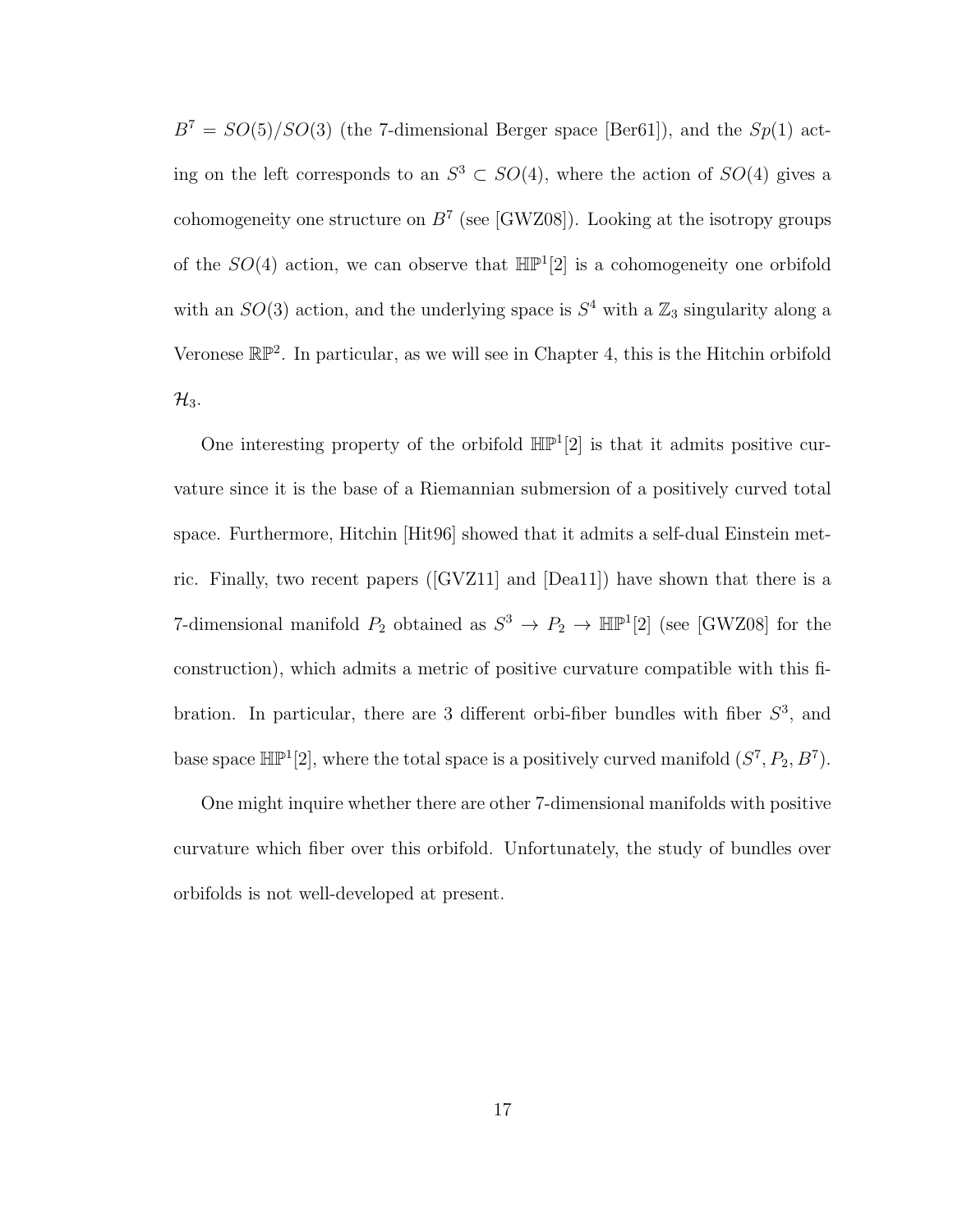$B^7 = SO(5)/SO(3)$  (the 7-dimensional Berger space [Ber61]), and the  $Sp(1)$  acting on the left corresponds to an  $S^3 \subset SO(4)$ , where the action of  $SO(4)$  gives a cohomogeneity one structure on  $B^7$  (see [GWZ08]). Looking at the isotropy groups of the  $SO(4)$  action, we can observe that  $\mathbb{HP}^1[2]$  is a cohomogeneity one orbifold with an  $SO(3)$  action, and the underlying space is  $S<sup>4</sup>$  with a  $\mathbb{Z}_3$  singularity along a Veronese  $\mathbb{RP}^2$ . In particular, as we will see in Chapter 4, this is the Hitchin orbifold  $\mathcal{H}_3$ .

One interesting property of the orbifold  $\mathbb{HP}^1[2]$  is that it admits positive curvature since it is the base of a Riemannian submersion of a positively curved total space. Furthermore, Hitchin [Hit96] showed that it admits a self-dual Einstein metric. Finally, two recent papers ([GVZ11] and [Dea11]) have shown that there is a 7-dimensional manifold  $P_2$  obtained as  $S^3 \to P_2 \to \mathbb{HP}^1[2]$  (see [GWZ08] for the construction), which admits a metric of positive curvature compatible with this fibration. In particular, there are 3 different orbi-fiber bundles with fiber  $S^3$ , and base space  $\mathbb{HP}^1[2]$ , where the total space is a positively curved manifold  $(S^7, P_2, B^7)$ .

One might inquire whether there are other 7-dimensional manifolds with positive curvature which fiber over this orbifold. Unfortunately, the study of bundles over orbifolds is not well-developed at present.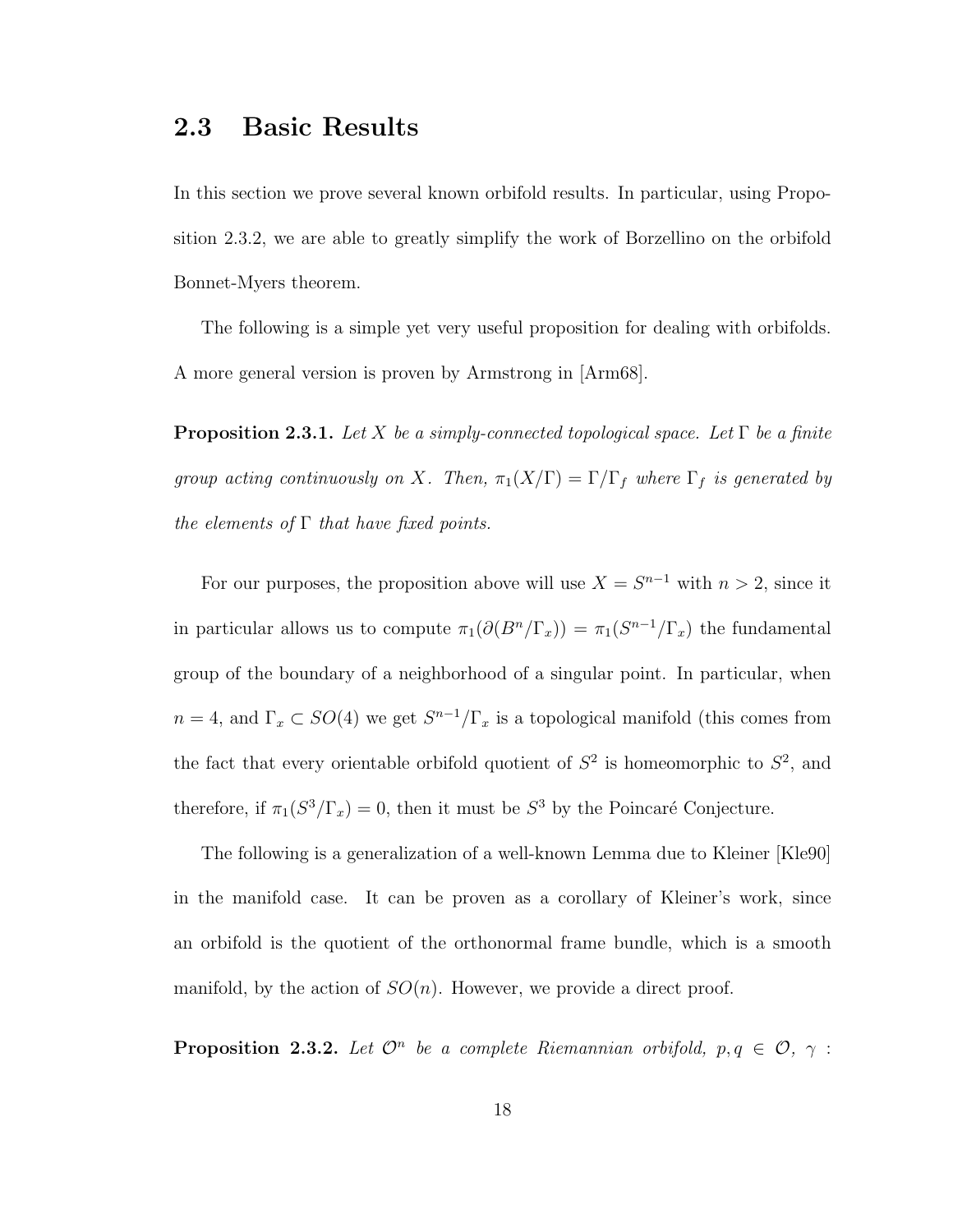### 2.3 Basic Results

In this section we prove several known orbifold results. In particular, using Proposition 2.3.2, we are able to greatly simplify the work of Borzellino on the orbifold Bonnet-Myers theorem.

The following is a simple yet very useful proposition for dealing with orbifolds. A more general version is proven by Armstrong in [Arm68].

**Proposition 2.3.1.** Let X be a simply-connected topological space. Let  $\Gamma$  be a finite group acting continuously on X. Then,  $\pi_1(X/\Gamma) = \Gamma/\Gamma_f$  where  $\Gamma_f$  is generated by the elements of  $\Gamma$  that have fixed points.

For our purposes, the proposition above will use  $X = S^{n-1}$  with  $n > 2$ , since it in particular allows us to compute  $\pi_1(\partial (B^n/\Gamma_x)) = \pi_1(S^{n-1}/\Gamma_x)$  the fundamental group of the boundary of a neighborhood of a singular point. In particular, when  $n = 4$ , and  $\Gamma_x \subset SO(4)$  we get  $S^{n-1}/\Gamma_x$  is a topological manifold (this comes from the fact that every orientable orbifold quotient of  $S^2$  is homeomorphic to  $S^2$ , and therefore, if  $\pi_1(S^3/\Gamma_x) = 0$ , then it must be  $S^3$  by the Poincaré Conjecture.

The following is a generalization of a well-known Lemma due to Kleiner [Kle90] in the manifold case. It can be proven as a corollary of Kleiner's work, since an orbifold is the quotient of the orthonormal frame bundle, which is a smooth manifold, by the action of  $SO(n)$ . However, we provide a direct proof.

**Proposition 2.3.2.** Let  $\mathcal{O}^n$  be a complete Riemannian orbifold,  $p, q \in \mathcal{O}, \gamma$ :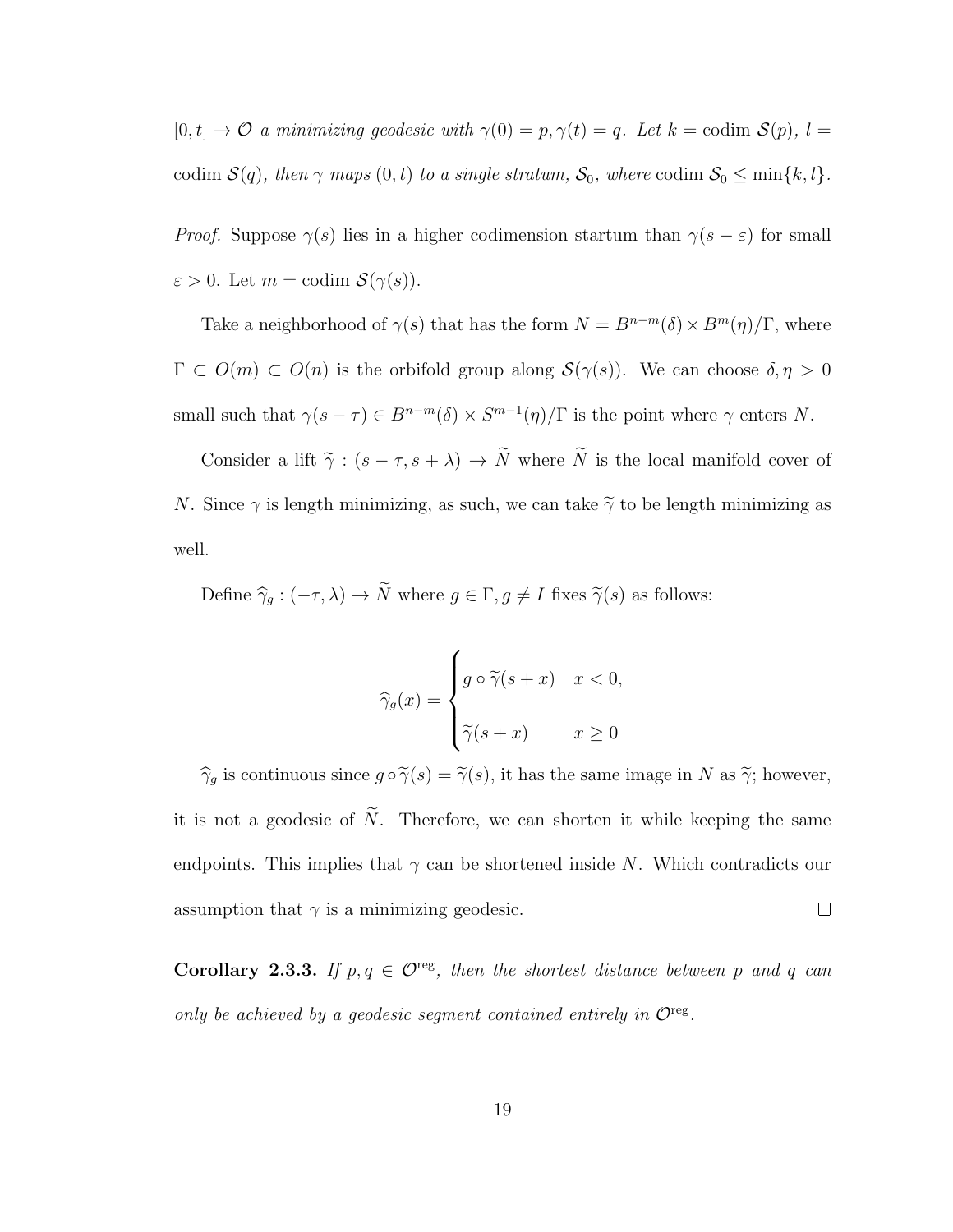$[0, t] \rightarrow \mathcal{O}$  a minimizing geodesic with  $\gamma(0) = p, \gamma(t) = q$ . Let  $k =$  codim  $\mathcal{S}(p)$ ,  $l =$ codim  $S(q)$ , then  $\gamma$  maps  $(0, t)$  to a single stratum,  $S_0$ , where codim  $S_0 \le \min\{k, l\}$ .

*Proof.* Suppose  $\gamma(s)$  lies in a higher codimension startum than  $\gamma(s - \varepsilon)$  for small  $\varepsilon > 0$ . Let  $m = \text{codim } \mathcal{S}(\gamma(s))$ .

Take a neighborhood of  $\gamma(s)$  that has the form  $N = B^{n-m}(\delta) \times B^m(\eta)/\Gamma$ , where  $\Gamma \subset O(m) \subset O(n)$  is the orbifold group along  $\mathcal{S}(\gamma(s))$ . We can choose  $\delta, \eta > 0$ small such that  $\gamma(s-\tau) \in B^{n-m}(\delta) \times S^{m-1}(\eta)/\Gamma$  is the point where  $\gamma$  enters N.

Consider a lift  $\tilde{\gamma}$  :  $(s - \tau, s + \lambda) \to \tilde{N}$  where  $\tilde{N}$  is the local manifold cover of N. Since  $\gamma$  is length minimizing, as such, we can take  $\tilde{\gamma}$  to be length minimizing as well.

Define  $\hat{\gamma}_g : (-\tau, \lambda) \to \tilde{N}$  where  $g \in \Gamma, g \neq I$  fixes  $\tilde{\gamma}(s)$  as follows:

$$
\widehat{\gamma}_g(x) = \begin{cases} g \circ \widetilde{\gamma}(s+x) & x < 0, \\ \widetilde{\gamma}(s+x) & x \ge 0 \end{cases}
$$

 $\hat{\gamma}_g$  is continuous since  $g \circ \tilde{\gamma}(s) = \tilde{\gamma}(s)$ , it has the same image in N as  $\tilde{\gamma}$ ; however, it is not a geodesic of  $\tilde{N}$ . Therefore, we can shorten it while keeping the same endpoints. This implies that  $\gamma$  can be shortened inside N. Which contradicts our  $\Box$ assumption that  $\gamma$  is a minimizing geodesic.

Corollary 2.3.3. If  $p, q \in \mathcal{O}^{\text{reg}}$ , then the shortest distance between p and q can only be achieved by a geodesic segment contained entirely in  $\mathcal{O}^{\text{reg}}$ .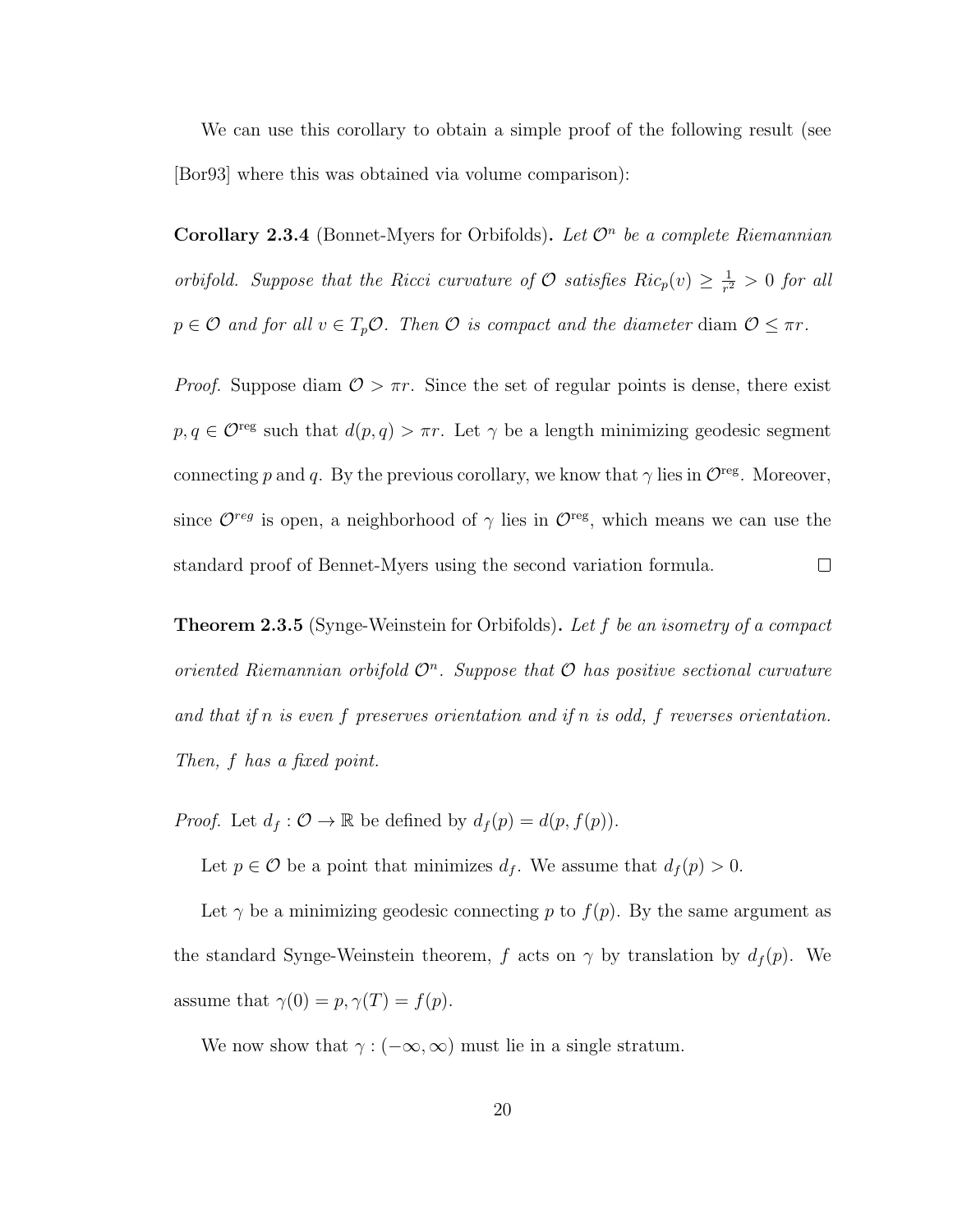We can use this corollary to obtain a simple proof of the following result (see [Bor93] where this was obtained via volume comparison):

Corollary 2.3.4 (Bonnet-Myers for Orbifolds). Let  $\mathcal{O}^n$  be a complete Riemannian orbifold. Suppose that the Ricci curvature of  $\mathcal O$  satisfies  $Ric_p(v) \geq \frac{1}{r^2}$  $\frac{1}{r^2} > 0$  for all  $p \in \mathcal{O}$  and for all  $v \in T_p \mathcal{O}$ . Then  $\mathcal{O}$  is compact and the diameter diam  $\mathcal{O} \leq \pi r$ .

*Proof.* Suppose diam  $\mathcal{O} > \pi r$ . Since the set of regular points is dense, there exist  $p, q \in \mathcal{O}^{\text{reg}}$  such that  $d(p, q) > \pi r$ . Let  $\gamma$  be a length minimizing geodesic segment connecting p and q. By the previous corollary, we know that  $\gamma$  lies in  $\mathcal{O}^{\text{reg}}$ . Moreover, since  $\mathcal{O}^{reg}$  is open, a neighborhood of  $\gamma$  lies in  $\mathcal{O}^{reg}$ , which means we can use the standard proof of Bennet-Myers using the second variation formula.  $\Box$ 

**Theorem 2.3.5** (Synge-Weinstein for Orbifolds). Let f be an isometry of a compact oriented Riemannian orbifold  $\mathcal{O}^n$ . Suppose that  $\mathcal O$  has positive sectional curvature and that if n is even f preserves orientation and if n is odd, f reverses orientation. Then, f has a fixed point.

*Proof.* Let  $d_f: \mathcal{O} \to \mathbb{R}$  be defined by  $d_f(p) = d(p, f(p))$ .

Let  $p \in \mathcal{O}$  be a point that minimizes  $d_f$ . We assume that  $d_f(p) > 0$ .

Let  $\gamma$  be a minimizing geodesic connecting p to  $f(p)$ . By the same argument as the standard Synge-Weinstein theorem, f acts on  $\gamma$  by translation by  $d_f(p)$ . We assume that  $\gamma(0) = p, \gamma(T) = f(p)$ .

We now show that  $\gamma : (-\infty, \infty)$  must lie in a single stratum.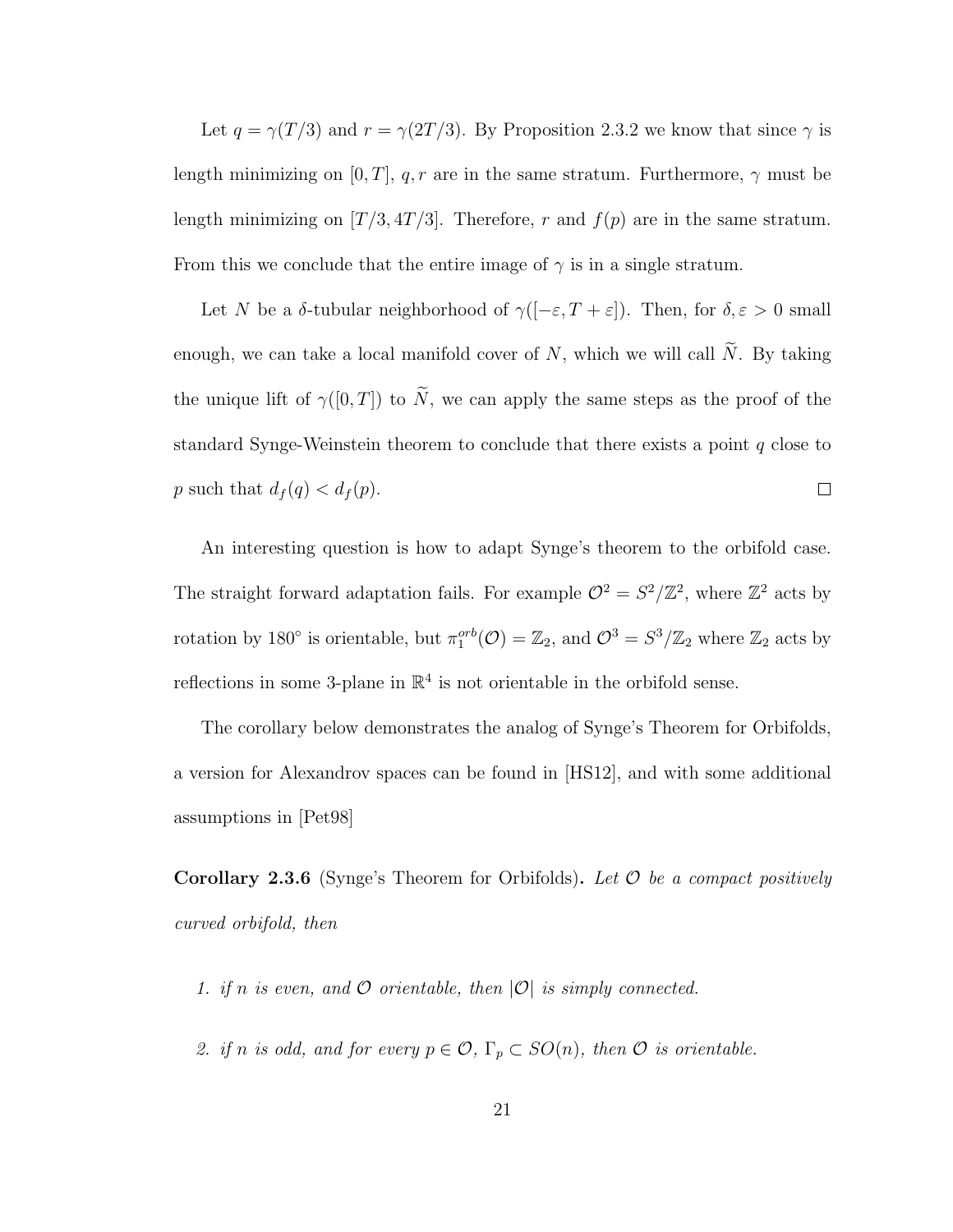Let  $q = \gamma(T/3)$  and  $r = \gamma(2T/3)$ . By Proposition 2.3.2 we know that since  $\gamma$  is length minimizing on [0, T], q, r are in the same stratum. Furthermore,  $\gamma$  must be length minimizing on  $[T/3, 4T/3]$ . Therefore, r and  $f(p)$  are in the same stratum. From this we conclude that the entire image of  $\gamma$  is in a single stratum.

Let N be a  $\delta$ -tubular neighborhood of  $\gamma([-\varepsilon,T+\varepsilon])$ . Then, for  $\delta,\varepsilon > 0$  small enough, we can take a local manifold cover of  $N$ , which we will call  $\widetilde{N}$ . By taking the unique lift of  $\gamma([0,T])$  to  $\widetilde{N}$ , we can apply the same steps as the proof of the standard Synge-Weinstein theorem to conclude that there exists a point q close to p such that  $d_f(q) < d_f(p)$ .  $\Box$ 

An interesting question is how to adapt Synge's theorem to the orbifold case. The straight forward adaptation fails. For example  $\mathcal{O}^2 = S^2/\mathbb{Z}^2$ , where  $\mathbb{Z}^2$  acts by rotation by 180<sup>°</sup> is orientable, but  $\pi_1^{orb}(\mathcal{O}) = \mathbb{Z}_2$ , and  $\mathcal{O}^3 = S^3/\mathbb{Z}_2$  where  $\mathbb{Z}_2$  acts by reflections in some 3-plane in  $\mathbb{R}^4$  is not orientable in the orbifold sense.

The corollary below demonstrates the analog of Synge's Theorem for Orbifolds, a version for Alexandrov spaces can be found in [HS12], and with some additional assumptions in [Pet98]

**Corollary 2.3.6** (Synge's Theorem for Orbifolds). Let  $\mathcal O$  be a compact positively curved orbifold, then

- 1. if n is even, and  $O$  orientable, then  $|O|$  is simply connected.
- 2. if n is odd, and for every  $p \in \mathcal{O}$ ,  $\Gamma_p \subset SO(n)$ , then  $\mathcal O$  is orientable.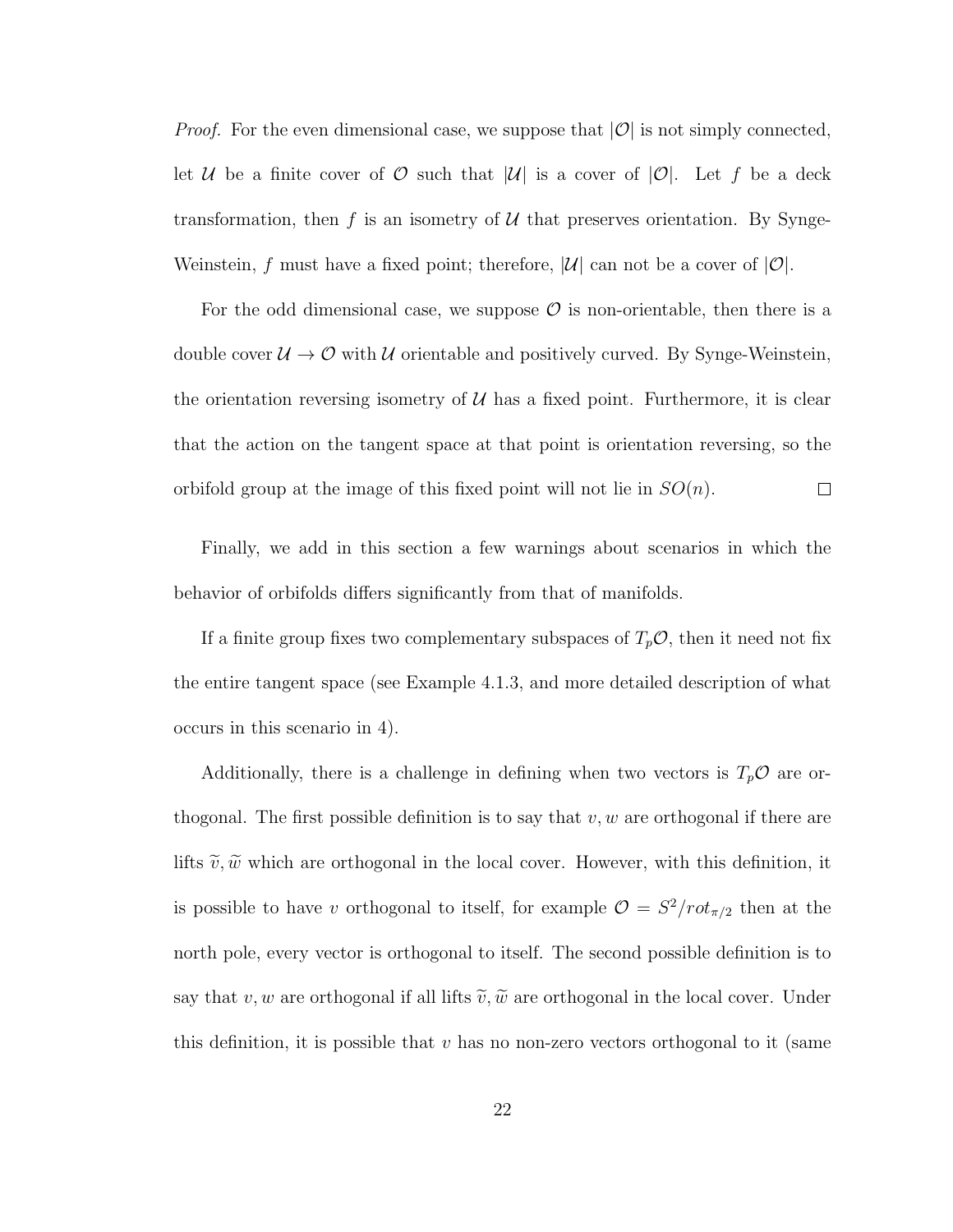*Proof.* For the even dimensional case, we suppose that  $|O|$  is not simply connected, let U be a finite cover of O such that  $|U|$  is a cover of  $|O|$ . Let f be a deck transformation, then f is an isometry of  $U$  that preserves orientation. By Synge-Weinstein, f must have a fixed point; therefore,  $|\mathcal{U}|$  can not be a cover of  $|\mathcal{O}|$ .

For the odd dimensional case, we suppose  $\mathcal O$  is non-orientable, then there is a double cover  $\mathcal{U} \to \mathcal{O}$  with  $\mathcal{U}$  orientable and positively curved. By Synge-Weinstein, the orientation reversing isometry of  $U$  has a fixed point. Furthermore, it is clear that the action on the tangent space at that point is orientation reversing, so the orbifold group at the image of this fixed point will not lie in  $SO(n)$ .  $\Box$ 

Finally, we add in this section a few warnings about scenarios in which the behavior of orbifolds differs significantly from that of manifolds.

If a finite group fixes two complementary subspaces of  $T_p \mathcal{O}$ , then it need not fix the entire tangent space (see Example 4.1.3, and more detailed description of what occurs in this scenario in 4).

Additionally, there is a challenge in defining when two vectors is  $T_p \mathcal{O}$  are orthogonal. The first possible definition is to say that  $v, w$  are orthogonal if there are lifts  $\tilde{v}, \tilde{w}$  which are orthogonal in the local cover. However, with this definition, it is possible to have v orthogonal to itself, for example  $\mathcal{O} = S^2/rot_{\pi/2}$  then at the north pole, every vector is orthogonal to itself. The second possible definition is to say that v, w are orthogonal if all lifts  $\tilde{v}, \tilde{w}$  are orthogonal in the local cover. Under this definition, it is possible that  $v$  has no non-zero vectors orthogonal to it (same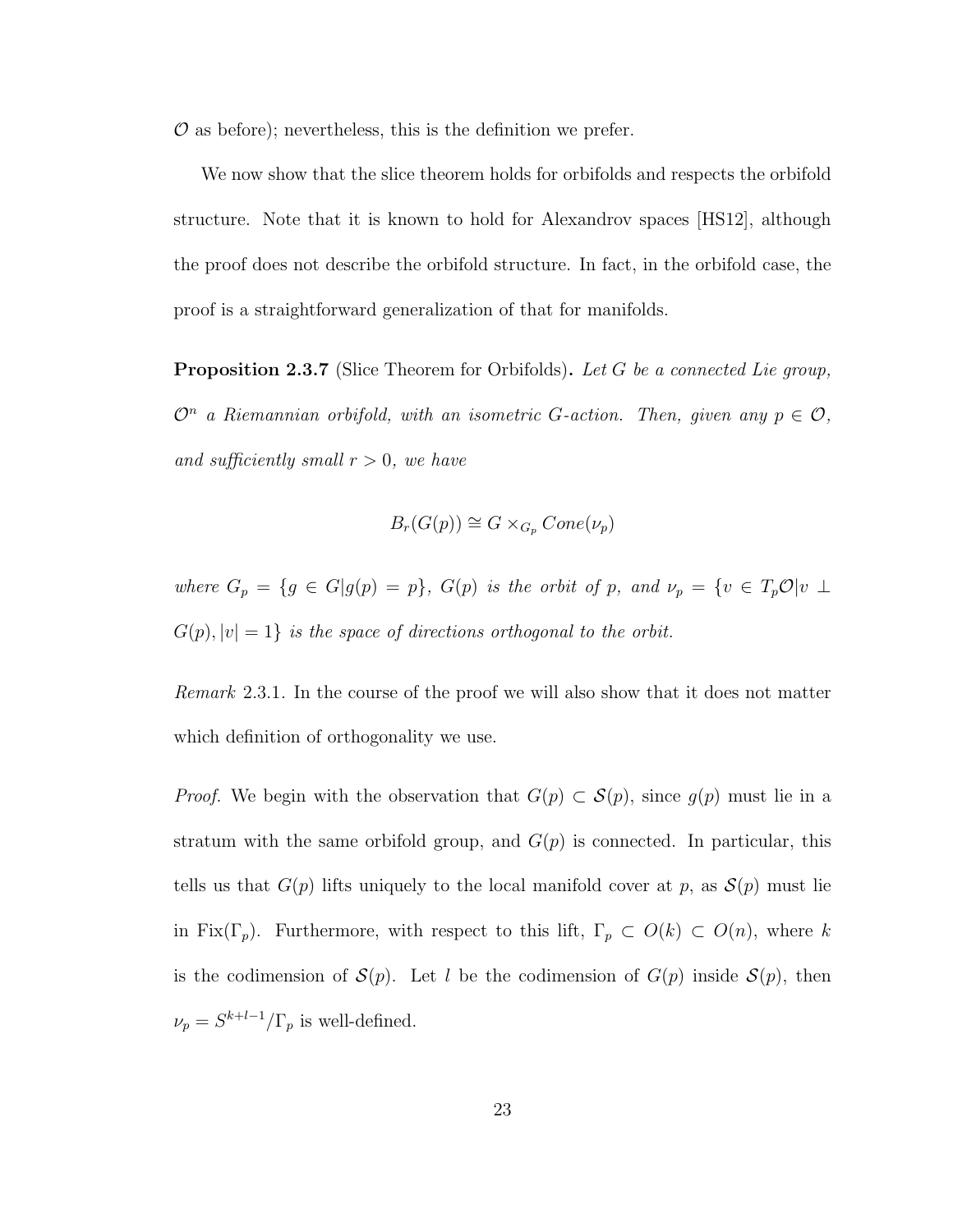$\mathcal O$  as before); nevertheless, this is the definition we prefer.

We now show that the slice theorem holds for orbifolds and respects the orbifold structure. Note that it is known to hold for Alexandrov spaces [HS12], although the proof does not describe the orbifold structure. In fact, in the orbifold case, the proof is a straightforward generalization of that for manifolds.

**Proposition 2.3.7** (Slice Theorem for Orbifolds). Let G be a connected Lie group,  $\mathcal{O}^n$  a Riemannian orbifold, with an isometric G-action. Then, given any  $p \in \mathcal{O}$ , and sufficiently small  $r > 0$ , we have

$$
B_r(G(p)) \cong G \times_{G_p} Cone(\nu_p)
$$

where  $G_p = \{g \in G | g(p) = p\}$ ,  $G(p)$  is the orbit of p, and  $\nu_p = \{v \in T_p \mathcal{O} | v \perp$  $G(p), |v| = 1$  is the space of directions orthogonal to the orbit.

Remark 2.3.1. In the course of the proof we will also show that it does not matter which definition of orthogonality we use.

*Proof.* We begin with the observation that  $G(p) \subset \mathcal{S}(p)$ , since  $g(p)$  must lie in a stratum with the same orbifold group, and  $G(p)$  is connected. In particular, this tells us that  $G(p)$  lifts uniquely to the local manifold cover at p, as  $S(p)$  must lie in Fix( $\Gamma_p$ ). Furthermore, with respect to this lift,  $\Gamma_p \subset O(k) \subset O(n)$ , where k is the codimension of  $\mathcal{S}(p)$ . Let l be the codimension of  $G(p)$  inside  $\mathcal{S}(p)$ , then  $\nu_p = S^{k+l-1}/\Gamma_p$  is well-defined.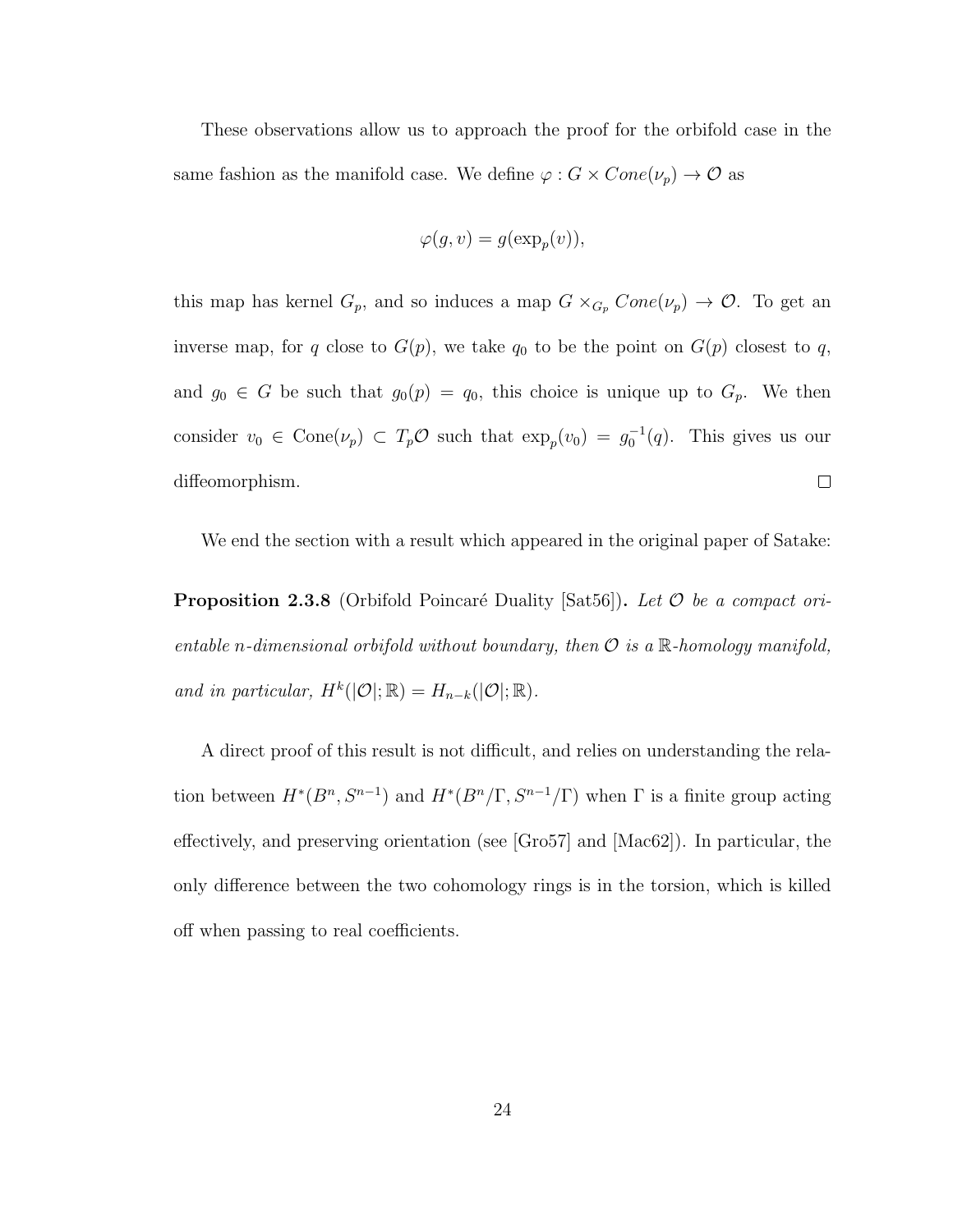These observations allow us to approach the proof for the orbifold case in the same fashion as the manifold case. We define  $\varphi : G \times Cone(\nu_p) \rightarrow \mathcal{O}$  as

$$
\varphi(g, v) = g(\exp_p(v)),
$$

this map has kernel  $G_p$ , and so induces a map  $G \times_{G_p} Cone(\nu_p) \to \mathcal{O}$ . To get an inverse map, for q close to  $G(p)$ , we take  $q_0$  to be the point on  $G(p)$  closest to q, and  $g_0 \in G$  be such that  $g_0(p) = q_0$ , this choice is unique up to  $G_p$ . We then consider  $v_0 \in \text{Cone}(\nu_p) \subset T_p \mathcal{O}$  such that  $\exp_p(v_0) = g_0^{-1}(q)$ . This gives us our  $\Box$ diffeomorphism.

We end the section with a result which appeared in the original paper of Satake:

**Proposition 2.3.8** (Orbifold Poincaré Duality [Sat56]). Let  $\mathcal{O}$  be a compact orientable n-dimensional orbifold without boundary, then  $\mathcal O$  is a  $\mathbb R$ -homology manifold, and in particular,  $H^k(|\mathcal{O}|\,;\mathbb{R}) = H_{n-k}(|\mathcal{O}|\,;\mathbb{R})$ .

A direct proof of this result is not difficult, and relies on understanding the relation between  $H^*(B^n, S^{n-1})$  and  $H^*(B^n/\Gamma, S^{n-1}/\Gamma)$  when  $\Gamma$  is a finite group acting effectively, and preserving orientation (see [Gro57] and [Mac62]). In particular, the only difference between the two cohomology rings is in the torsion, which is killed off when passing to real coefficients.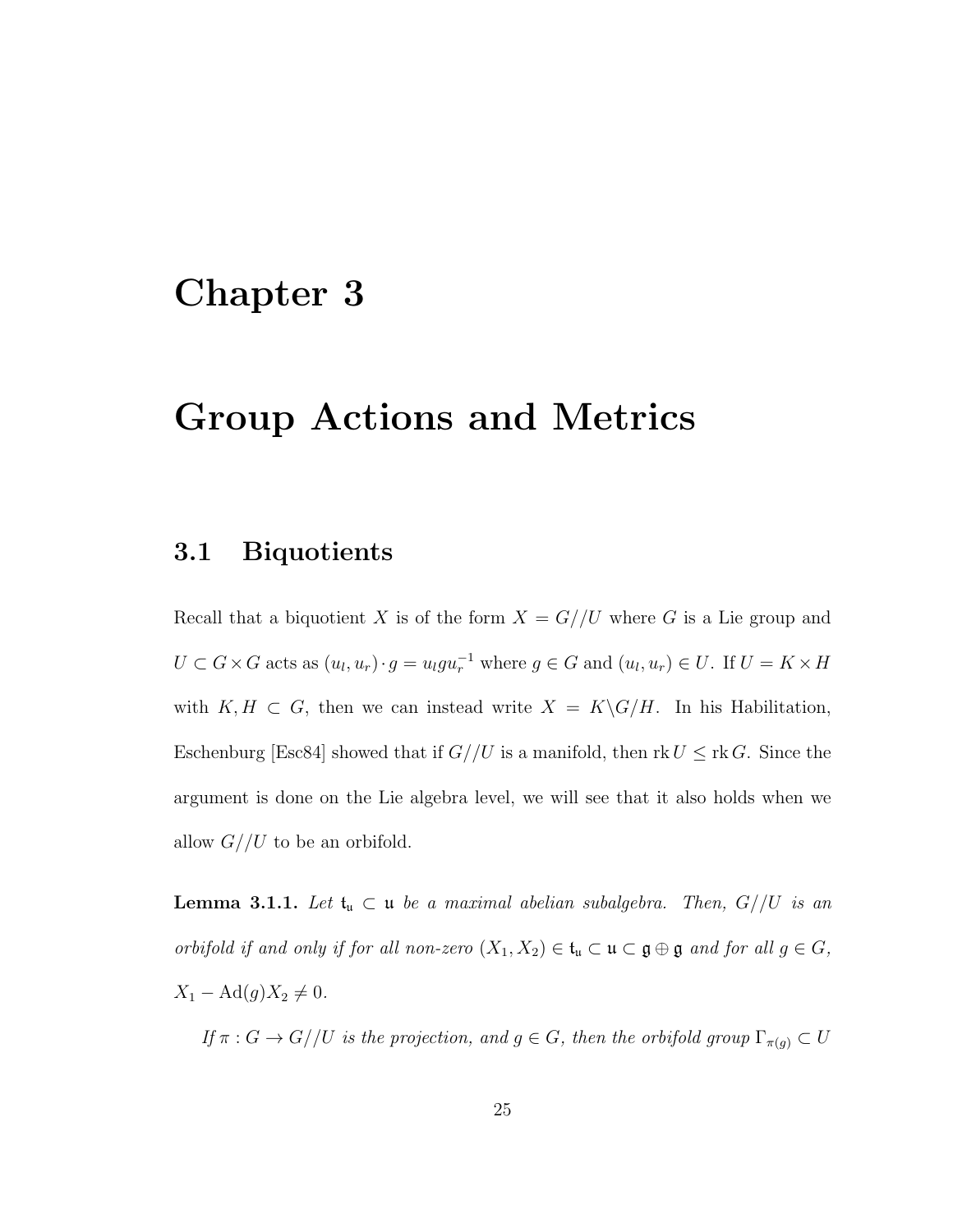## Chapter 3

## Group Actions and Metrics

### 3.1 Biquotients

Recall that a biquotient X is of the form  $X = G//U$  where G is a Lie group and  $U \subset G \times G$  acts as  $(u_l, u_r) \cdot g = u_l g u_r^{-1}$  where  $g \in G$  and  $(u_l, u_r) \in U$ . If  $U = K \times H$ with  $K, H \subset G$ , then we can instead write  $X = K\backslash G/H$ . In his Habilitation, Eschenburg [Esc84] showed that if  $G//U$  is a manifold, then rk  $U \leq \text{rk } G$ . Since the argument is done on the Lie algebra level, we will see that it also holds when we allow  $G//U$  to be an orbifold.

**Lemma 3.1.1.** Let  $\mathfrak{t}_\mathfrak{u} \subset \mathfrak{u}$  be a maximal abelian subalgebra. Then,  $G//U$  is an orbifold if and only if for all non-zero  $(X_1, X_2) \in \mathfrak{t}_\mathfrak{u} \subset \mathfrak{u} \subset \mathfrak{g} \oplus \mathfrak{g}$  and for all  $g \in G$ ,  $X_1 - \text{Ad}(g)X_2 \neq 0.$ 

If  $\pi : G \to G//U$  is the projection, and  $g \in G$ , then the orbifold group  $\Gamma_{\pi(g)} \subset U$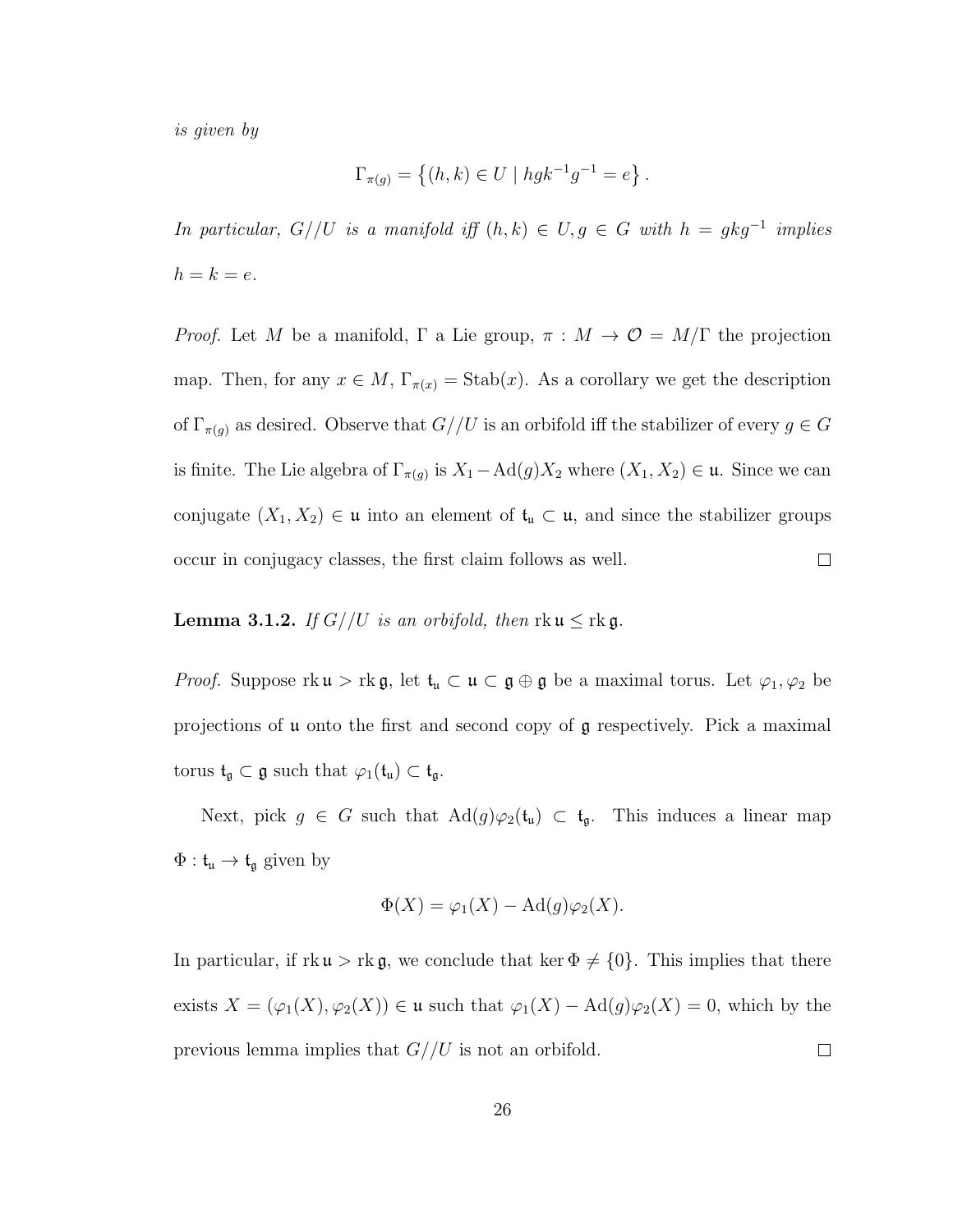is given by

$$
\Gamma_{\pi(g)} = \{(h, k) \in U \mid h g k^{-1} g^{-1} = e\}.
$$

In particular,  $G//U$  is a manifold iff  $(h, k) \in U, g \in G$  with  $h = gkg^{-1}$  implies  $h = k = e$ .

*Proof.* Let M be a manifold,  $\Gamma$  a Lie group,  $\pi : M \to \mathcal{O} = M/\Gamma$  the projection map. Then, for any  $x \in M$ ,  $\Gamma_{\pi(x)} = \text{Stab}(x)$ . As a corollary we get the description of  $\Gamma_{\pi(g)}$  as desired. Observe that  $G//U$  is an orbifold iff the stabilizer of every  $g \in G$ is finite. The Lie algebra of  $\Gamma_{\pi(g)}$  is  $X_1-\text{Ad}(g)X_2$  where  $(X_1, X_2) \in \mathfrak{u}$ . Since we can conjugate  $(X_1, X_2) \in \mathfrak{u}$  into an element of  $\mathfrak{t}_{\mathfrak{u}} \subset \mathfrak{u}$ , and since the stabilizer groups occur in conjugacy classes, the first claim follows as well.  $\Box$ 

### **Lemma 3.1.2.** If  $G//U$  is an orbifold, then  $rk \mathfrak{u} \leq rk \mathfrak{g}$ .

*Proof.* Suppose  $rk\mathfrak{u} > rk\mathfrak{g}$ , let  $\mathfrak{t}_{\mathfrak{u}} \subset \mathfrak{u} \subset \mathfrak{g} \oplus \mathfrak{g}$  be a maximal torus. Let  $\varphi_1, \varphi_2$  be projections of u onto the first and second copy of g respectively. Pick a maximal  $\text{torus } \mathfrak{t}_{\mathfrak{g}} \subset \mathfrak{g} \text{ such that } \varphi_1(\mathfrak{t}_{\mathfrak{u}}) \subset \mathfrak{t}_{\mathfrak{g}}.$ 

Next, pick  $g \in G$  such that  $\text{Ad}(g)\varphi_2(\mathfrak{t}_{\mathfrak{u}}) \subset \mathfrak{t}_{\mathfrak{g}}$ . This induces a linear map  $\Phi: \mathfrak{t}_{\mathfrak{u}} \to \mathfrak{t}_{\mathfrak{g}}$  given by

$$
\Phi(X) = \varphi_1(X) - \operatorname{Ad}(g)\varphi_2(X).
$$

In particular, if  $rk\mathfrak{u} > rk\mathfrak{g}$ , we conclude that ker  $\Phi \neq \{0\}$ . This implies that there exists  $X = (\varphi_1(X), \varphi_2(X)) \in \mathfrak{u}$  such that  $\varphi_1(X) - \mathrm{Ad}(g)\varphi_2(X) = 0$ , which by the previous lemma implies that  $G//U$  is not an orbifold.  $\Box$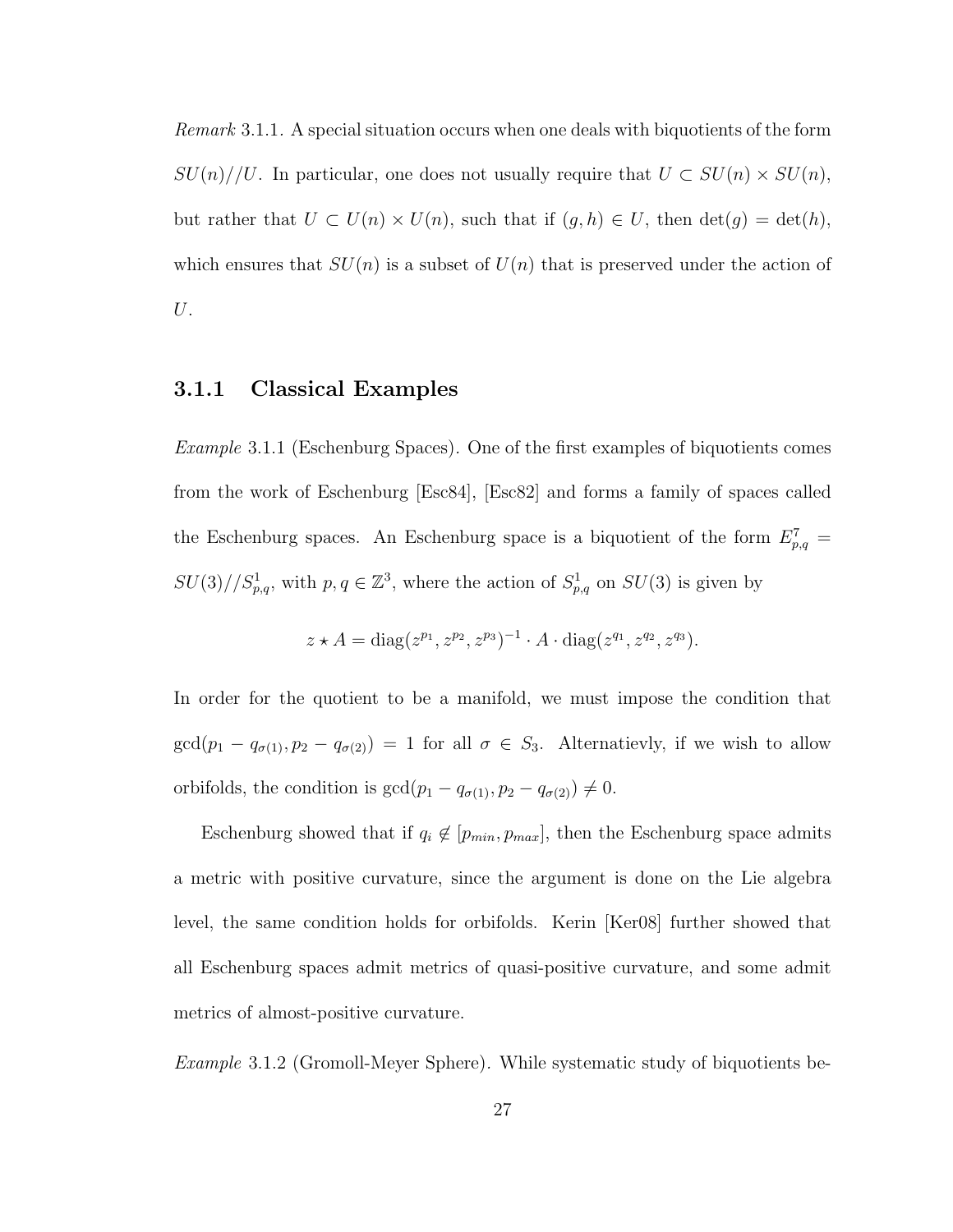Remark 3.1.1. A special situation occurs when one deals with biquotients of the form  $SU(n)//U$ . In particular, one does not usually require that  $U \subset SU(n) \times SU(n)$ , but rather that  $U \subset U(n) \times U(n)$ , such that if  $(g, h) \in U$ , then  $\det(g) = \det(h)$ , which ensures that  $SU(n)$  is a subset of  $U(n)$  that is preserved under the action of U.

#### 3.1.1 Classical Examples

Example 3.1.1 (Eschenburg Spaces). One of the first examples of biquotients comes from the work of Eschenburg [Esc84], [Esc82] and forms a family of spaces called the Eschenburg spaces. An Eschenburg space is a biquotient of the form  $E_{p,q}^7 =$  $SU(3)/\mathcal{S}_{p,q}^1$ , with  $p,q \in \mathbb{Z}^3$ , where the action of  $S_{p,q}^1$  on  $SU(3)$  is given by

$$
z \star A = \text{diag}(z^{p_1}, z^{p_2}, z^{p_3})^{-1} \cdot A \cdot \text{diag}(z^{q_1}, z^{q_2}, z^{q_3}).
$$

In order for the quotient to be a manifold, we must impose the condition that  $gcd(p_1 - q_{\sigma(1)}, p_2 - q_{\sigma(2)}) = 1$  for all  $\sigma \in S_3$ . Alternatievly, if we wish to allow orbifolds, the condition is  $gcd(p_1 - q_{\sigma(1)}, p_2 - q_{\sigma(2)}) \neq 0$ .

Eschenburg showed that if  $q_i \notin [p_{min}, p_{max}]$ , then the Eschenburg space admits a metric with positive curvature, since the argument is done on the Lie algebra level, the same condition holds for orbifolds. Kerin [Ker08] further showed that all Eschenburg spaces admit metrics of quasi-positive curvature, and some admit metrics of almost-positive curvature.

Example 3.1.2 (Gromoll-Meyer Sphere). While systematic study of biquotients be-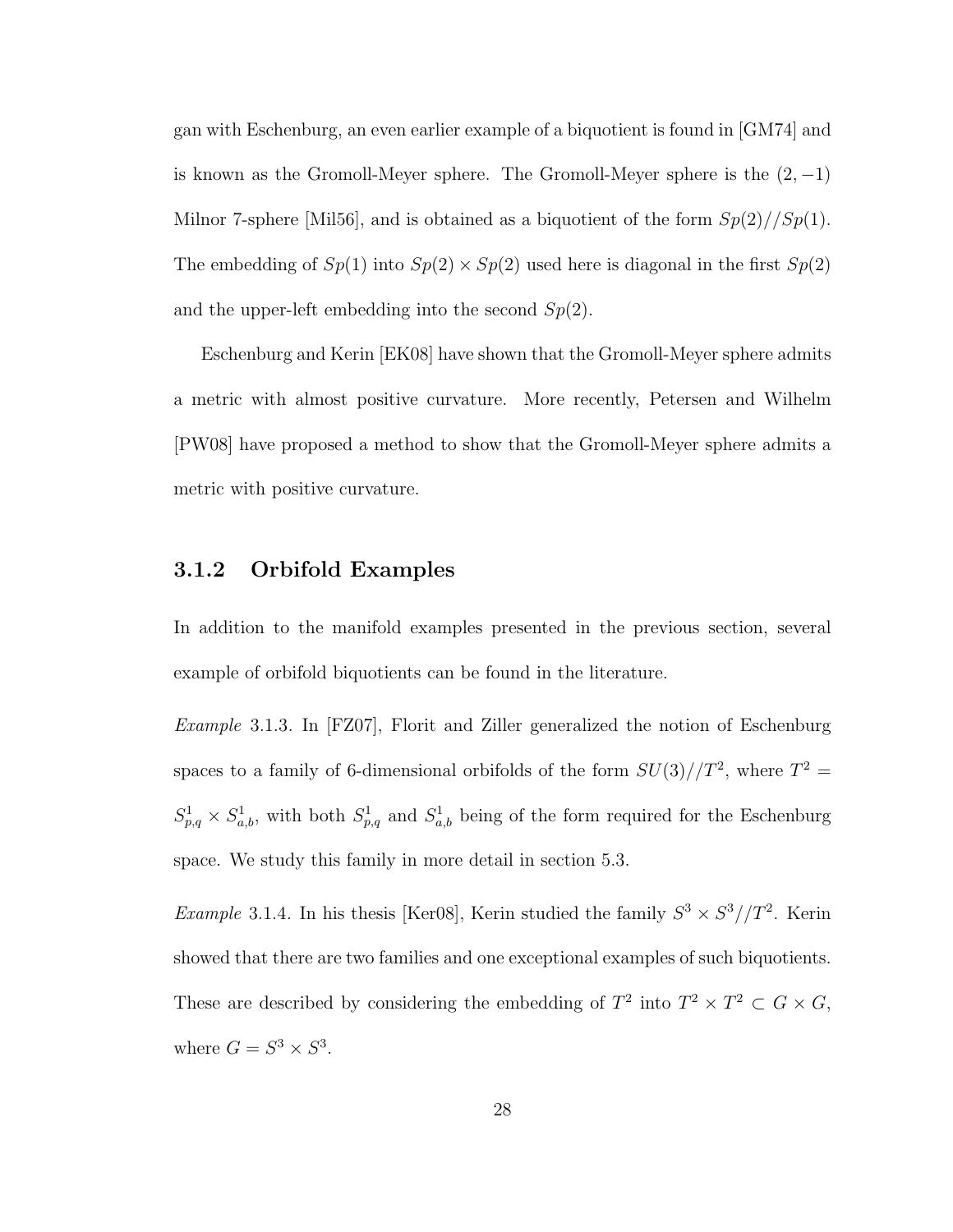gan with Eschenburg, an even earlier example of a biquotient is found in [GM74] and is known as the Gromoll-Meyer sphere. The Gromoll-Meyer sphere is the  $(2, -1)$ Milnor 7-sphere [Mil56], and is obtained as a biquotient of the form  $Sp(2)//Sp(1)$ . The embedding of  $Sp(1)$  into  $Sp(2) \times Sp(2)$  used here is diagonal in the first  $Sp(2)$ and the upper-left embedding into the second  $Sp(2)$ .

Eschenburg and Kerin [EK08] have shown that the Gromoll-Meyer sphere admits a metric with almost positive curvature. More recently, Petersen and Wilhelm [PW08] have proposed a method to show that the Gromoll-Meyer sphere admits a metric with positive curvature.

#### 3.1.2 Orbifold Examples

In addition to the manifold examples presented in the previous section, several example of orbifold biquotients can be found in the literature.

Example 3.1.3. In [FZ07], Florit and Ziller generalized the notion of Eschenburg spaces to a family of 6-dimensional orbifolds of the form  $SU(3)/T^2$ , where  $T^2 =$  $S_{p,q}^1 \times S_{a,b}^1$ , with both  $S_{p,q}^1$  and  $S_{a,b}^1$  being of the form required for the Eschenburg space. We study this family in more detail in section 5.3.

*Example* 3.1.4. In his thesis [Ker08], Kerin studied the family  $S^3 \times S^3 // T^2$ . Kerin showed that there are two families and one exceptional examples of such biquotients. These are described by considering the embedding of  $T^2$  into  $T^2 \times T^2 \subset G \times G$ , where  $G = S^3 \times S^3$ .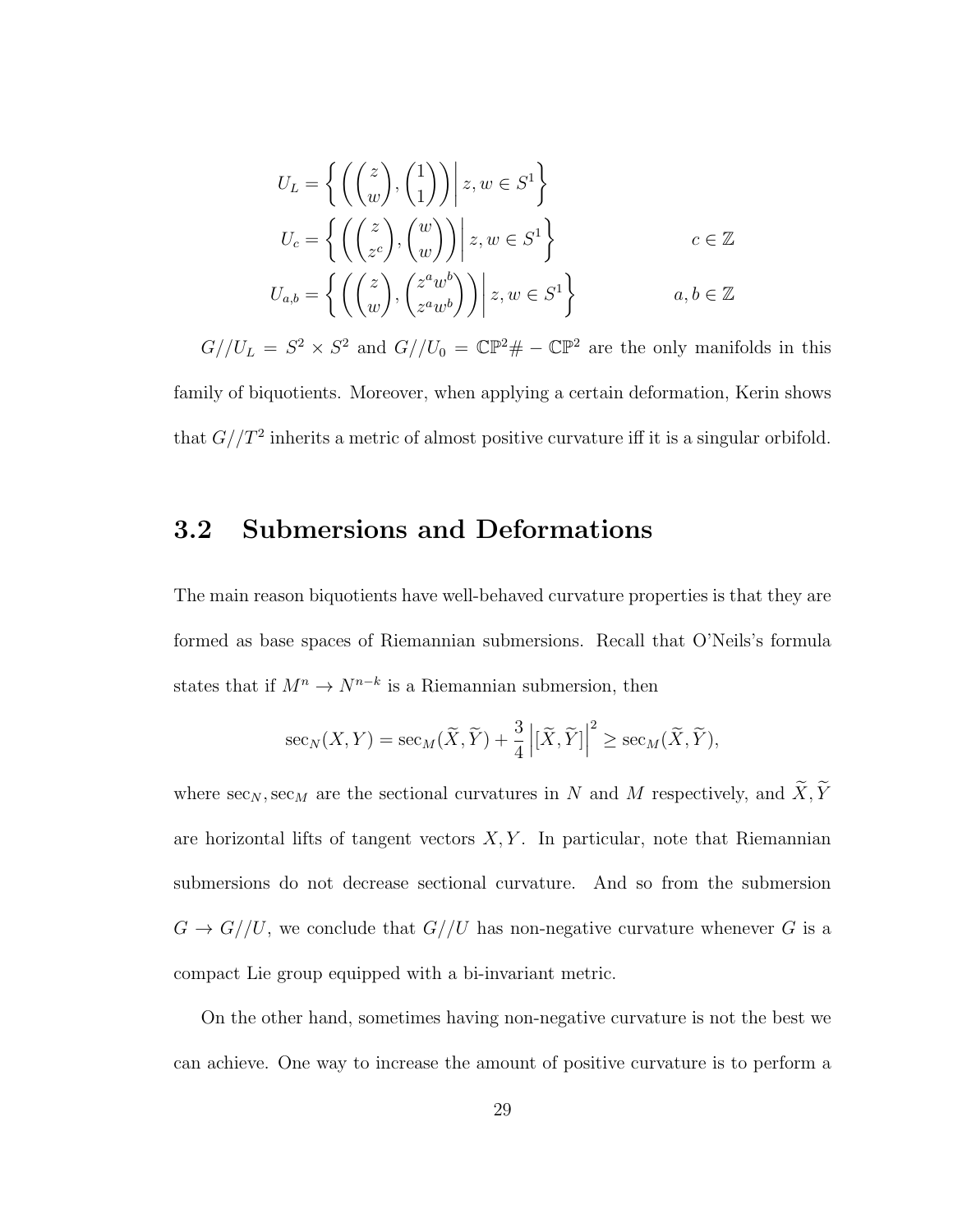$$
U_L = \left\{ \left( \begin{pmatrix} z \\ w \end{pmatrix}, \begin{pmatrix} 1 \\ 1 \end{pmatrix} \right) \middle| z, w \in S^1 \right\}
$$
  
\n
$$
U_c = \left\{ \left( \begin{pmatrix} z \\ z^c \end{pmatrix}, \begin{pmatrix} w \\ w \end{pmatrix} \right) \middle| z, w \in S^1 \right\}
$$
  
\n
$$
U_{a,b} = \left\{ \left( \begin{pmatrix} z \\ w \end{pmatrix}, \begin{pmatrix} z^a w^b \\ z^a w^b \end{pmatrix} \right) \middle| z, w \in S^1 \right\}
$$
  
\n $a, b \in \mathbb{Z}$ 

 $G//U_L = S^2 \times S^2$  and  $G//U_0 = \mathbb{CP}^2 \# - \mathbb{CP}^2$  are the only manifolds in this family of biquotients. Moreover, when applying a certain deformation, Kerin shows that  $G//T^2$  inherits a metric of almost positive curvature iff it is a singular orbifold.

### 3.2 Submersions and Deformations

The main reason biquotients have well-behaved curvature properties is that they are formed as base spaces of Riemannian submersions. Recall that O'Neils's formula states that if  $M^n \to N^{n-k}$  is a Riemannian submersion, then

$$
\sec_N(X, Y) = \sec_M(\widetilde{X}, \widetilde{Y}) + \frac{3}{4} |[\widetilde{X}, \widetilde{Y}]|^2 \ge \sec_M(\widetilde{X}, \widetilde{Y}),
$$

where  $\sec_N, \sec_M$  are the sectional curvatures in  $N$  and  $M$  respectively, and  $\widetilde{X}, \widetilde{Y}$ are horizontal lifts of tangent vectors  $X, Y$ . In particular, note that Riemannian submersions do not decrease sectional curvature. And so from the submersion  $G \to G//U$ , we conclude that  $G//U$  has non-negative curvature whenever G is a compact Lie group equipped with a bi-invariant metric.

On the other hand, sometimes having non-negative curvature is not the best we can achieve. One way to increase the amount of positive curvature is to perform a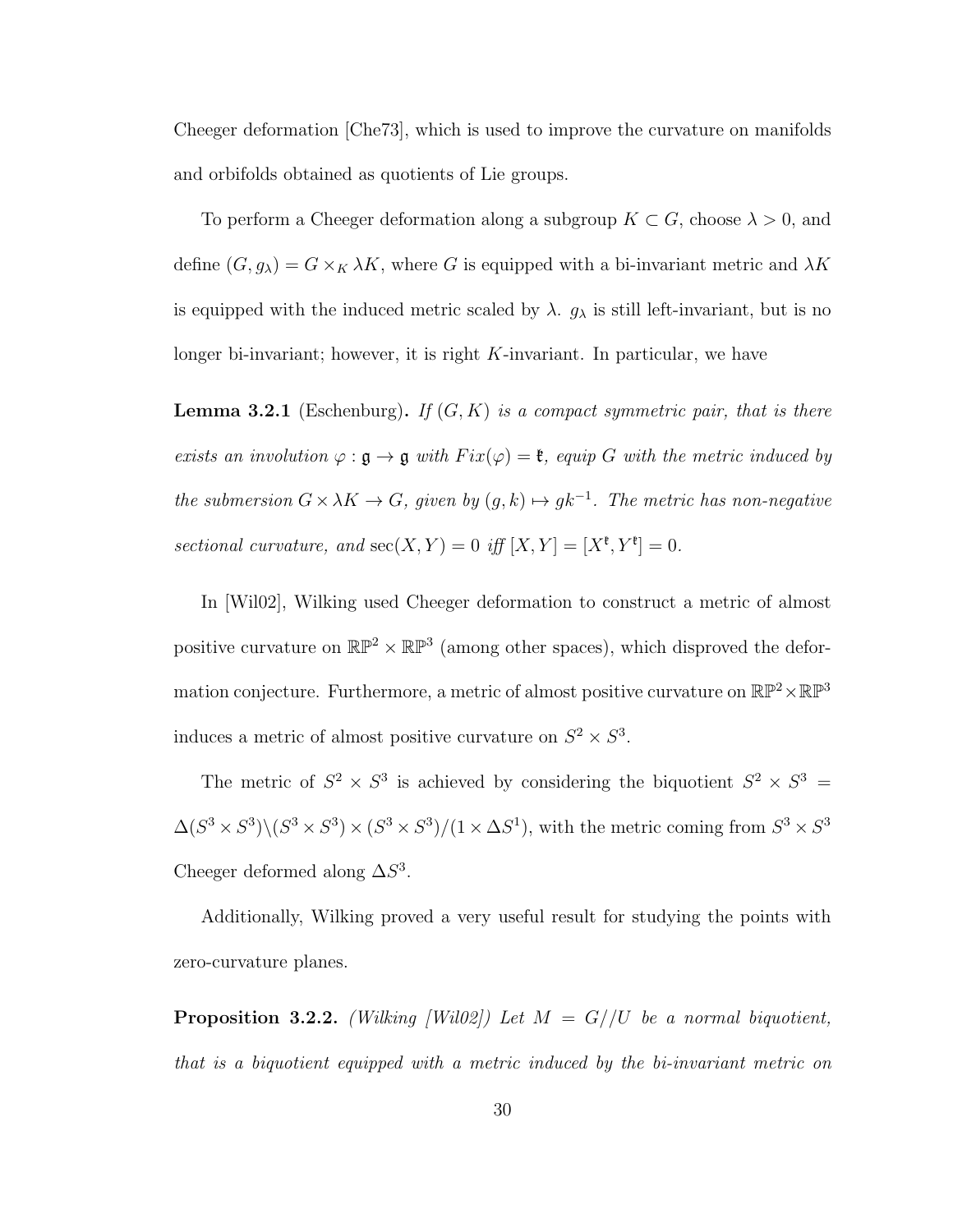Cheeger deformation [Che73], which is used to improve the curvature on manifolds and orbifolds obtained as quotients of Lie groups.

To perform a Cheeger deformation along a subgroup  $K \subset G$ , choose  $\lambda > 0$ , and define  $(G, g_{\lambda}) = G \times_K \lambda K$ , where G is equipped with a bi-invariant metric and  $\lambda K$ is equipped with the induced metric scaled by  $\lambda$ .  $g_{\lambda}$  is still left-invariant, but is no longer bi-invariant; however, it is right K-invariant. In particular, we have

**Lemma 3.2.1** (Eschenburg). If  $(G, K)$  is a compact symmetric pair, that is there exists an involution  $\varphi : \mathfrak{g} \to \mathfrak{g}$  with  $Fix(\varphi) = \mathfrak{k}$ , equip G with the metric induced by the submersion  $G \times \lambda K \to G$ , given by  $(g, k) \mapsto gk^{-1}$ . The metric has non-negative sectional curvature, and  $\sec(X, Y) = 0$  iff  $[X, Y] = [X^{\mathfrak{k}}, Y^{\mathfrak{k}}] = 0$ .

In [Wil02], Wilking used Cheeger deformation to construct a metric of almost positive curvature on  $\mathbb{RP}^2 \times \mathbb{RP}^3$  (among other spaces), which disproved the deformation conjecture. Furthermore, a metric of almost positive curvature on  $\mathbb{RP}^2 \times \mathbb{RP}^3$ induces a metric of almost positive curvature on  $S^2 \times S^3$ .

The metric of  $S^2 \times S^3$  is achieved by considering the biquotient  $S^2 \times S^3 =$  $\Delta(S^3 \times S^3) \setminus (S^3 \times S^3) \times (S^3 \times S^3) / (1 \times \Delta S^1)$ , with the metric coming from  $S^3 \times S^3$ Cheeger deformed along  $\Delta S^3$ .

Additionally, Wilking proved a very useful result for studying the points with zero-curvature planes.

**Proposition 3.2.2.** (Wilking [Wil02]) Let  $M = G//U$  be a normal biquotient, that is a biquotient equipped with a metric induced by the bi-invariant metric on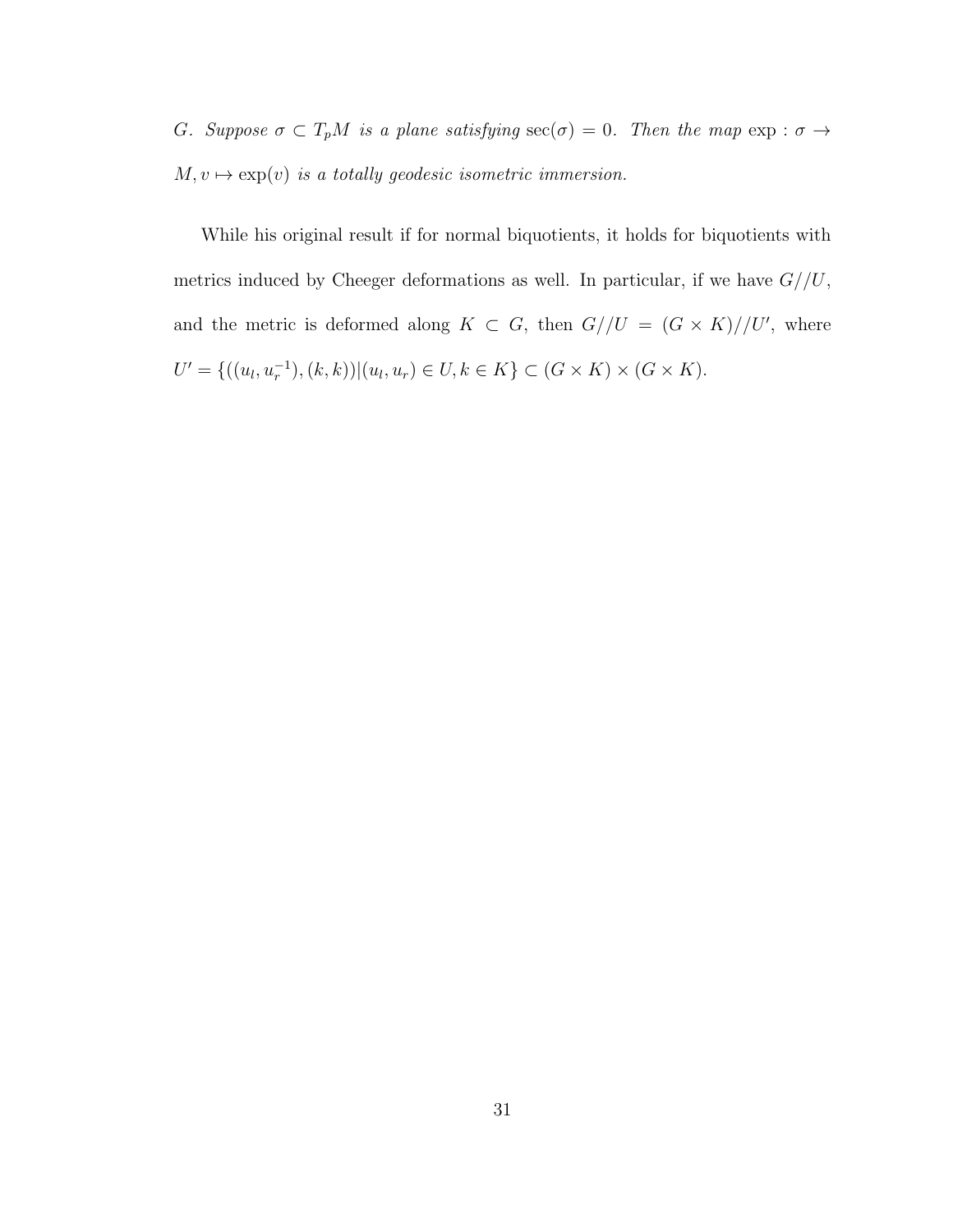G. Suppose  $\sigma \subset T_pM$  is a plane satisfying  $\sec(\sigma) = 0$ . Then the map  $\exp : \sigma \to$  $M, v \mapsto \exp(v)$  is a totally geodesic isometric immersion.

While his original result if for normal biquotients, it holds for biquotients with metrics induced by Cheeger deformations as well. In particular, if we have  $G//U$ , and the metric is deformed along  $K \subset G$ , then  $G//U = (G \times K)//U'$ , where  $U' = \{((u_l, u_r^{-1}), (k, k)) | (u_l, u_r) \in U, k \in K\} \subset (G \times K) \times (G \times K).$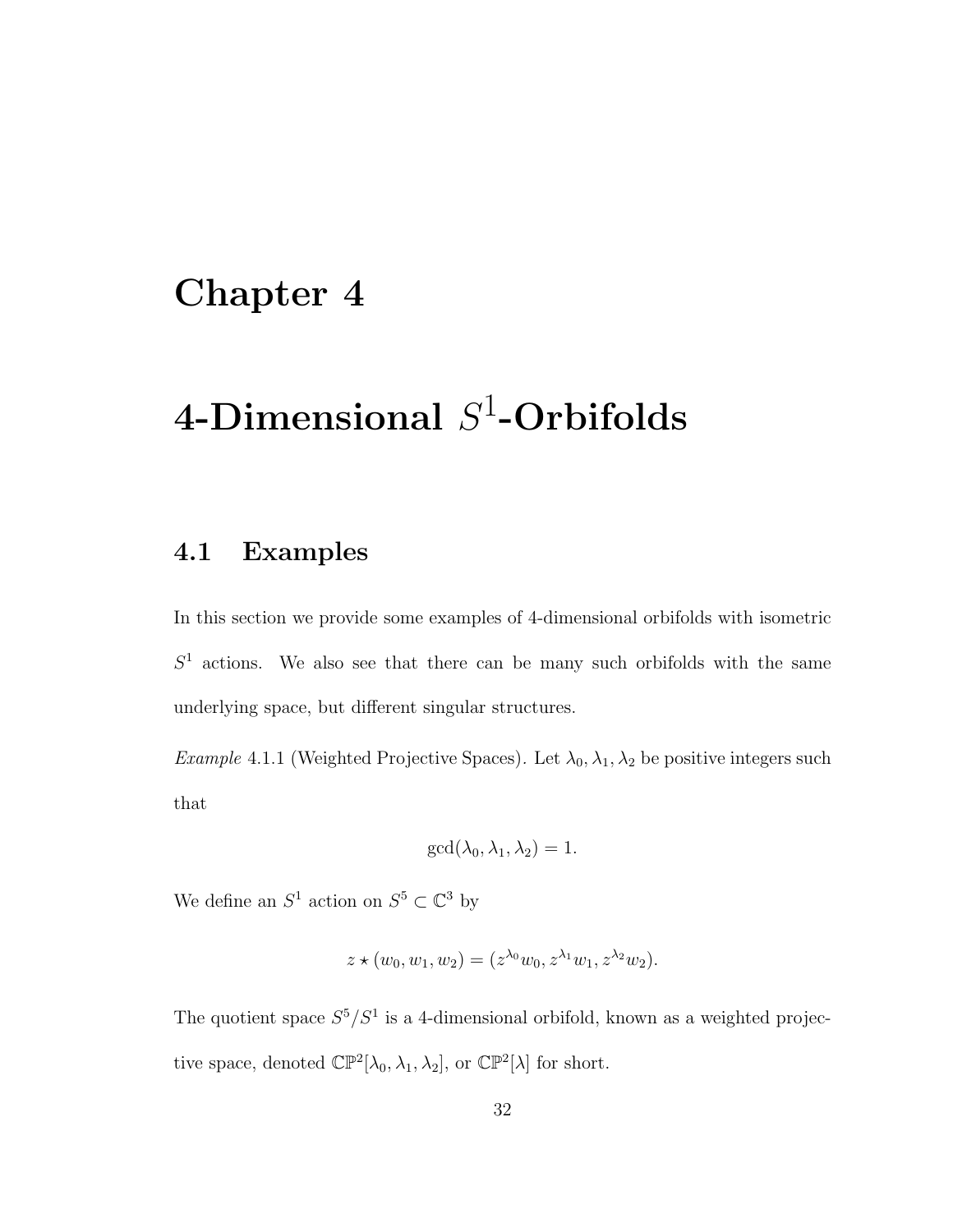### Chapter 4

# 4-Dimensional  $S^1\text{-}\mathbf{Orbifolds}$

### 4.1 Examples

In this section we provide some examples of 4-dimensional orbifolds with isometric  $S<sup>1</sup>$  actions. We also see that there can be many such orbifolds with the same underlying space, but different singular structures.

Example 4.1.1 (Weighted Projective Spaces). Let  $\lambda_0, \lambda_1, \lambda_2$  be positive integers such that

$$
\gcd(\lambda_0, \lambda_1, \lambda_2) = 1.
$$

We define an  $S^1$  action on  $S^5 \subset \mathbb{C}^3$  by

$$
z \star (w_0, w_1, w_2) = (z^{\lambda_0} w_0, z^{\lambda_1} w_1, z^{\lambda_2} w_2).
$$

The quotient space  $S^5/S^1$  is a 4-dimensional orbifold, known as a weighted projective space, denoted  $\mathbb{CP}^2[\lambda_0, \lambda_1, \lambda_2]$ , or  $\mathbb{CP}^2[\lambda]$  for short.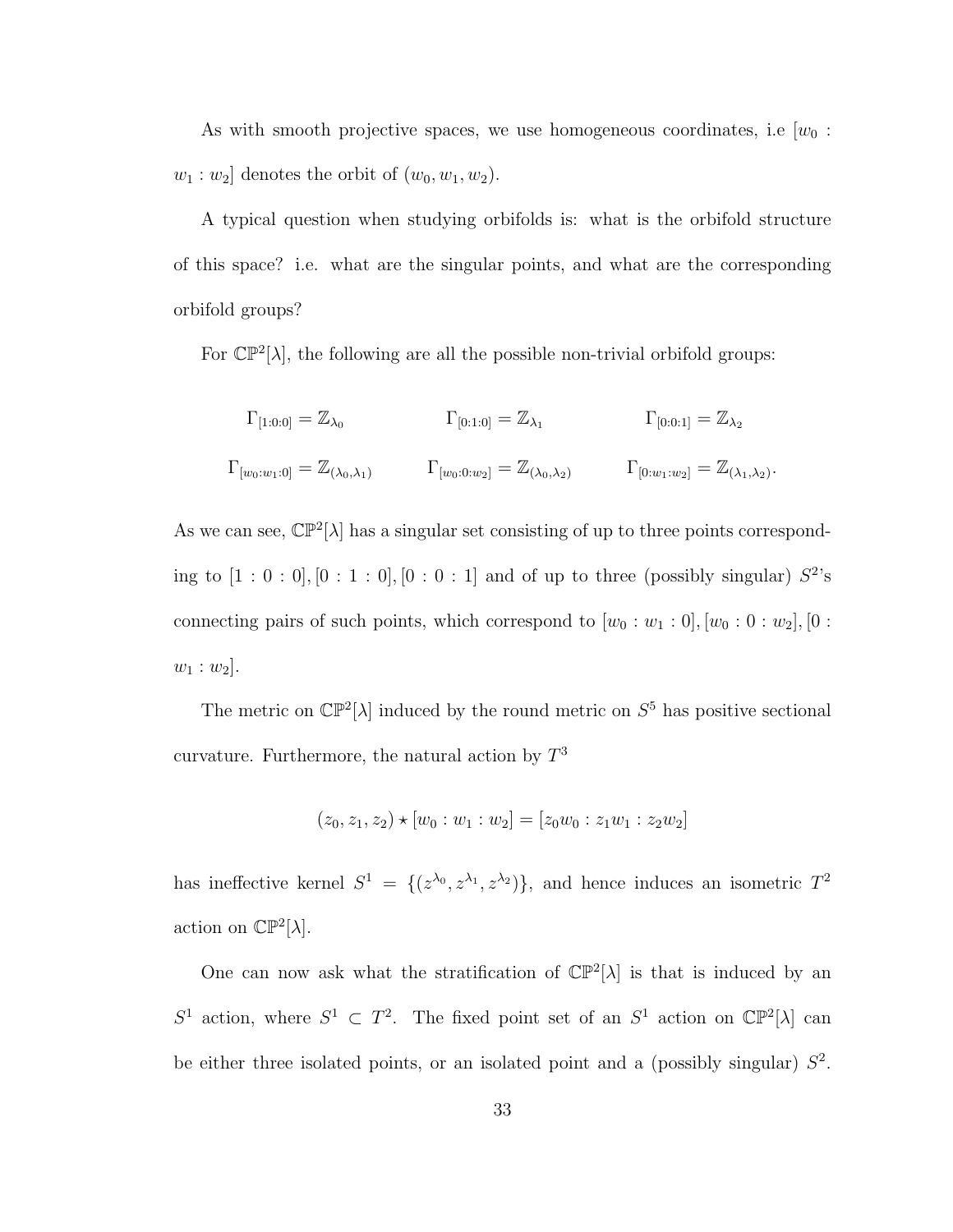As with smooth projective spaces, we use homogeneous coordinates, i.e  $[w_0:$  $w_1 : w_2$  denotes the orbit of  $(w_0, w_1, w_2)$ .

A typical question when studying orbifolds is: what is the orbifold structure of this space? i.e. what are the singular points, and what are the corresponding orbifold groups?

For  $\mathbb{CP}^2[\lambda]$ , the following are all the possible non-trivial orbifold groups:

$$
\Gamma_{[1:0:0]} = \mathbb{Z}_{\lambda_0} \qquad \qquad \Gamma_{[0:1:0]} = \mathbb{Z}_{\lambda_1} \qquad \qquad \Gamma_{[0:0:1]} = \mathbb{Z}_{\lambda_2}
$$
\n
$$
\Gamma_{[w_0:w_1:0]} = \mathbb{Z}_{(\lambda_0,\lambda_1)} \qquad \qquad \Gamma_{[w_0:0:w_2]} = \mathbb{Z}_{(\lambda_0,\lambda_2)} \qquad \qquad \Gamma_{[0:w_1:w_2]} = \mathbb{Z}_{(\lambda_1,\lambda_2)}
$$

.

As we can see,  $\mathbb{CP}^2[\lambda]$  has a singular set consisting of up to three points corresponding to  $[1:0:0], [0:1:0], [0:0:1]$  and of up to three (possibly singular)  $S^2$ 's connecting pairs of such points, which correspond to  $[w_0 : w_1 : 0]$ ,  $[w_0 : 0 : w_2]$ ,  $[0 :$  $w_1:w_2$ .

The metric on  $\mathbb{CP}^2[\lambda]$  induced by the round metric on  $S^5$  has positive sectional curvature. Furthermore, the natural action by  $T^3$ 

$$
(z_0, z_1, z_2) \star [w_0 : w_1 : w_2] = [z_0 w_0 : z_1 w_1 : z_2 w_2]
$$

has ineffective kernel  $S^1 = \{(z^{\lambda_0}, z^{\lambda_1}, z^{\lambda_2})\}$ , and hence induces an isometric  $T^2$ action on  $\mathbb{CP}^2[\lambda]$ .

One can now ask what the stratification of  $\mathbb{CP}^2[\lambda]$  is that is induced by an S<sup>1</sup> action, where  $S^1 \subset T^2$ . The fixed point set of an S<sup>1</sup> action on  $\mathbb{CP}^2[\lambda]$  can be either three isolated points, or an isolated point and a (possibly singular)  $S<sup>2</sup>$ .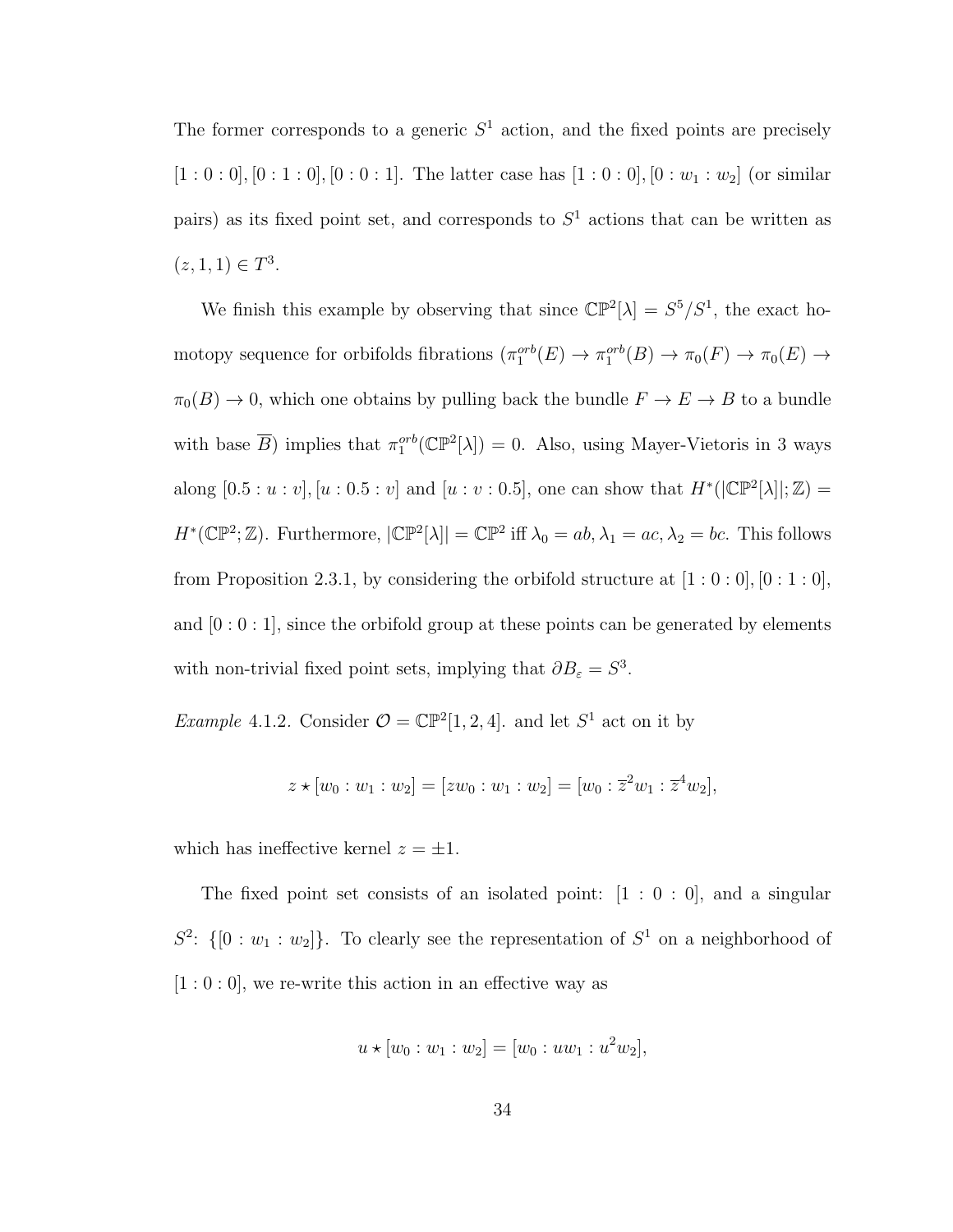The former corresponds to a generic  $S<sup>1</sup>$  action, and the fixed points are precisely  $[1:0:0], [0:1:0], [0:0:1].$  The latter case has  $[1:0:0], [0:w_1:w_2]$  (or similar pairs) as its fixed point set, and corresponds to  $S<sup>1</sup>$  actions that can be written as  $(z, 1, 1) \in T^3$ .

We finish this example by observing that since  $\mathbb{CP}^2[\lambda] = S^5/S^1$ , the exact homotopy sequence for orbifolds fibrations  $(\pi_1^{orb}(E) \to \pi_1^{orb}(B) \to \pi_0(F) \to \pi_0(E) \to$  $\pi_0(B) \to 0$ , which one obtains by pulling back the bundle  $F \to E \to B$  to a bundle with base  $\overline{B}$ ) implies that  $\pi_1^{orb}(\mathbb{CP}^2[\lambda]) = 0$ . Also, using Mayer-Vietoris in 3 ways along  $[0.5 : u : v]$ ,  $[u : 0.5 : v]$  and  $[u : v : 0.5]$ , one can show that  $H^*(|\mathbb{CP}^2[\lambda]|;\mathbb{Z}) =$  $H^*(\mathbb{CP}^2;\mathbb{Z})$ . Furthermore,  $|\mathbb{CP}^2[\lambda]| = \mathbb{CP}^2$  iff  $\lambda_0 = ab, \lambda_1 = ac, \lambda_2 = bc$ . This follows from Proposition 2.3.1, by considering the orbifold structure at  $[1:0:0]$ ,  $[0:1:0]$ , and  $[0:0:1]$ , since the orbifold group at these points can be generated by elements with non-trivial fixed point sets, implying that  $\partial B_{\varepsilon} = S^3$ .

*Example* 4.1.2. Consider  $\mathcal{O} = \mathbb{CP}^2[1, 2, 4]$ . and let  $S^1$  act on it by

$$
z \star [w_0:w_1:w_2] = [zw_0:w_1:w_2] = [w_0:\overline{z}^2w_1:\overline{z}^4w_2],
$$

which has ineffective kernel  $z = \pm 1$ .

The fixed point set consists of an isolated point:  $[1:0:0]$ , and a singular  $S^2$ :  $\{[0:w_1:w_2]\}$ . To clearly see the representation of  $S^1$  on a neighborhood of  $[1:0:0]$ , we re-write this action in an effective way as

$$
u \star [w_0 : w_1 : w_2] = [w_0 : uw_1 : u^2 w_2],
$$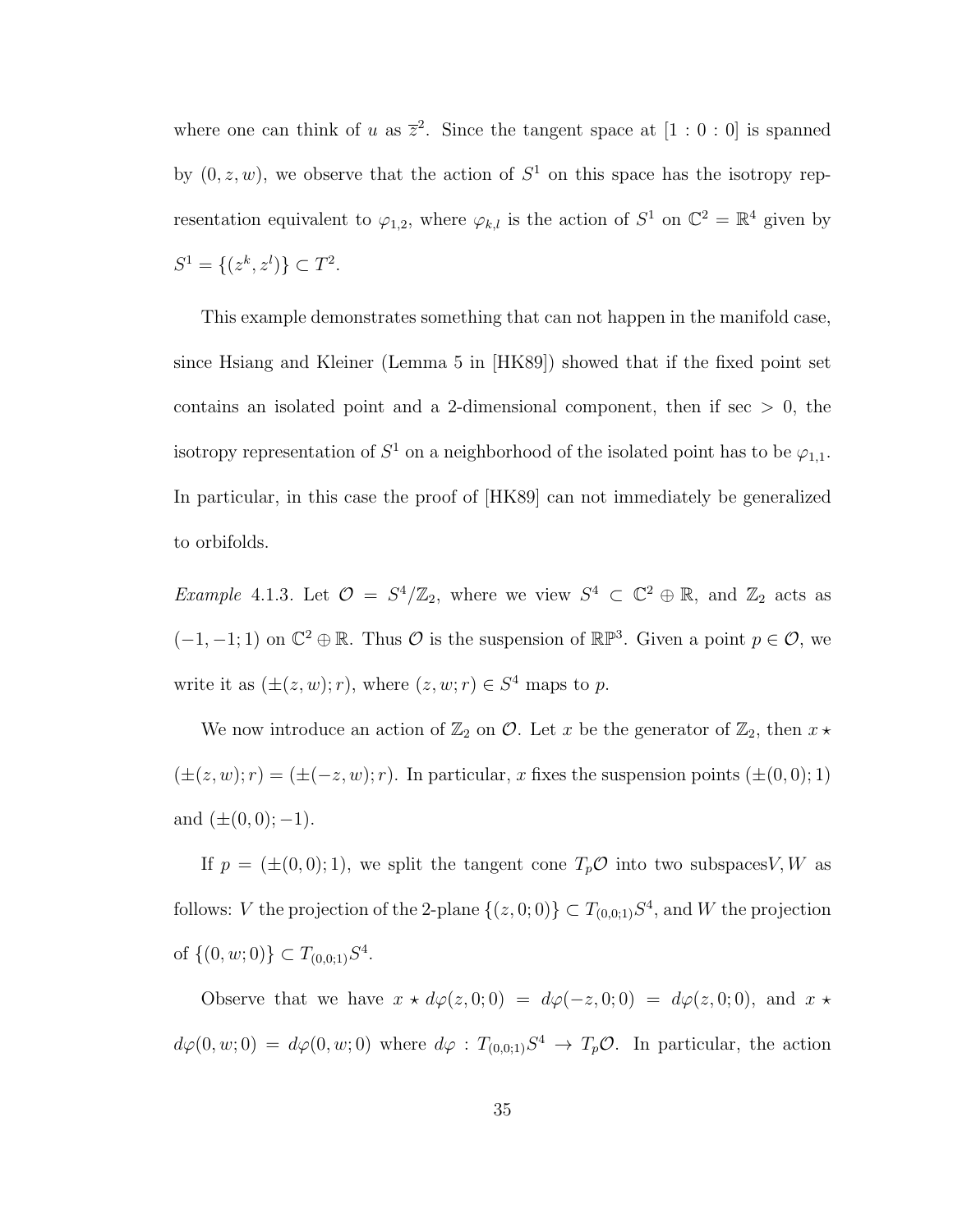where one can think of u as  $\overline{z}^2$ . Since the tangent space at  $[1:0:0]$  is spanned by  $(0, z, w)$ , we observe that the action of  $S<sup>1</sup>$  on this space has the isotropy representation equivalent to  $\varphi_{1,2}$ , where  $\varphi_{k,l}$  is the action of  $S^1$  on  $\mathbb{C}^2 = \mathbb{R}^4$  given by  $S^1 = \{(z^k, z^l)\} \subset T^2$ .

This example demonstrates something that can not happen in the manifold case, since Hsiang and Kleiner (Lemma 5 in [HK89]) showed that if the fixed point set contains an isolated point and a 2-dimensional component, then if  $\sec > 0$ , the isotropy representation of  $S^1$  on a neighborhood of the isolated point has to be  $\varphi_{1,1}$ . In particular, in this case the proof of [HK89] can not immediately be generalized to orbifolds.

*Example* 4.1.3. Let  $\mathcal{O} = S^4/\mathbb{Z}_2$ , where we view  $S^4 \subset \mathbb{C}^2 \oplus \mathbb{R}$ , and  $\mathbb{Z}_2$  acts as  $(-1,-1;1)$  on  $\mathbb{C}^2 \oplus \mathbb{R}$ . Thus  $\mathcal O$  is the suspension of  $\mathbb{RP}^3$ . Given a point  $p \in \mathcal O$ , we write it as  $(\pm(z, w); r)$ , where  $(z, w; r) \in S^4$  maps to p.

We now introduce an action of  $\mathbb{Z}_2$  on  $\mathcal{O}$ . Let x be the generator of  $\mathbb{Z}_2$ , then  $x \star$  $(\pm(z, w); r) = (\pm(-z, w); r)$ . In particular, x fixes the suspension points  $(\pm(0, 0); 1)$ and  $(\pm(0,0); -1)$ .

If  $p = (\pm(0,0); 1)$ , we split the tangent cone  $T_p \mathcal{O}$  into two subspaces V, W as follows: V the projection of the 2-plane  $\{(z, 0, 0)\} \subset T_{(0,0,1)}S^4$ , and W the projection of  $\{(0, w; 0)\} \subset T_{(0,0;1)}S^4$ .

Observe that we have  $x \star d\varphi(z, 0; 0) = d\varphi(-z, 0; 0) = d\varphi(z, 0; 0)$ , and  $x \star d\varphi(z, 0; 0) = d\varphi(z, 0; 0)$  $d\varphi(0, w; 0) = d\varphi(0, w; 0)$  where  $d\varphi : T_{(0, 0; 1)}S^4 \to T_p \mathcal{O}$ . In particular, the action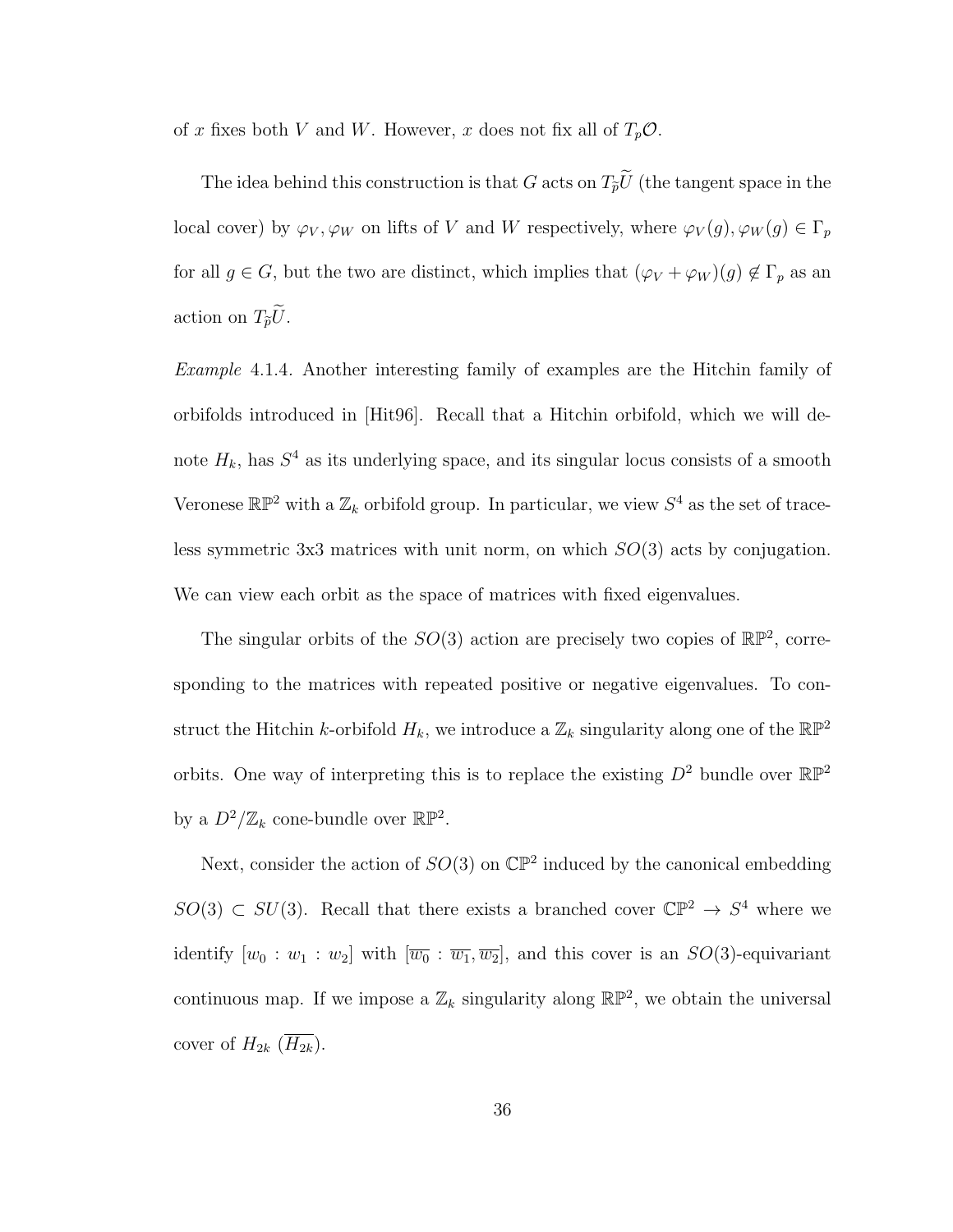of x fixes both V and W. However, x does not fix all of  $T_p \mathcal{O}$ .

The idea behind this construction is that G acts on  $T_{\tilde{p}}\tilde{U}$  (the tangent space in the local cover) by  $\varphi_V, \varphi_W$  on lifts of V and W respectively, where  $\varphi_V(g), \varphi_W(g) \in \Gamma_p$ for all  $g \in G$ , but the two are distinct, which implies that  $(\varphi_V + \varphi_W)(g) \notin \Gamma_p$  as an action on  $T_{\tilde{p}}\tilde{U}$ .

Example 4.1.4. Another interesting family of examples are the Hitchin family of orbifolds introduced in [Hit96]. Recall that a Hitchin orbifold, which we will denote  $H_k$ , has  $S^4$  as its underlying space, and its singular locus consists of a smooth Veronese  $\mathbb{RP}^2$  with a  $\mathbb{Z}_k$  orbifold group. In particular, we view  $S^4$  as the set of traceless symmetric 3x3 matrices with unit norm, on which  $SO(3)$  acts by conjugation. We can view each orbit as the space of matrices with fixed eigenvalues.

The singular orbits of the  $SO(3)$  action are precisely two copies of  $\mathbb{RP}^2$ , corresponding to the matrices with repeated positive or negative eigenvalues. To construct the Hitchin k-orbifold  $H_k$ , we introduce a  $\mathbb{Z}_k$  singularity along one of the  $\mathbb{RP}^2$ orbits. One way of interpreting this is to replace the existing  $D^2$  bundle over  $\mathbb{RP}^2$ by a  $D^2/\mathbb{Z}_k$  cone-bundle over  $\mathbb{RP}^2$ .

Next, consider the action of  $SO(3)$  on  $\mathbb{CP}^2$  induced by the canonical embedding  $SO(3) \subset SU(3)$ . Recall that there exists a branched cover  $\mathbb{CP}^2 \to S^4$  where we identify  $[w_0 : w_1 : w_2]$  with  $[\overline{w_0} : \overline{w_1}, \overline{w_2}]$ , and this cover is an  $SO(3)$ -equivariant continuous map. If we impose a  $\mathbb{Z}_k$  singularity along  $\mathbb{RP}^2$ , we obtain the universal cover of  $H_{2k}$   $(\overline{H_{2k}})$ .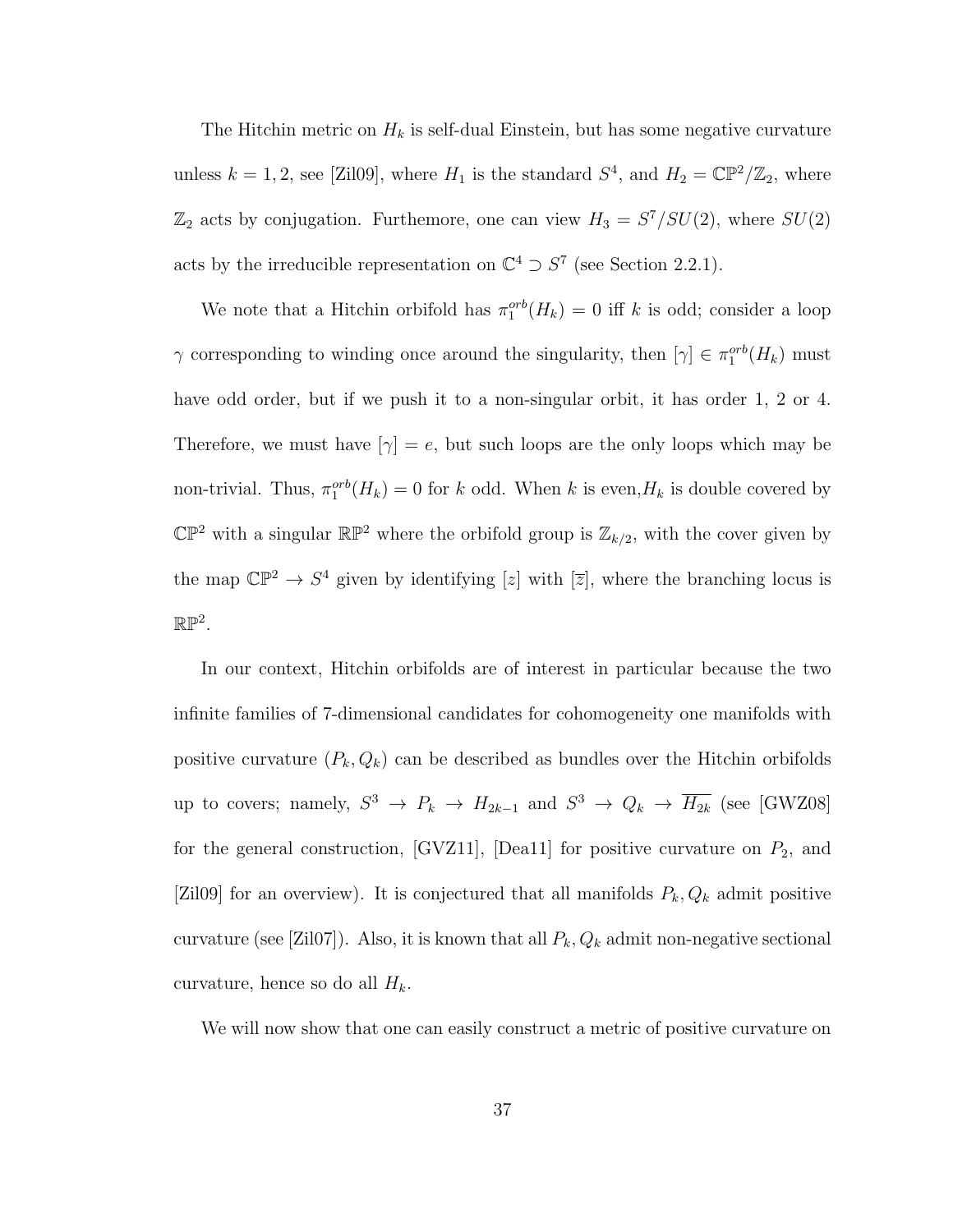The Hitchin metric on  $H_k$  is self-dual Einstein, but has some negative curvature unless  $k = 1, 2$ , see [Zil09], where  $H_1$  is the standard  $S^4$ , and  $H_2 = \mathbb{CP}^2/\mathbb{Z}_2$ , where  $\mathbb{Z}_2$  acts by conjugation. Furthemore, one can view  $H_3 = S^7/SU(2)$ , where  $SU(2)$ acts by the irreducible representation on  $\mathbb{C}^4 \supset S^7$  (see Section 2.2.1).

We note that a Hitchin orbifold has  $\pi_1^{orb}(H_k) = 0$  iff k is odd; consider a loop  $\gamma$  corresponding to winding once around the singularity, then  $[\gamma] \in \pi_1^{orb}(H_k)$  must have odd order, but if we push it to a non-singular orbit, it has order 1, 2 or 4. Therefore, we must have  $[\gamma] = e$ , but such loops are the only loops which may be non-trivial. Thus,  $\pi_1^{orb}(H_k) = 0$  for k odd. When k is even,  $H_k$  is double covered by  $\mathbb{CP}^2$  with a singular  $\mathbb{RP}^2$  where the orbifold group is  $\mathbb{Z}_{k/2}$ , with the cover given by the map  $\mathbb{CP}^2 \to S^4$  given by identifying [z] with  $[\overline{z}]$ , where the branching locus is  $\mathbb{RP}^2$ .

In our context, Hitchin orbifolds are of interest in particular because the two infinite families of 7-dimensional candidates for cohomogeneity one manifolds with positive curvature  $(P_k, Q_k)$  can be described as bundles over the Hitchin orbifolds up to covers; namely,  $S^3 \to P_k \to H_{2k-1}$  and  $S^3 \to Q_k \to \overline{H_{2k}}$  (see [GWZ08] for the general construction, [GVZ11], [Dea11] for positive curvature on  $P_2$ , and [Zil09] for an overview). It is conjectured that all manifolds  $P_k, Q_k$  admit positive curvature (see [Zil07]). Also, it is known that all  $P_k, Q_k$  admit non-negative sectional curvature, hence so do all  $H_k$ .

We will now show that one can easily construct a metric of positive curvature on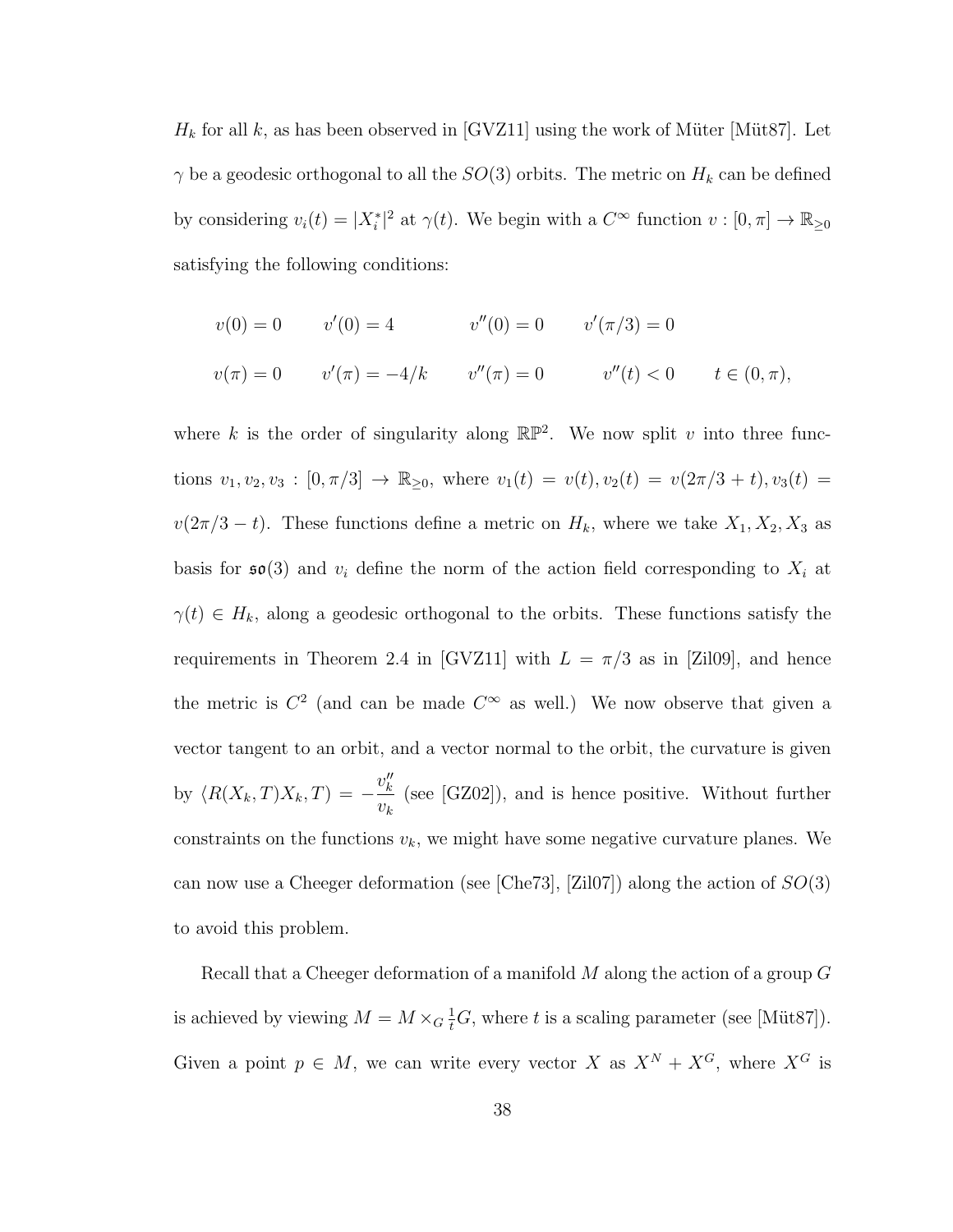$H_k$  for all k, as has been observed in [GVZ11] using the work of Müter [Müt87]. Let  $\gamma$  be a geodesic orthogonal to all the  $SO(3)$  orbits. The metric on  $H_k$  can be defined by considering  $v_i(t) = |X_i^*|^2$  at  $\gamma(t)$ . We begin with a  $C^{\infty}$  function  $v : [0, \pi] \to \mathbb{R}_{\geq 0}$ satisfying the following conditions:

$$
v(0) = 0 \t v'(0) = 4 \t v''(0) = 0 \t v'(\pi/3) = 0
$$
  

$$
v(\pi) = 0 \t v'(\pi) = -4/k \t v''(\pi) = 0 \t v''(t) < 0 \t t \in (0, \pi),
$$

where k is the order of singularity along  $\mathbb{RP}^2$ . We now split v into three functions  $v_1, v_2, v_3 : [0, \pi/3] \to \mathbb{R}_{\geq 0}$ , where  $v_1(t) = v(t), v_2(t) = v(2\pi/3 + t), v_3(t) =$  $v(2\pi/3 - t)$ . These functions define a metric on  $H_k$ , where we take  $X_1, X_2, X_3$  as basis for  $\mathfrak{so}(3)$  and  $v_i$  define the norm of the action field corresponding to  $X_i$  at  $\gamma(t) \in H_k$ , along a geodesic orthogonal to the orbits. These functions satisfy the requirements in Theorem 2.4 in [GVZ11] with  $L = \pi/3$  as in [Zil09], and hence the metric is  $C^2$  (and can be made  $C^{\infty}$  as well.) We now observe that given a vector tangent to an orbit, and a vector normal to the orbit, the curvature is given by  $\langle R(X_k, T)X_k, T \rangle = -\frac{v_k''}{v_k}$  $v_k$ (see [GZ02]), and is hence positive. Without further constraints on the functions  $v_k$ , we might have some negative curvature planes. We can now use a Cheeger deformation (see [Che73], [Zil07]) along the action of  $SO(3)$ to avoid this problem.

Recall that a Cheeger deformation of a manifold  $M$  along the action of a group  $G$ is achieved by viewing  $M = M \times_G \frac{1}{t}G$ , where t is a scaling parameter (see [Müt87]). Given a point  $p \in M$ , we can write every vector X as  $X^N + X^G$ , where  $X^G$  is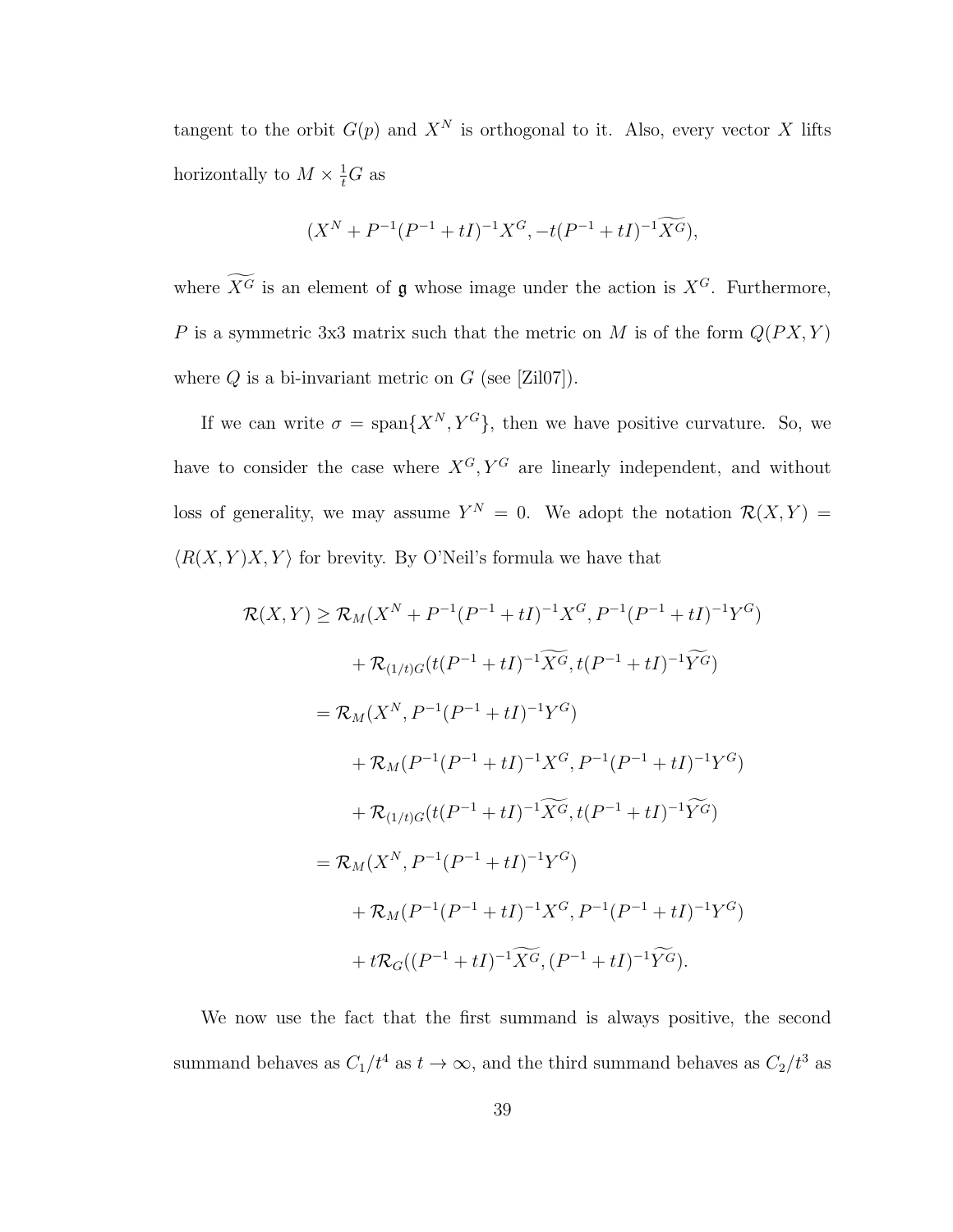tangent to the orbit  $G(p)$  and  $X^N$  is orthogonal to it. Also, every vector X lifts horizontally to  $M \times \frac{1}{t}G$  as

$$
(X^{N} + P^{-1}(P^{-1} + tI)^{-1}X^{G}, -t(P^{-1} + tI)^{-1}\widetilde{X^{G}}),
$$

where  $\widetilde{X}^G$  is an element of g whose image under the action is  $X^G$ . Furthermore, P is a symmetric 3x3 matrix such that the metric on M is of the form  $Q(PX, Y)$ where  $Q$  is a bi-invariant metric on  $G$  (see [Zil07]).

If we can write  $\sigma = \text{span}\{X^N, Y^G\}$ , then we have positive curvature. So, we have to consider the case where  $X^G, Y^G$  are linearly independent, and without loss of generality, we may assume  $Y^N = 0$ . We adopt the notation  $\mathcal{R}(X,Y) =$  $\langle R(X, Y)X, Y \rangle$  for brevity. By O'Neil's formula we have that

$$
\mathcal{R}(X,Y) \ge \mathcal{R}_M(X^N + P^{-1}(P^{-1} + tI)^{-1}X^G, P^{-1}(P^{-1} + tI)^{-1}Y^G)
$$
  
+  $\mathcal{R}_{(1/t)G}(t(P^{-1} + tI)^{-1}\widetilde{X^G}, t(P^{-1} + tI)^{-1}\widetilde{Y^G})$   
=  $\mathcal{R}_M(X^N, P^{-1}(P^{-1} + tI)^{-1}Y^G)$   
+  $\mathcal{R}_M(P^{-1}(P^{-1} + tI)^{-1}X^G, P^{-1}(P^{-1} + tI)^{-1}Y^G)$   
+  $\mathcal{R}_{(1/t)G}(t(P^{-1} + tI)^{-1}\widetilde{X^G}, t(P^{-1} + tI)^{-1}\widetilde{Y^G})$   
=  $\mathcal{R}_M(X^N, P^{-1}(P^{-1} + tI)^{-1}Y^G)$   
+  $\mathcal{R}_M(P^{-1}(P^{-1} + tI)^{-1}X^G, P^{-1}(P^{-1} + tI)^{-1}Y^G)$   
+  $t\mathcal{R}_G((P^{-1} + tI)^{-1}\widetilde{X^G}, (P^{-1} + tI)^{-1}\widetilde{Y^G}).$ 

We now use the fact that the first summand is always positive, the second summand behaves as  $C_1/t^4$  as  $t \to \infty$ , and the third summand behaves as  $C_2/t^3$  as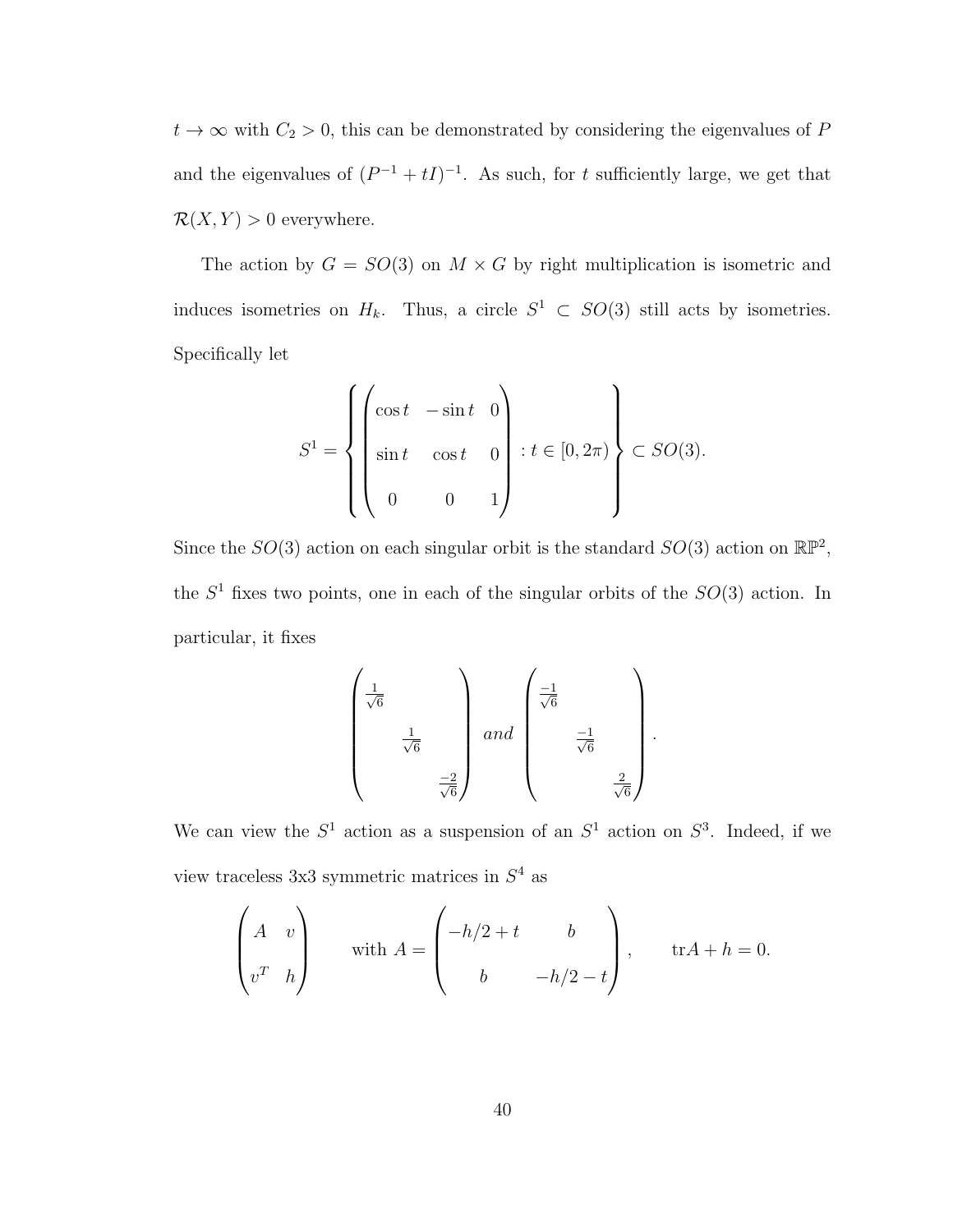$t \to \infty$  with  $C_2 > 0$ , this can be demonstrated by considering the eigenvalues of P and the eigenvalues of  $(P^{-1} + tI)^{-1}$ . As such, for t sufficiently large, we get that  $\mathcal{R}(X, Y) > 0$  everywhere.

The action by  $G = SO(3)$  on  $M \times G$  by right multiplication is isometric and induces isometries on  $H_k$ . Thus, a circle  $S^1 \subset SO(3)$  still acts by isometries. Specifically let

$$
S^{1} = \left\{ \begin{pmatrix} \cos t & -\sin t & 0 \\ \sin t & \cos t & 0 \\ 0 & 0 & 1 \end{pmatrix} : t \in [0, 2\pi) \right\} \subset SO(3).
$$

Since the  $SO(3)$  action on each singular orbit is the standard  $SO(3)$  action on  $\mathbb{RP}^2$ , the  $S<sup>1</sup>$  fixes two points, one in each of the singular orbits of the  $SO(3)$  action. In particular, it fixes

$$
\begin{pmatrix}\n\frac{1}{\sqrt{6}} & & & \\
\frac{1}{\sqrt{6}} & & & \\
& \frac{-2}{\sqrt{6}} & \\
& & \frac{-2}{\sqrt{6}}\n\end{pmatrix} \text{ and } \begin{pmatrix}\n\frac{-1}{\sqrt{6}} & & & \\
& \frac{-1}{\sqrt{6}} & & \\
& & \frac{2}{\sqrt{6}}\n\end{pmatrix}
$$

.

We can view the  $S^1$  action as a suspension of an  $S^1$  action on  $S^3$ . Indeed, if we view traceless  $3x3$  symmetric matrices in  $S<sup>4</sup>$  as

$$
\begin{pmatrix} A & v \\ v^T & h \end{pmatrix} \text{ with } A = \begin{pmatrix} -h/2 + t & b \\ b & -h/2 - t \end{pmatrix}, \text{ tr} A + h = 0.
$$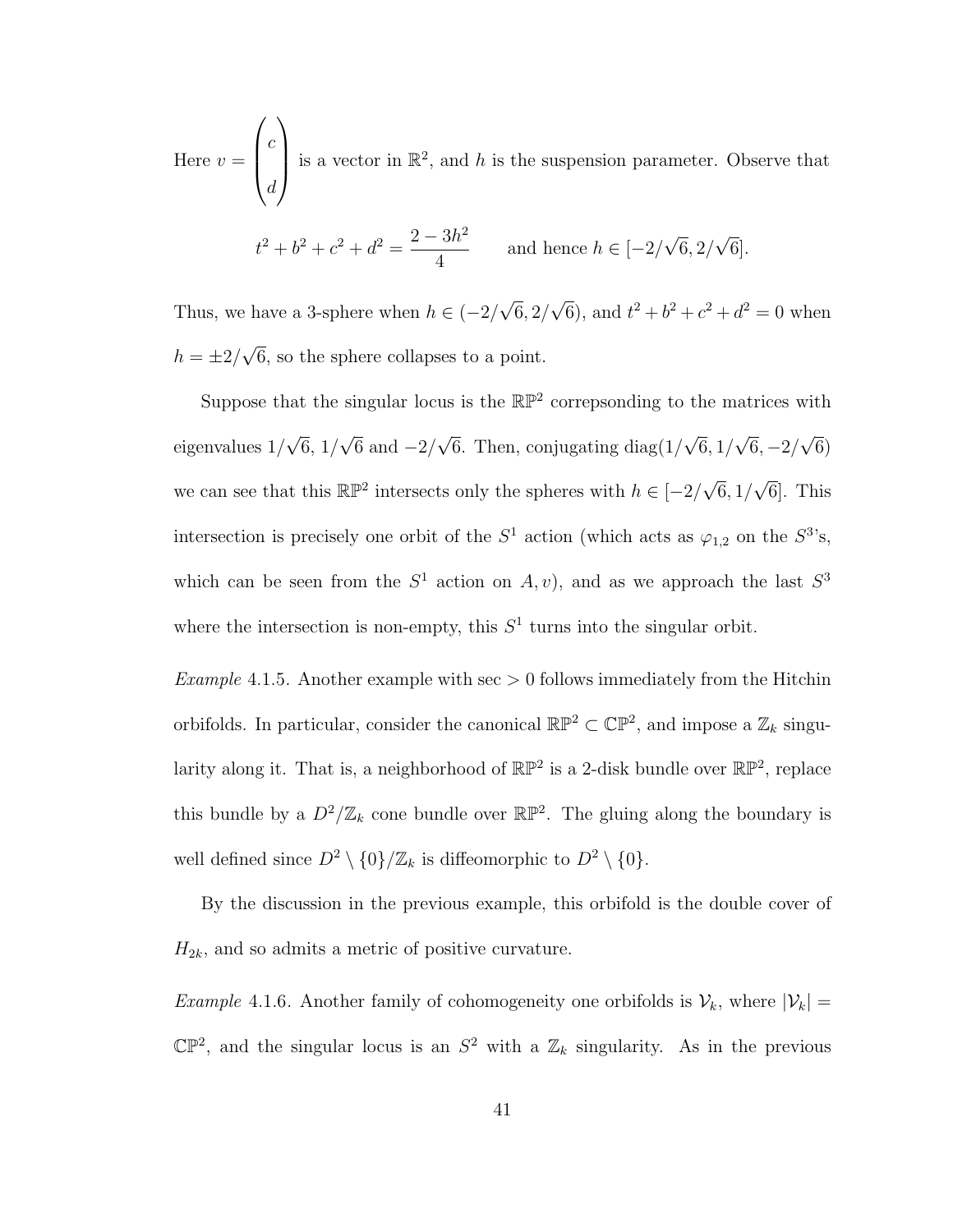Here  $v =$  $\sqrt{ }$  $\overline{\phantom{a}}$ c d  $\setminus$ is a vector in  $\mathbb{R}^2$ , and h is the suspension parameter. Observe that  $t^2 + b^2 + c^2 + d^2 = \frac{2 - 3h^2}{4}$ and hence  $h \in [-2]$ √  $6, 2/$ √ 6].

Thus, we have a 3-sphere when  $h \in (-2)$ √  $6, 2/$ √  $\overline{6}$ , and  $t^2 + b^2 + c^2 + d^2 = 0$  when √

4

 $h=\pm 2/$ 6, so the sphere collapses to a point.

Suppose that the singular locus is the  $\mathbb{RP}^2$  correpsonding to the matrices with eigenvalues 1/ √  $6, 1/$ √ 6 and  $-2/$ √ 6. Then, conjugating diag $(1/$ √  $6,1/$ √  $6, -2/$ √ 6) we can see that this  $\mathbb{RP}^2$  intersects only the spheres with  $h \in [-2]$ √  $6,1/$ √ 6]. This intersection is precisely one orbit of the  $S^1$  action (which acts as  $\varphi_{1,2}$  on the  $S^3$ 's, which can be seen from the  $S^1$  action on  $A, v$ , and as we approach the last  $S^3$ where the intersection is non-empty, this  $S<sup>1</sup>$  turns into the singular orbit.

Example 4.1.5. Another example with  $\sec$  > 0 follows immediately from the Hitchin orbifolds. In particular, consider the canonical  $\mathbb{RP}^2 \subset \mathbb{CP}^2$ , and impose a  $\mathbb{Z}_k$  singularity along it. That is, a neighborhood of  $\mathbb{RP}^2$  is a 2-disk bundle over  $\mathbb{RP}^2$ , replace this bundle by a  $D^2/\mathbb{Z}_k$  cone bundle over  $\mathbb{RP}^2$ . The gluing along the boundary is well defined since  $D^2 \setminus \{0\}/\mathbb{Z}_k$  is diffeomorphic to  $D^2 \setminus \{0\}.$ 

By the discussion in the previous example, this orbifold is the double cover of  $H_{2k}$ , and so admits a metric of positive curvature.

*Example* 4.1.6. Another family of cohomogeneity one orbifolds is  $V_k$ , where  $|V_k|$  =  $\mathbb{CP}^2$ , and the singular locus is an  $S^2$  with a  $\mathbb{Z}_k$  singularity. As in the previous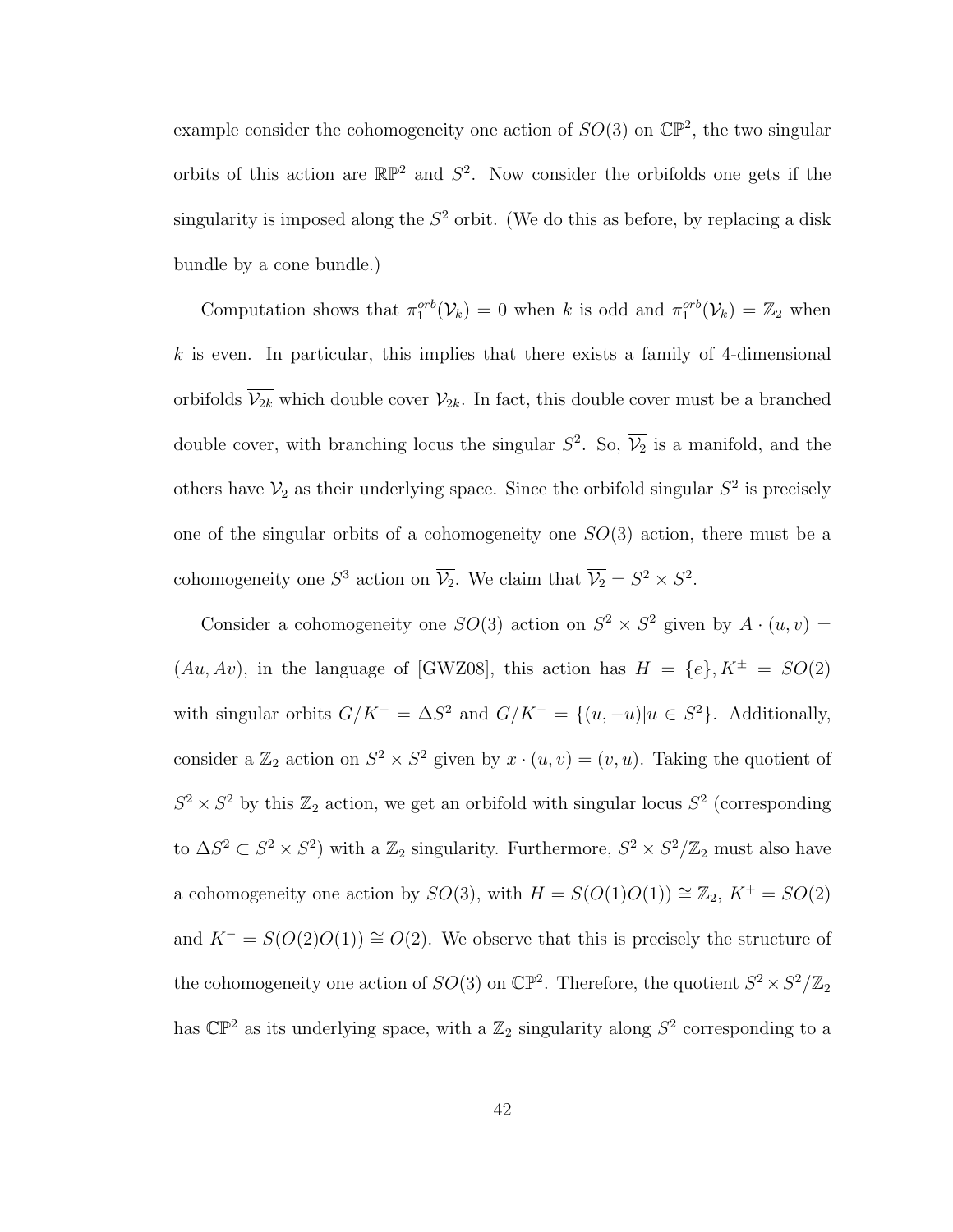example consider the cohomogeneity one action of  $SO(3)$  on  $\mathbb{CP}^2$ , the two singular orbits of this action are  $\mathbb{RP}^2$  and  $S^2$ . Now consider the orbifolds one gets if the singularity is imposed along the  $S^2$  orbit. (We do this as before, by replacing a disk bundle by a cone bundle.)

Computation shows that  $\pi_1^{orb}(\mathcal{V}_k) = 0$  when k is odd and  $\pi_1^{orb}(\mathcal{V}_k) = \mathbb{Z}_2$  when  $k$  is even. In particular, this implies that there exists a family of 4-dimensional orbifolds  $\overline{\mathcal{V}_{2k}}$  which double cover  $\mathcal{V}_{2k}$ . In fact, this double cover must be a branched double cover, with branching locus the singular  $S^2$ . So,  $\overline{\mathcal{V}_2}$  is a manifold, and the others have  $\overline{V_2}$  as their underlying space. Since the orbifold singular  $S^2$  is precisely one of the singular orbits of a cohomogeneity one  $SO(3)$  action, there must be a cohomogeneity one  $S^3$  action on  $\overline{\mathcal{V}_2}$ . We claim that  $\overline{\mathcal{V}_2} = S^2 \times S^2$ .

Consider a cohomogeneity one  $SO(3)$  action on  $S^2 \times S^2$  given by  $A \cdot (u, v) =$  $(Au, Av)$ , in the language of [GWZ08], this action has  $H = \{e\}, K^{\pm} = SO(2)$ with singular orbits  $G/K^+ = \Delta S^2$  and  $G/K^- = \{(u, -u) | u \in S^2\}$ . Additionally, consider a  $\mathbb{Z}_2$  action on  $S^2 \times S^2$  given by  $x \cdot (u, v) = (v, u)$ . Taking the quotient of  $S^2 \times S^2$  by this  $\mathbb{Z}_2$  action, we get an orbifold with singular locus  $S^2$  (corresponding to  $\Delta S^2 \subset S^2 \times S^2$ ) with a  $\mathbb{Z}_2$  singularity. Furthermore,  $S^2 \times S^2/\mathbb{Z}_2$  must also have a cohomogeneity one action by  $SO(3)$ , with  $H = S(O(1)O(1)) \cong \mathbb{Z}_2$ ,  $K^+ = SO(2)$ and  $K^- = S(O(2)O(1)) \cong O(2)$ . We observe that this is precisely the structure of the cohomogeneity one action of  $SO(3)$  on  $\mathbb{CP}^2$ . Therefore, the quotient  $S^2 \times S^2/\mathbb{Z}_2$ has  $\mathbb{CP}^2$  as its underlying space, with a  $\mathbb{Z}_2$  singularity along  $S^2$  corresponding to a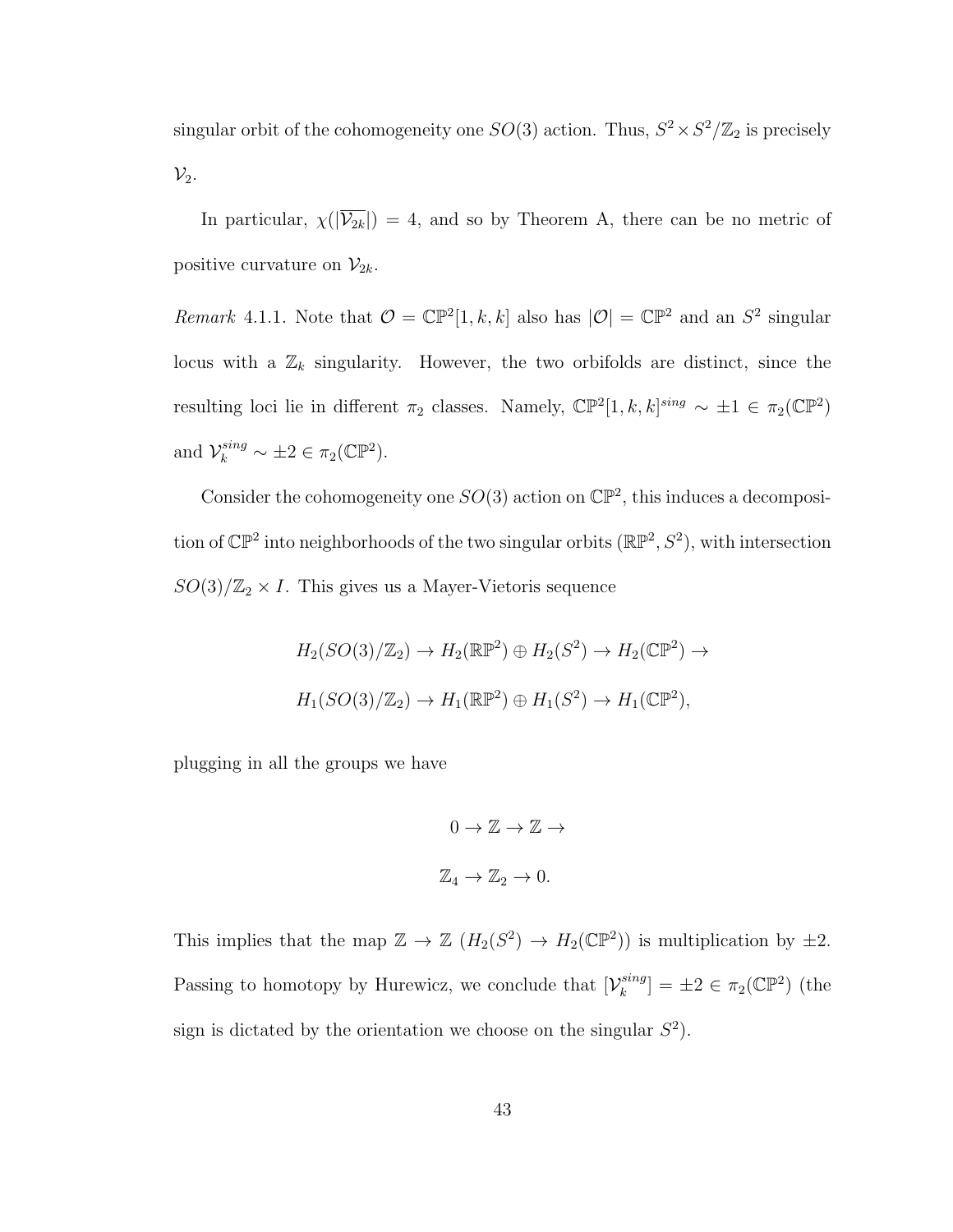singular orbit of the cohomogeneity one  $SO(3)$  action. Thus,  $S^2 \times S^2/\mathbb{Z}_2$  is precisely  $\mathcal{V}_2$ .

In particular,  $\chi(|\overline{\mathcal{V}_{2k}}|) = 4$ , and so by Theorem A, there can be no metric of positive curvature on  $\mathcal{V}_{2k}$ .

Remark 4.1.1. Note that  $\mathcal{O} = \mathbb{CP}^2[1, k, k]$  also has  $|\mathcal{O}| = \mathbb{CP}^2$  and an  $S^2$  singular locus with a  $\mathbb{Z}_k$  singularity. However, the two orbifolds are distinct, since the resulting loci lie in different  $\pi_2$  classes. Namely,  $\mathbb{CP}^2[1,k,k]^{sing} \sim \pm 1 \in \pi_2(\mathbb{CP}^2)$ and  $\mathcal{V}_k^{sing} \sim \pm 2 \in \pi_2(\mathbb{C}\mathbb{P}^2)$ .

Consider the cohomogeneity one  $SO(3)$  action on  $\mathbb{CP}^2$ , this induces a decomposition of  $\mathbb{CP}^2$  into neighborhoods of the two singular orbits  $(\mathbb{RP}^2, S^2)$ , with intersection  $SO(3)/\mathbb{Z}_2 \times I$ . This gives us a Mayer-Vietoris sequence

$$
H_2(SO(3)/\mathbb{Z}_2) \to H_2(\mathbb{RP}^2) \oplus H_2(S^2) \to H_2(\mathbb{CP}^2) \to
$$
  

$$
H_1(SO(3)/\mathbb{Z}_2) \to H_1(\mathbb{RP}^2) \oplus H_1(S^2) \to H_1(\mathbb{CP}^2),
$$

plugging in all the groups we have

$$
0 \to \mathbb{Z} \to \mathbb{Z} \to
$$
  

$$
\mathbb{Z}_4 \to \mathbb{Z}_2 \to 0.
$$

This implies that the map  $\mathbb{Z} \to \mathbb{Z}$   $(H_2(S^2) \to H_2(\mathbb{CP}^2))$  is multiplication by  $\pm 2$ . Passing to homotopy by Hurewicz, we conclude that  $[\mathcal{V}_k^{sing}]$  $\binom{sing}{k} = \pm 2 \in \pi_2(\mathbb{CP}^2)$  (the sign is dictated by the orientation we choose on the singular  $S^2$ ).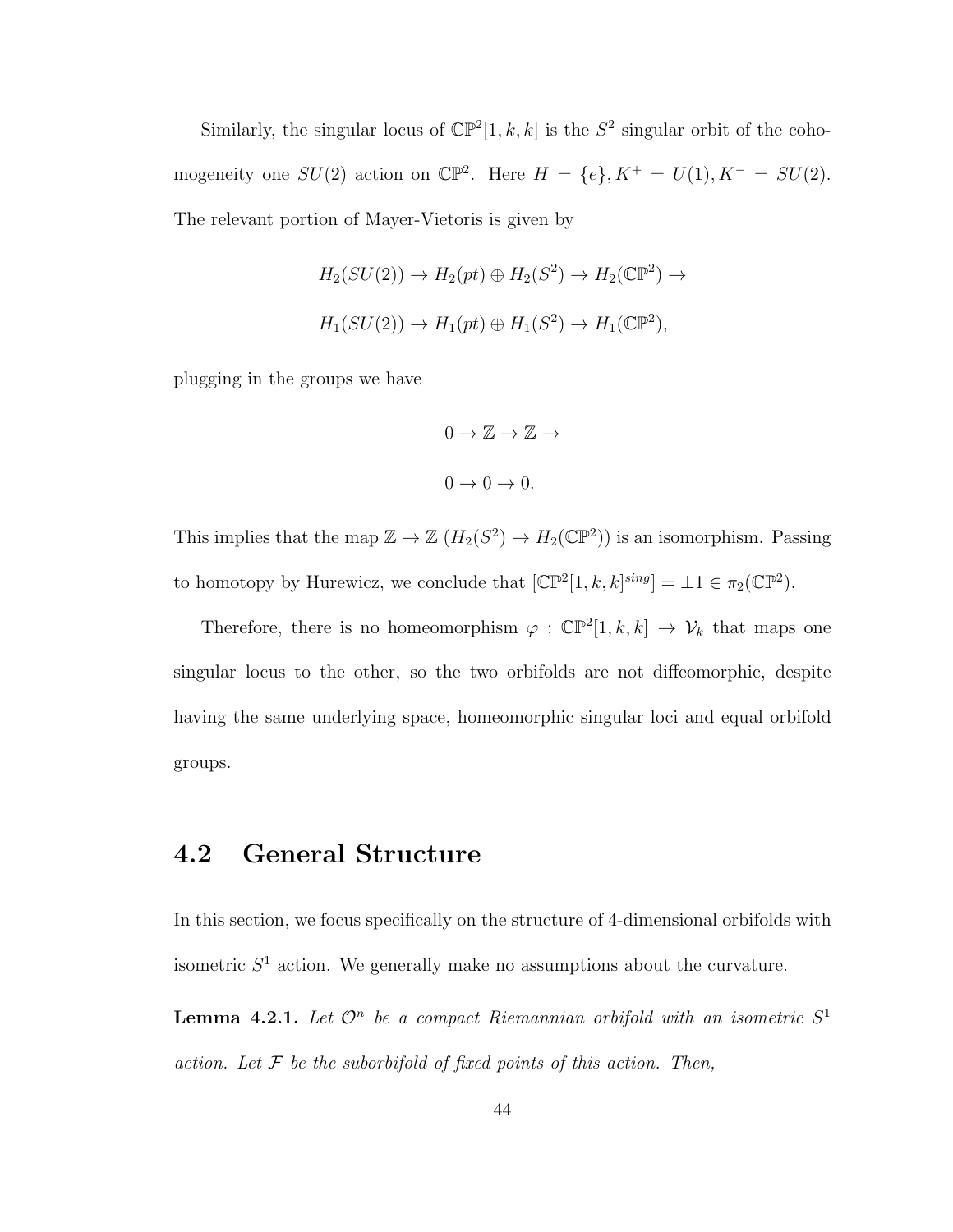Similarly, the singular locus of  $\mathbb{CP}^2[1, k, k]$  is the  $S^2$  singular orbit of the cohomogeneity one  $SU(2)$  action on  $\mathbb{CP}^2$ . Here  $H = \{e\}$ ,  $K^+ = U(1)$ ,  $K^- = SU(2)$ . The relevant portion of Mayer-Vietoris is given by

$$
H_2(SU(2)) \to H_2(pt) \oplus H_2(S^2) \to H_2(\mathbb{CP}^2) \to
$$
  

$$
H_1(SU(2)) \to H_1(pt) \oplus H_1(S^2) \to H_1(\mathbb{CP}^2),
$$

plugging in the groups we have

$$
0 \to \mathbb{Z} \to \mathbb{Z} \to
$$

$$
0 \to 0 \to 0.
$$

This implies that the map  $\mathbb{Z} \to \mathbb{Z}$   $(H_2(S^2) \to H_2(\mathbb{CP}^2))$  is an isomorphism. Passing to homotopy by Hurewicz, we conclude that  $[\mathbb{CP}^2[1, k, k]^{sing}] = \pm 1 \in \pi_2(\mathbb{CP}^2)$ .

Therefore, there is no homeomorphism  $\varphi : \mathbb{CP}^2[1, k, k] \to V_k$  that maps one singular locus to the other, so the two orbifolds are not diffeomorphic, despite having the same underlying space, homeomorphic singular loci and equal orbifold groups.

#### 4.2 General Structure

In this section, we focus specifically on the structure of 4-dimensional orbifolds with isometric  $S<sup>1</sup>$  action. We generally make no assumptions about the curvature.

**Lemma 4.2.1.** Let  $\mathcal{O}^n$  be a compact Riemannian orbifold with an isometric  $S^1$ action. Let  $\mathcal F$  be the suborbifold of fixed points of this action. Then,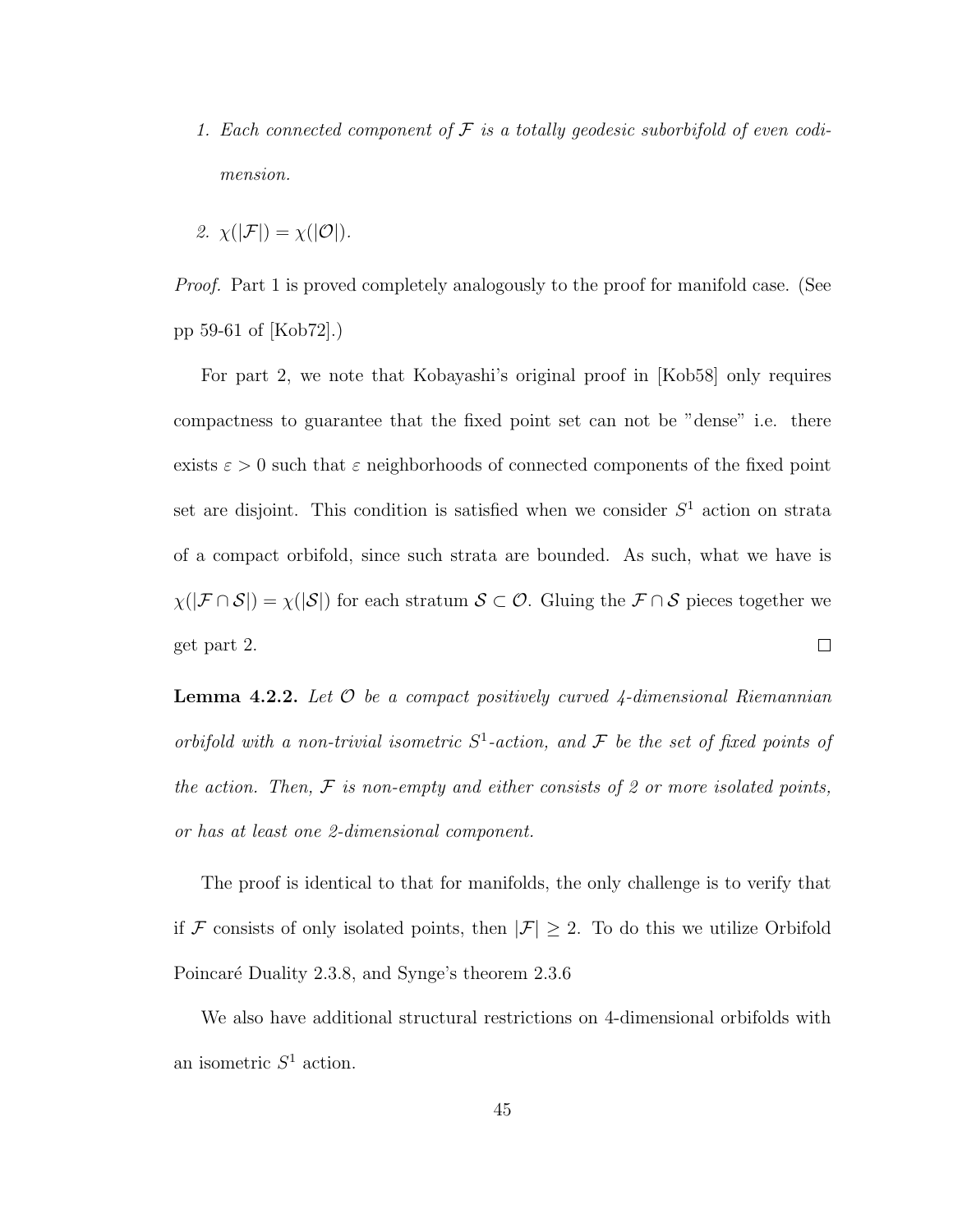- 1. Each connected component of  $\mathcal F$  is a totally geodesic suborbifold of even codimension.
- 2.  $\chi(|\mathcal{F}|) = \chi(|\mathcal{O}|)$ .

*Proof.* Part 1 is proved completely analogously to the proof for manifold case. (See pp 59-61 of [Kob72].)

For part 2, we note that Kobayashi's original proof in [Kob58] only requires compactness to guarantee that the fixed point set can not be "dense" i.e. there exists  $\varepsilon > 0$  such that  $\varepsilon$  neighborhoods of connected components of the fixed point set are disjoint. This condition is satisfied when we consider  $S<sup>1</sup>$  action on strata of a compact orbifold, since such strata are bounded. As such, what we have is  $\chi(|\mathcal{F} \cap \mathcal{S}|) = \chi(|\mathcal{S}|)$  for each stratum  $\mathcal{S} \subset \mathcal{O}$ . Gluing the  $\mathcal{F} \cap \mathcal{S}$  pieces together we get part 2.  $\Box$ 

**Lemma 4.2.2.** Let  $\mathcal O$  be a compact positively curved 4-dimensional Riemannian orbifold with a non-trivial isometric  $S^1$ -action, and  $\mathcal F$  be the set of fixed points of the action. Then,  $\mathcal F$  is non-empty and either consists of 2 or more isolated points, or has at least one 2-dimensional component.

The proof is identical to that for manifolds, the only challenge is to verify that if  $\mathcal F$  consists of only isolated points, then  $|\mathcal F|\geq 2$ . To do this we utilize Orbifold Poincaré Duality 2.3.8, and Synge's theorem 2.3.6

We also have additional structural restrictions on 4-dimensional orbifolds with an isometric  $S^1$  action.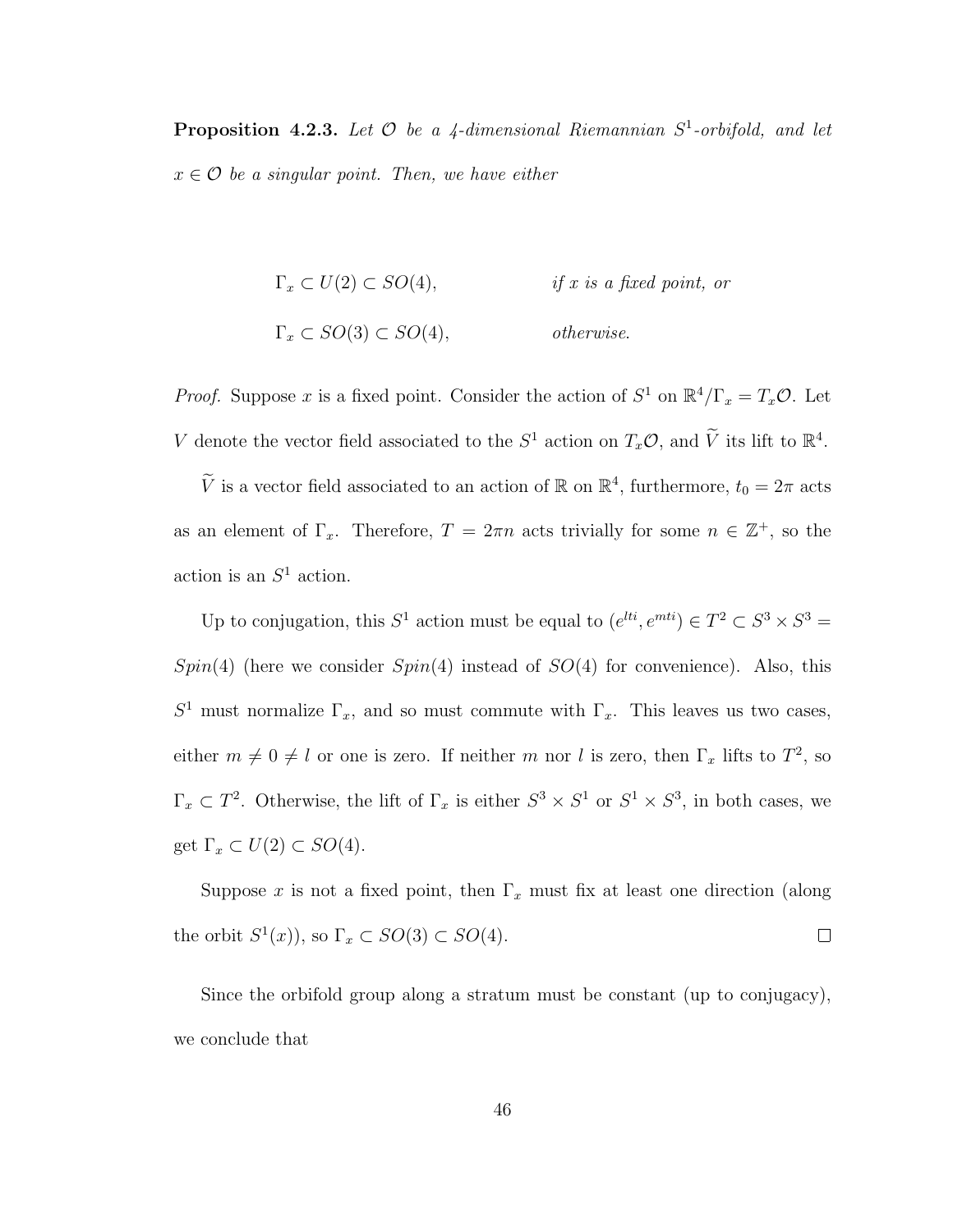**Proposition 4.2.3.** Let  $\mathcal O$  be a 4-dimensional Riemannian  $S^1$ -orbifold, and let  $x \in \mathcal{O}$  be a singular point. Then, we have either

$$
\Gamma_x \subset U(2) \subset SO(4), \qquad \text{if } x \text{ is a fixed point, or}
$$
  

$$
\Gamma_x \subset SO(3) \subset SO(4), \qquad \text{otherwise.}
$$

*Proof.* Suppose x is a fixed point. Consider the action of  $S^1$  on  $\mathbb{R}^4/\Gamma_x = T_x \mathcal{O}$ . Let V denote the vector field associated to the  $S^1$  action on  $T_x\mathcal{O}$ , and  $\widetilde{V}$  its lift to  $\mathbb{R}^4$ .

 $\widetilde{V}$  is a vector field associated to an action of  $\mathbb{R}$  on  $\mathbb{R}^4$ , furthermore,  $t_0 = 2\pi$  acts as an element of  $\Gamma_x$ . Therefore,  $T = 2\pi n$  acts trivially for some  $n \in \mathbb{Z}^+$ , so the action is an  $S^1$  action.

Up to conjugation, this  $S^1$  action must be equal to  $(e^{lti}, e^{mti}) \in T^2 \subset S^3 \times S^3 =$  $Spin(4)$  (here we consider  $Spin(4)$  instead of  $SO(4)$  for convenience). Also, this  $S<sup>1</sup>$  must normalize  $\Gamma_x$ , and so must commute with  $\Gamma_x$ . This leaves us two cases, either  $m \neq 0 \neq l$  or one is zero. If neither m nor l is zero, then  $\Gamma_x$  lifts to  $T^2$ , so  $\Gamma_x \subset T^2$ . Otherwise, the lift of  $\Gamma_x$  is either  $S^3 \times S^1$  or  $S^1 \times S^3$ , in both cases, we get  $\Gamma_x \subset U(2) \subset SO(4)$ .

Suppose x is not a fixed point, then  $\Gamma_x$  must fix at least one direction (along the orbit  $S^1(x)$ , so  $\Gamma_x \subset SO(3) \subset SO(4)$ .  $\Box$ 

Since the orbifold group along a stratum must be constant (up to conjugacy), we conclude that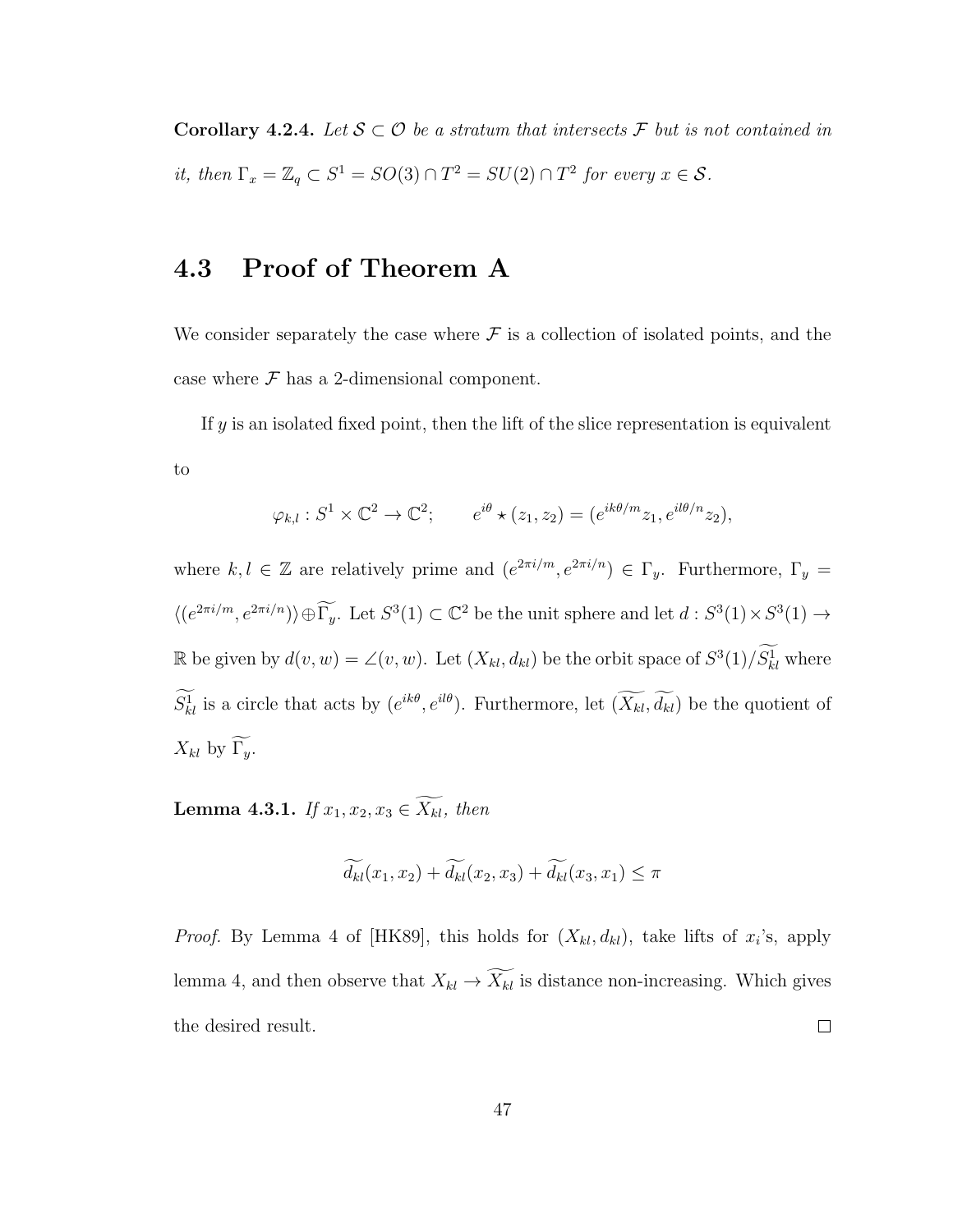Corollary 4.2.4. Let  $S \subset \mathcal{O}$  be a stratum that intersects  $\mathcal F$  but is not contained in it, then  $\Gamma_x = \mathbb{Z}_q \subset S^1 = SO(3) \cap T^2 = SU(2) \cap T^2$  for every  $x \in S$ .

### 4.3 Proof of Theorem A

We consider separately the case where  $\mathcal F$  is a collection of isolated points, and the case where  $\mathcal F$  has a 2-dimensional component.

If  $y$  is an isolated fixed point, then the lift of the slice representation is equivalent to

$$
\varphi_{k,l}: S^1 \times \mathbb{C}^2 \to \mathbb{C}^2; \qquad e^{i\theta} \star (z_1, z_2) = (e^{ik\theta/m} z_1, e^{il\theta/n} z_2),
$$

where  $k, l \in \mathbb{Z}$  are relatively prime and  $(e^{2\pi i/m}, e^{2\pi i/n}) \in \Gamma_y$ . Furthermore,  $\Gamma_y =$  $\langle (e^{2\pi i/m}, e^{2\pi i/n}) \rangle \oplus \widetilde{\Gamma_y}$ . Let  $S^3(1) \subset \mathbb{C}^2$  be the unit sphere and let  $d : S^3(1) \times S^3(1) \to$ R be given by  $d(v, w) = \angle(v, w)$ . Let  $(X_{kl}, d_{kl})$  be the orbit space of  $S^3(1)/S^1_{kl}$  where  $S_{kl}^1$  is a circle that acts by  $(e^{ik\theta}, e^{il\theta})$ . Furthermore, let  $(X_{kl}, d_{kl})$  be the quotient of  $X_{kl}$  by  $\widetilde{\Gamma_y}$ .

**Lemma 4.3.1.** If  $x_1, x_2, x_3 \in \widetilde{X_{kl}}$ , then

$$
\widetilde{d_{kl}}(x_1, x_2) + \widetilde{d_{kl}}(x_2, x_3) + \widetilde{d_{kl}}(x_3, x_1) \le \pi
$$

*Proof.* By Lemma 4 of [HK89], this holds for  $(X_{kl}, d_{kl})$ , take lifts of  $x_i$ 's, apply lemma 4, and then observe that  $X_{kl} \to \widetilde{X_{kl}}$  is distance non-increasing. Which gives  $\Box$ the desired result.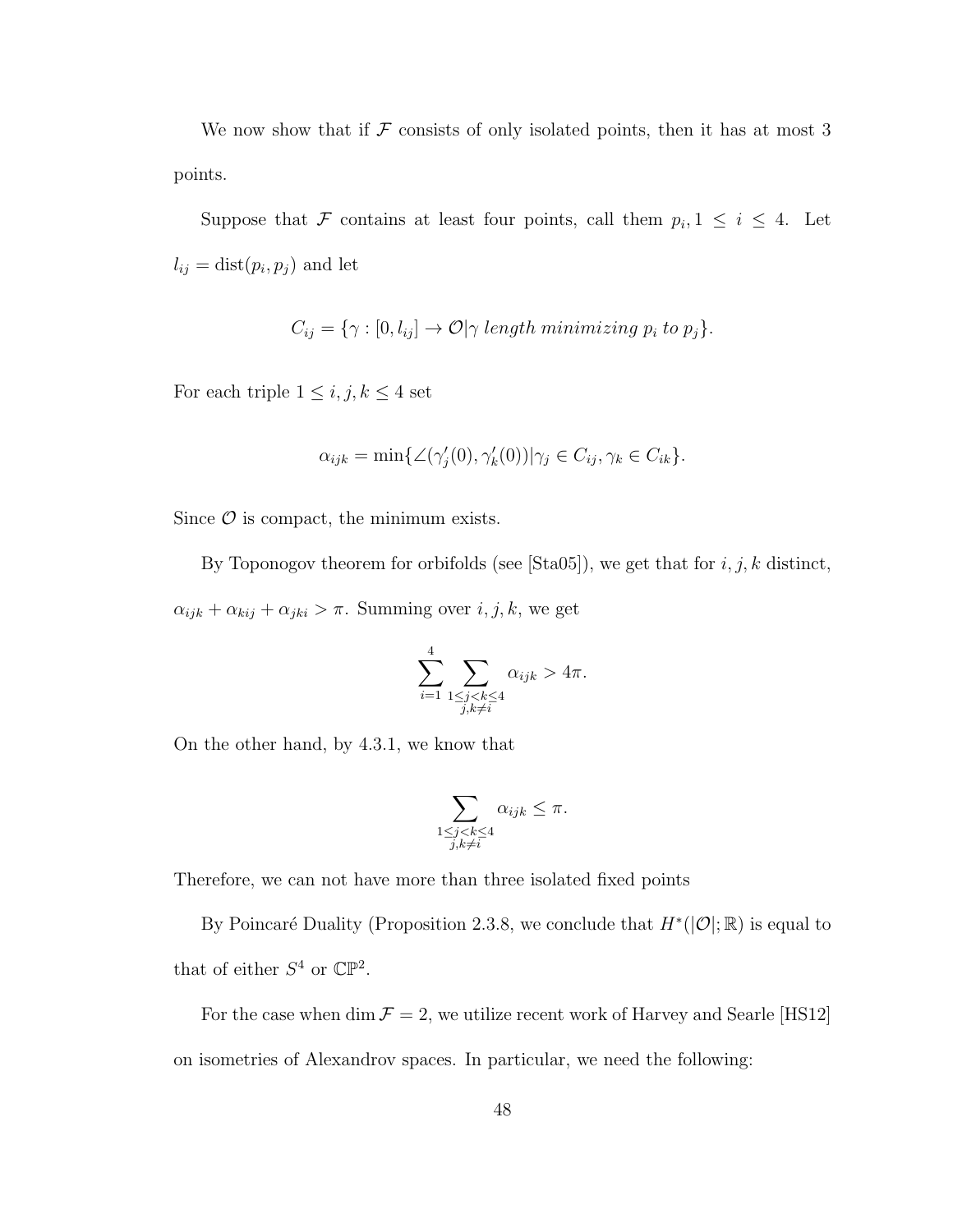We now show that if  $\mathcal F$  consists of only isolated points, then it has at most 3 points.

Suppose that F contains at least four points, call them  $p_i, 1 \leq i \leq 4$ . Let  $l_{ij} = \text{dist}(p_i, p_j)$  and let

$$
C_{ij} = \{ \gamma : [0, l_{ij}] \to \mathcal{O} | \gamma \text{ length minimizing } p_i \text{ to } p_j \}.
$$

For each triple  $1 \leq i, j, k \leq 4$  set

$$
\alpha_{ijk} = \min\{\angle(\gamma_j'(0), \gamma_k'(0))|\gamma_j \in C_{ij}, \gamma_k \in C_{ik}\}.
$$

Since  $\mathcal O$  is compact, the minimum exists.

By Toponogov theorem for orbifolds (see  $[Sta05]$ ), we get that for  $i, j, k$  distinct,  $\alpha_{ijk} + \alpha_{kij} + \alpha_{jki} > \pi$ . Summing over  $i, j, k$ , we get

$$
\sum_{i=1}^{4} \sum_{\substack{1 \le j < k \le 4 \\ j,k \ne i}} \alpha_{ijk} > 4\pi.
$$

On the other hand, by 4.3.1, we know that

$$
\sum_{\substack{1 \le j < k \le 4 \\ j,k \ne i}} \alpha_{ijk} \le \pi.
$$

Therefore, we can not have more than three isolated fixed points

By Poincaré Duality (Proposition 2.3.8, we conclude that  $H^*(\mathcal{O}|\mathcal{R})$  is equal to that of either  $S^4$  or  $\mathbb{CP}^2$ .

For the case when  $\dim \mathcal{F}=2,$  we utilize recent work of Harvey and Searle [HS12] on isometries of Alexandrov spaces. In particular, we need the following: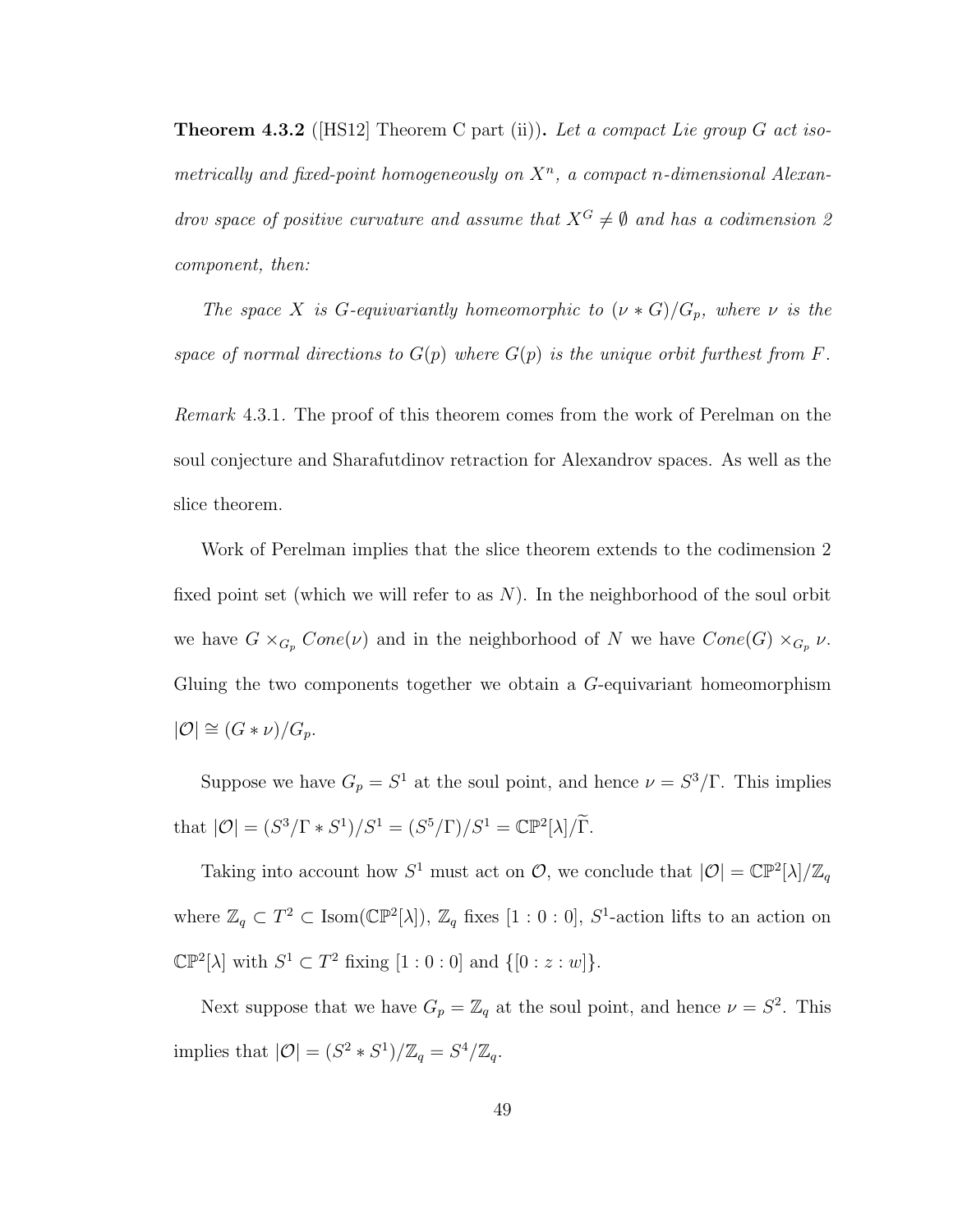**Theorem 4.3.2** (HS12) Theorem C part (ii)). Let a compact Lie group G act isometrically and fixed-point homogeneously on  $X<sup>n</sup>$ , a compact n-dimensional Alexandrov space of positive curvature and assume that  $X^G \neq \emptyset$  and has a codimension 2 component, then:

The space X is G-equivariantly homeomorphic to  $(\nu * G)/G_p$ , where  $\nu$  is the space of normal directions to  $G(p)$  where  $G(p)$  is the unique orbit furthest from F.

Remark 4.3.1. The proof of this theorem comes from the work of Perelman on the soul conjecture and Sharafutdinov retraction for Alexandrov spaces. As well as the slice theorem.

Work of Perelman implies that the slice theorem extends to the codimension 2 fixed point set (which we will refer to as  $N$ ). In the neighborhood of the soul orbit we have  $G \times_{G_p} Cone(\nu)$  and in the neighborhood of N we have  $Cone(G) \times_{G_p} \nu$ . Gluing the two components together we obtain a G-equivariant homeomorphism  $|\mathcal{O}| \cong (G * \nu)/G_p.$ 

Suppose we have  $G_p = S^1$  at the soul point, and hence  $\nu = S^3/\Gamma$ . This implies that  $|\mathcal{O}| = (S^3/\Gamma * S^1)/S^1 = (S^5/\Gamma)/S^1 = \mathbb{CP}^2[\lambda]/\widetilde{\Gamma}.$ 

Taking into account how  $S^1$  must act on  $\mathcal{O}$ , we conclude that  $|\mathcal{O}| = \mathbb{CP}^2[\lambda]/\mathbb{Z}_q$ where  $\mathbb{Z}_q \subset T^2 \subset \text{Isom}(\mathbb{CP}^2[\lambda]), \mathbb{Z}_q$  fixes  $[1:0:0], S^1$ -action lifts to an action on  $\mathbb{CP}^2[\lambda]$  with  $S^1 \subset T^2$  fixing  $[1:0:0]$  and  $\{[0:z:w]\}.$ 

Next suppose that we have  $G_p = \mathbb{Z}_q$  at the soul point, and hence  $\nu = S^2$ . This implies that  $|\mathcal{O}| = (S^2 * S^1)/\mathbb{Z}_q = S^4/\mathbb{Z}_q$ .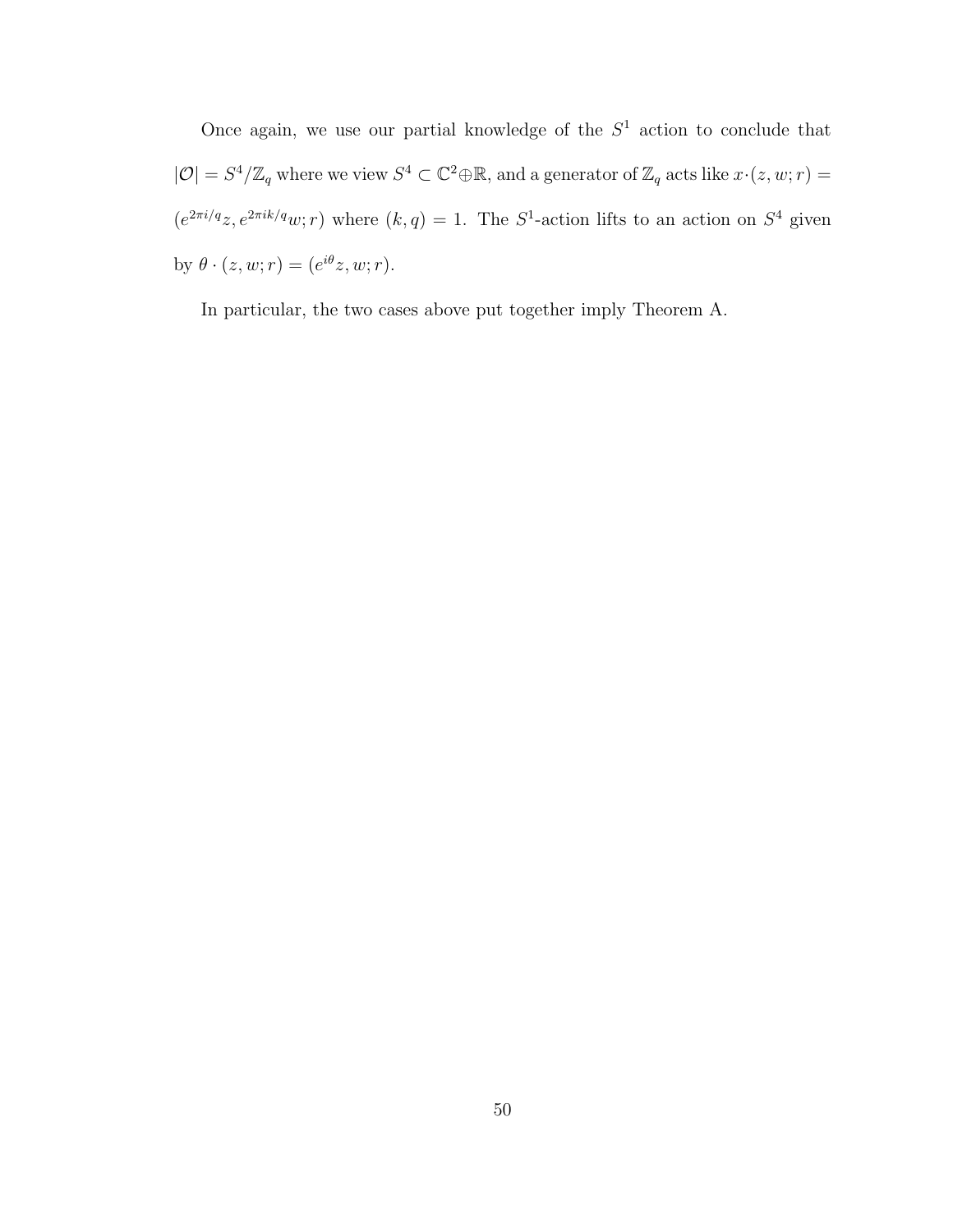Once again, we use our partial knowledge of the  $S<sup>1</sup>$  action to conclude that  $|\mathcal{O}| = S^4/\mathbb{Z}_q$  where we view  $S^4 \subset \mathbb{C}^2 \oplus \mathbb{R}$ , and a generator of  $\mathbb{Z}_q$  acts like  $x \cdot (z, w; r) =$  $(e^{2\pi i/q}z, e^{2\pi i k/q}w; r)$  where  $(k, q) = 1$ . The  $S^1$ -action lifts to an action on  $S^4$  given by  $\theta \cdot (z, w; r) = (e^{i\theta}z, w; r).$ 

In particular, the two cases above put together imply Theorem A.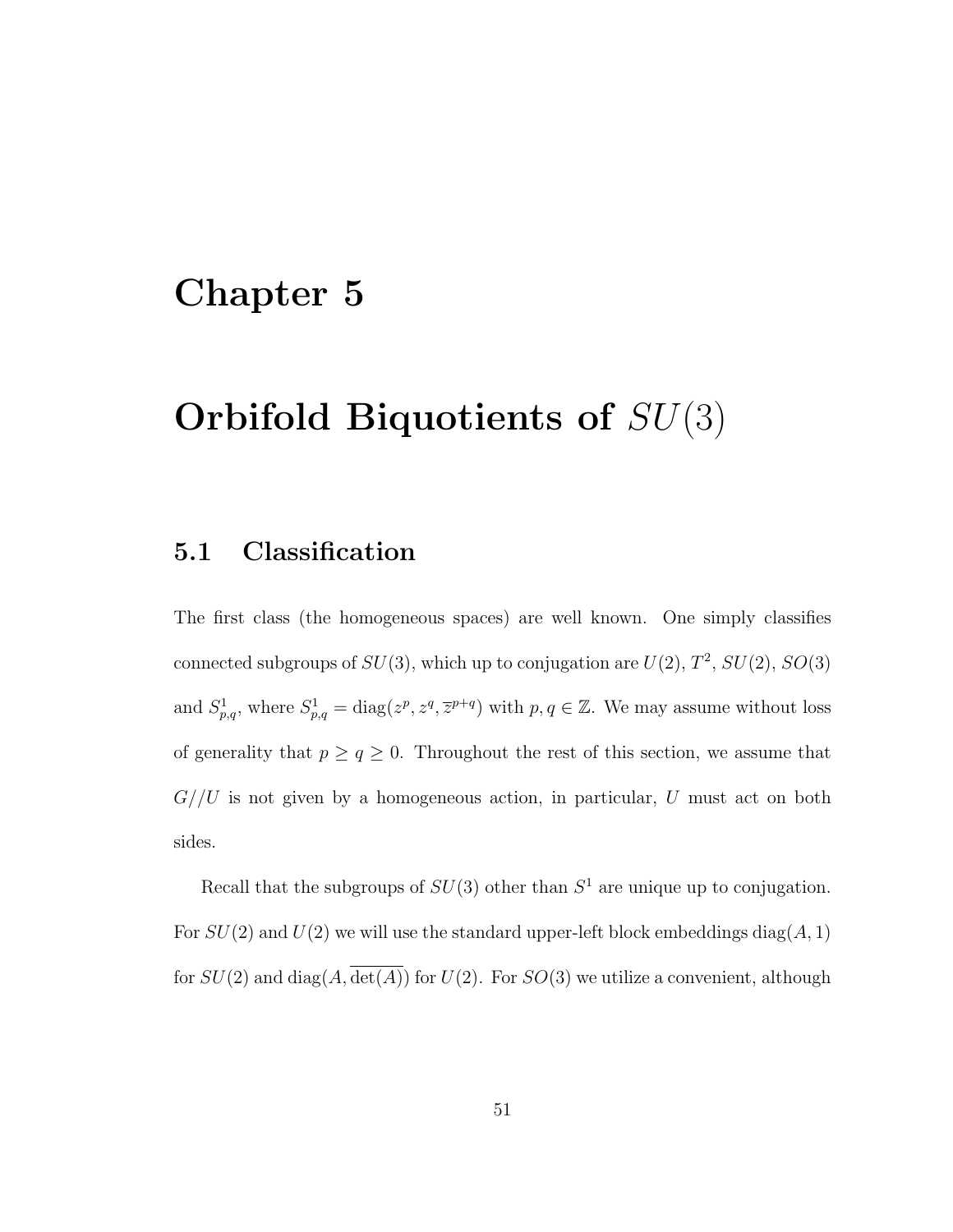### Chapter 5

## Orbifold Biquotients of SU(3)

### 5.1 Classification

The first class (the homogeneous spaces) are well known. One simply classifies connected subgroups of  $SU(3)$ , which up to conjugation are  $U(2)$ ,  $T^2$ ,  $SU(2)$ ,  $SO(3)$ and  $S_{p,q}^1$ , where  $S_{p,q}^1 = \text{diag}(z^p, z^q, \overline{z}^{p+q})$  with  $p, q \in \mathbb{Z}$ . We may assume without loss of generality that  $p \ge q \ge 0$ . Throughout the rest of this section, we assume that  $G//U$  is not given by a homogeneous action, in particular,  $U$  must act on both sides.

Recall that the subgroups of  $SU(3)$  other than  $S<sup>1</sup>$  are unique up to conjugation. For  $SU(2)$  and  $U(2)$  we will use the standard upper-left block embeddings diag(A, 1) for  $SU(2)$  and  $diag(A, \overline{det(A)})$  for  $U(2)$ . For  $SO(3)$  we utilize a convenient, although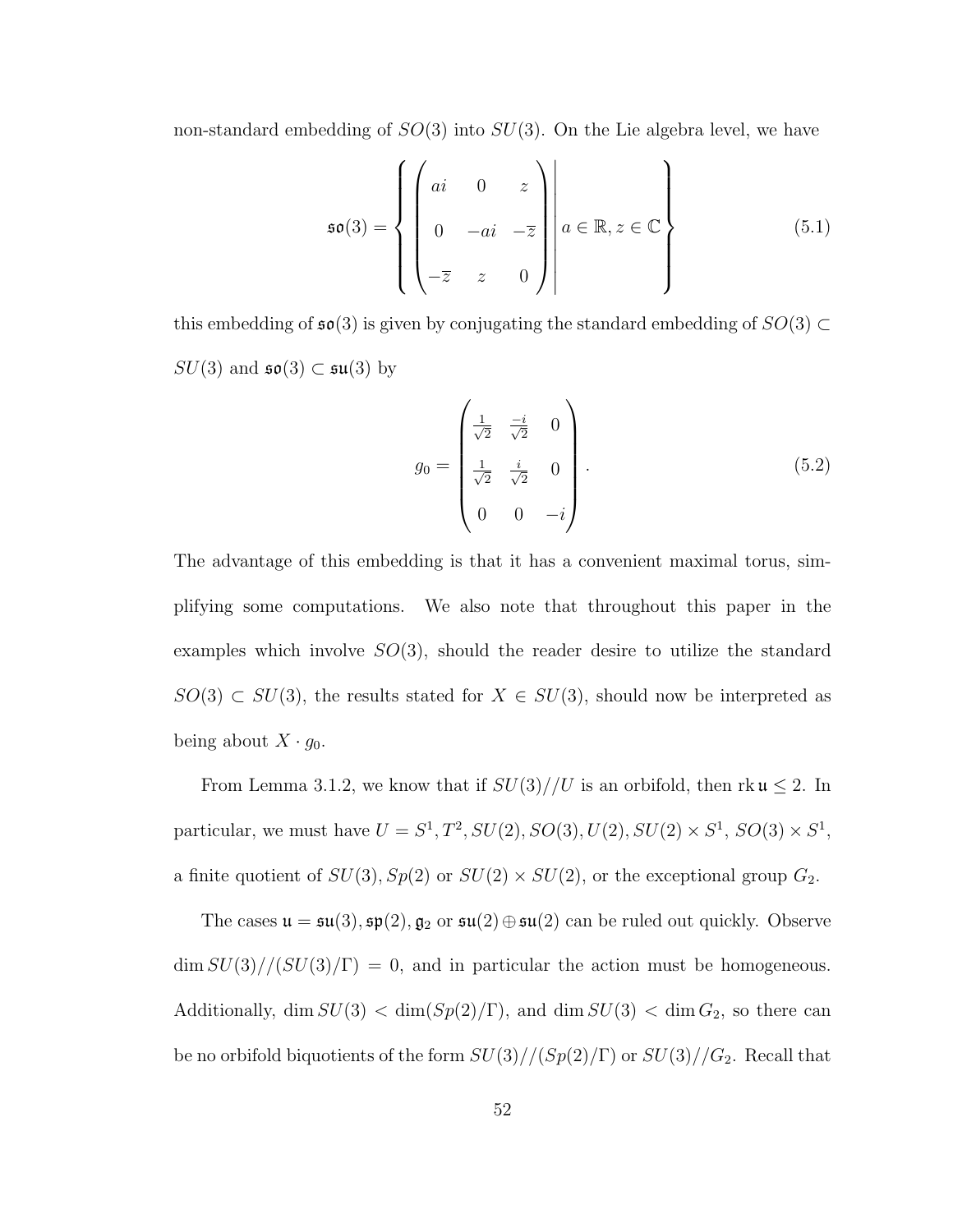non-standard embedding of  $SO(3)$  into  $SU(3)$ . On the Lie algebra level, we have

$$
\mathfrak{so}(3) = \left\{ \begin{pmatrix} ai & 0 & z \\ 0 & -ai & -\overline{z} \\ -\overline{z} & z & 0 \end{pmatrix} \middle| \ a \in \mathbb{R}, z \in \mathbb{C} \right\} \tag{5.1}
$$

this embedding of  $\mathfrak{so}(3)$  is given by conjugating the standard embedding of  $SO(3) \subset$  $SU(3)$  and  $\mathfrak{so}(3) \subset \mathfrak{su}(3)$  by

$$
g_0 = \begin{pmatrix} \frac{1}{\sqrt{2}} & \frac{-i}{\sqrt{2}} & 0\\ \frac{1}{\sqrt{2}} & \frac{i}{\sqrt{2}} & 0\\ 0 & 0 & -i \end{pmatrix}.
$$
 (5.2)

The advantage of this embedding is that it has a convenient maximal torus, simplifying some computations. We also note that throughout this paper in the examples which involve  $SO(3)$ , should the reader desire to utilize the standard  $SO(3) \subset SU(3)$ , the results stated for  $X \in SU(3)$ , should now be interpreted as being about  $X \cdot g_0$ .

From Lemma 3.1.2, we know that if  $SU(3)//U$  is an orbifold, then rk  $\mathfrak{u} \leq 2$ . In particular, we must have  $U = S^1, T^2, SU(2), SO(3), U(2), SU(2) \times S^1, SO(3) \times S^1$ , a finite quotient of  $SU(3)$ ,  $Sp(2)$  or  $SU(2) \times SU(2)$ , or the exceptional group  $G_2$ .

The cases  $\mathfrak{u} = \mathfrak{su}(3), \mathfrak{sp}(2), \mathfrak{g}_2$  or  $\mathfrak{su}(2) \oplus \mathfrak{su}(2)$  can be ruled out quickly. Observe  $\dim SU(3)/\langle SU(3)/\Gamma \rangle = 0$ , and in particular the action must be homogeneous. Additionally, dim  $SU(3) < \dim (Sp(2)/\Gamma)$ , and dim  $SU(3) < \dim G_2$ , so there can be no orbifold biquotients of the form  $SU(3)//(Sp(2)/\Gamma)$  or  $SU(3)//G_2$ . Recall that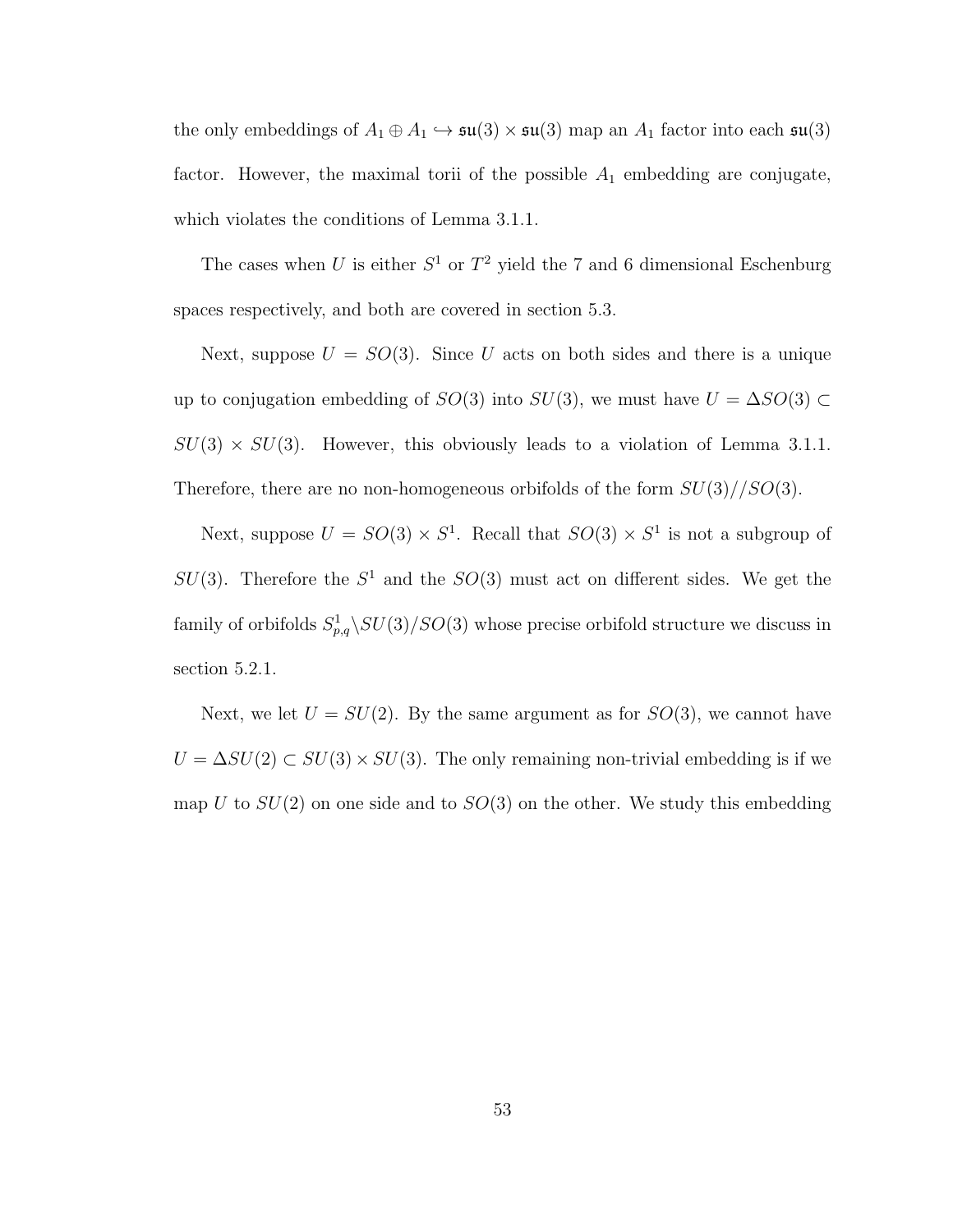the only embeddings of  $A_1 \oplus A_1 \hookrightarrow \mathfrak{su}(3) \times \mathfrak{su}(3)$  map an  $A_1$  factor into each  $\mathfrak{su}(3)$ factor. However, the maximal torii of the possible  $A_1$  embedding are conjugate, which violates the conditions of Lemma 3.1.1.

The cases when U is either  $S^1$  or  $T^2$  yield the 7 and 6 dimensional Eschenburg spaces respectively, and both are covered in section 5.3.

Next, suppose  $U = SO(3)$ . Since U acts on both sides and there is a unique up to conjugation embedding of  $SO(3)$  into  $SU(3)$ , we must have  $U = \Delta SO(3)$  $SU(3) \times SU(3)$ . However, this obviously leads to a violation of Lemma 3.1.1. Therefore, there are no non-homogeneous orbifolds of the form  $SU(3)/\langle SO(3)$ .

Next, suppose  $U = SO(3) \times S^1$ . Recall that  $SO(3) \times S^1$  is not a subgroup of  $SU(3)$ . Therefore the  $S<sup>1</sup>$  and the  $SO(3)$  must act on different sides. We get the family of orbifolds  $S_{p,q}^1 \backslash SU(3)/SO(3)$  whose precise orbifold structure we discuss in section 5.2.1.

Next, we let  $U = SU(2)$ . By the same argument as for  $SO(3)$ , we cannot have  $U = \Delta SU(2) \subset SU(3) \times SU(3)$ . The only remaining non-trivial embedding is if we map U to  $SU(2)$  on one side and to  $SO(3)$  on the other. We study this embedding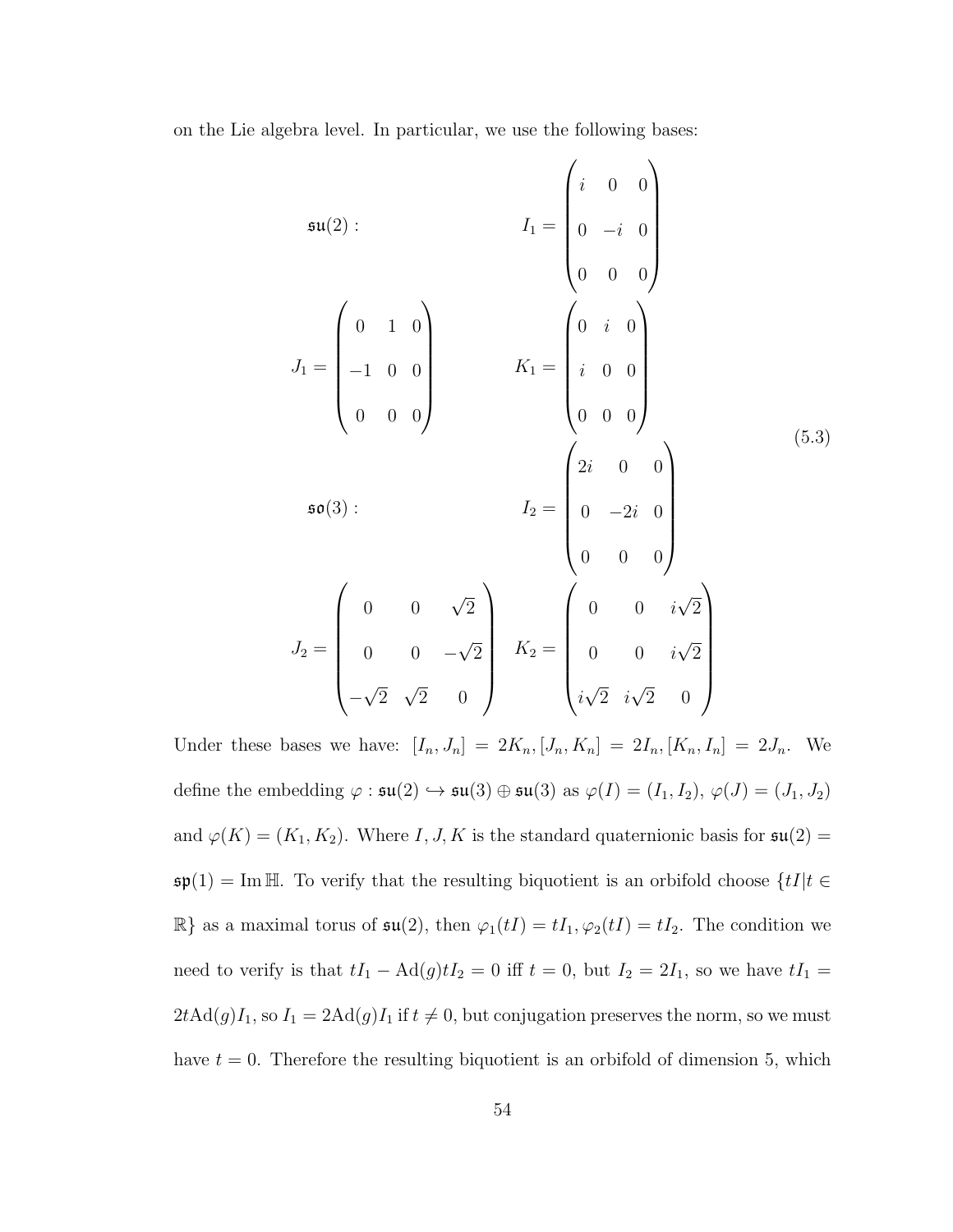on the Lie algebra level. In particular, we use the following bases:

$$
\mathfrak{su}(2): \qquad I_1 = \begin{pmatrix} i & 0 & 0 \\ 0 & -i & 0 \\ 0 & 0 & 0 \end{pmatrix}
$$

$$
J_1 = \begin{pmatrix} 0 & 1 & 0 \\ -1 & 0 & 0 \\ 0 & 0 & 0 \end{pmatrix} \qquad K_1 = \begin{pmatrix} 0 & i & 0 \\ i & 0 & 0 \\ i & 0 & 0 \\ 0 & 0 & 0 \end{pmatrix}
$$

$$
\mathfrak{so}(3): \qquad I_2 = \begin{pmatrix} 2i & 0 & 0 \\ 0 & -2i & 0 \\ 0 & 0 & 0 \end{pmatrix}
$$

$$
J_2 = \begin{pmatrix} 0 & 0 & \sqrt{2} \\ 0 & 0 & -\sqrt{2} \\ 0 & 0 & -\sqrt{2} \\ -\sqrt{2} & \sqrt{2} & 0 \end{pmatrix} \qquad K_2 = \begin{pmatrix} 0 & 0 & i\sqrt{2} \\ 0 & 0 & i\sqrt{2} \\ i\sqrt{2} & i\sqrt{2} & 0 \end{pmatrix}
$$

Under these bases we have:  $[I_n, J_n] = 2K_n, [J_n, K_n] = 2I_n, [K_n, I_n] = 2J_n$ . We define the embedding  $\varphi : \mathfrak{su}(2) \hookrightarrow \mathfrak{su}(3) \oplus \mathfrak{su}(3)$  as  $\varphi(I) = (I_1, I_2), \varphi(J) = (J_1, J_2)$ and  $\varphi(K) = (K_1, K_2)$ . Where I, J, K is the standard quaternionic basis for  $\mathfrak{su}(2) =$  $\mathfrak{sp}(1) = \text{Im } \mathbb{H}$ . To verify that the resulting biquotient is an orbifold choose  $\{tI | t \in \mathbb{H}\}$  $\mathbb{R}$  as a maximal torus of  $\mathfrak{su}(2)$ , then  $\varphi_1(tI) = tI_1, \varphi_2(tI) = tI_2$ . The condition we need to verify is that  $tI_1 - \text{Ad}(g)tI_2 = 0$  iff  $t = 0$ , but  $I_2 = 2I_1$ , so we have  $tI_1 =$  $2t\text{Ad}(g)I_1$ , so  $I_1 = 2\text{Ad}(g)I_1$  if  $t \neq 0$ , but conjugation preserves the norm, so we must have  $t = 0$ . Therefore the resulting biquotient is an orbifold of dimension 5, which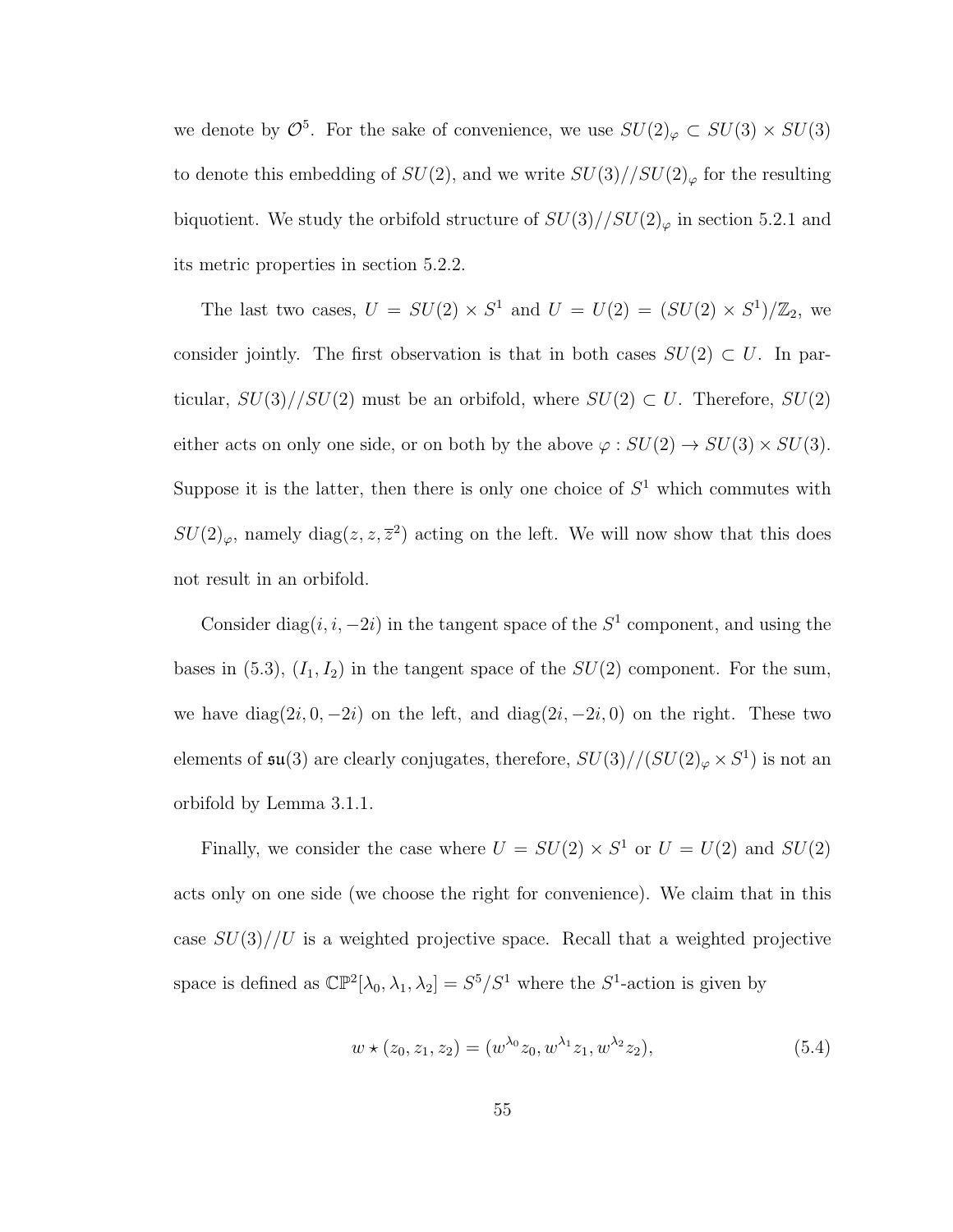we denote by  $\mathcal{O}^5$ . For the sake of convenience, we use  $SU(2)_{\varphi} \subset SU(3) \times SU(3)$ to denote this embedding of  $SU(2)$ , and we write  $SU(3)//SU(2)_{\varphi}$  for the resulting biquotient. We study the orbifold structure of  $SU(3)//SU(2)_\varphi$  in section 5.2.1 and its metric properties in section 5.2.2.

The last two cases,  $U = SU(2) \times S^1$  and  $U = U(2) = (SU(2) \times S^1)/\mathbb{Z}_2$ , we consider jointly. The first observation is that in both cases  $SU(2) \subset U$ . In particular,  $SU(3)/SU(2)$  must be an orbifold, where  $SU(2) \subset U$ . Therefore,  $SU(2)$ either acts on only one side, or on both by the above  $\varphi: SU(2) \to SU(3) \times SU(3)$ . Suppose it is the latter, then there is only one choice of  $S<sup>1</sup>$  which commutes with  $SU(2)_{\varphi}$ , namely diag $(z, z, \overline{z}^2)$  acting on the left. We will now show that this does not result in an orbifold.

Consider diag $(i, i, -2i)$  in the tangent space of the  $S<sup>1</sup>$  component, and using the bases in (5.3),  $(I_1, I_2)$  in the tangent space of the  $SU(2)$  component. For the sum, we have diag $(2i, 0, -2i)$  on the left, and diag $(2i, -2i, 0)$  on the right. These two elements of  $\mathfrak{su}(3)$  are clearly conjugates, therefore,  $SU(3)//(SU(2)_{\varphi}\times S^1)$  is not an orbifold by Lemma 3.1.1.

Finally, we consider the case where  $U = SU(2) \times S^1$  or  $U = U(2)$  and  $SU(2)$ acts only on one side (we choose the right for convenience). We claim that in this case  $SU(3)/U$  is a weighted projective space. Recall that a weighted projective space is defined as  $\mathbb{CP}^2[\lambda_0, \lambda_1, \lambda_2] = S^5/S^1$  where the  $S^1$ -action is given by

$$
w \star (z_0, z_1, z_2) = (w^{\lambda_0} z_0, w^{\lambda_1} z_1, w^{\lambda_2} z_2), \tag{5.4}
$$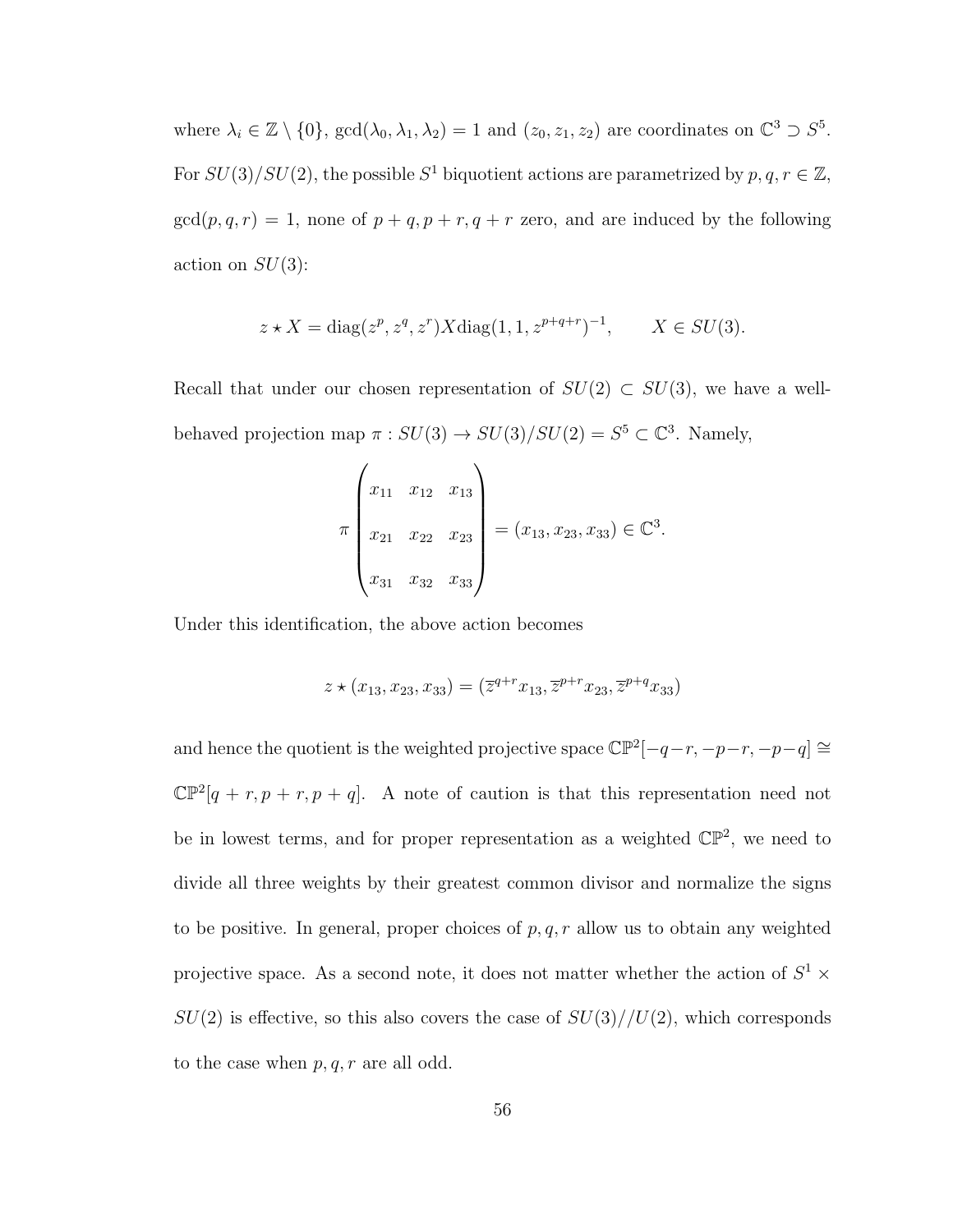where  $\lambda_i \in \mathbb{Z} \setminus \{0\}$ ,  $\gcd(\lambda_0, \lambda_1, \lambda_2) = 1$  and  $(z_0, z_1, z_2)$  are coordinates on  $\mathbb{C}^3 \supset S^5$ . For  $SU(3)/SU(2)$ , the possible  $S^1$  biquotient actions are parametrized by  $p, q, r \in \mathbb{Z}$ ,  $gcd(p, q, r) = 1$ , none of  $p + q, p + r, q + r$  zero, and are induced by the following action on  $SU(3)$ :

$$
z \star X = \text{diag}(z^p, z^q, z^r) X \text{diag}(1, 1, z^{p+q+r})^{-1}, \qquad X \in SU(3).
$$

Recall that under our chosen representation of  $SU(2) \subset SU(3)$ , we have a wellbehaved projection map  $\pi : SU(3) \to SU(3)/SU(2) = S^5 \subset \mathbb{C}^3$ . Namely,

$$
\pi\begin{pmatrix} x_{11} & x_{12} & x_{13} \\ x_{21} & x_{22} & x_{23} \\ x_{31} & x_{32} & x_{33} \end{pmatrix} = (x_{13}, x_{23}, x_{33}) \in \mathbb{C}^3.
$$

Under this identification, the above action becomes

$$
z \star (x_{13}, x_{23}, x_{33}) = (\overline{z}^{q+r} x_{13}, \overline{z}^{p+r} x_{23}, \overline{z}^{p+q} x_{33})
$$

and hence the quotient is the weighted projective space  $\mathbb{CP}^2[-q-r, -p-r, -p-q] \cong$  $\mathbb{CP}^2[q + r, p + r, p + q]$ . A note of caution is that this representation need not be in lowest terms, and for proper representation as a weighted  $\mathbb{CP}^2$ , we need to divide all three weights by their greatest common divisor and normalize the signs to be positive. In general, proper choices of  $p, q, r$  allow us to obtain any weighted projective space. As a second note, it does not matter whether the action of  $S^1$   $\times$  $SU(2)$  is effective, so this also covers the case of  $SU(3)/U(2)$ , which corresponds to the case when  $p, q, r$  are all odd.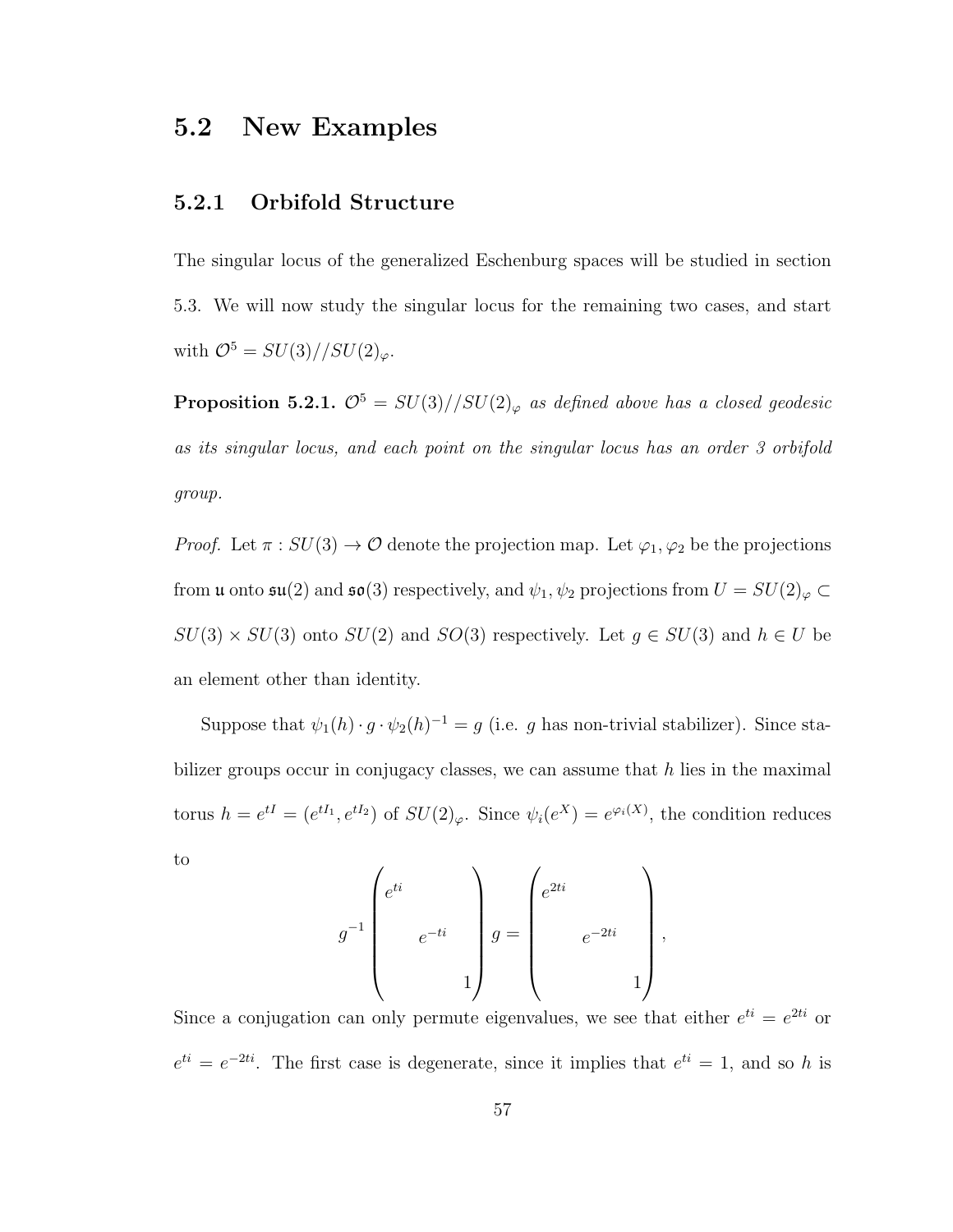### 5.2 New Examples

#### 5.2.1 Orbifold Structure

The singular locus of the generalized Eschenburg spaces will be studied in section 5.3. We will now study the singular locus for the remaining two cases, and start with  $\mathcal{O}^5 = SU(3)//SU(2)_{\varphi}.$ 

**Proposition 5.2.1.**  $\mathcal{O}^5 = SU(3)/\sqrt{SU(2)}\varphi$  as defined above has a closed geodesic as its singular locus, and each point on the singular locus has an order 3 orbifold group.

*Proof.* Let  $\pi : SU(3) \to \mathcal{O}$  denote the projection map. Let  $\varphi_1, \varphi_2$  be the projections from **u** onto  $\mathfrak{su}(2)$  and  $\mathfrak{so}(3)$  respectively, and  $\psi_1, \psi_2$  projections from  $U = SU(2)_{\varphi} \subset$  $SU(3) \times SU(3)$  onto  $SU(2)$  and  $SO(3)$  respectively. Let  $g \in SU(3)$  and  $h \in U$  be an element other than identity.

Suppose that  $\psi_1(h) \cdot g \cdot \psi_2(h)^{-1} = g$  (i.e. g has non-trivial stabilizer). Since stabilizer groups occur in conjugacy classes, we can assume that  $h$  lies in the maximal torus  $h = e^{tI} = (e^{tI_1}, e^{tI_2})$  of  $SU(2)_{\varphi}$ . Since  $\psi_i(e^X) = e^{\varphi_i(X)}$ , the condition reduces to

$$
g^{-1} \begin{pmatrix} e^{ti} \\ & \\ & e^{-ti} \\ & & 1 \end{pmatrix} g = \begin{pmatrix} e^{2ti} \\ & \\ & e^{-2ti} \\ & & 1 \end{pmatrix},
$$

Since a conjugation can only permute eigenvalues, we see that either  $e^{ti} = e^{2ti}$  or  $e^{ti} = e^{-2ti}$ . The first case is degenerate, since it implies that  $e^{ti} = 1$ , and so h is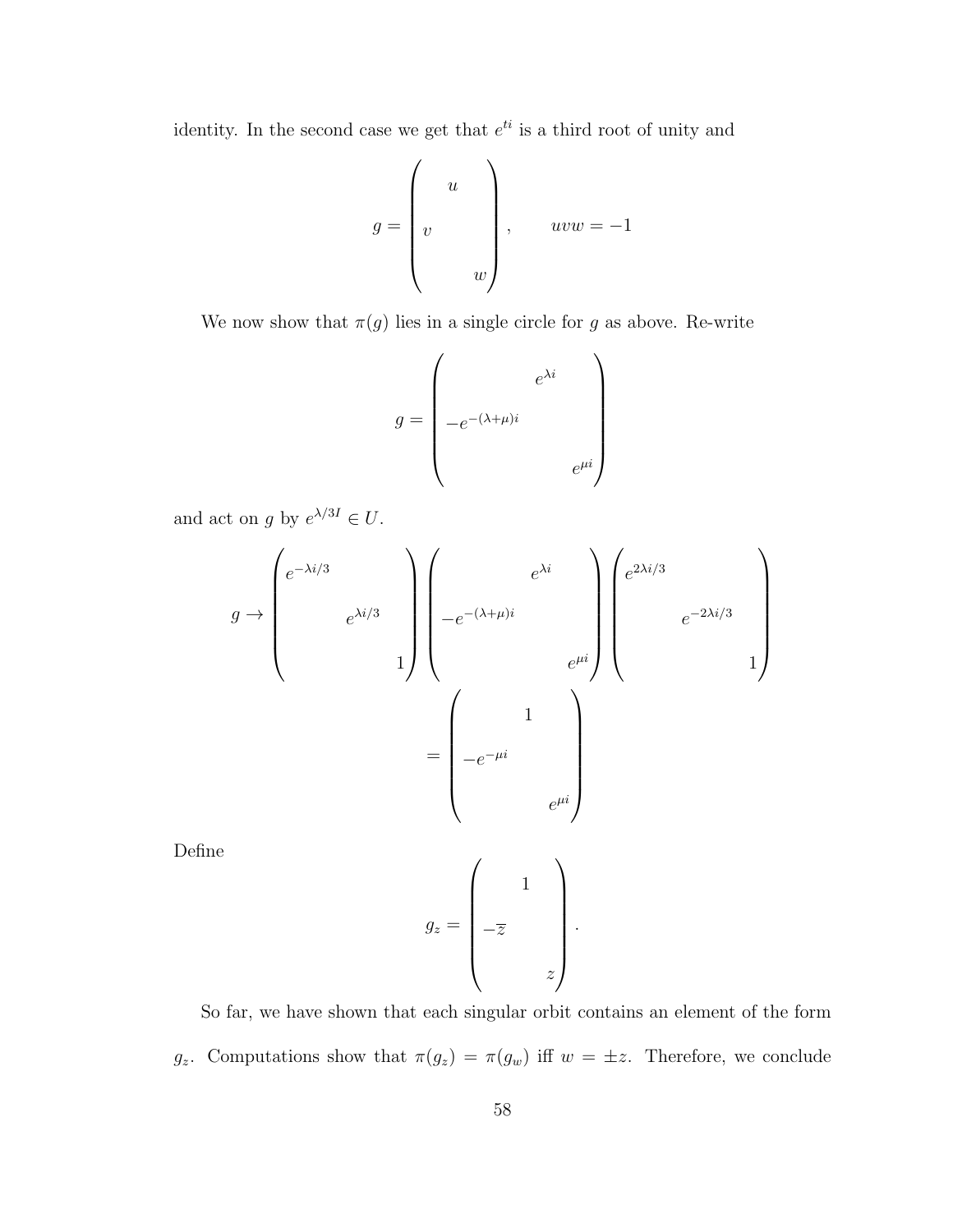identity. In the second case we get that  $e^{ti}$  is a third root of unity and

$$
g = \begin{pmatrix} u \\ v \\ w \end{pmatrix}, \quad uvw = -1
$$

We now show that  $\pi(g)$  lies in a single circle for g as above. Re-write

$$
g = \begin{pmatrix} e^{\lambda i} \\ -e^{-(\lambda + \mu)i} \\ e^{\mu i} \end{pmatrix}
$$

and act on g by  $e^{\lambda/3I} \in U$ .

$$
g \rightarrow \begin{pmatrix} e^{-\lambda i/3} \\ & e^{\lambda i/3} \\ & & 1 \end{pmatrix} \begin{pmatrix} e^{\lambda i} \\ & & 1 \end{pmatrix} \begin{pmatrix} e^{\lambda i} \\ & & 1 \end{pmatrix} \begin{pmatrix} e^{2\lambda i/3} \\ & & 1 \end{pmatrix}
$$

$$
= \begin{pmatrix} 1 \\ -e^{-\mu i} \\ & & e^{\mu i} \end{pmatrix}
$$

Define

$$
g_z = \begin{pmatrix} 1 \\ -\overline{z} \\ -\overline{z} \end{pmatrix}
$$

.

So far, we have shown that each singular orbit contains an element of the form  $g_z$ . Computations show that  $\pi(g_z) = \pi(g_w)$  iff  $w = \pm z$ . Therefore, we conclude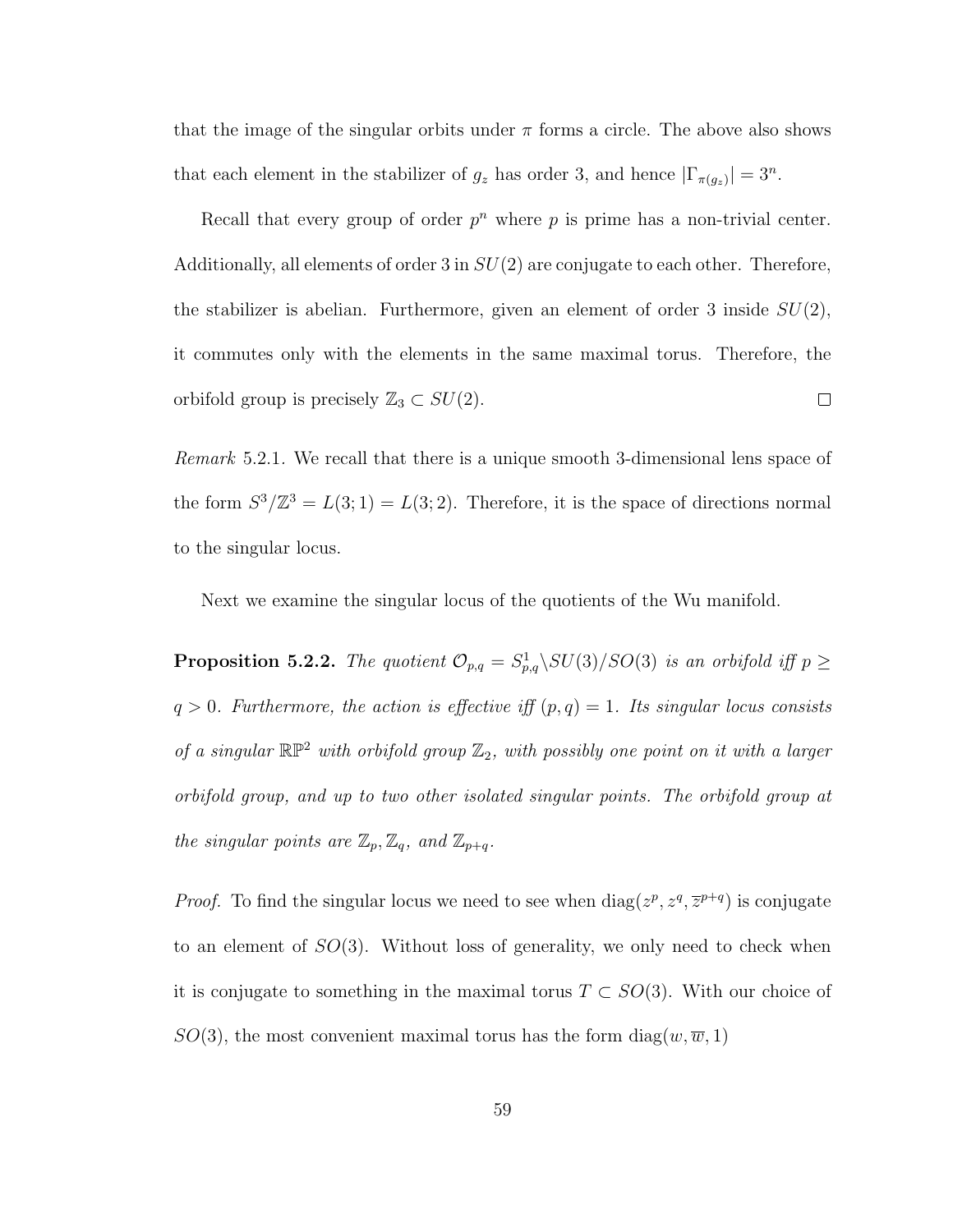that the image of the singular orbits under  $\pi$  forms a circle. The above also shows that each element in the stabilizer of  $g_z$  has order 3, and hence  $|\Gamma_{\pi(g_z)}| = 3^n$ .

Recall that every group of order  $p^n$  where p is prime has a non-trivial center. Additionally, all elements of order  $3$  in  $SU(2)$  are conjugate to each other. Therefore, the stabilizer is abelian. Furthermore, given an element of order 3 inside  $SU(2)$ , it commutes only with the elements in the same maximal torus. Therefore, the orbifold group is precisely  $\mathbb{Z}_3 \subset SU(2)$ .  $\Box$ 

Remark 5.2.1. We recall that there is a unique smooth 3-dimensional lens space of the form  $S^3/\mathbb{Z}^3 = L(3, 1) = L(3, 2)$ . Therefore, it is the space of directions normal to the singular locus.

Next we examine the singular locus of the quotients of the Wu manifold.

**Proposition 5.2.2.** The quotient  $\mathcal{O}_{p,q} = S^1_{p,q} \backslash SU(3)/SO(3)$  is an orbifold iff  $p \geq$  $q > 0$ . Furthermore, the action is effective iff  $(p, q) = 1$ . Its singular locus consists of a singular  $\mathbb{RP}^2$  with orbifold group  $\mathbb{Z}_2$ , with possibly one point on it with a larger orbifold group, and up to two other isolated singular points. The orbifold group at the singular points are  $\mathbb{Z}_p$ ,  $\mathbb{Z}_q$ , and  $\mathbb{Z}_{p+q}$ .

*Proof.* To find the singular locus we need to see when  $diag(z^p, z^q, \overline{z}^{p+q})$  is conjugate to an element of  $SO(3)$ . Without loss of generality, we only need to check when it is conjugate to something in the maximal torus  $T \subset SO(3)$ . With our choice of  $SO(3)$ , the most convenient maximal torus has the form diag(w,  $\overline{w}$ , 1)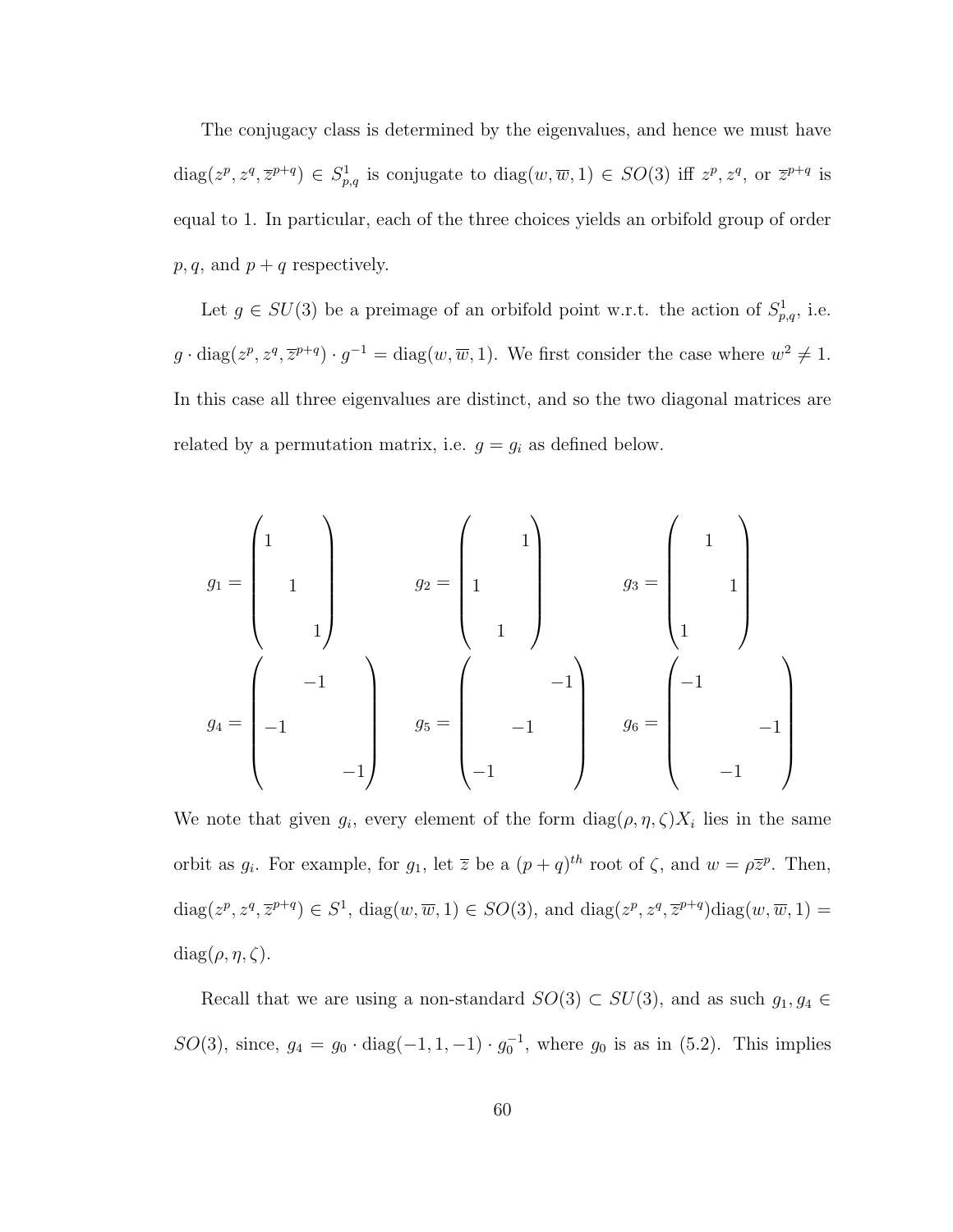The conjugacy class is determined by the eigenvalues, and hence we must have  $\text{diag}(z^p, z^q, \overline{z}^{p+q}) \in S^1_{p,q}$  is conjugate to  $\text{diag}(w, \overline{w}, 1) \in SO(3)$  iff  $z^p, z^q$ , or  $\overline{z}^{p+q}$  is equal to 1. In particular, each of the three choices yields an orbifold group of order  $p, q$ , and  $p + q$  respectively.

Let  $g \in SU(3)$  be a preimage of an orbifold point w.r.t. the action of  $S^1_{p,q}$ , i.e.  $g \cdot diag(z^p, z^q, \overline{z}^{p+q}) \cdot g^{-1} = diag(w, \overline{w}, 1)$ . We first consider the case where  $w^2 \neq 1$ . In this case all three eigenvalues are distinct, and so the two diagonal matrices are related by a permutation matrix, i.e.  $g = g_i$  as defined below.

$$
g_1 = \begin{pmatrix} 1 & & & \\ & 1 & & \\ & & 1 & \\ & & & 1 \end{pmatrix} \qquad g_2 = \begin{pmatrix} & & & 1 \\ & 1 & & \\ & 1 & & \\ & & 1 & \\ & & 1 & \end{pmatrix} \qquad g_3 = \begin{pmatrix} & & & \\ & 1 & & \\ & & 1 & \\ & & 1 & \\ & & & 1 \end{pmatrix}
$$

$$
g_4 = \begin{pmatrix} & & & & \\ & -1 & & \\ & -1 & & \\ & & -1 & \\ & & & -1 & \end{pmatrix} \qquad g_5 = \begin{pmatrix} & & & & \\ & -1 & & \\ & & -1 & \\ & & -1 & \\ & & -1 & \end{pmatrix}
$$

We note that given  $g_i$ , every element of the form  $\text{diag}(\rho, \eta, \zeta)X_i$  lies in the same orbit as  $g_i$ . For example, for  $g_1$ , let  $\overline{z}$  be a  $(p+q)^{th}$  root of  $\zeta$ , and  $w = \rho \overline{z}^p$ . Then,  $\text{diag}(z^p, z^q, \overline{z}^{p+q}) \in S^1$ ,  $\text{diag}(w, \overline{w}, 1) \in SO(3)$ , and  $\text{diag}(z^p, z^q, \overline{z}^{p+q})$  $\text{diag}(w, \overline{w}, 1) =$ diag( $\rho, \eta, \zeta$ ).

Recall that we are using a non-standard  $SO(3) \subset SU(3)$ , and as such  $g_1, g_4 \in$ SO(3), since,  $g_4 = g_0 \cdot diag(-1, 1, -1) \cdot g_0^{-1}$ , where  $g_0$  is as in (5.2). This implies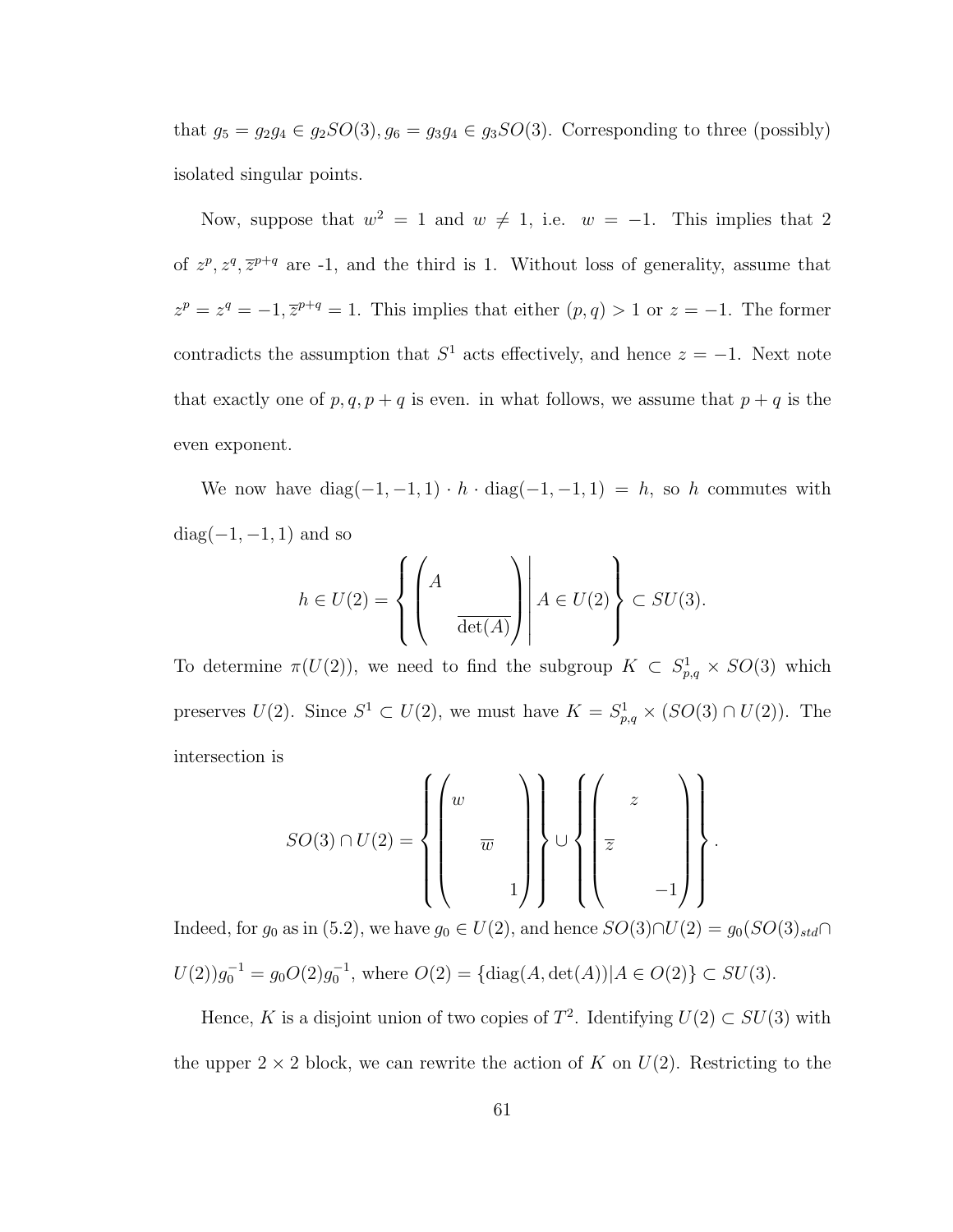that  $g_5 = g_2g_4 \in g_2SO(3), g_6 = g_3g_4 \in g_3SO(3)$ . Corresponding to three (possibly) isolated singular points.

Now, suppose that  $w^2 = 1$  and  $w \neq 1$ , i.e.  $w = -1$ . This implies that 2 of  $z^p$ ,  $z^q$ ,  $\overline{z}^{p+q}$  are -1, and the third is 1. Without loss of generality, assume that  $z^p = z^q = -1, \overline{z}^{p+q} = 1.$  This implies that either  $(p, q) > 1$  or  $z = -1.$  The former contradicts the assumption that  $S^1$  acts effectively, and hence  $z = -1$ . Next note that exactly one of  $p, q, p + q$  is even. in what follows, we assume that  $p + q$  is the even exponent.

We now have  $diag(-1, -1, 1) \cdot h \cdot diag(-1, -1, 1) = h$ , so h commutes with  $diag(-1, -1, 1)$  and so

$$
h \in U(2) = \left\{ \left. \left( \begin{array}{c} A & \\ & \\ & \overline{\det(A)} \end{array} \right) \right| A \in U(2) \right\} \subset SU(3).
$$

To determine  $\pi(U(2))$ , we need to find the subgroup  $K \subset S^1_{p,q} \times SO(3)$  which preserves  $U(2)$ . Since  $S^1 \subset U(2)$ , we must have  $K = S^1_{p,q} \times (SO(3) \cap U(2))$ . The intersection is

$$
SO(3) \cap U(2) = \left\{ \left( \begin{array}{c} w \\ & \overline{w} \\ & & 1 \end{array} \right) \right\} \cup \left\{ \left( \begin{array}{c} z \\ & \\ \overline{z} \\ & & -1 \end{array} \right) \right\}
$$

.

Indeed, for  $g_0$  as in (5.2), we have  $g_0 \in U(2)$ , and hence  $SO(3) \cap U(2) = g_0(SO(3)_{std} \cap$  $U(2)g_0^{-1} = g_0 O(2)g_0^{-1}$ , where  $O(2) = {\text{diag}(A, \text{det}(A)) | A \in O(2)} \subset SU(3)$ .

Hence, K is a disjoint union of two copies of  $T^2$ . Identifying  $U(2) \subset SU(3)$  with the upper  $2 \times 2$  block, we can rewrite the action of K on  $U(2)$ . Restricting to the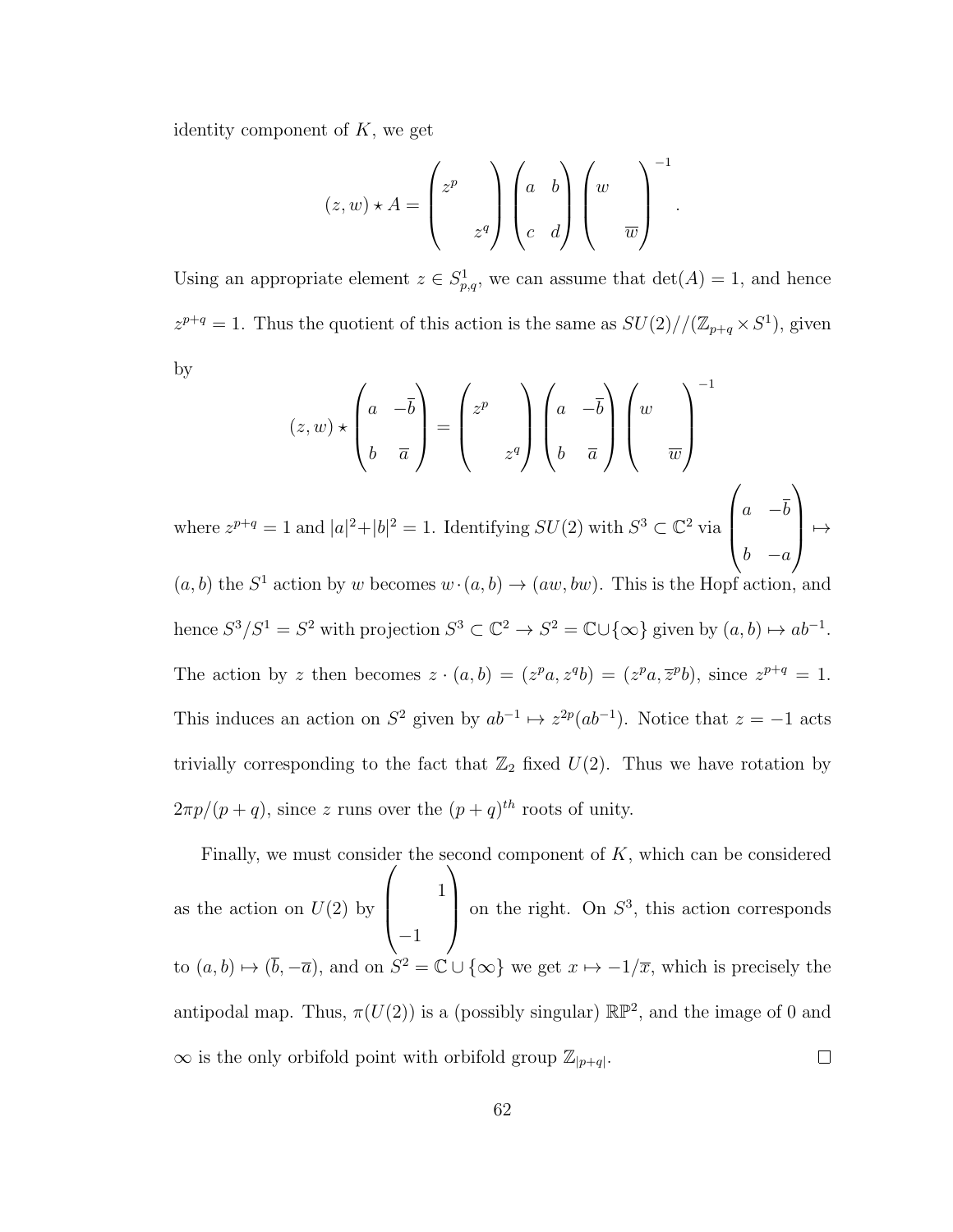identity component of  $K$ , we get

$$
(z, w) \star A = \begin{pmatrix} z^p & \\ & z^q \end{pmatrix} \begin{pmatrix} a & b \\ c & d \end{pmatrix} \begin{pmatrix} w & \\ & \overline{w} \end{pmatrix}^{-1}
$$

.

Using an appropriate element  $z \in S^1_{p,q}$ , we can assume that  $\det(A) = 1$ , and hence  $z^{p+q} = 1$ . Thus the quotient of this action is the same as  $SU(2)/(\mathbb{Z}_{p+q} \times S^1)$ , given by

$$
(z, w) \star \begin{pmatrix} a & -\overline{b} \\ b & \overline{a} \end{pmatrix} = \begin{pmatrix} z^p \\ z^q \end{pmatrix} \begin{pmatrix} a & -\overline{b} \\ b & \overline{a} \end{pmatrix} \begin{pmatrix} w \\ w \\ \overline{w} \end{pmatrix}^{-1}
$$
  
where  $z^{p+q} = 1$  and  $|a|^2 + |b|^2 = 1$ . Identifying  $SU(2)$  with  $S^3 \subset \mathbb{C}^2$  via  $\begin{pmatrix} a & -\overline{b} \\ a & -\overline{b} \end{pmatrix}$ 

 $\begin{pmatrix} b & -a \end{pmatrix} \mapsto$  $(a, b)$  the  $S^1$  action by w becomes  $w \cdot (a, b) \rightarrow (aw, bw)$ . This is the Hopf action, and hence  $S^3/S^1 = S^2$  with projection  $S^3 \subset \mathbb{C}^2 \to S^2 = \mathbb{C} \cup {\infty}$  given by  $(a, b) \mapsto ab^{-1}$ . The action by z then becomes  $z \cdot (a, b) = (z^p a, z^q b) = (z^p a, \overline{z}^p b)$ , since  $z^{p+q} = 1$ . This induces an action on  $S^2$  given by  $ab^{-1} \mapsto z^{2p}(ab^{-1})$ . Notice that  $z = -1$  acts trivially corresponding to the fact that  $\mathbb{Z}_2$  fixed  $U(2)$ . Thus we have rotation by  $2\pi p/(p+q)$ , since z runs over the  $(p+q)^{th}$  roots of unity.

Finally, we must consider the second component of  $K$ , which can be considered  $\sqrt{ }$  $\setminus$ 1  $\overline{\phantom{a}}$ on the right. On  $S^3$ , this action corresponds as the action on  $U(2)$  by −1 to  $(a, b) \mapsto (\bar{b}, -\bar{a})$ , and on  $S^2 = \mathbb{C} \cup {\infty}$  we get  $x \mapsto -1/\overline{x}$ , which is precisely the antipodal map. Thus,  $\pi(U(2))$  is a (possibly singular)  $\mathbb{RP}^2$ , and the image of 0 and  $\infty$  is the only orbifold point with orbifold group  $\mathbb{Z}_{|p+q|}$ .  $\Box$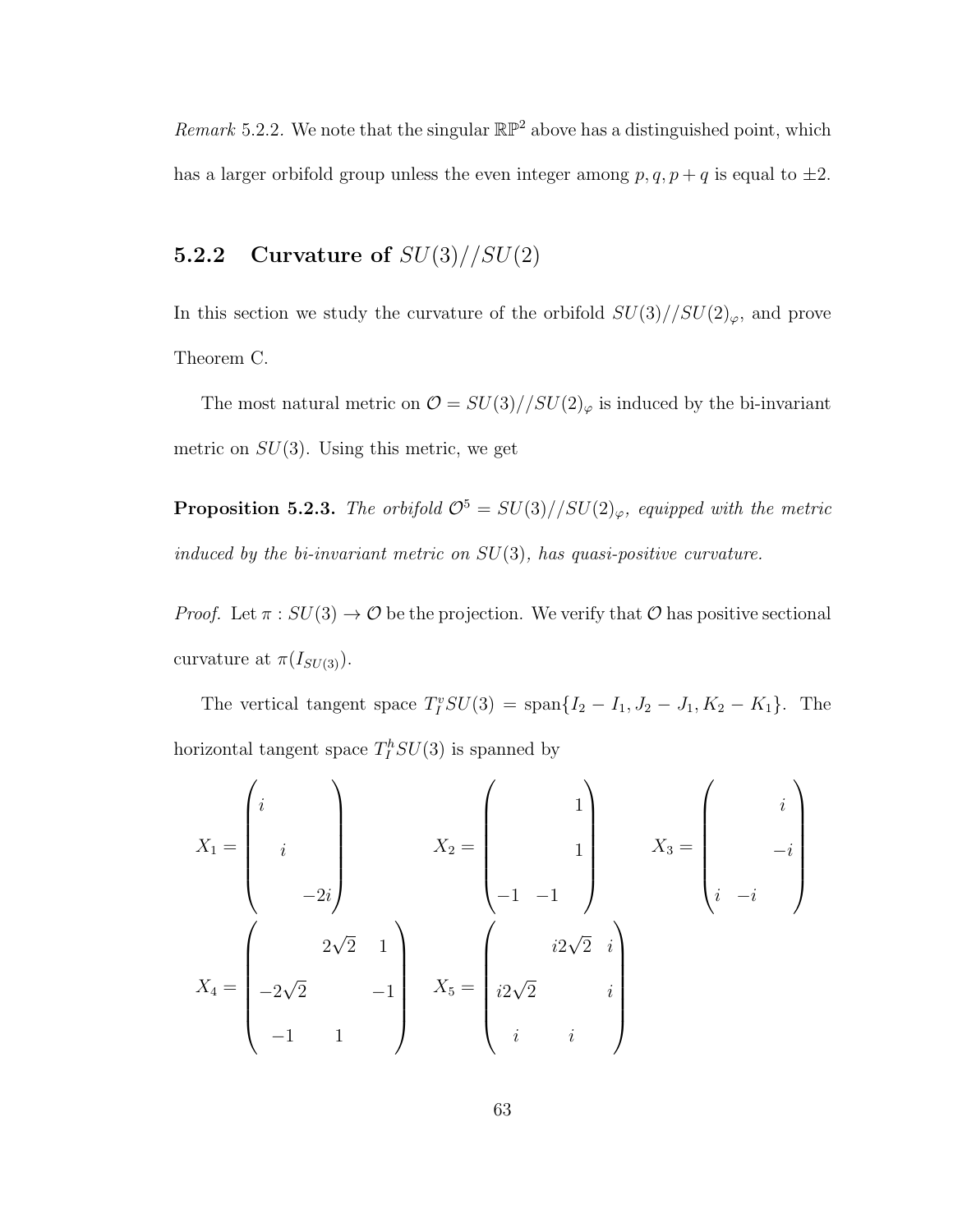Remark 5.2.2. We note that the singular  $\mathbb{RP}^2$  above has a distinguished point, which has a larger orbifold group unless the even integer among  $p, q, p + q$  is equal to  $\pm 2$ .

### 5.2.2 Curvature of  $SU(3)/\sqrt{SU(2)}$

In this section we study the curvature of the orbifold  $SU(3)//SU(2)_\varphi,$  and prove Theorem C.

The most natural metric on  $\mathcal{O} = SU(3)//SU(2)_{\varphi}$  is induced by the bi-invariant metric on  $SU(3)$ . Using this metric, we get

**Proposition 5.2.3.** The orbifold  $\mathcal{O}^5 = SU(3)//SU(2)_{\varphi}$ , equipped with the metric induced by the bi-invariant metric on  $SU(3)$ , has quasi-positive curvature.

*Proof.* Let  $\pi : SU(3) \to \mathcal{O}$  be the projection. We verify that  $\mathcal O$  has positive sectional curvature at  $\pi(I_{SU(3)})$ .

The vertical tangent space  $T_I^vSU(3) = \text{span}\{I_2 - I_1, J_2 - J_1, K_2 - K_1\}.$  The horizontal tangent space  $T_I^h SU(3)$  is spanned by

$$
X_{1} = \begin{pmatrix} i & & & \\ & i & & \\ & & & \\ & & -2i & \\ & & & -2i \end{pmatrix} \qquad X_{2} = \begin{pmatrix} & & & \\ & 1 & & \\ & & 1 & \\ -1 & -1 & \\ & & & \end{pmatrix} \qquad X_{3} = \begin{pmatrix} & & & \\ & i & \\ & & -i & \\ & & & -i & \\ & & & -i & \\ i & -i & \\ & & -1 & 1 & \end{pmatrix}
$$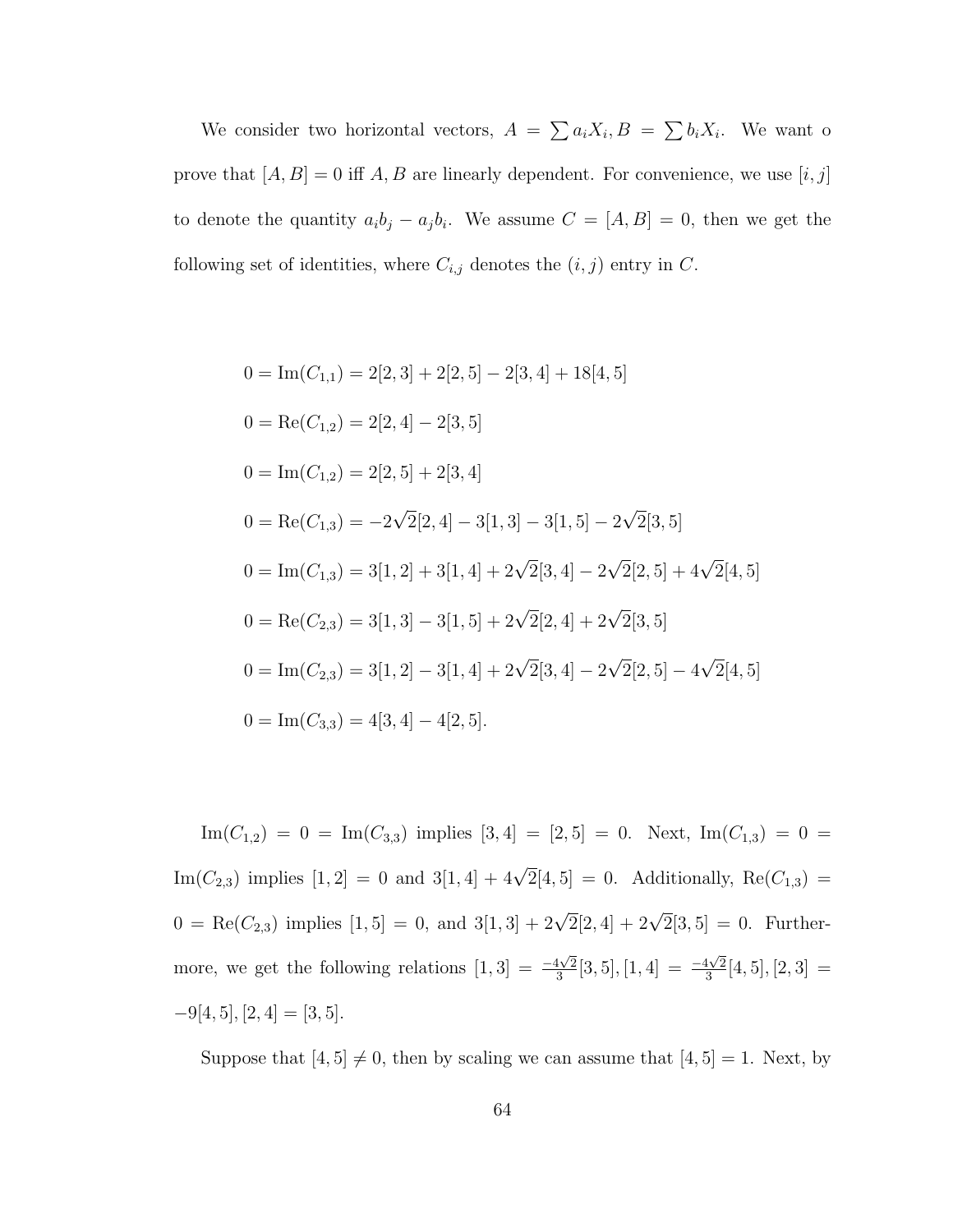We consider two horizontal vectors,  $A = \sum a_i X_i, B = \sum b_i X_i$ . We want o prove that  $\left[ A,B\right] =0$  iff  $A,B$  are linearly dependent. For convenience, we use  $\left[ i,j\right]$ to denote the quantity  $a_i b_j - a_j b_i$ . We assume  $C = [A, B] = 0$ , then we get the following set of identities, where  $C_{i,j}$  denotes the  $(i, j)$  entry in C.

$$
0 = \text{Im}(C_{1,1}) = 2[2,3] + 2[2,5] - 2[3,4] + 18[4,5]
$$
  
\n
$$
0 = \text{Re}(C_{1,2}) = 2[2,4] - 2[3,5]
$$
  
\n
$$
0 = \text{Im}(C_{1,2}) = 2[2,5] + 2[3,4]
$$
  
\n
$$
0 = \text{Re}(C_{1,3}) = -2\sqrt{2}[2,4] - 3[1,3] - 3[1,5] - 2\sqrt{2}[3,5]
$$
  
\n
$$
0 = \text{Im}(C_{1,3}) = 3[1,2] + 3[1,4] + 2\sqrt{2}[3,4] - 2\sqrt{2}[2,5] + 4\sqrt{2}[4,5]
$$
  
\n
$$
0 = \text{Re}(C_{2,3}) = 3[1,3] - 3[1,5] + 2\sqrt{2}[2,4] + 2\sqrt{2}[3,5]
$$
  
\n
$$
0 = \text{Im}(C_{2,3}) = 3[1,2] - 3[1,4] + 2\sqrt{2}[3,4] - 2\sqrt{2}[2,5] - 4\sqrt{2}[4,5]
$$
  
\n
$$
0 = \text{Im}(C_{3,3}) = 4[3,4] - 4[2,5].
$$

 $\text{Im}(C_{1,2}) = 0 = \text{Im}(C_{3,3})$  implies  $[3,4] = [2,5] = 0$ . Next,  $\text{Im}(C_{1,3}) = 0 =$ Im( $C_{2,3}$ ) implies  $[1,2] = 0$  and  $3[1,4] + 4\sqrt{2}[4,5] = 0$ . Additionally,  $Re(C_{1,3}) =$  $0 = \text{Re}(C_{2,3})$  implies  $[1,5] = 0$ , and  $3[1,3] + 2\sqrt{2}[2,4] + 2\sqrt{2}[3,5] = 0$ . Furthermore, we get the following relations  $[1,3] = \frac{-4\sqrt{2}}{3}$  $\frac{4\sqrt{2}}{3}[3,5],[1,4] = \frac{-4\sqrt{2}}{3}$  $\frac{1\sqrt{2}}{3}[4,5],[2,3] =$  $-9[4, 5], [2, 4] = [3, 5].$ 

Suppose that  $[4, 5] \neq 0$ , then by scaling we can assume that  $[4, 5] = 1$ . Next, by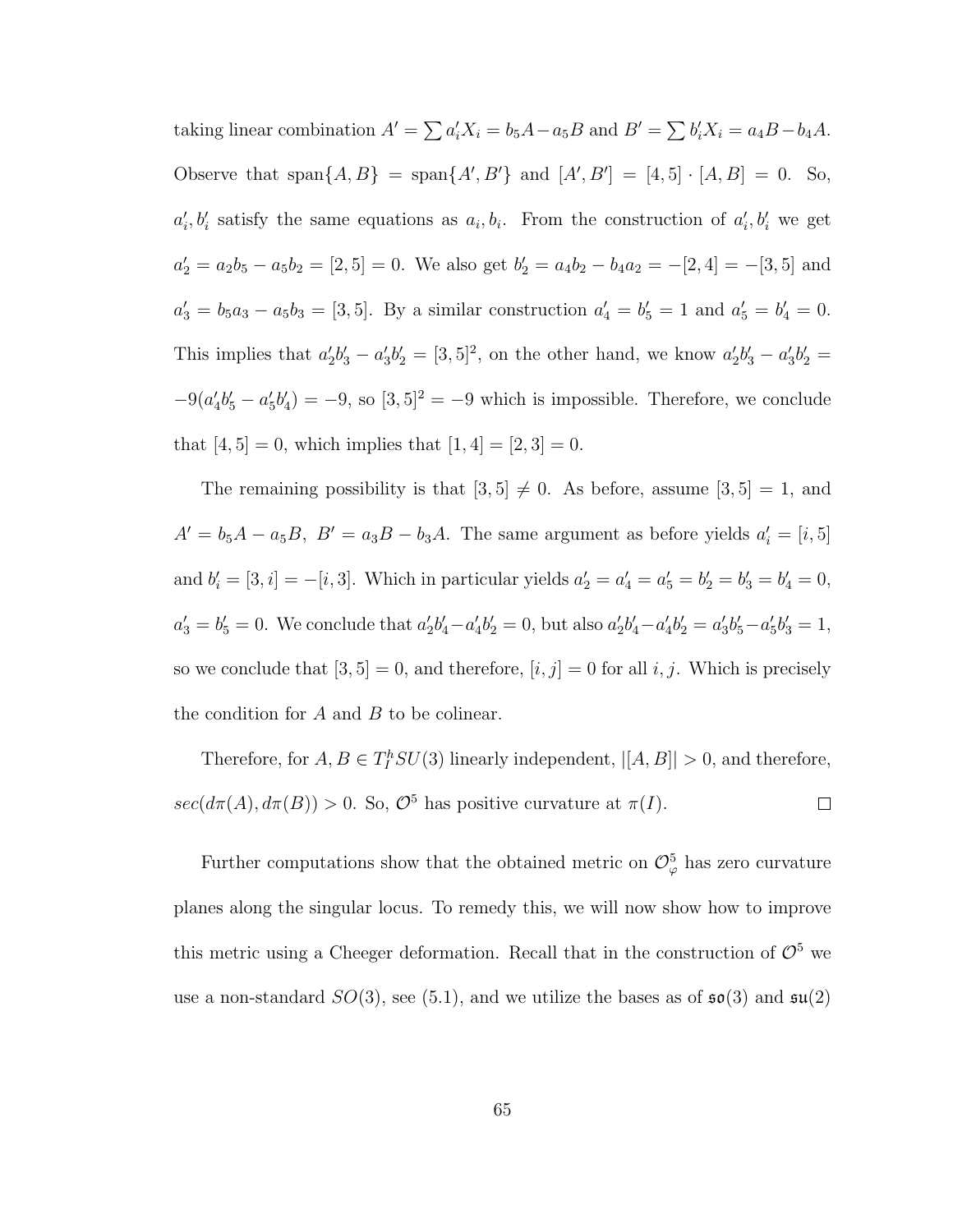taking linear combination  $A' = \sum a_i' X_i = b_5 A - a_5 B$  and  $B' = \sum b_i' X_i = a_4 B - b_4 A$ . Observe that span $\{A, B\}$  = span $\{A', B'\}$  and  $[A', B'] = [4, 5] \cdot [A, B] = 0$ . So,  $a'_i, b'_i$  satisfy the same equations as  $a_i, b_i$ . From the construction of  $a'_i, b'_i$  we get  $a'_2 = a_2b_5 - a_5b_2 = [2, 5] = 0$ . We also get  $b'_2 = a_4b_2 - b_4a_2 = -[2, 4] = -[3, 5]$  and  $a'_3 = b_5 a_3 - a_5 b_3 = [3, 5]$ . By a similar construction  $a'_4 = b'_5 = 1$  and  $a'_5 = b'_4 = 0$ . This implies that  $a'_2b'_3 - a'_3b'_2 = [3,5]^2$ , on the other hand, we know  $a'_2b'_3 - a'_3b'_2 =$  $-9(a'_4b'_5-a'_5b'_4) = -9$ , so  $[3,5]^2 = -9$  which is impossible. Therefore, we conclude that  $[4, 5] = 0$ , which implies that  $[1, 4] = [2, 3] = 0$ .

The remaining possibility is that  $[3,5] \neq 0$ . As before, assume  $[3,5] = 1$ , and  $A' = b_5A - a_5B$ ,  $B' = a_3B - b_3A$ . The same argument as before yields  $a'_i = [i, 5]$ and  $b'_i = [3, i] = -[i, 3]$ . Which in particular yields  $a'_2 = a'_4 = a'_5 = b'_2 = b'_3 = b'_4 = 0$ ,  $a'_3 = b'_5 = 0$ . We conclude that  $a'_2b'_4 - a'_4b'_2 = 0$ , but also  $a'_2b'_4 - a'_4b'_2 = a'_3b'_5 - a'_5b'_3 = 1$ , so we conclude that  $[3, 5] = 0$ , and therefore,  $[i, j] = 0$  for all  $i, j$ . Which is precisely the condition for  $A$  and  $B$  to be colinear.

Therefore, for  $A, B \in T_I^h SU(3)$  linearly independent,  $|[A, B]| > 0$ , and therefore,  $sec(d\pi(A), d\pi(B)) > 0$ . So,  $\mathcal{O}^5$  has positive curvature at  $\pi(I)$ .  $\Box$ 

Further computations show that the obtained metric on  $\mathcal{O}_{\varphi}^{5}$  has zero curvature planes along the singular locus. To remedy this, we will now show how to improve this metric using a Cheeger deformation. Recall that in the construction of  $\mathcal{O}^5$  we use a non-standard  $SO(3)$ , see (5.1), and we utilize the bases as of  $\mathfrak{so}(3)$  and  $\mathfrak{su}(2)$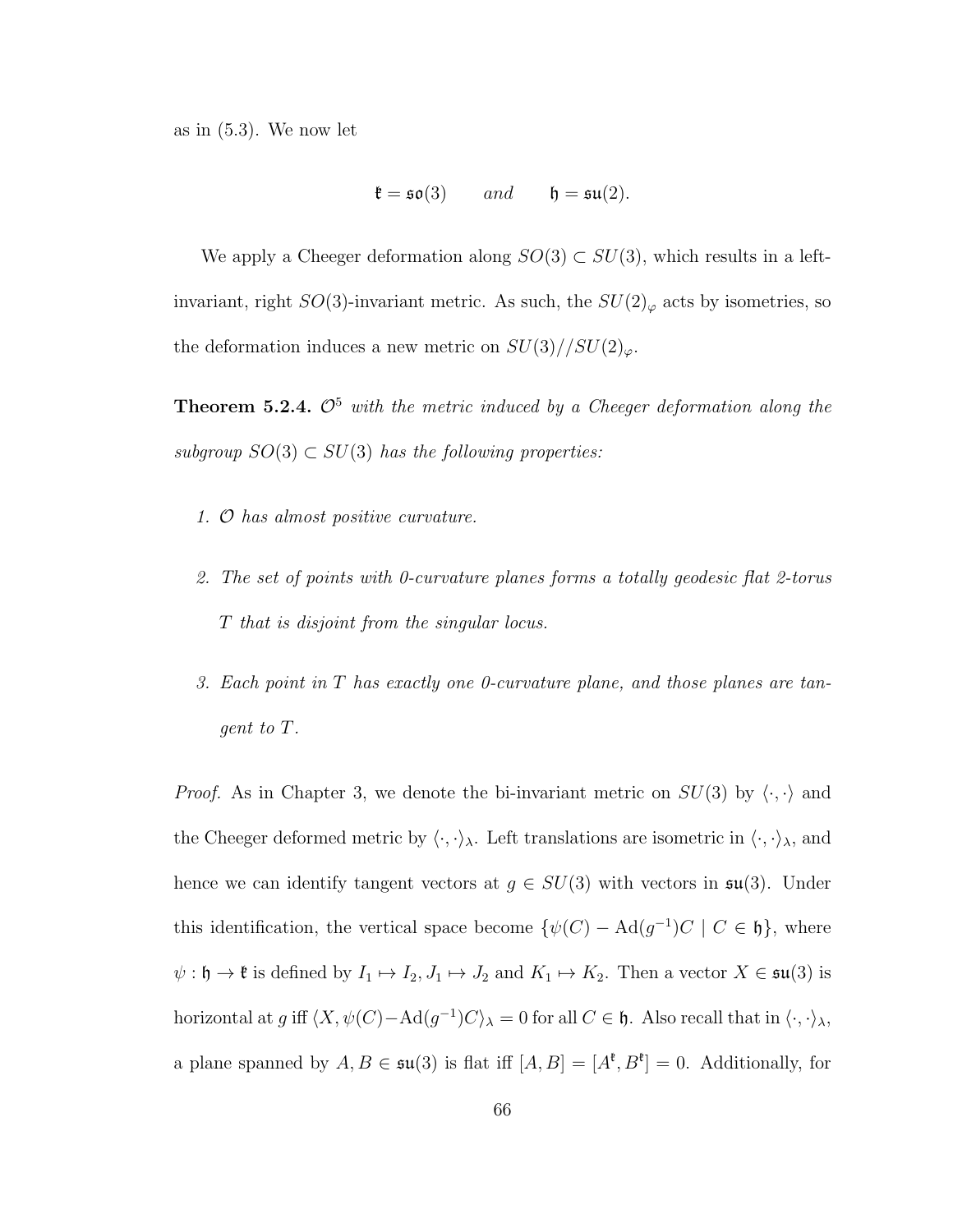as in (5.3). We now let

$$
\mathfrak{k} = \mathfrak{so}(3) \qquad and \qquad \mathfrak{h} = \mathfrak{su}(2).
$$

We apply a Cheeger deformation along  $SO(3) \subset SU(3)$ , which results in a leftinvariant, right  $SO(3)$ -invariant metric. As such, the  $SU(2)_{\varphi}$  acts by isometries, so the deformation induces a new metric on  $SU(3)//SU(2)_{\varphi}$ .

**Theorem 5.2.4.**  $\mathcal{O}^5$  with the metric induced by a Cheeger deformation along the subgroup  $SO(3) \subset SU(3)$  has the following properties:

- 1. O has almost positive curvature.
- 2. The set of points with 0-curvature planes forms a totally geodesic flat 2-torus T that is disjoint from the singular locus.
- 3. Each point in T has exactly one 0-curvature plane, and those planes are tangent to T.

*Proof.* As in Chapter 3, we denote the bi-invariant metric on  $SU(3)$  by  $\langle \cdot, \cdot \rangle$  and the Cheeger deformed metric by  $\langle \cdot, \cdot \rangle_{\lambda}$ . Left translations are isometric in  $\langle \cdot, \cdot \rangle_{\lambda}$ , and hence we can identify tangent vectors at  $g \in SU(3)$  with vectors in  $\mathfrak{su}(3)$ . Under this identification, the vertical space become  $\{\psi(C) - \text{Ad}(g^{-1})C \mid C \in \mathfrak{h}\}\)$ , where  $\psi : \mathfrak{h} \to \mathfrak{k}$  is defined by  $I_1 \mapsto I_2$ ,  $J_1 \mapsto J_2$  and  $K_1 \mapsto K_2$ . Then a vector  $X \in \mathfrak{su}(3)$  is horizontal at g iff  $\langle X, \psi(C) - \text{Ad}(g^{-1})C \rangle_\lambda = 0$  for all  $C \in \mathfrak{h}$ . Also recall that in  $\langle \cdot, \cdot \rangle_\lambda$ , a plane spanned by  $A, B \in \mathfrak{su}(3)$  is flat iff  $[A, B] = [A^{\mathfrak{k}}, B^{\mathfrak{k}}] = 0$ . Additionally, for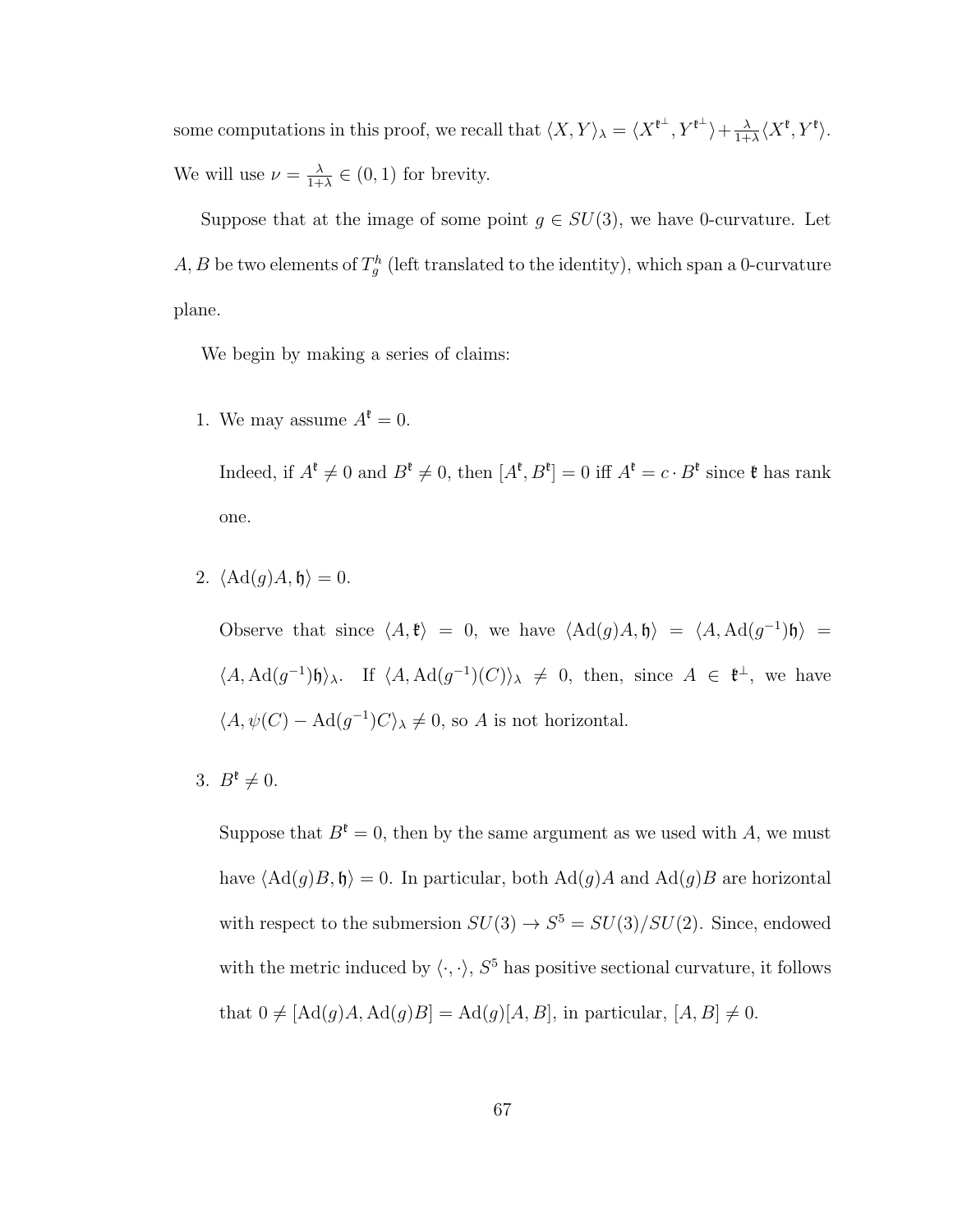some computations in this proof, we recall that  $\langle X, Y \rangle_{\lambda} = \langle X^{\ell^{\perp}}, Y^{\ell^{\perp}} \rangle + \frac{\lambda}{1+\lambda^{\perp}}}$  $\frac{\lambda}{1+\lambda}\langle X^{\mathfrak{k}}, Y^{\mathfrak{k}}\rangle.$ We will use  $\nu = \frac{\lambda}{1+\lambda}$  $\frac{\lambda}{1+\lambda} \in (0,1)$  for brevity.

Suppose that at the image of some point  $g \in SU(3)$ , we have 0-curvature. Let  $A, B$  be two elements of  $T_g^h$  (left translated to the identity), which span a 0-curvature plane.

We begin by making a series of claims:

1. We may assume  $A^{\mathfrak{k}} = 0$ .

Indeed, if  $A^{\mathfrak{k}} \neq 0$  and  $B^{\mathfrak{k}} \neq 0$ , then  $[A^{\mathfrak{k}}, B^{\mathfrak{k}}] = 0$  iff  $A^{\mathfrak{k}} = c \cdot B^{\mathfrak{k}}$  since  $\mathfrak{k}$  has rank one.

2.  $\langle \text{Ad}(g)A, \mathfrak{h} \rangle = 0.$ 

Observe that since  $\langle A, \mathfrak{k} \rangle = 0$ , we have  $\langle \mathrm{Ad}(g)A, \mathfrak{h} \rangle = \langle A, \mathrm{Ad}(g^{-1})\mathfrak{h} \rangle =$  $\langle A, \mathrm{Ad}(g^{-1})\mathfrak{h} \rangle_{\lambda}$ . If  $\langle A, \mathrm{Ad}(g^{-1})(C) \rangle_{\lambda} \neq 0$ , then, since  $A \in \mathfrak{k}^{\perp}$ , we have  $\langle A, \psi(C) - \text{Ad}(g^{-1})C \rangle_{\lambda} \neq 0$ , so A is not horizontal.

3.  $B^{\mathfrak{k}} \neq 0$ .

Suppose that  $B^{\ell} = 0$ , then by the same argument as we used with A, we must have  $\langle \mathrm{Ad}(g)B, \mathfrak{h} \rangle = 0$ . In particular, both  $\mathrm{Ad}(g)A$  and  $\mathrm{Ad}(g)B$  are horizontal with respect to the submersion  $SU(3) \rightarrow S^5 = SU(3)/SU(2)$ . Since, endowed with the metric induced by  $\langle \cdot, \cdot \rangle$ ,  $S^5$  has positive sectional curvature, it follows that  $0 \neq [Ad(g)A, Ad(g)B] = Ad(g)[A, B]$ , in particular,  $[A, B] \neq 0$ .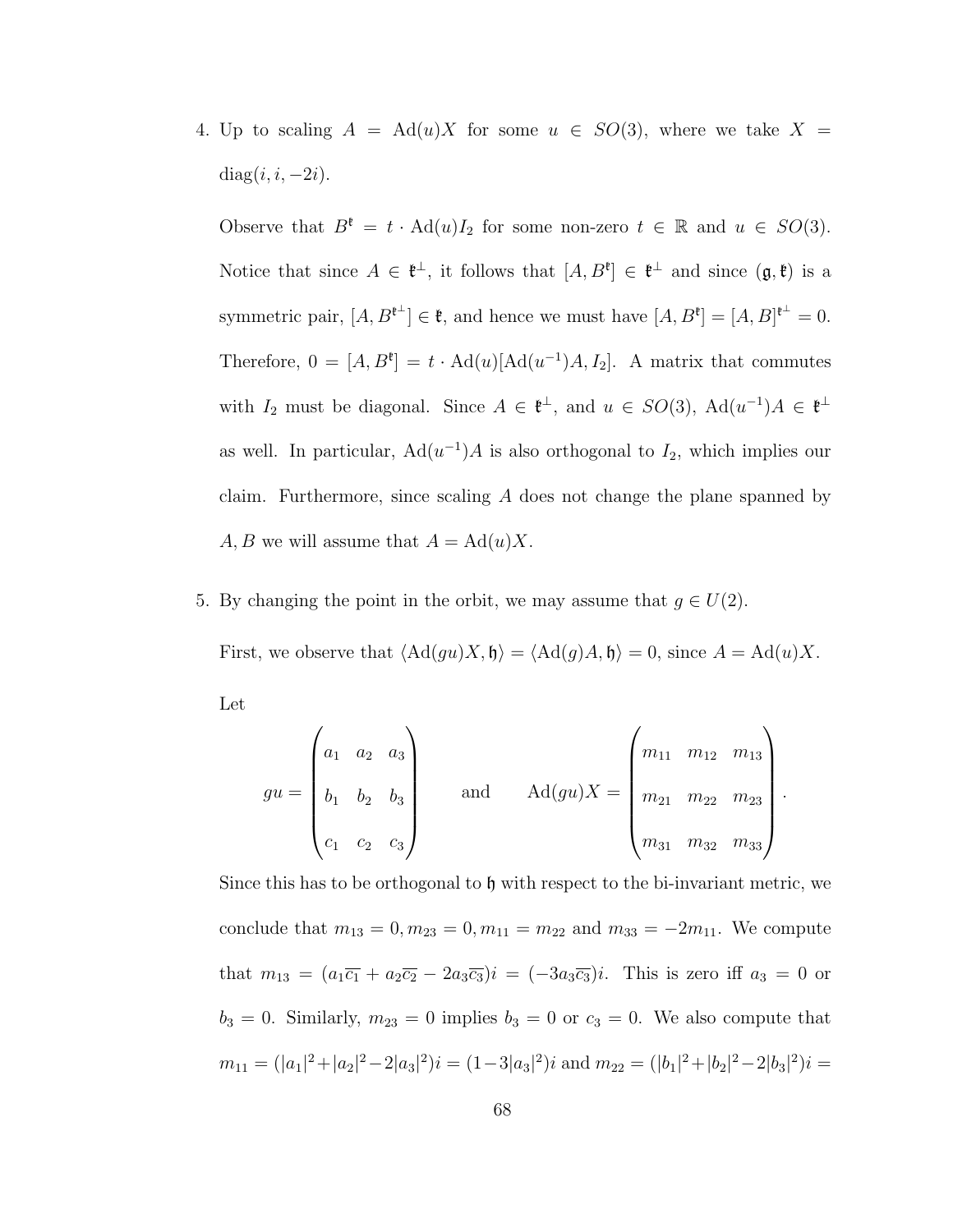4. Up to scaling  $A = \text{Ad}(u)X$  for some  $u \in SO(3)$ , where we take  $X =$ diag $(i, i, -2i)$ .

Observe that  $B^{\mathfrak{k}} = t \cdot \text{Ad}(u)I_2$  for some non-zero  $t \in \mathbb{R}$  and  $u \in SO(3)$ . Notice that since  $A \in \mathfrak{k}^{\perp}$ , it follows that  $[A, B^{\ell}] \in \mathfrak{k}^{\perp}$  and since  $(\mathfrak{g}, \mathfrak{k})$  is a symmetric pair,  $[A, B^{\ell^{\perp}}] \in \mathfrak{k}$ , and hence we must have  $[A, B^{\ell}] = [A, B]^{\ell^{\perp}} = 0$ . Therefore,  $0 = [A, B^{\ell}] = t \cdot \text{Ad}(u)[\text{Ad}(u^{-1})A, I_2]$ . A matrix that commutes with  $I_2$  must be diagonal. Since  $A \in \mathfrak{k}^{\perp}$ , and  $u \in SO(3)$ ,  $\text{Ad}(u^{-1})A \in \mathfrak{k}^{\perp}$ as well. In particular,  $\text{Ad}(u^{-1})A$  is also orthogonal to  $I_2$ , which implies our claim. Furthermore, since scaling A does not change the plane spanned by A, B we will assume that  $A = \text{Ad}(u)X$ .

5. By changing the point in the orbit, we may assume that  $g \in U(2)$ .

First, we observe that  $\langle \text{Ad}(gu)X, \mathfrak{h} \rangle = \langle \text{Ad}(g)A, \mathfrak{h} \rangle = 0$ , since  $A = \text{Ad}(u)X$ .

Let

$$
gu = \begin{pmatrix} a_1 & a_2 & a_3 \\ b_1 & b_2 & b_3 \\ c_1 & c_2 & c_3 \end{pmatrix} \quad \text{and} \quad \text{Ad}(gu)X = \begin{pmatrix} m_{11} & m_{12} & m_{13} \\ m_{21} & m_{22} & m_{23} \\ m_{31} & m_{32} & m_{33} \end{pmatrix}.
$$

Since this has to be orthogonal to h with respect to the bi-invariant metric, we conclude that  $m_{13} = 0, m_{23} = 0, m_{11} = m_{22}$  and  $m_{33} = -2m_{11}$ . We compute that  $m_{13} = (a_1\overline{c_1} + a_2\overline{c_2} - 2a_3\overline{c_3})i = (-3a_3\overline{c_3})i$ . This is zero iff  $a_3 = 0$  or  $b_3 = 0$ . Similarly,  $m_{23} = 0$  implies  $b_3 = 0$  or  $c_3 = 0$ . We also compute that  $m_{11} = (|a_1|^2 + |a_2|^2 - 2|a_3|^2)i = (1-3|a_3|^2)i$  and  $m_{22} = (|b_1|^2 + |b_2|^2 - 2|b_3|^2)i =$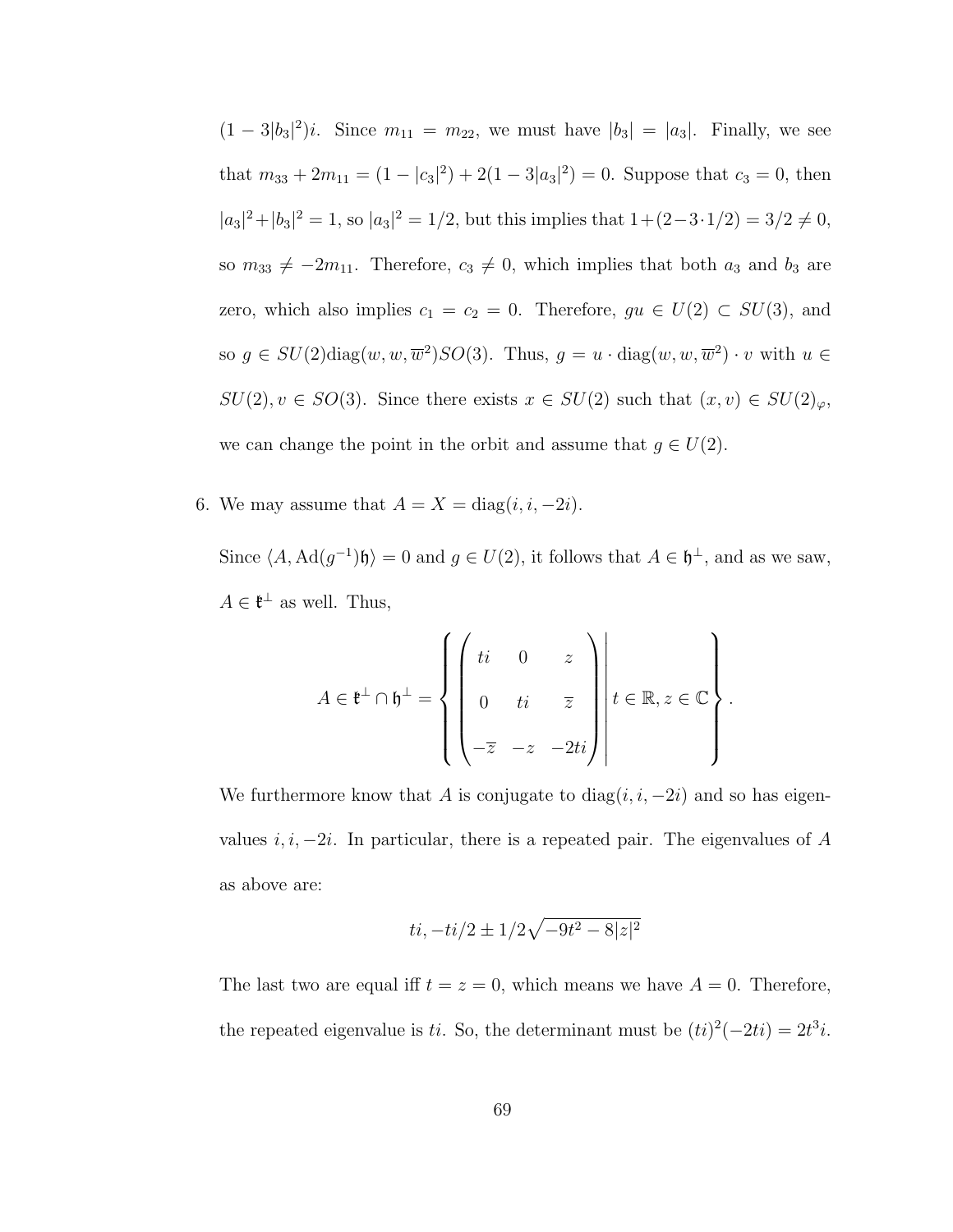$(1 - 3|b_3|^2)i$ . Since  $m_{11} = m_{22}$ , we must have  $|b_3| = |a_3|$ . Finally, we see that  $m_{33} + 2m_{11} = (1 - |c_3|^2) + 2(1 - 3|a_3|^2) = 0$ . Suppose that  $c_3 = 0$ , then  $|a_3|^2 + |b_3|^2 = 1$ , so  $|a_3|^2 = 1/2$ , but this implies that  $1 + (2 - 3 \cdot 1/2) = 3/2 \neq 0$ , so  $m_{33} \neq -2m_{11}$ . Therefore,  $c_3 \neq 0$ , which implies that both  $a_3$  and  $b_3$  are zero, which also implies  $c_1 = c_2 = 0$ . Therefore,  $gu \in U(2) \subset SU(3)$ , and so  $g \in SU(2) \text{diag}(w, w, \overline{w}^2) SO(3)$ . Thus,  $g = u \cdot \text{diag}(w, w, \overline{w}^2) \cdot v$  with  $u \in$  $SU(2), v \in SO(3)$ . Since there exists  $x \in SU(2)$  such that  $(x, v) \in SU(2)_{\varphi}$ , we can change the point in the orbit and assume that  $g \in U(2)$ .

6. We may assume that  $A = X = diag(i, i, -2i)$ .

Since  $\langle A, \mathrm{Ad}(g^{-1})\mathfrak{h} \rangle = 0$  and  $g \in U(2)$ , it follows that  $A \in \mathfrak{h}^{\perp}$ , and as we saw,  $A \in \mathfrak{k}^{\perp}$  as well. Thus,

$$
A \in \mathfrak{k}^{\perp} \cap \mathfrak{h}^{\perp} = \left\{ \begin{pmatrix} ti & 0 & z \\ 0 & ti & \overline{z} \\ -\overline{z} & -z & -2ti \end{pmatrix} \middle| t \in \mathbb{R}, z \in \mathbb{C} \right\}.
$$

We furthermore know that A is conjugate to  $diag(i, i, -2i)$  and so has eigenvalues  $i, i, -2i$ . In particular, there is a repeated pair. The eigenvalues of A as above are:

$$
ti, -ti/2 \pm 1/2\sqrt{-9t^2 - 8|z|^2}
$$

The last two are equal iff  $t = z = 0$ , which means we have  $A = 0$ . Therefore, the repeated eigenvalue is ti. So, the determinant must be  $(ti)^{2}(-2ti) = 2t^{3}i$ .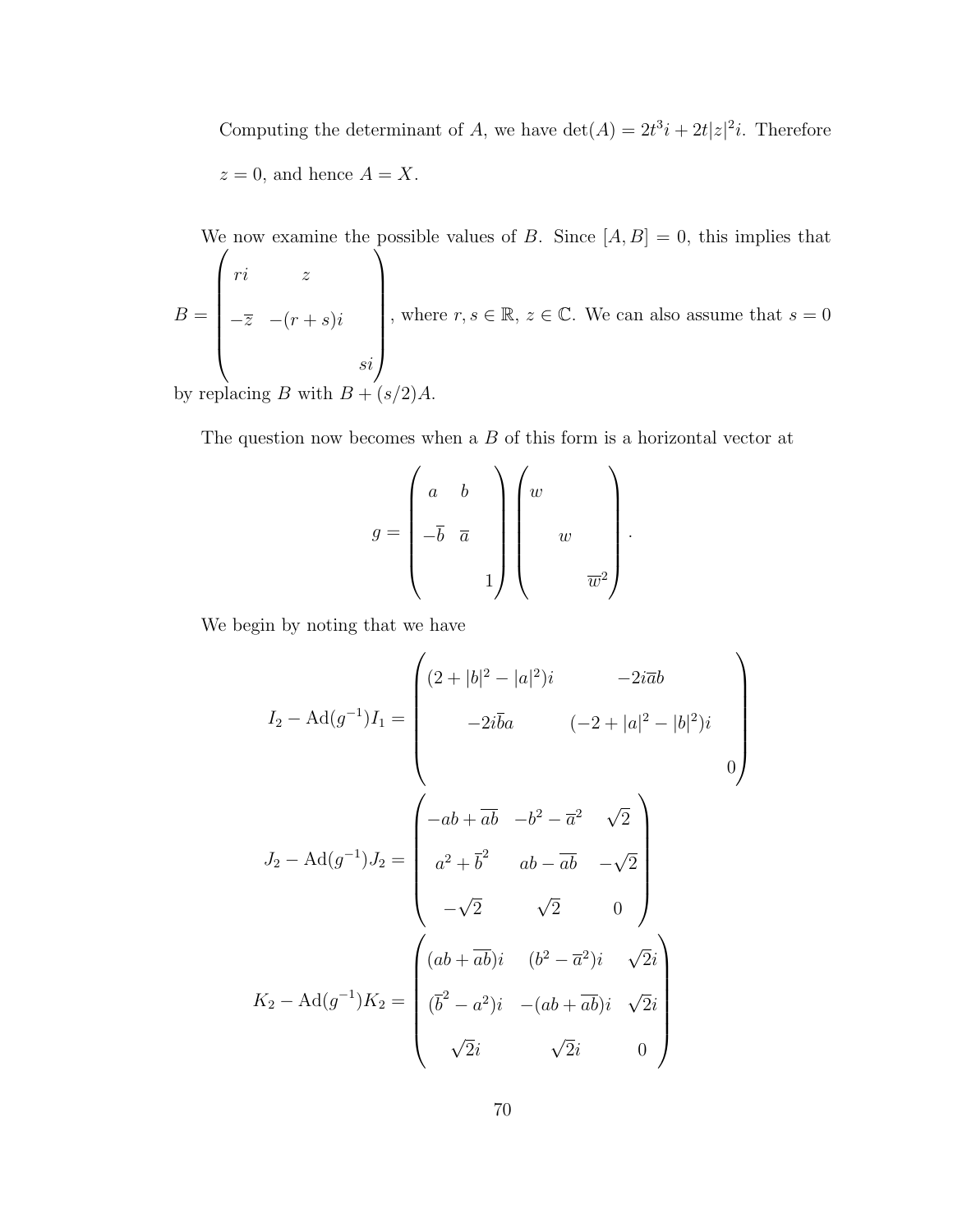Computing the determinant of A, we have  $\det(A) = 2t^3i + 2t|z|^2i$ . Therefore  $z = 0$ , and hence  $A = X$ .

We now examine the possible values of B. Since  $[A, B] = 0$ , this implies that  $B =$  $\sqrt{ }$  $\overline{\phantom{a}}$ ri z  $-\overline{z}$  −(r + s)i si  $\setminus$  $\begin{array}{c} \hline \end{array}$ , where  $r, s \in \mathbb{R}, z \in \mathbb{C}$ . We can also assume that  $s = 0$ by replacing B with  $B + (s/2)$ 

The question now becomes when a B of this form is a horizontal vector at

$$
g = \begin{pmatrix} a & b \\ -\overline{b} & \overline{a} \\ & & 1 \end{pmatrix} \begin{pmatrix} w & & \\ & w & \\ & & \overline{w}^2 \end{pmatrix}.
$$

We begin by noting that we have

$$
I_2 - \text{Ad}(g^{-1})I_1 = \begin{pmatrix} (2+|b|^2 - |a|^2)i & -2i\overline{a}b \\ -2i\overline{b}a & (-2+|a|^2 - |b|^2)i \\ 0 \end{pmatrix}
$$

$$
J_2 - \text{Ad}(g^{-1})J_2 = \begin{pmatrix} -ab + \overline{ab} & -b^2 - \overline{a}^2 & \sqrt{2} \\ a^2 + \overline{b}^2 & ab - \overline{ab} & -\sqrt{2} \\ -\sqrt{2} & \sqrt{2} & 0 \end{pmatrix}
$$

$$
K_2 - \text{Ad}(g^{-1})K_2 = \begin{pmatrix} (ab + \overline{ab})i & (b^2 - \overline{a}^2)i & \sqrt{2}i \\ (\overline{b}^2 - a^2)i & -(ab + \overline{ab})i & \sqrt{2}i \\ \sqrt{2}i & \sqrt{2}i & 0 \end{pmatrix}
$$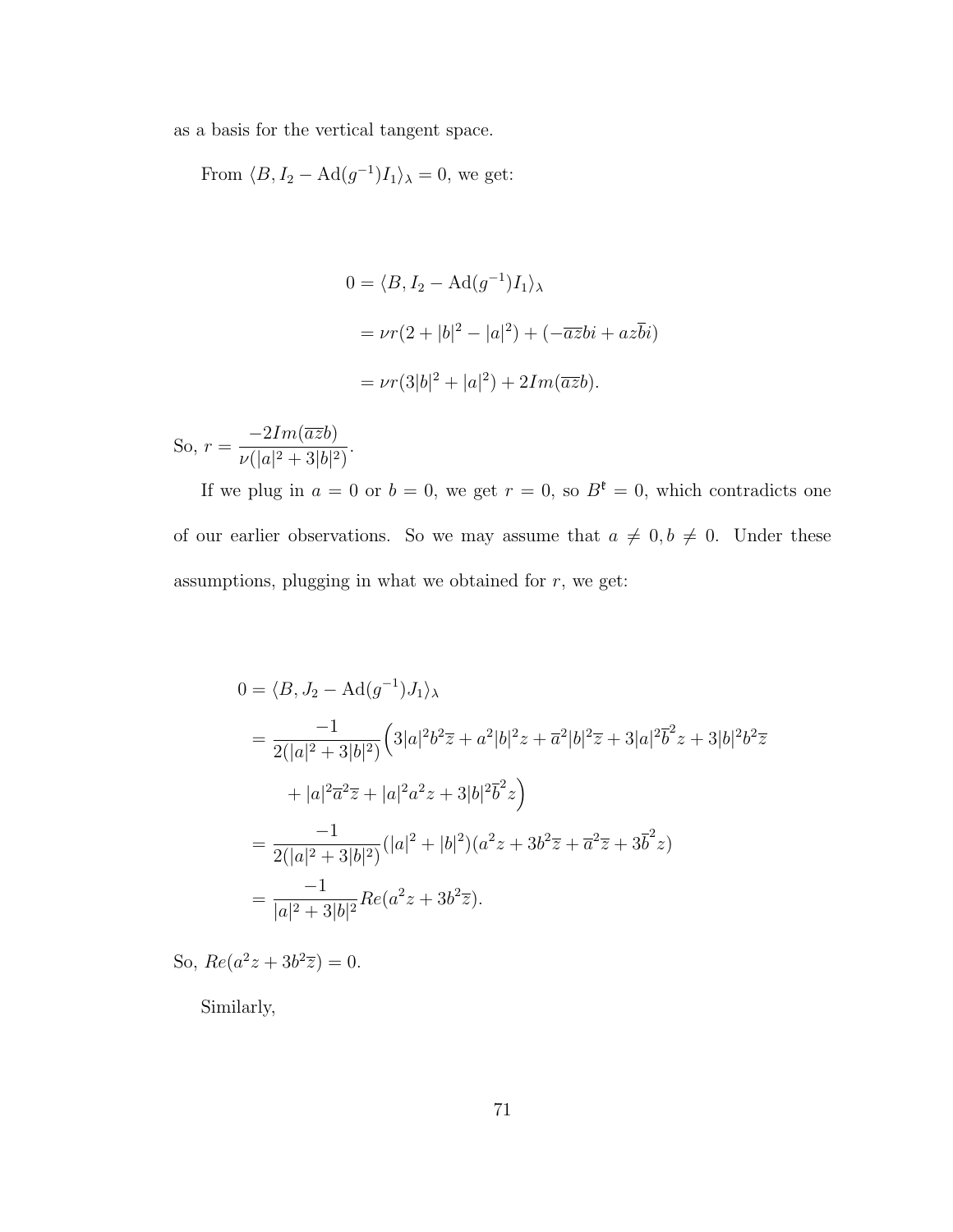as a basis for the vertical tangent space.

From  $\langle B, I_2 - \text{Ad}(g^{-1})I_1 \rangle_{\lambda} = 0$ , we get:

$$
0 = \langle B, I_2 - \text{Ad}(g^{-1})I_1 \rangle_{\lambda}
$$
  
=  $\nu r (2 + |b|^2 - |a|^2) + (-\overline{az}bi + a\overline{z}bi)$   
=  $\nu r (3|b|^2 + |a|^2) + 2Im(\overline{az}b).$ 

So,  $r =$  $-2Im(\overline{az}b)$  $\nu(|a|^2+3|b|^2)$ .

If we plug in  $a = 0$  or  $b = 0$ , we get  $r = 0$ , so  $B^{\mathfrak{k}} = 0$ , which contradicts one of our earlier observations. So we may assume that  $a \neq 0, b \neq 0$ . Under these assumptions, plugging in what we obtained for  $r$ , we get:

$$
0 = \langle B, J_2 - \text{Ad}(g^{-1})J_1 \rangle_{\lambda}
$$
  
= 
$$
\frac{-1}{2(|a|^2 + 3|b|^2)} \Big( 3|a|^2 b^2 \overline{z} + a^2 |b|^2 z + \overline{a}^2 |b|^2 \overline{z} + 3|a|^2 \overline{b}^2 z + 3|b|^2 b^2 \overline{z}
$$
  
+ 
$$
|a|^2 \overline{a}^2 \overline{z} + |a|^2 a^2 z + 3|b|^2 \overline{b}^2 z \Big)
$$
  
= 
$$
\frac{-1}{2(|a|^2 + 3|b|^2)} (|a|^2 + |b|^2)(a^2 z + 3b^2 \overline{z} + \overline{a}^2 \overline{z} + 3\overline{b}^2 z)
$$
  
= 
$$
\frac{-1}{|a|^2 + 3|b|^2} Re(a^2 z + 3b^2 \overline{z}).
$$

So,  $Re(a^2z + 3b^2\overline{z}) = 0.$ 

Similarly,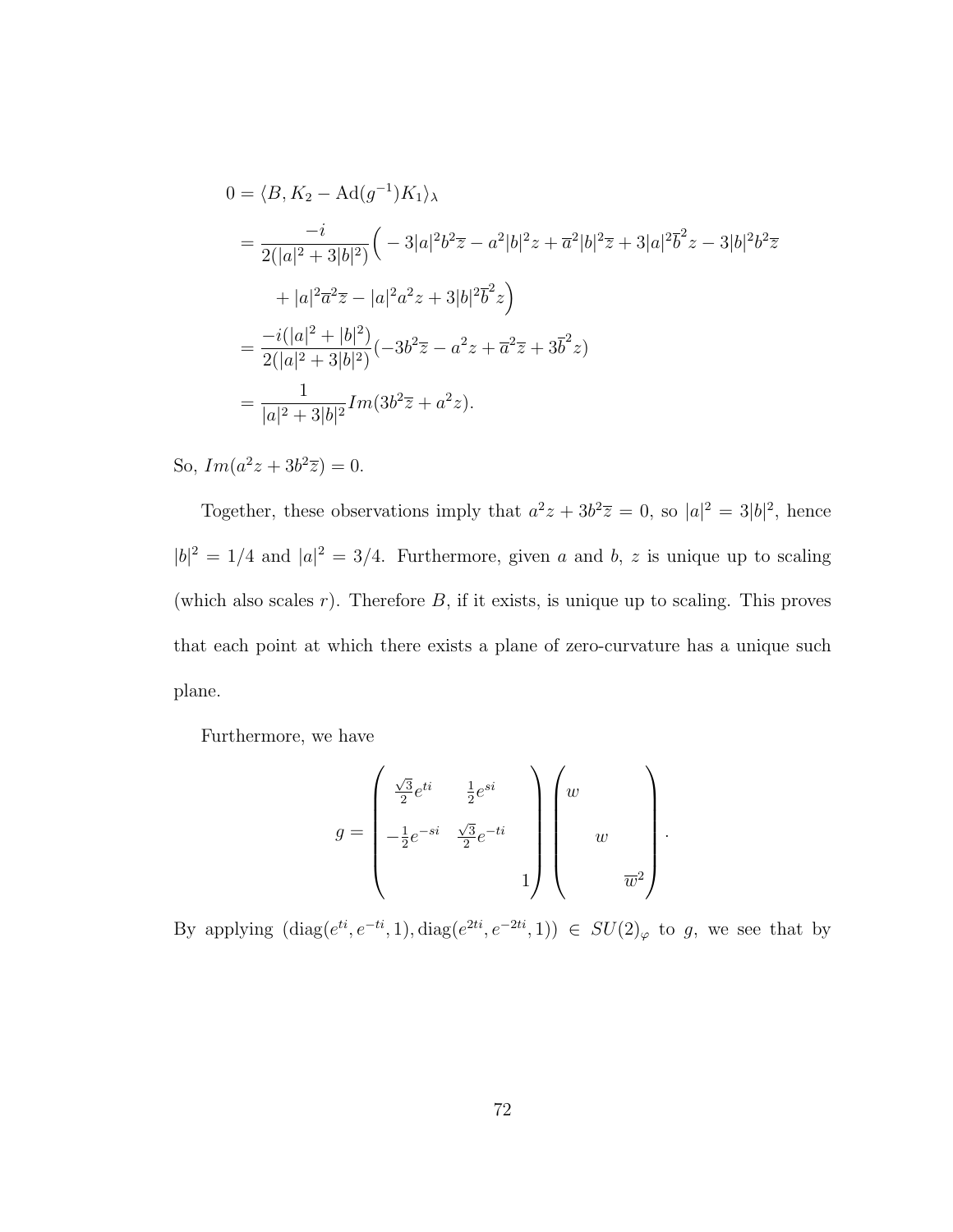$$
0 = \langle B, K_2 - \text{Ad}(g^{-1})K_1 \rangle_{\lambda}
$$
  
= 
$$
\frac{-i}{2(|a|^2 + 3|b|^2)} \Big( -3|a|^2 b^2 \overline{z} - a^2 |b|^2 z + \overline{a}^2 |b|^2 \overline{z} + 3|a|^2 \overline{b}^2 z - 3|b|^2 b^2 \overline{z}
$$
  
+ 
$$
|a|^2 \overline{a}^2 \overline{z} - |a|^2 a^2 z + 3|b|^2 \overline{b}^2 z \Big)
$$
  
= 
$$
\frac{-i(|a|^2 + |b|^2)}{2(|a|^2 + 3|b|^2)} (-3b^2 \overline{z} - a^2 z + \overline{a}^2 \overline{z} + 3\overline{b}^2 z)
$$
  
= 
$$
\frac{1}{|a|^2 + 3|b|^2} Im(3b^2 \overline{z} + a^2 z).
$$

So,  $Im(a^2z + 3b^2\overline{z}) = 0.$ 

Together, these observations imply that  $a^2z + 3b^2\overline{z} = 0$ , so  $|a|^2 = 3|b|^2$ , hence  $|b|^2 = 1/4$  and  $|a|^2 = 3/4$ . Furthermore, given a and b, z is unique up to scaling (which also scales  $r$ ). Therefore  $B$ , if it exists, is unique up to scaling. This proves that each point at which there exists a plane of zero-curvature has a unique such plane.

Furthermore, we have

$$
g = \begin{pmatrix} \frac{\sqrt{3}}{2}e^{ti} & \frac{1}{2}e^{si} \\ -\frac{1}{2}e^{-si} & \frac{\sqrt{3}}{2}e^{-ti} \\ & & 1 \end{pmatrix} \begin{pmatrix} w & & \\ & w & \\ & w & \\ & & \overline{w}^2 \end{pmatrix}.
$$

By applying  $(\text{diag}(e^{ti}, e^{-ti}, 1), \text{diag}(e^{2ti}, e^{-2ti}, 1)) \in SU(2)_{\varphi}$  to g, we see that by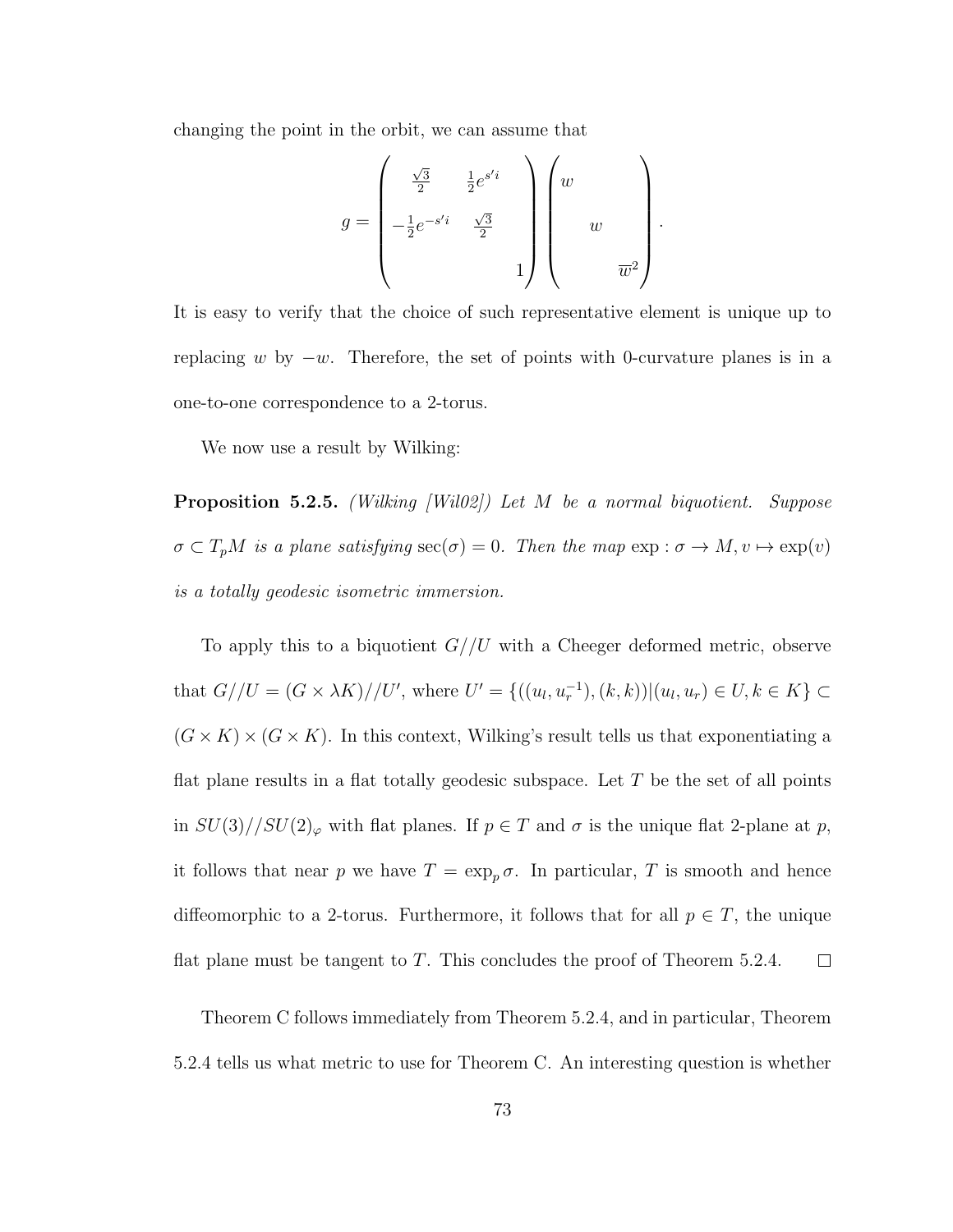changing the point in the orbit, we can assume that

$$
g = \begin{pmatrix} \frac{\sqrt{3}}{2} & \frac{1}{2}e^{s'i} \\ -\frac{1}{2}e^{-s'i} & \frac{\sqrt{3}}{2} \\ & & 1 \end{pmatrix} \begin{pmatrix} w & & \\ & w & \\ & w & \\ & & \overline{w}^2 \end{pmatrix}
$$

.

It is easy to verify that the choice of such representative element is unique up to replacing w by  $-w$ . Therefore, the set of points with 0-curvature planes is in a one-to-one correspondence to a 2-torus.

We now use a result by Wilking:

**Proposition 5.2.5.** (Wilking [Wil02]) Let M be a normal biquotient. Suppose  $\sigma \subset T_pM$  is a plane satisfying  $\sec(\sigma) = 0$ . Then the map  $\exp : \sigma \to M, v \mapsto \exp(v)$ is a totally geodesic isometric immersion.

To apply this to a biquotient  $G//U$  with a Cheeger deformed metric, observe that  $G//U = (G \times \lambda K)//U'$ , where  $U' = \{((u_l, u_r^{-1}), (k, k)) | (u_l, u_r) \in U, k \in K\} \subset$  $(G \times K) \times (G \times K)$ . In this context, Wilking's result tells us that exponentiating a flat plane results in a flat totally geodesic subspace. Let  $T$  be the set of all points in  $SU(3)//SU(2)_{\varphi}$  with flat planes. If  $p \in T$  and  $\sigma$  is the unique flat 2-plane at p, it follows that near p we have  $T = \exp_p \sigma$ . In particular, T is smooth and hence diffeomorphic to a 2-torus. Furthermore, it follows that for all  $p \in T$ , the unique flat plane must be tangent to T. This concludes the proof of Theorem  $5.2.4$ .  $\Box$ 

Theorem C follows immediately from Theorem 5.2.4, and in particular, Theorem 5.2.4 tells us what metric to use for Theorem C. An interesting question is whether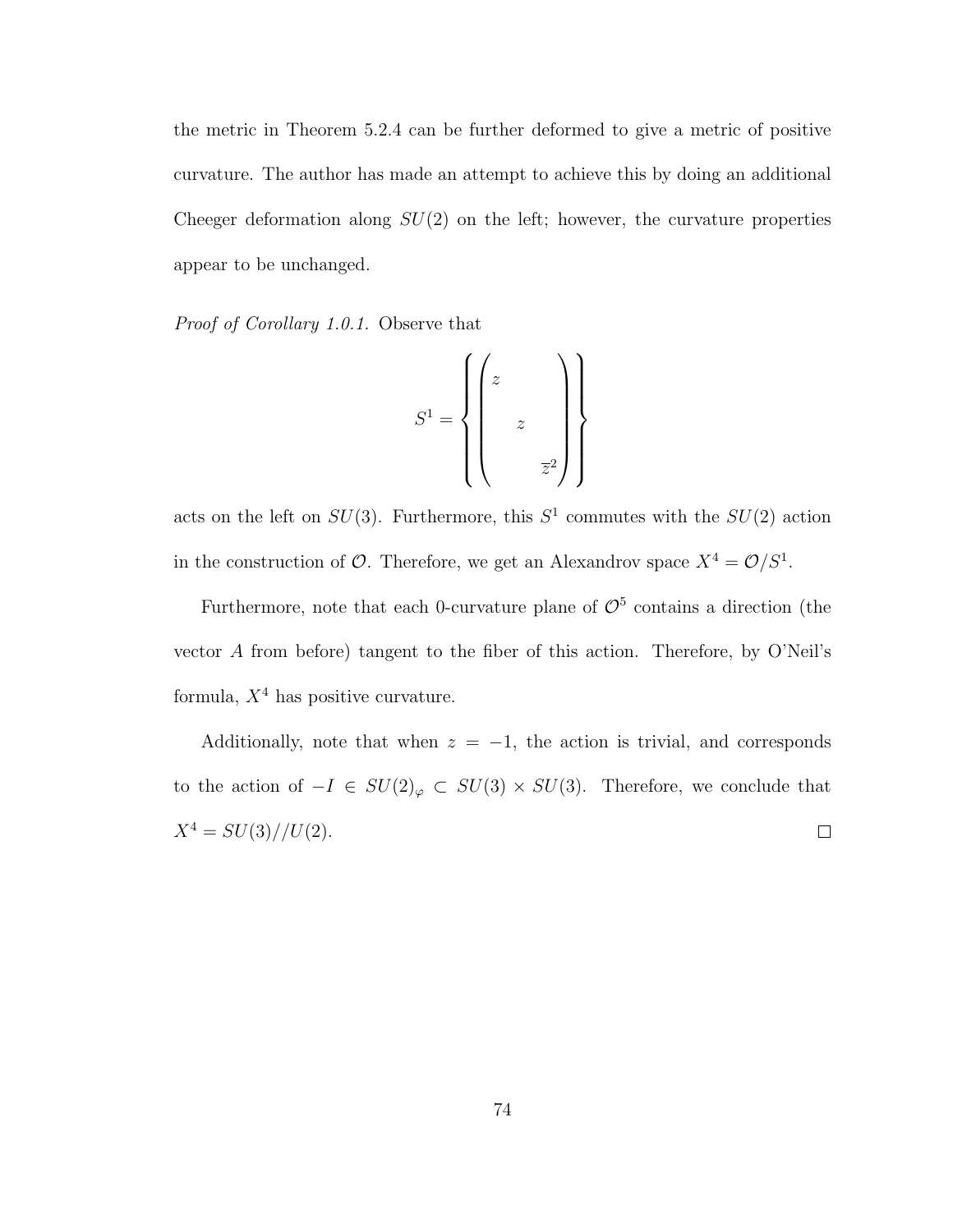the metric in Theorem 5.2.4 can be further deformed to give a metric of positive curvature. The author has made an attempt to achieve this by doing an additional Cheeger deformation along  $SU(2)$  on the left; however, the curvature properties appear to be unchanged.

Proof of Corollary 1.0.1. Observe that

$$
S^1 = \left\{ \begin{pmatrix} z & & \\ & & \\ & z & \\ & & & \\ & & & \overline{z}^2 \end{pmatrix} \right\}
$$

acts on the left on  $SU(3)$ . Furthermore, this  $S<sup>1</sup>$  commutes with the  $SU(2)$  action in the construction of  $\mathcal{O}$ . Therefore, we get an Alexandrov space  $X^4 = \mathcal{O}/S^1$ .

Furthermore, note that each 0-curvature plane of  $\mathcal{O}^5$  contains a direction (the vector A from before) tangent to the fiber of this action. Therefore, by O'Neil's formula,  $X^4$  has positive curvature.

Additionally, note that when  $z = -1$ , the action is trivial, and corresponds to the action of  $-I \in SU(2)_{\varphi} \subset SU(3) \times SU(3)$ . Therefore, we conclude that  $X^4 = SU(3)/U(2).$  $\Box$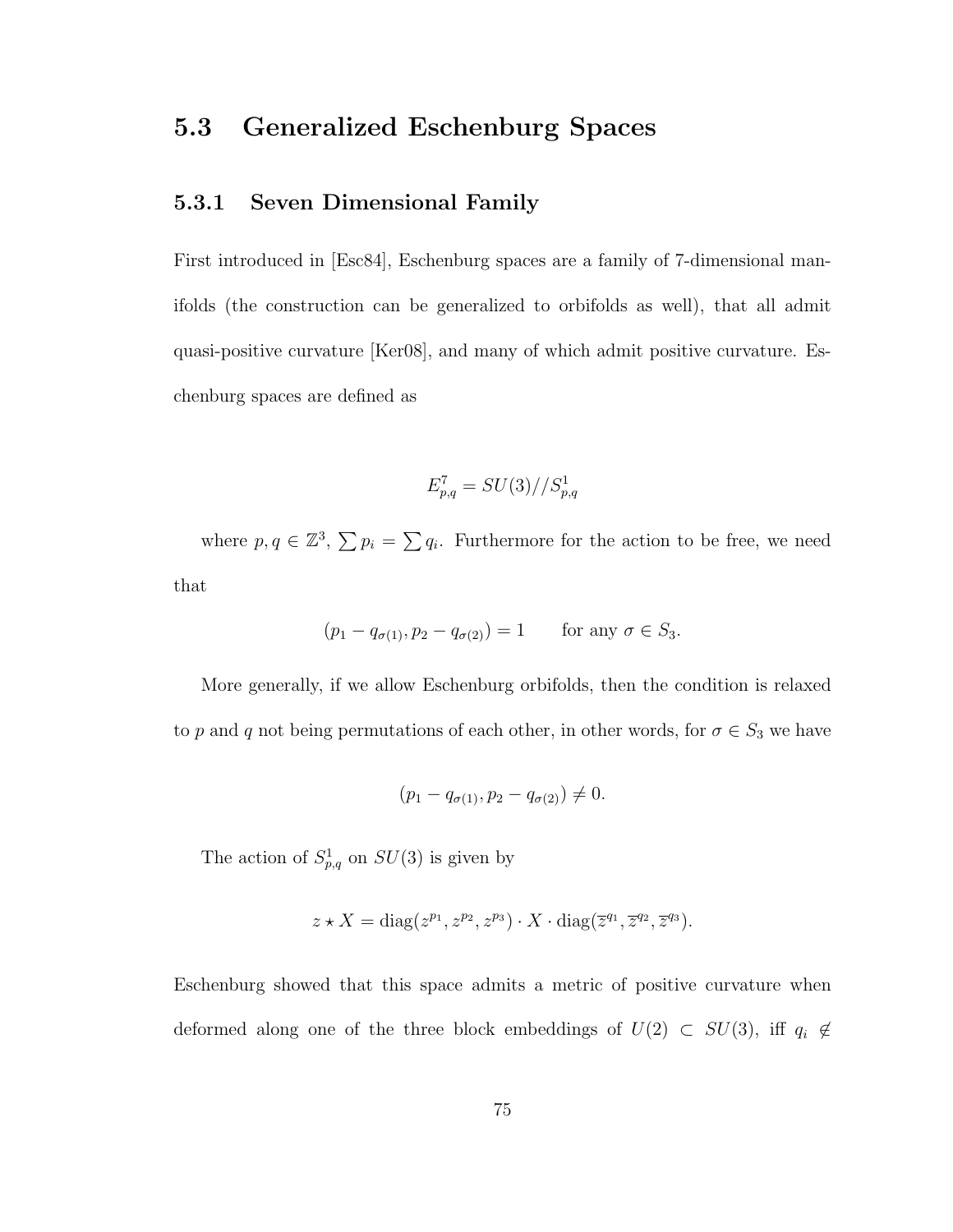# 5.3 Generalized Eschenburg Spaces

### 5.3.1 Seven Dimensional Family

First introduced in [Esc84], Eschenburg spaces are a family of 7-dimensional manifolds (the construction can be generalized to orbifolds as well), that all admit quasi-positive curvature [Ker08], and many of which admit positive curvature. Eschenburg spaces are defined as

$$
E_{p,q}^7 = SU(3)//S_{p,q}^1
$$

where  $p, q \in \mathbb{Z}^3$ ,  $\sum p_i = \sum q_i$ . Furthermore for the action to be free, we need that

$$
(p_1 - q_{\sigma(1)}, p_2 - q_{\sigma(2)}) = 1
$$
 for any  $\sigma \in S_3$ .

More generally, if we allow Eschenburg orbifolds, then the condition is relaxed to p and q not being permutations of each other, in other words, for  $\sigma \in S_3$  we have

$$
(p_1 - q_{\sigma(1)}, p_2 - q_{\sigma(2)}) \neq 0.
$$

The action of  $S_{p,q}^1$  on  $SU(3)$  is given by

$$
z \star X = \text{diag}(z^{p_1}, z^{p_2}, z^{p_3}) \cdot X \cdot \text{diag}(\overline{z}^{q_1}, \overline{z}^{q_2}, \overline{z}^{q_3}).
$$

Eschenburg showed that this space admits a metric of positive curvature when deformed along one of the three block embeddings of  $U(2) \subset SU(3)$ , iff  $q_i \notin$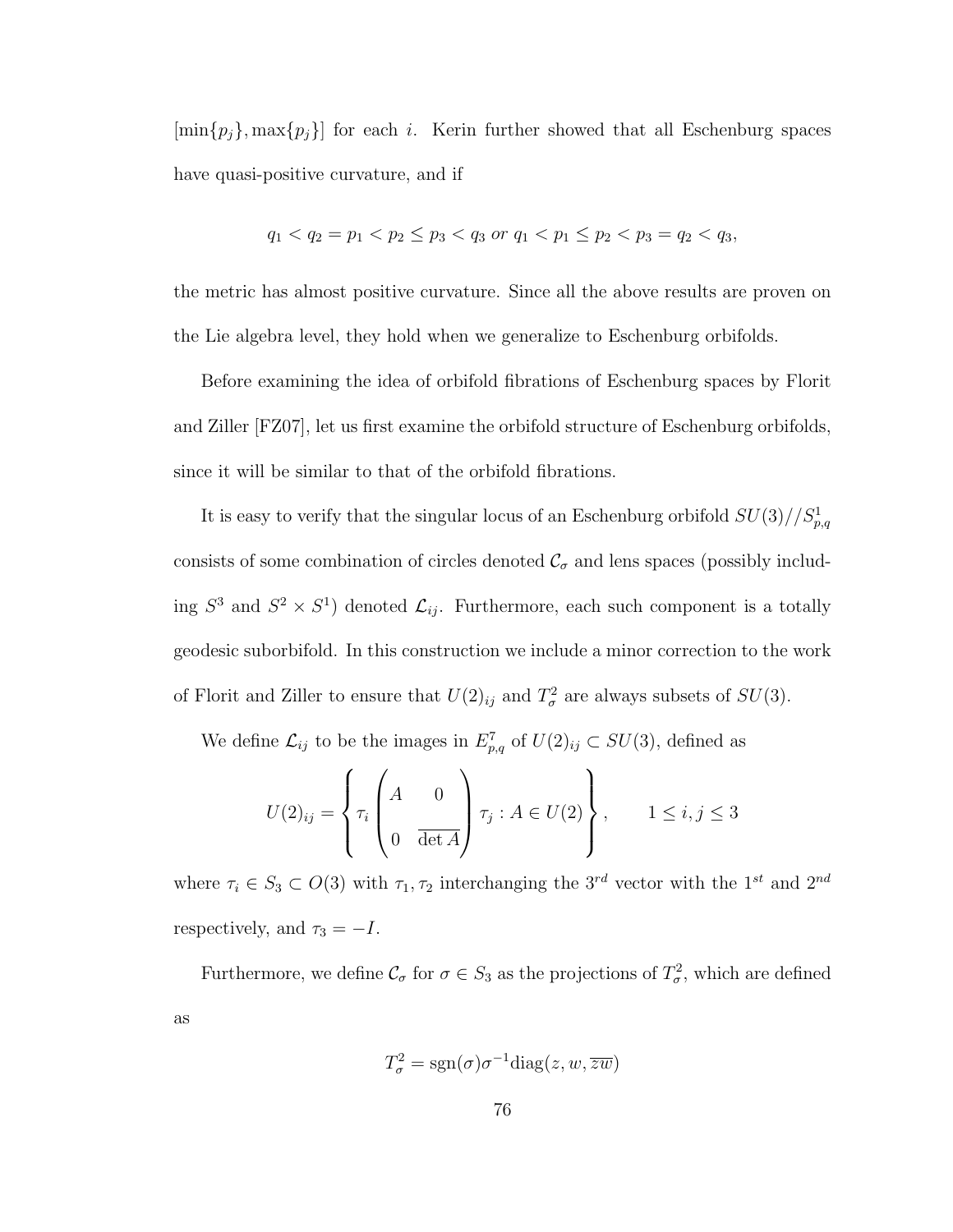$[\min\{p_j\}, \max\{p_j\}]$  for each *i*. Kerin further showed that all Eschenburg spaces have quasi-positive curvature, and if

$$
q_1 < q_2 = p_1 < p_2 \le p_3 < q_3 \text{ or } q_1 < p_1 \le p_2 < p_3 = q_2 < q_3,
$$

the metric has almost positive curvature. Since all the above results are proven on the Lie algebra level, they hold when we generalize to Eschenburg orbifolds.

Before examining the idea of orbifold fibrations of Eschenburg spaces by Florit and Ziller [FZ07], let us first examine the orbifold structure of Eschenburg orbifolds, since it will be similar to that of the orbifold fibrations.

It is easy to verify that the singular locus of an Eschenburg orbifold  $SU(3)/\sqrt{S_{p,q}^1}$ consists of some combination of circles denoted  $\mathcal{C}_{\sigma}$  and lens spaces (possibly including  $S^3$  and  $S^2 \times S^1$  denoted  $\mathcal{L}_{ij}$ . Furthermore, each such component is a totally geodesic suborbifold. In this construction we include a minor correction to the work of Florit and Ziller to ensure that  $U(2)_{ij}$  and  $T^2_{\sigma}$  are always subsets of  $SU(3)$ .

We define  $\mathcal{L}_{ij}$  to be the images in  $E_{p,q}^7$  of  $U(2)_{ij} \subset SU(3)$ , defined as

$$
U(2)_{ij} = \left\{ \tau_i \begin{pmatrix} A & 0 \\ 0 & \frac{1}{\det A} \end{pmatrix} \tau_j : A \in U(2) \right\}, \qquad 1 \leq i, j \leq 3
$$

where  $\tau_i \in S_3 \subset O(3)$  with  $\tau_1, \tau_2$  interchanging the  $3^{rd}$  vector with the  $1^{st}$  and  $2^{nd}$ respectively, and  $\tau_3 = -I$ .

Furthermore, we define  $\mathcal{C}_{\sigma}$  for  $\sigma \in S_3$  as the projections of  $T_{\sigma}^2$ , which are defined as

$$
T_{\sigma}^{2} = \text{sgn}(\sigma)\sigma^{-1}\text{diag}(z, w, \overline{zw})
$$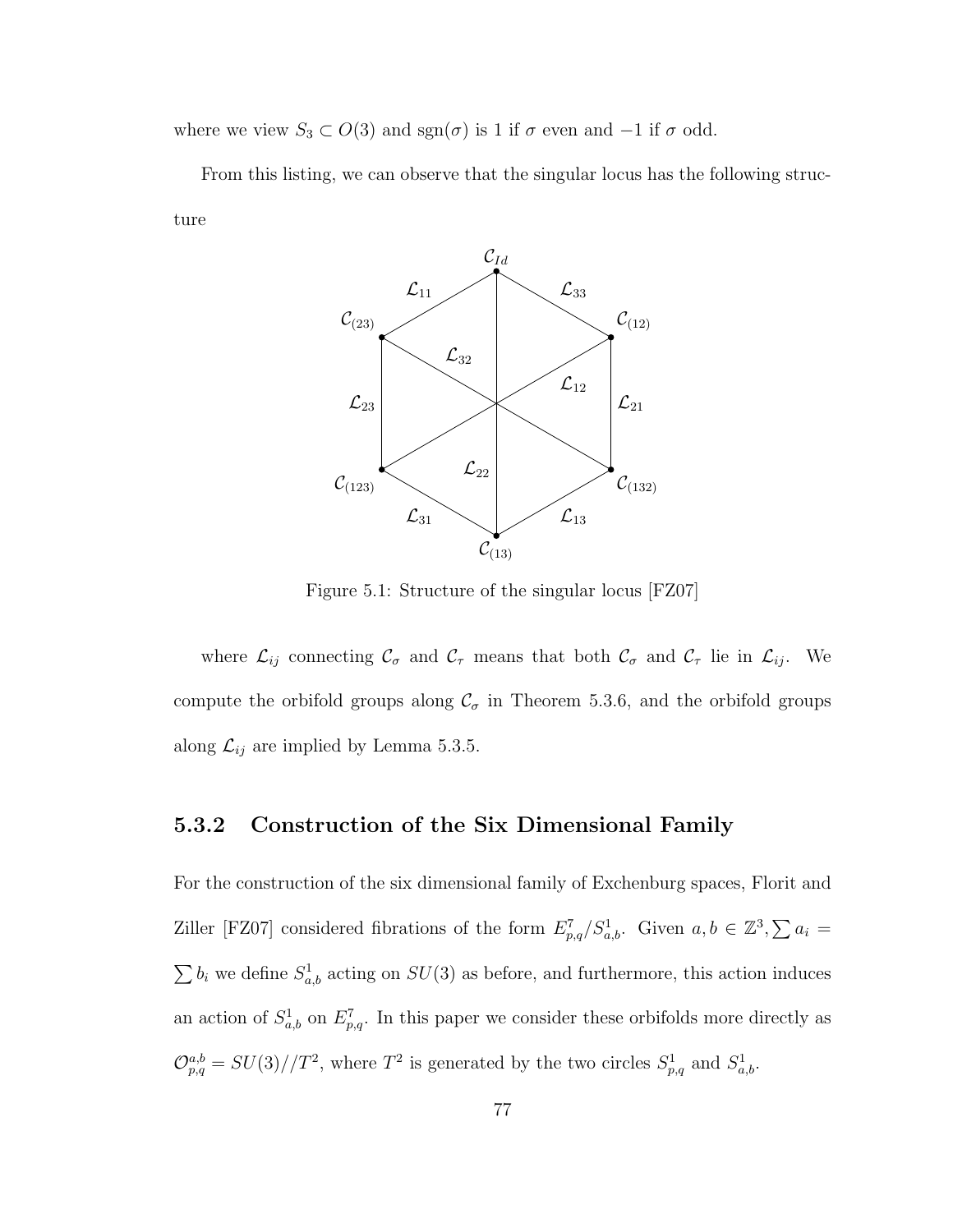where we view  $S_3 \subset O(3)$  and  $sgn(\sigma)$  is 1 if  $\sigma$  even and  $-1$  if  $\sigma$  odd.

From this listing, we can observe that the singular locus has the following structure



Figure 5.1: Structure of the singular locus [FZ07]

where  $\mathcal{L}_{ij}$  connecting  $\mathcal{C}_{\sigma}$  and  $\mathcal{C}_{\tau}$  means that both  $\mathcal{C}_{\sigma}$  and  $\mathcal{C}_{\tau}$  lie in  $\mathcal{L}_{ij}$ . We compute the orbifold groups along  $\mathcal{C}_{\sigma}$  in Theorem 5.3.6, and the orbifold groups along  $\mathcal{L}_{ij}$  are implied by Lemma 5.3.5.

#### 5.3.2 Construction of the Six Dimensional Family

For the construction of the six dimensional family of Exchenburg spaces, Florit and Ziller [FZ07] considered fibrations of the form  $E_{p,q}^7/S_{a,b}^1$ . Given  $a, b \in \mathbb{Z}^3$ ,  $\sum a_i =$  $\sum b_i$  we define  $S^1_{a,b}$  acting on  $SU(3)$  as before, and furthermore, this action induces an action of  $S^1_{a,b}$  on  $E^7_{p,q}$ . In this paper we consider these orbifolds more directly as  $\mathcal{O}_{p,q}^{a,b} = SU(3)//T^2$ , where  $T^2$  is generated by the two circles  $S_{p,q}^1$  and  $S_{a,b}^1$ .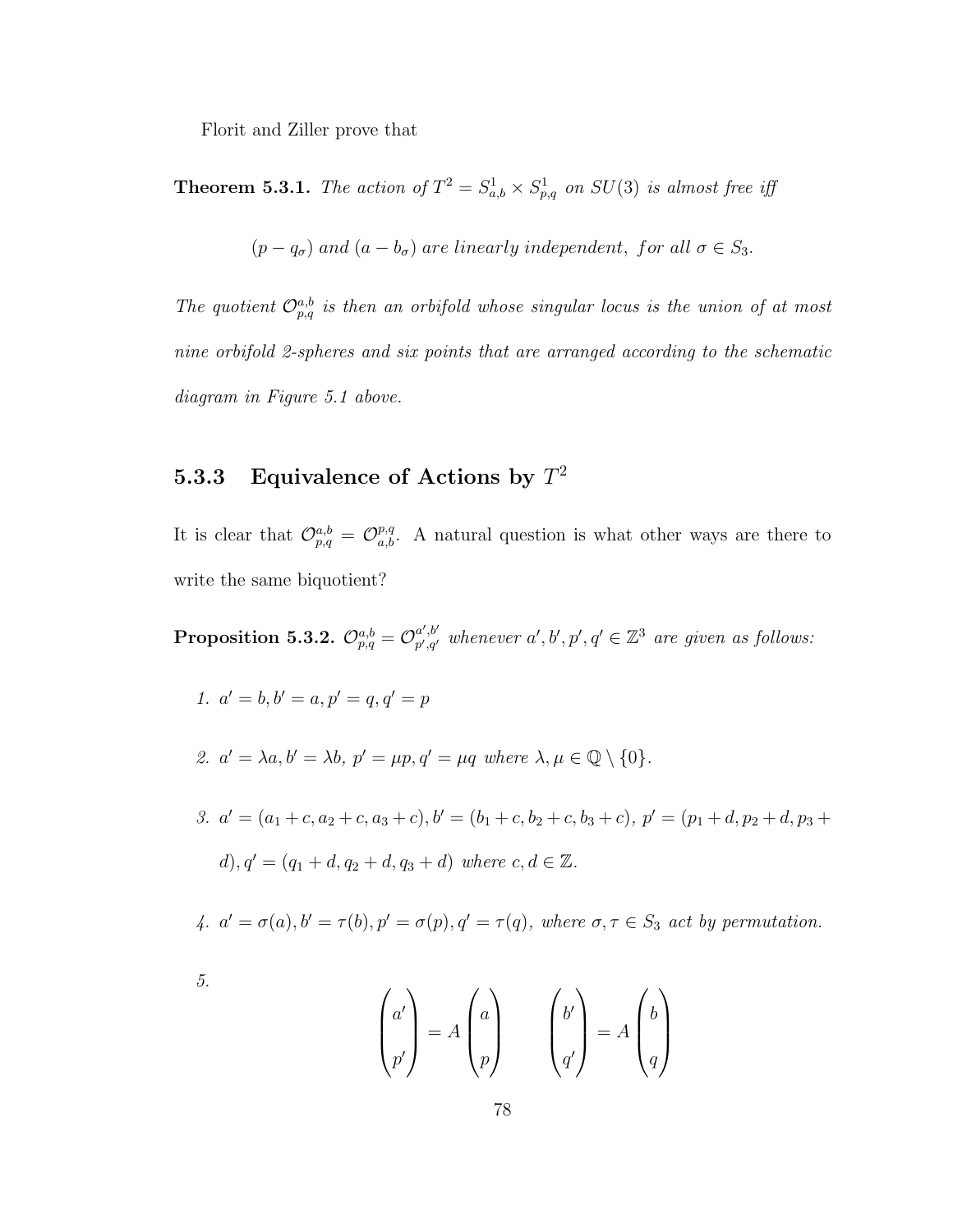Florit and Ziller prove that

**Theorem 5.3.1.** The action of  $T^2 = S_{a,b}^1 \times S_{p,q}^1$  on  $SU(3)$  is almost free iff

 $(p - q_{\sigma})$  and  $(a - b_{\sigma})$  are linearly independent, for all  $\sigma \in S_3$ .

The quotient  $\mathcal{O}_{p,q}^{a,b}$  is then an orbifold whose singular locus is the union of at most nine orbifold 2-spheres and six points that are arranged according to the schematic diagram in Figure 5.1 above.

## 5.3.3 Equivalence of Actions by  $T^2$

It is clear that  $\mathcal{O}_{p,q}^{a,b} = \mathcal{O}_{a,b}^{p,q}$ . A natural question is what other ways are there to write the same biquotient?

 $\text{Proposition 5.3.2.} \; \mathcal{O}^{a,b}_{p,q} = \mathcal{O}^{a',b'}_{p',q'}$  $p'_{p',q'}$  whenever  $a', b', p', q' \in \mathbb{Z}^3$  are given as follows:

- 1.  $a' = b, b' = a, p' = q, q' = p$
- 2.  $a' = \lambda a, b' = \lambda b, p' = \mu p, q' = \mu q$  where  $\lambda, \mu \in \mathbb{Q} \setminus \{0\}.$
- 3.  $a' = (a_1 + c, a_2 + c, a_3 + c), b' = (b_1 + c, b_2 + c, b_3 + c), p' = (p_1 + d, p_2 + d, p_3 + c)$ d),  $q' = (q_1 + d, q_2 + d, q_3 + d)$  where  $c, d \in \mathbb{Z}$ .
- 4.  $a' = \sigma(a), b' = \tau(b), p' = \sigma(p), q' = \tau(q)$ , where  $\sigma, \tau \in S_3$  act by permutation.
- 5.

$$
\begin{pmatrix} a' \\ p' \end{pmatrix} = A \begin{pmatrix} a \\ p \end{pmatrix} \qquad \begin{pmatrix} b' \\ q' \end{pmatrix} = A \begin{pmatrix} b \\ q \end{pmatrix}
$$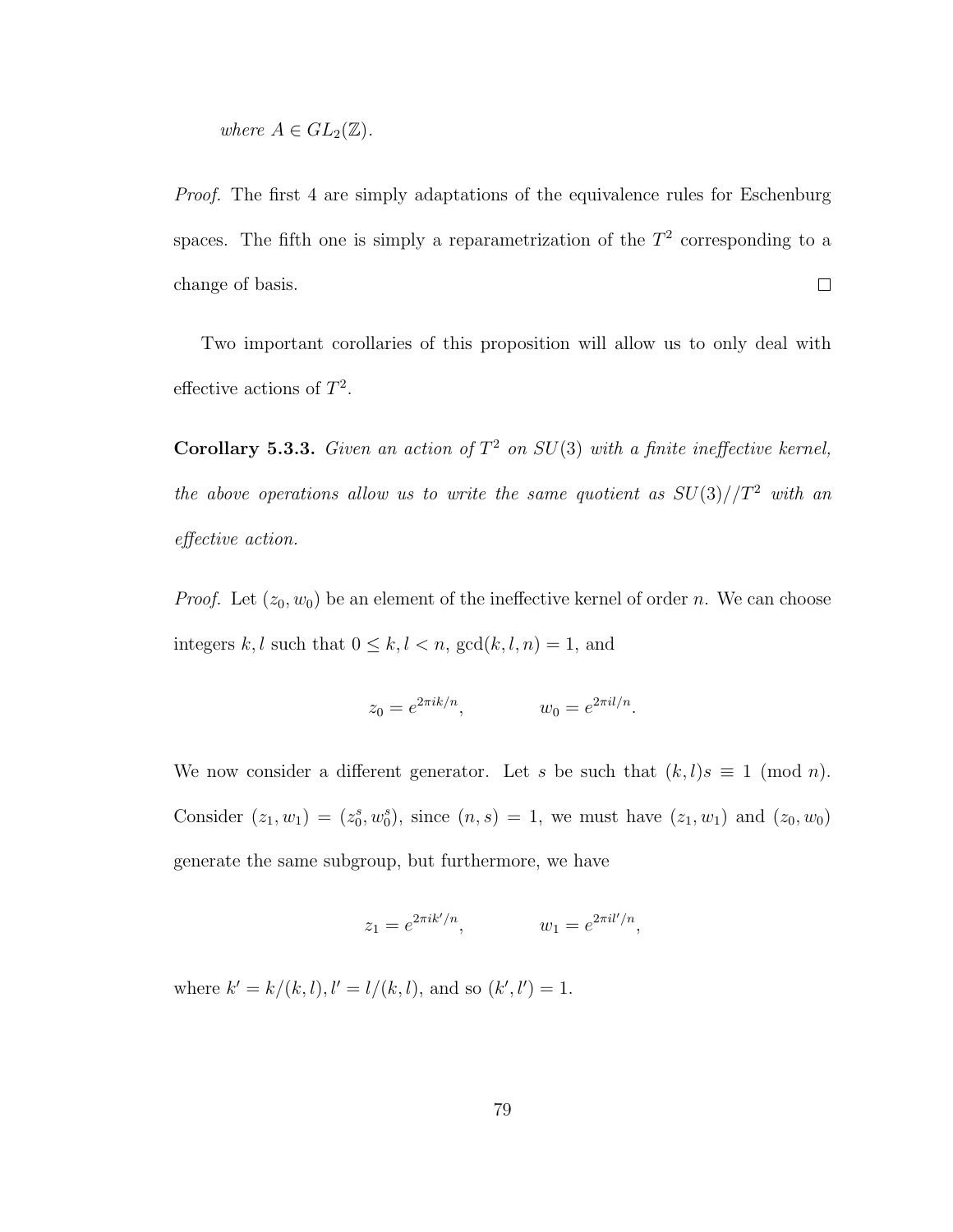where 
$$
A \in GL_2(\mathbb{Z})
$$
.

Proof. The first 4 are simply adaptations of the equivalence rules for Eschenburg spaces. The fifth one is simply a reparametrization of the  $T<sup>2</sup>$  corresponding to a change of basis.  $\Box$ 

Two important corollaries of this proposition will allow us to only deal with effective actions of  $T^2$ .

**Corollary 5.3.3.** Given an action of  $T^2$  on  $SU(3)$  with a finite ineffective kernel, the above operations allow us to write the same quotient as  $SU(3)/T^2$  with an effective action.

*Proof.* Let  $(z_0, w_0)$  be an element of the ineffective kernel of order n. We can choose integers  $k, l$  such that  $0 \leq k, l < n$ ,  $gcd(k, l, n) = 1$ , and

$$
z_0 = e^{2\pi i k/n}
$$
,  $w_0 = e^{2\pi i l/n}$ .

We now consider a different generator. Let s be such that  $(k, l)s \equiv 1 \pmod{n}$ . Consider  $(z_1, w_1) = (z_0^s, w_0^s)$ , since  $(n, s) = 1$ , we must have  $(z_1, w_1)$  and  $(z_0, w_0)$ generate the same subgroup, but furthermore, we have

$$
z_1 = e^{2\pi i k'/n}
$$
,  $w_1 = e^{2\pi i l'/n}$ ,

where  $k' = k/(k, l), l' = l/(k, l)$ , and so  $(k', l') = 1$ .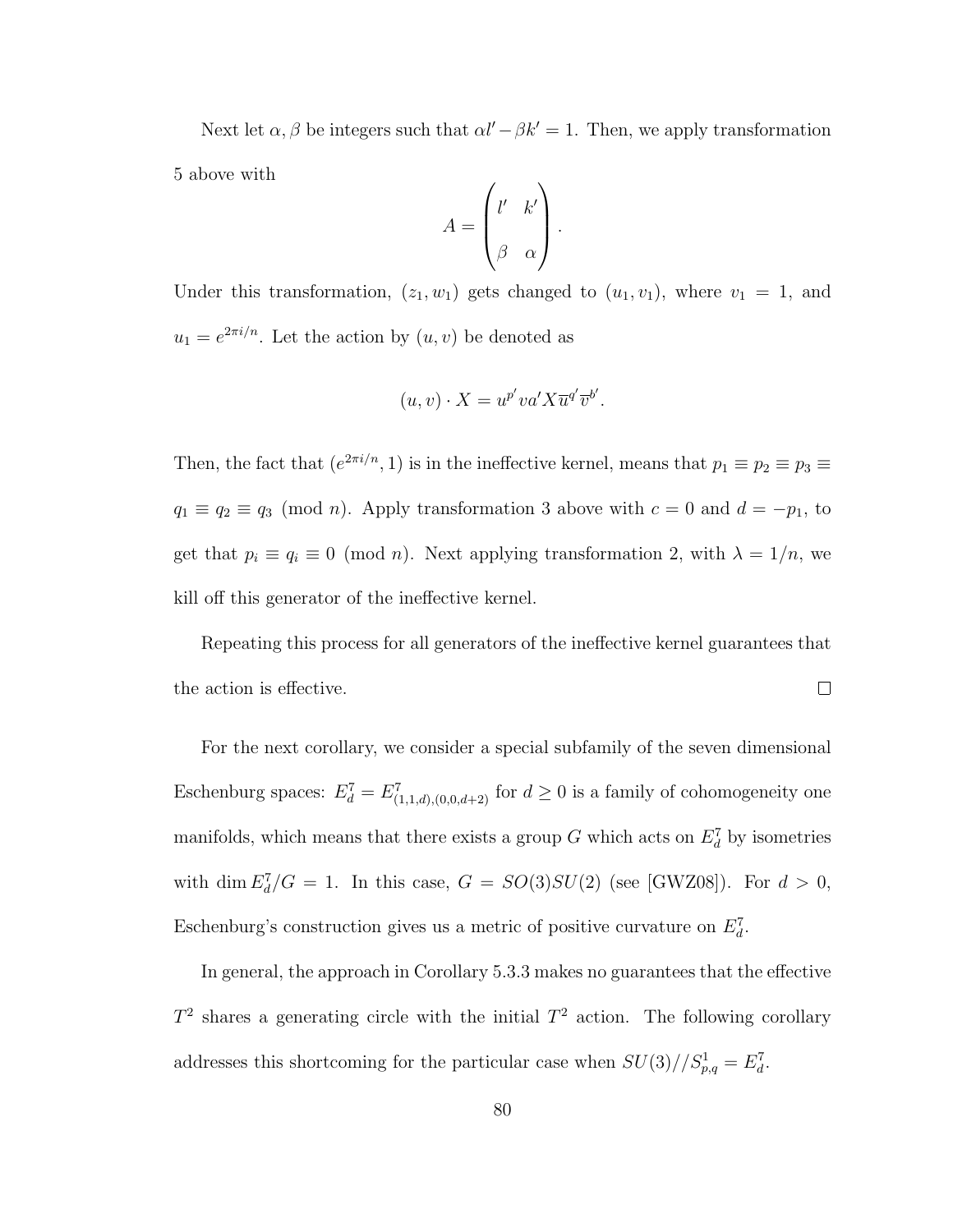Next let  $\alpha$ ,  $\beta$  be integers such that  $\alpha l' - \beta k' = 1$ . Then, we apply transformation 5 above with

$$
A = \begin{pmatrix} l' & k' \\ \beta & \alpha \end{pmatrix}.
$$

Under this transformation,  $(z_1, w_1)$  gets changed to  $(u_1, v_1)$ , where  $v_1 = 1$ , and  $u_1 = e^{2\pi i/n}$ . Let the action by  $(u, v)$  be denoted as

$$
(u, v) \cdot X = u^{p'} v a' X \overline{u}^{q'} \overline{v}^{b'}.
$$

Then, the fact that  $(e^{2\pi i/n}, 1)$  is in the ineffective kernel, means that  $p_1 \equiv p_2 \equiv p_3 \equiv$  $q_1 \equiv q_2 \equiv q_3 \pmod{n}$ . Apply transformation 3 above with  $c = 0$  and  $d = -p_1$ , to get that  $p_i \equiv q_i \equiv 0 \pmod{n}$ . Next applying transformation 2, with  $\lambda = 1/n$ , we kill off this generator of the ineffective kernel.

Repeating this process for all generators of the ineffective kernel guarantees that the action is effective.  $\Box$ 

For the next corollary, we consider a special subfamily of the seven dimensional Eschenburg spaces:  $E_d^7 = E_{(1,1,d),(0,0,d+2)}^7$  for  $d \geq 0$  is a family of cohomogeneity one manifolds, which means that there exists a group G which acts on  $E_d^7$  by isometries with dim  $E_d^7/G = 1$ . In this case,  $G = SO(3)SU(2)$  (see [GWZ08]). For  $d > 0$ , Eschenburg's construction gives us a metric of positive curvature on  $E_d^7$ .

In general, the approach in Corollary 5.3.3 makes no guarantees that the effective  $T^2$  shares a generating circle with the initial  $T^2$  action. The following corollary addresses this shortcoming for the particular case when  $SU(3)/\mathcal{S}_{p,q}^1 = E_d^7$ .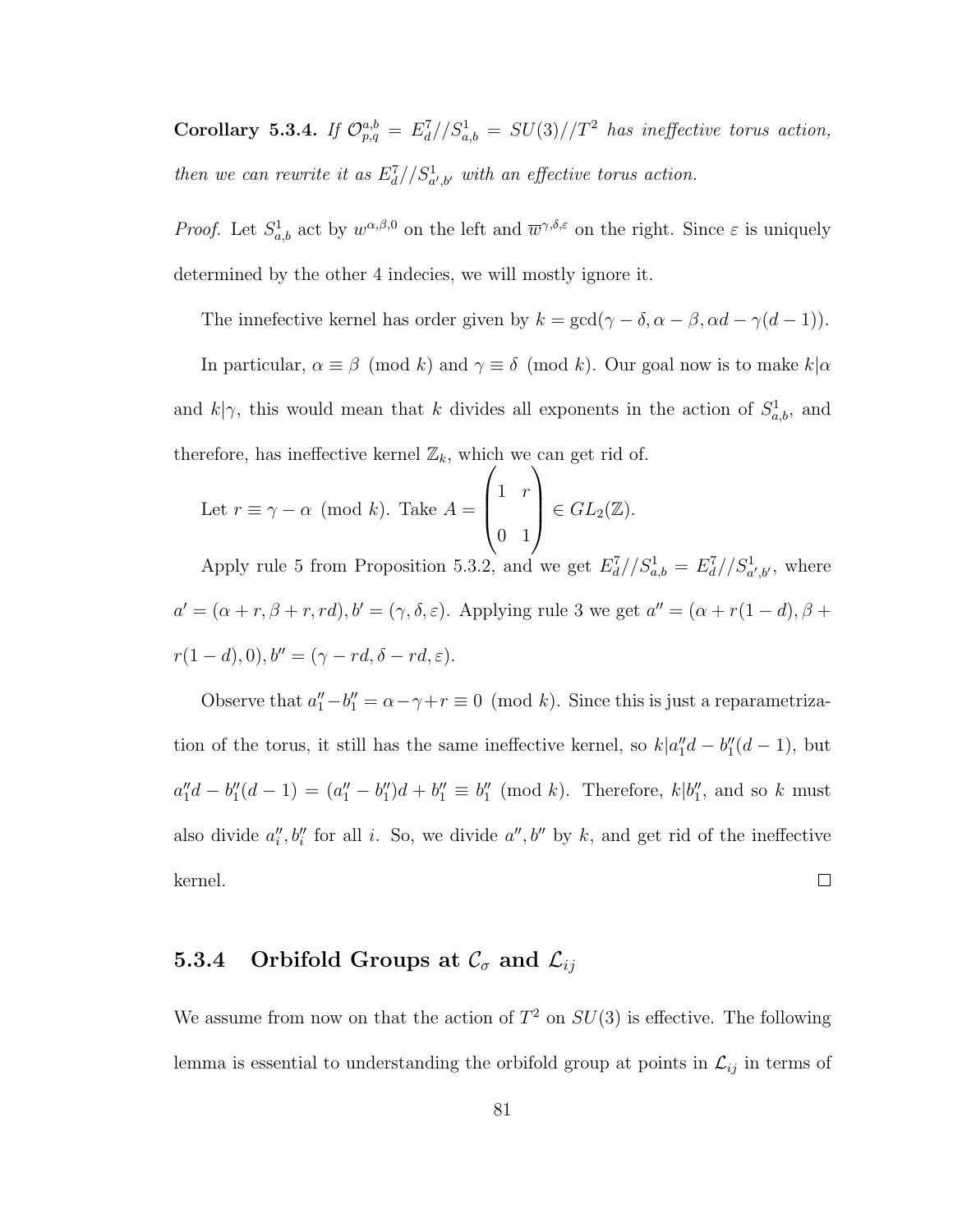Corollary 5.3.4. If  $\mathcal{O}_{p,q}^{a,b} = E_d^7//S_{a,b}^1 = SU(3)//T^2$  has ineffective torus action, then we can rewrite it as  $E_d^7//S^1_{a',b'}$  with an effective torus action.

*Proof.* Let  $S_{a,b}^1$  act by  $w^{\alpha,\beta,0}$  on the left and  $\overline{w}^{\gamma,\delta,\varepsilon}$  on the right. Since  $\varepsilon$  is uniquely determined by the other 4 indecies, we will mostly ignore it.

The innefective kernel has order given by  $k = \gcd(\gamma - \delta, \alpha - \beta, \alpha d - \gamma(d - 1)).$ 

In particular,  $\alpha \equiv \beta \pmod{k}$  and  $\gamma \equiv \delta \pmod{k}$ . Our goal now is to make  $k|\alpha$ and  $k|\gamma$ , this would mean that k divides all exponents in the action of  $S^1_{a,b}$ , and therefore, has ineffective kernel  $\mathbb{Z}_k$ , which we can get rid of.

Let 
$$
r \equiv \gamma - \alpha \pmod{k}
$$
. Take  $A = \begin{pmatrix} 1 & r \\ 0 & 1 \end{pmatrix} \in GL_2(\mathbb{Z})$ .

Apply rule 5 from Proposition 5.3.2, and we get  $E_d^7//S^1_{a,b} = E_d^7//S^1_{a',b'}$ , where  $a' = (\alpha + r, \beta + r, rd), b' = (\gamma, \delta, \varepsilon)$ . Applying rule 3 we get  $a'' = (\alpha + r(1 - d), \beta + r(1 - d))$  $r(1-d), 0), b'' = (\gamma - rd, \delta - rd, \varepsilon).$ 

Observe that  $a''_1 - b''_1 = \alpha - \gamma + r \equiv 0 \pmod{k}$ . Since this is just a reparametrization of the torus, it still has the same ineffective kernel, so  $k|a''_1d - b''_1(d-1)$ , but  $a''_1d - b''_1(d-1) = (a''_1 - b''_1)d + b''_1 \equiv b''_1 \pmod{k}$ . Therefore,  $k|b''_1$ , and so k must also divide  $a_i'', b_i''$  for all i. So, we divide  $a'', b''$  by k, and get rid of the ineffective  $\Box$ kernel.

## 5.3.4 Orbifold Groups at  $\mathcal{C}_{\sigma}$  and  $\mathcal{L}_{ij}$

We assume from now on that the action of  $T^2$  on  $SU(3)$  is effective. The following lemma is essential to understanding the orbifold group at points in  $\mathcal{L}_{ij}$  in terms of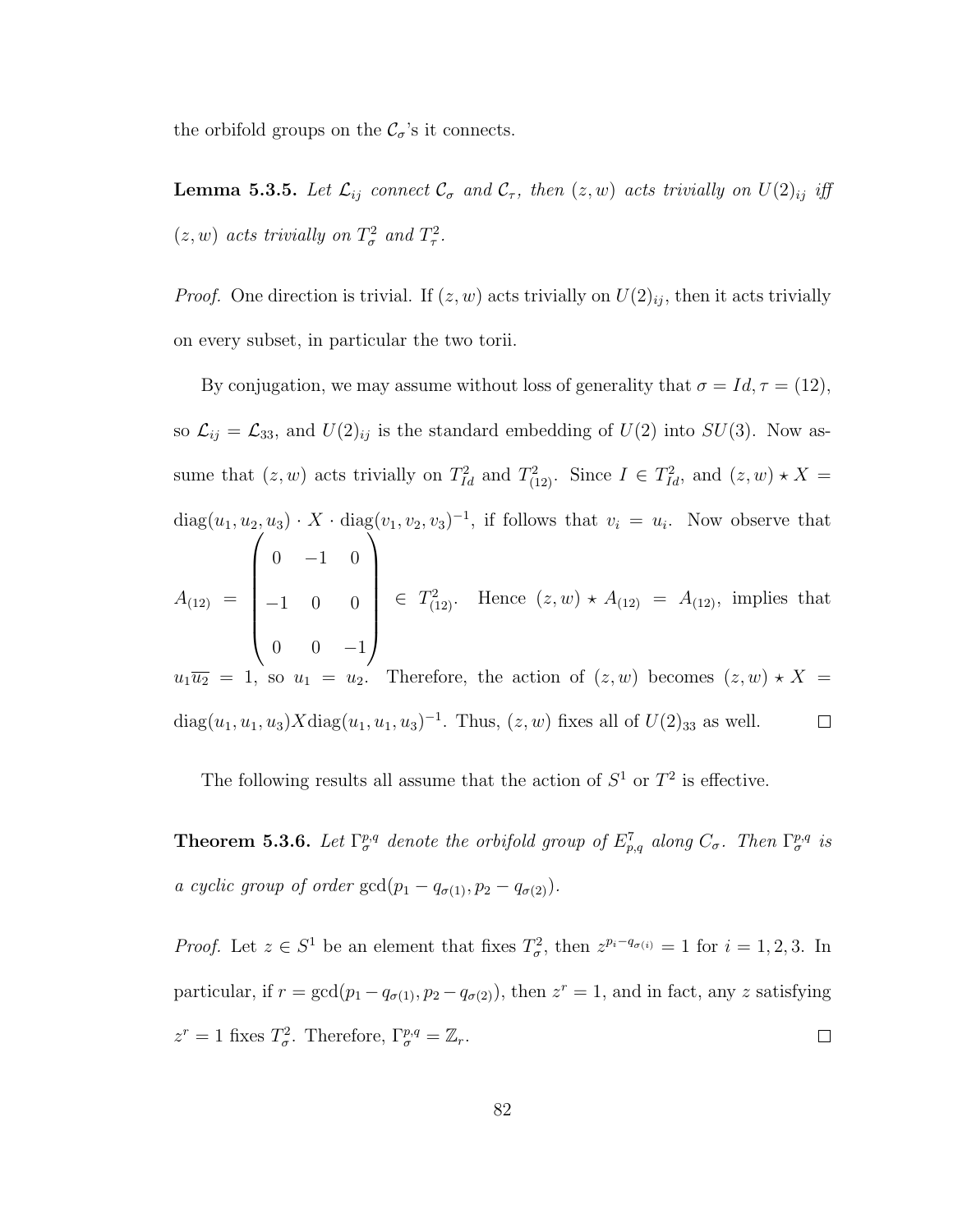the orbifold groups on the  $\mathcal{C}_{\sigma}$  's it connects.

**Lemma 5.3.5.** Let  $\mathcal{L}_{ij}$  connect  $\mathcal{C}_{\sigma}$  and  $\mathcal{C}_{\tau}$ , then  $(z, w)$  acts trivially on  $U(2)_{ij}$  iff  $(z, w)$  acts trivially on  $T^2_{\sigma}$  and  $T^2_{\tau}$ .

*Proof.* One direction is trivial. If  $(z, w)$  acts trivially on  $U(2)_{ij}$ , then it acts trivially on every subset, in particular the two torii.

By conjugation, we may assume without loss of generality that  $\sigma = Id, \tau = (12)$ , so  $\mathcal{L}_{ij} = \mathcal{L}_{33}$ , and  $U(2)_{ij}$  is the standard embedding of  $U(2)$  into  $SU(3)$ . Now assume that  $(z, w)$  acts trivially on  $T_{Id}^2$  and  $T_{(12)}^2$ . Since  $I \in T_{Id}^2$ , and  $(z, w) \star X =$  $diag(u_1, u_2, u_3) \cdot X \cdot diag(v_1, v_2, v_3)^{-1}$ , if follows that  $v_i = u_i$ . Now observe that  $\sqrt{ }$  $\setminus$  $0 -1 0$   $\begin{array}{c} \hline \end{array}$  $\in T^2_{(12)}$ . Hence  $(z, w) \star A_{(12)} = A_{(12)}$ , implies that  $A_{(12)} =$  $-1$  0 0  $0 \t 0 \t -1$  $u_1\overline{u_2} = 1$ , so  $u_1 = u_2$ . Therefore, the action of  $(z, w)$  becomes  $(z, w) \star X =$ diag $(u_1, u_1, u_3)X$ diag $(u_1, u_1, u_3)^{-1}$ . Thus,  $(z, w)$  fixes all of  $U(2)_{33}$  as well.  $\Box$ 

The following results all assume that the action of  $S^1$  or  $T^2$  is effective.

**Theorem 5.3.6.** Let  $\Gamma_{\sigma}^{p,q}$  denote the orbifold group of  $E_{p,q}^7$  along  $C_{\sigma}$ . Then  $\Gamma_{\sigma}^{p,q}$  is a cyclic group of order  $gcd(p_1 - q_{\sigma(1)}, p_2 - q_{\sigma(2)})$ .

*Proof.* Let  $z \in S^1$  be an element that fixes  $T^2_\sigma$ , then  $z^{p_i-q_{\sigma(i)}} = 1$  for  $i = 1, 2, 3$ . In particular, if  $r = \gcd(p_1 - q_{\sigma(1)}, p_2 - q_{\sigma(2)})$ , then  $z^r = 1$ , and in fact, any z satisfying  $z^r = 1$  fixes  $T^2_{\sigma}$ . Therefore,  $\Gamma^{p,q}_{\sigma} = \mathbb{Z}_r$ .  $\Box$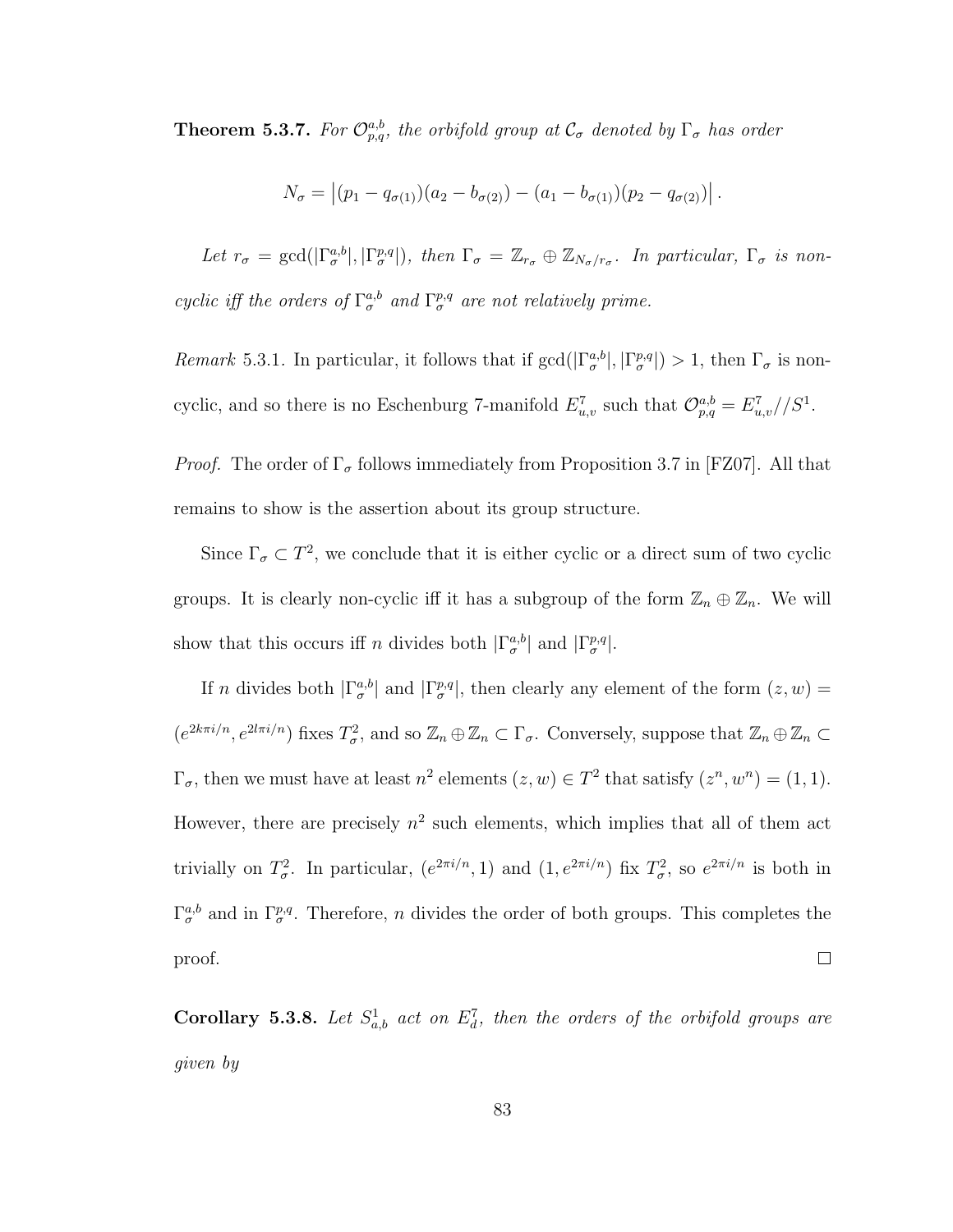**Theorem 5.3.7.** For  $\mathcal{O}_{p,q}^{a,b}$ , the orbifold group at  $\mathcal{C}_{\sigma}$  denoted by  $\Gamma_{\sigma}$  has order

$$
N_{\sigma} = |(p_1 - q_{\sigma(1)})(a_2 - b_{\sigma(2)}) - (a_1 - b_{\sigma(1)})(p_2 - q_{\sigma(2)})|.
$$

Let  $r_{\sigma} = \gcd(|\Gamma_{\sigma}^{a,b}|, |\Gamma_{\sigma}^{p,q}|),$  then  $\Gamma_{\sigma} = \mathbb{Z}_{r_{\sigma}} \oplus \mathbb{Z}_{N_{\sigma}/r_{\sigma}}$ . In particular,  $\Gamma_{\sigma}$  is noncyclic iff the orders of  $\Gamma^{a,b}_{\sigma}$  and  $\Gamma^{p,q}_{\sigma}$  are not relatively prime.

Remark 5.3.1. In particular, it follows that if  $gcd(|\Gamma_{\sigma}^{a,b}|,|\Gamma_{\sigma}^{p,q}|) > 1$ , then  $\Gamma_{\sigma}$  is noncyclic, and so there is no Eschenburg 7-manifold  $E_{u,v}^7$  such that  $\mathcal{O}_{p,q}^{a,b} = E_{u,v}^7 // S^1$ .

*Proof.* The order of  $\Gamma_{\sigma}$  follows immediately from Proposition 3.7 in [FZ07]. All that remains to show is the assertion about its group structure.

Since  $\Gamma_{\sigma} \subset T^2$ , we conclude that it is either cyclic or a direct sum of two cyclic groups. It is clearly non-cyclic iff it has a subgroup of the form  $\mathbb{Z}_n \oplus \mathbb{Z}_n$ . We will show that this occurs iff n divides both  $|\Gamma_{\sigma}^{a,b}|$  and  $|\Gamma_{\sigma}^{p,q}|$ .

If n divides both  $|\Gamma_{\sigma}^{a,b}|$  and  $|\Gamma_{\sigma}^{p,q}|$ , then clearly any element of the form  $(z, w)$  =  $(e^{2k\pi i/n}, e^{2l\pi i/n})$  fixes  $T^2_\sigma$ , and so  $\mathbb{Z}_n \oplus \mathbb{Z}_n \subset \Gamma_\sigma$ . Conversely, suppose that  $\mathbb{Z}_n \oplus \mathbb{Z}_n \subset$  $\Gamma_{\sigma}$ , then we must have at least  $n^2$  elements  $(z, w) \in T^2$  that satisfy  $(z^n, w^n) = (1, 1)$ . However, there are precisely  $n^2$  such elements, which implies that all of them act trivially on  $T^2_\sigma$ . In particular,  $(e^{2\pi i/n}, 1)$  and  $(1, e^{2\pi i/n})$  fix  $T^2_\sigma$ , so  $e^{2\pi i/n}$  is both in  $\Gamma_{\sigma}^{a,b}$  and in  $\Gamma_{\sigma}^{p,q}$ . Therefore, *n* divides the order of both groups. This completes the  $\Box$ proof.

**Corollary 5.3.8.** Let  $S^1_{a,b}$  act on  $E^7_d$ , then the orders of the orbifold groups are given by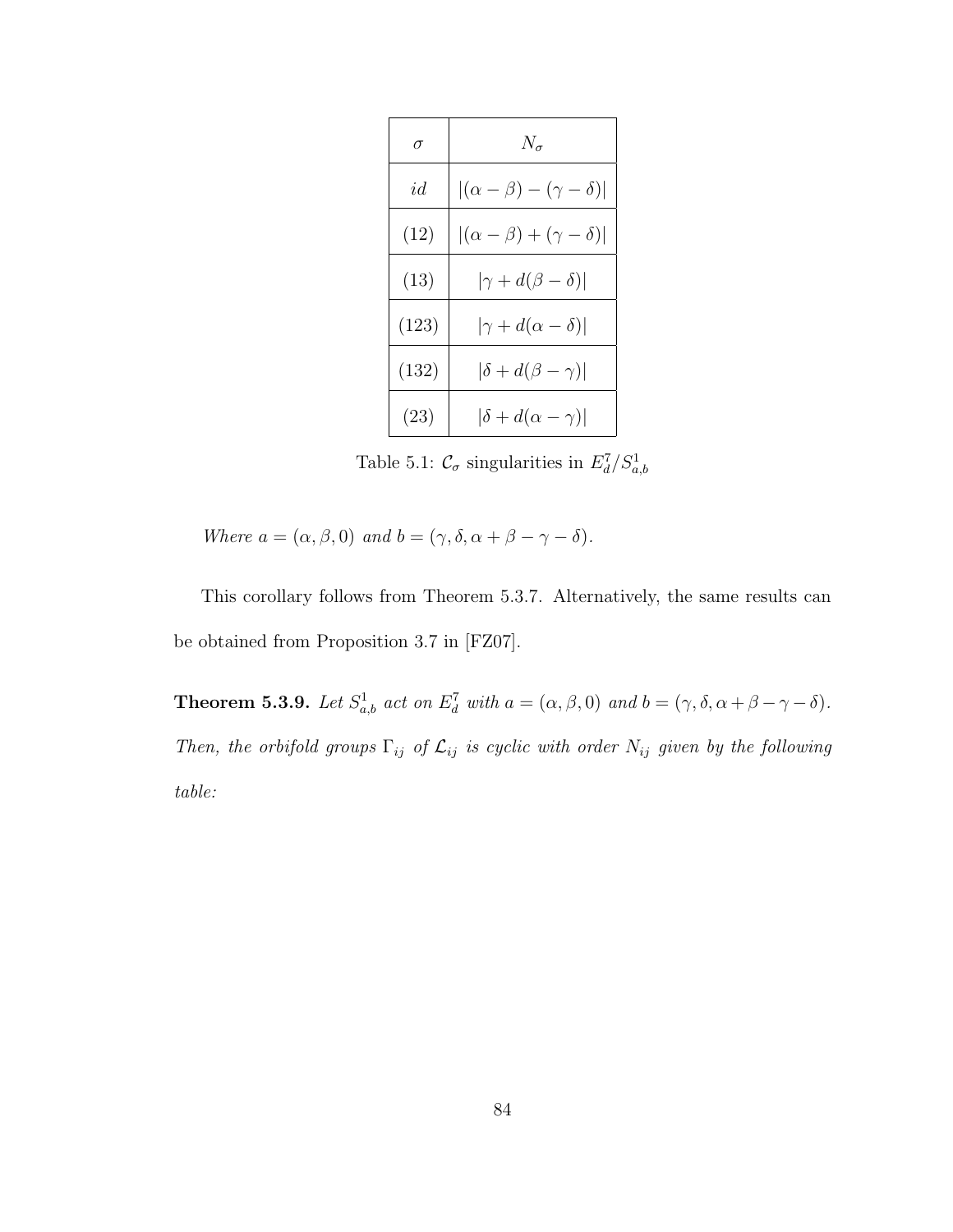| $\sigma$ | $N_{\sigma}$                             |  |
|----------|------------------------------------------|--|
| id       | $ (\alpha - \beta) - (\gamma - \delta) $ |  |
| (12)     | $ (\alpha - \beta) + (\gamma - \delta) $ |  |
| (13)     | $ \gamma+d(\beta-\delta) $               |  |
| (123)    | $ \gamma+d(\alpha-\delta) $              |  |
| (132)    | $ \delta+d(\beta-\gamma) $               |  |
| (23)     | $ \delta + d(\alpha - \gamma) $          |  |

Table 5.1:  $\mathcal{C}_{\sigma}$  singularities in  $E_d^7/S_{a,b}^1$ 

Where  $a = (\alpha, \beta, 0)$  and  $b = (\gamma, \delta, \alpha + \beta - \gamma - \delta)$ .

This corollary follows from Theorem 5.3.7. Alternatively, the same results can be obtained from Proposition 3.7 in [FZ07].

**Theorem 5.3.9.** Let  $S^1_{a,b}$  act on  $E^7_d$  with  $a = (\alpha, \beta, 0)$  and  $b = (\gamma, \delta, \alpha + \beta - \gamma - \delta)$ . Then, the orbifold groups  $\Gamma_{ij}$  of  $\mathcal{L}_{ij}$  is cyclic with order  $N_{ij}$  given by the following table: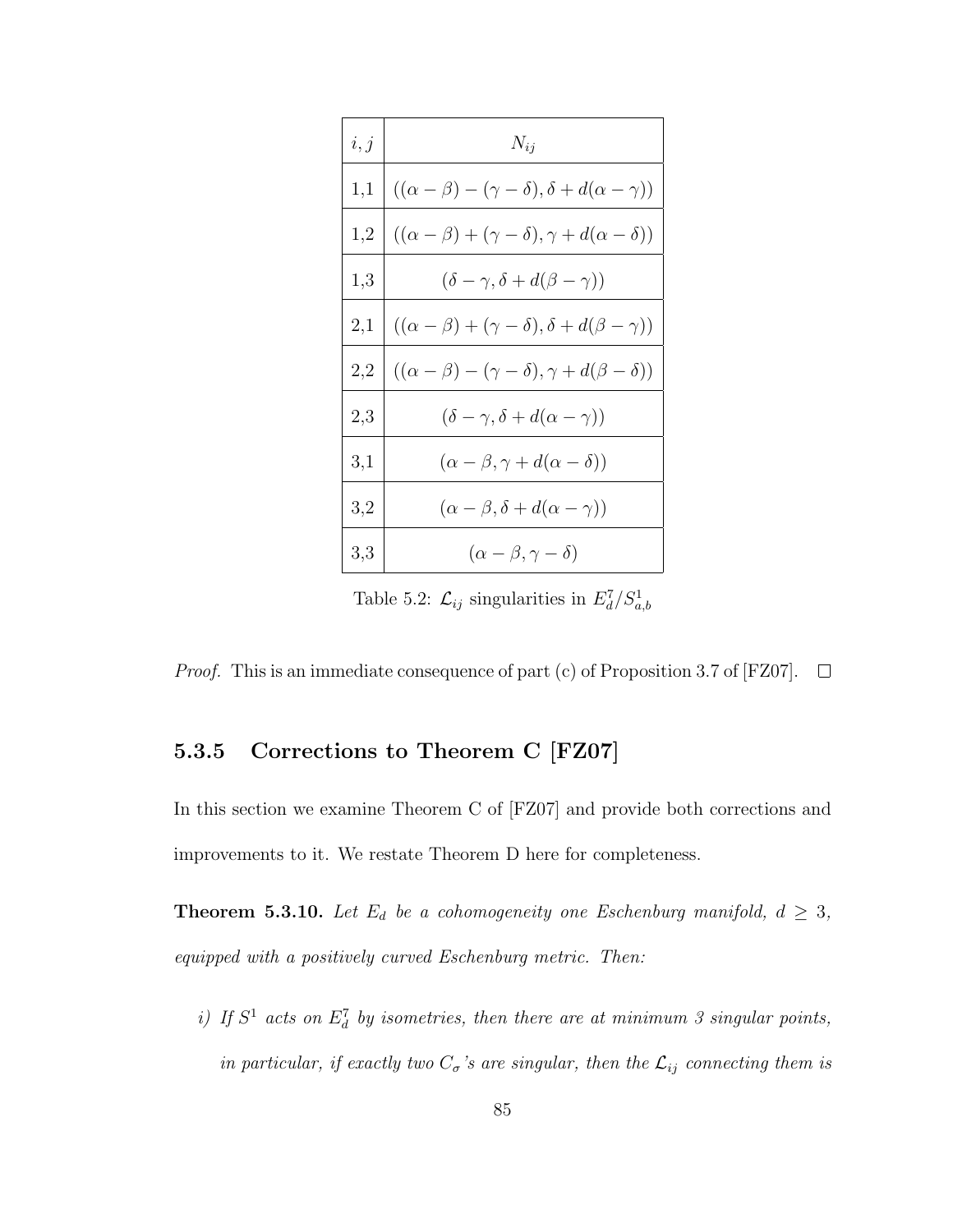| i, j     | $N_{ij}$                                                              |
|----------|-----------------------------------------------------------------------|
| 1,1      | $((\alpha - \beta) - (\gamma - \delta), \delta + d(\alpha - \gamma))$ |
| 1,2      | $((\alpha - \beta) + (\gamma - \delta), \gamma + d(\alpha - \delta))$ |
| 1,3      | $(\delta - \gamma, \delta + d(\beta - \gamma))$                       |
| $^{2,1}$ | $((\alpha - \beta) + (\gamma - \delta), \delta + d(\beta - \gamma))$  |
| 2,2      | $((\alpha - \beta) - (\gamma - \delta), \gamma + d(\beta - \delta))$  |
| 2,3      | $(\delta - \gamma, \delta + d(\alpha - \gamma))$                      |
| 3,1      | $(\alpha - \beta, \gamma + d(\alpha - \delta))$                       |
| 3,2      | $(\alpha - \beta, \delta + d(\alpha - \gamma))$                       |
| 3,3      | $(\alpha - \beta, \gamma - \delta)$                                   |

Table 5.2:  $\mathcal{L}_{ij}$  singularities in  $E_d^7/S_{a,b}^1$ 

*Proof.* This is an immediate consequence of part (c) of Proposition 3.7 of [FZ07].  $\Box$ 

## 5.3.5 Corrections to Theorem C [FZ07]

In this section we examine Theorem C of [FZ07] and provide both corrections and improvements to it. We restate Theorem D here for completeness.

**Theorem 5.3.10.** Let  $E_d$  be a cohomogeneity one Eschenburg manifold,  $d \geq 3$ , equipped with a positively curved Eschenburg metric. Then:

i) If  $S^1$  acts on  $E_d^7$  by isometries, then there are at minimum 3 singular points, in particular, if exactly two  $C_{\sigma}$ 's are singular, then the  $\mathcal{L}_{ij}$  connecting them is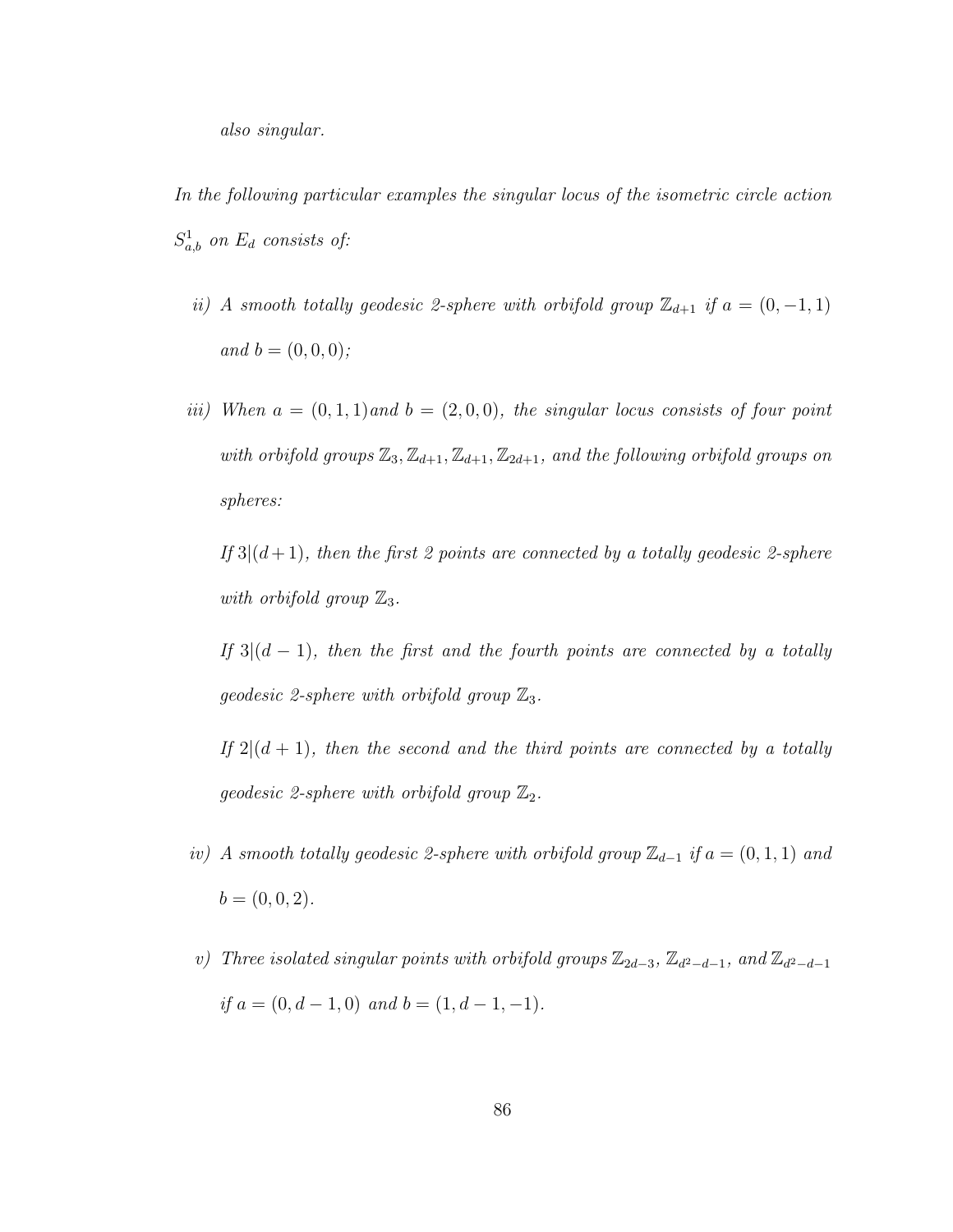- In the following particular examples the singular locus of the isometric circle action  $S_{a,b}^1$  on  $E_d$  consists of:
	- ii) A smooth totally geodesic 2-sphere with orbifold group  $\mathbb{Z}_{d+1}$  if  $a = (0, -1, 1)$ and  $b = (0, 0, 0)$ ;
	- iii) When  $a = (0, 1, 1)$  and  $b = (2, 0, 0)$ , the singular locus consists of four point with orbifold groups  $\mathbb{Z}_3$ ,  $\mathbb{Z}_{d+1}$ ,  $\mathbb{Z}_{d+1}$ ,  $\mathbb{Z}_{2d+1}$ , and the following orbifold groups on spheres:

If  $3|(d+1)$ , then the first 2 points are connected by a totally geodesic 2-sphere with orbifold group  $\mathbb{Z}_3$ .

If  $3|(d-1)$ , then the first and the fourth points are connected by a totally geodesic 2-sphere with orbifold group  $\mathbb{Z}_3$ .

If  $2|(d+1)$ , then the second and the third points are connected by a totally geodesic 2-sphere with orbifold group  $\mathbb{Z}_2$ .

- iv) A smooth totally geodesic 2-sphere with orbifold group  $\mathbb{Z}_{d-1}$  if  $a = (0,1,1)$  and  $b = (0, 0, 2).$
- v) Three isolated singular points with orbifold groups  $\mathbb{Z}_{2d-3}$ ,  $\mathbb{Z}_{d^2-d-1}$ , and  $\mathbb{Z}_{d^2-d-1}$ if  $a = (0, d - 1, 0)$  and  $b = (1, d - 1, -1)$ .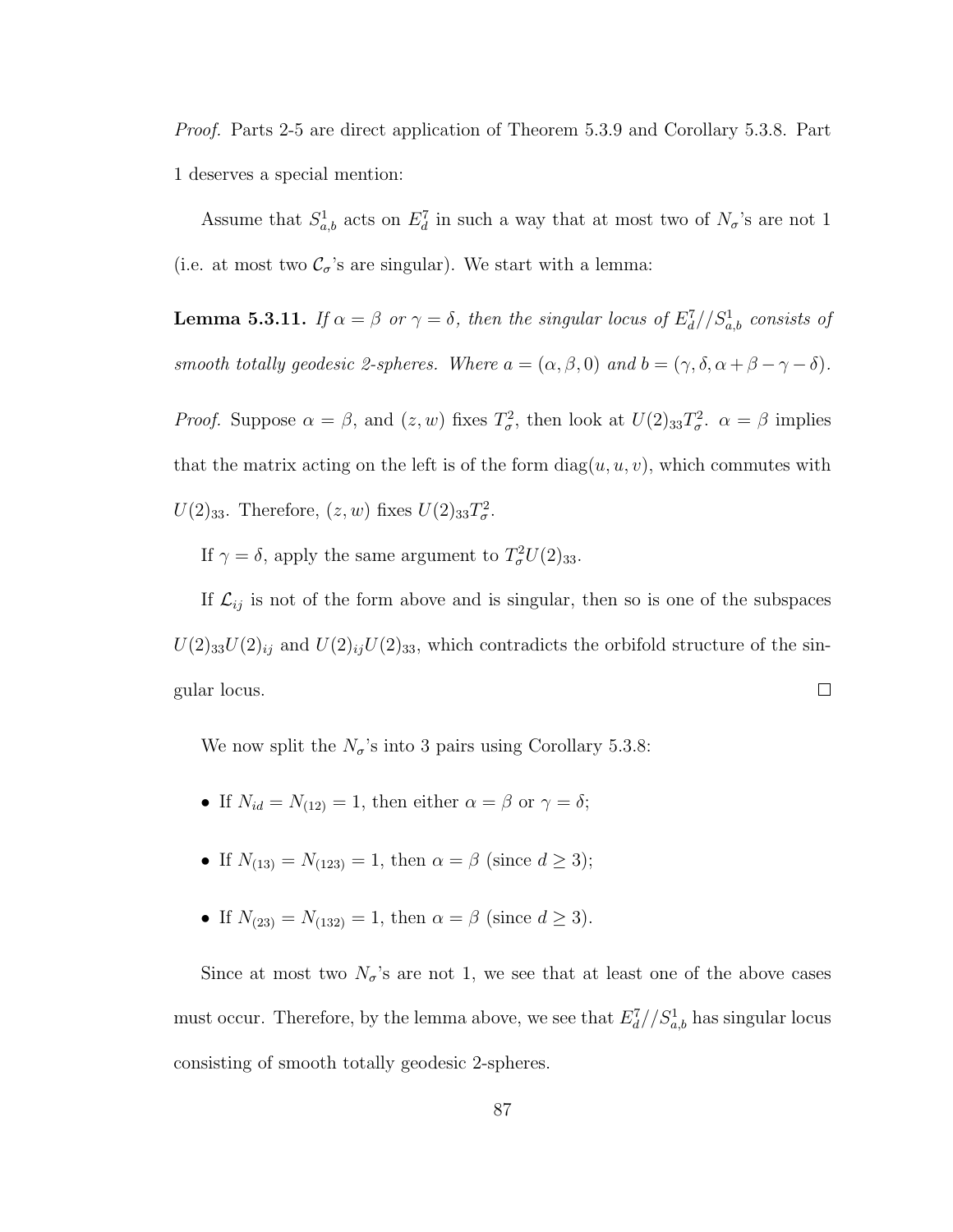Proof. Parts 2-5 are direct application of Theorem 5.3.9 and Corollary 5.3.8. Part 1 deserves a special mention:

Assume that  $S^1_{a,b}$  acts on  $E^7_d$  in such a way that at most two of  $N_{\sigma}$ 's are not 1 (i.e. at most two  $\mathcal{C}_{\sigma}$ 's are singular). We start with a lemma:

**Lemma 5.3.11.** If  $\alpha = \beta$  or  $\gamma = \delta$ , then the singular locus of  $E_d^7//S_{a,b}^1$  consists of smooth totally geodesic 2-spheres. Where  $a = (\alpha, \beta, 0)$  and  $b = (\gamma, \delta, \alpha + \beta - \gamma - \delta)$ . *Proof.* Suppose  $\alpha = \beta$ , and  $(z, w)$  fixes  $T_{\sigma}^2$ , then look at  $U(2)_{33}T_{\sigma}^2$ .  $\alpha = \beta$  implies

that the matrix acting on the left is of the form  $diag(u, u, v)$ , which commutes with

 $U(2)_{33}$ . Therefore,  $(z, w)$  fixes  $U(2)_{33}T^2_{\sigma}$ .

If  $\gamma = \delta$ , apply the same argument to  $T^2_{\sigma}U(2)_{33}$ .

If  $\mathcal{L}_{ij}$  is not of the form above and is singular, then so is one of the subspaces  $U(2)_{33}U(2)_{ij}$  and  $U(2)_{ij}U(2)_{33}$ , which contradicts the orbifold structure of the sin- $\Box$ gular locus.

We now split the  $N_{\sigma}$ 's into 3 pairs using Corollary 5.3.8:

- If  $N_{id} = N_{(12)} = 1$ , then either  $\alpha = \beta$  or  $\gamma = \delta$ ;
- If  $N_{(13)} = N_{(123)} = 1$ , then  $\alpha = \beta$  (since  $d \ge 3$ );
- If  $N_{(23)} = N_{(132)} = 1$ , then  $\alpha = \beta$  (since  $d \ge 3$ ).

Since at most two  $N_{\sigma}$ 's are not 1, we see that at least one of the above cases must occur. Therefore, by the lemma above, we see that  $E_d^7//S_{a,b}^1$  has singular locus consisting of smooth totally geodesic 2-spheres.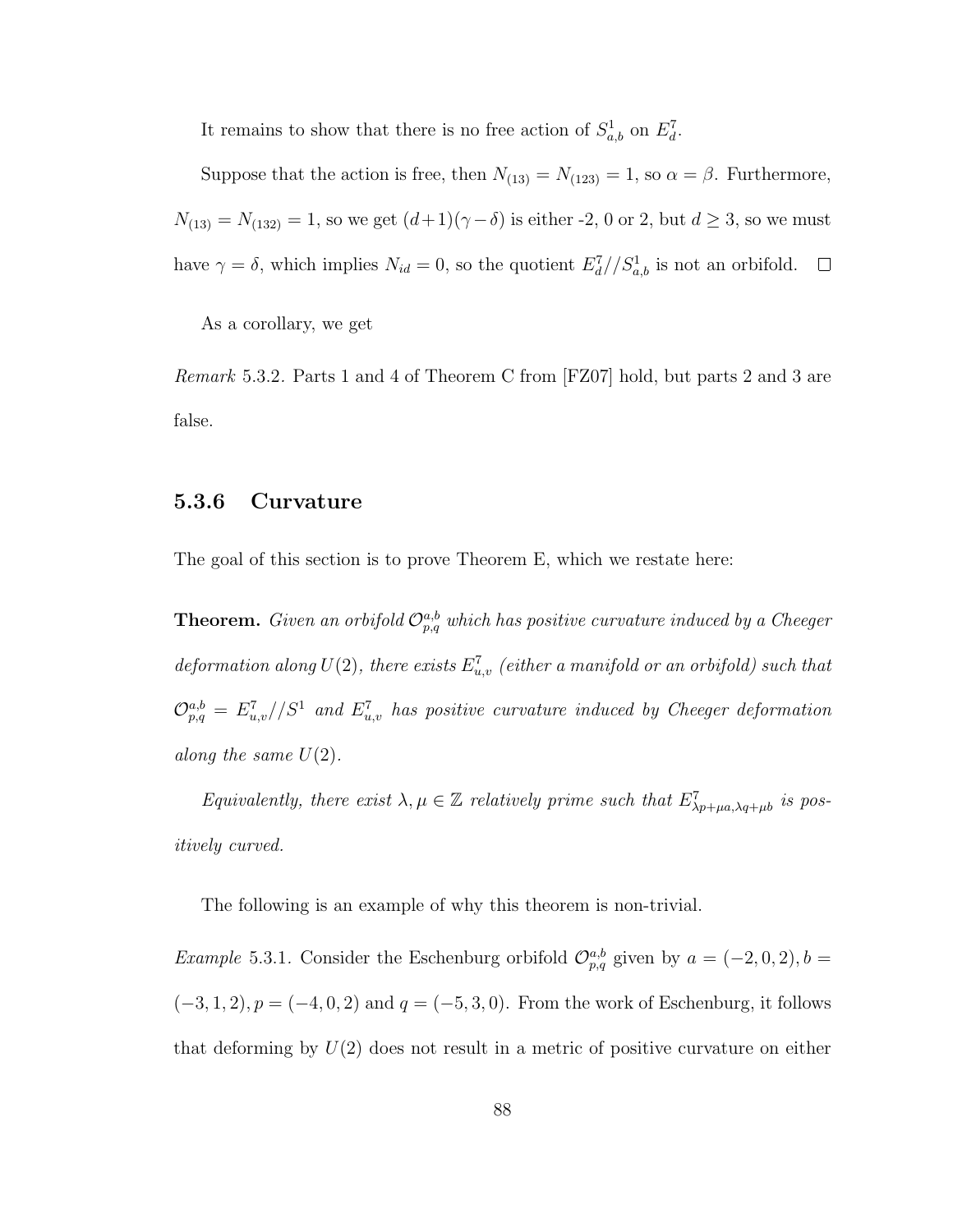It remains to show that there is no free action of  $S^1_{a,b}$  on  $E^7_d$ .

Suppose that the action is free, then  $N_{(13)} = N_{(123)} = 1$ , so  $\alpha = \beta$ . Furthermore,  $N_{(13)} = N_{(132)} = 1$ , so we get  $(d+1)(\gamma - \delta)$  is either -2, 0 or 2, but  $d \ge 3$ , so we must have  $\gamma = \delta$ , which implies  $N_{id} = 0$ , so the quotient  $E_d^7 // S_{a,b}^1$  is not an orbifold.

As a corollary, we get

Remark 5.3.2. Parts 1 and 4 of Theorem C from [FZ07] hold, but parts 2 and 3 are false.

#### 5.3.6 Curvature

The goal of this section is to prove Theorem E, which we restate here:

**Theorem.** Given an orbifold  $\mathcal{O}_{p,q}^{a,b}$  which has positive curvature induced by a Cheeger deformation along  $U(2)$ , there exists  $E_{u,v}^7$  (either a manifold or an orbifold) such that  $\mathcal{O}^{a,b}_{p,q} = E^7_{u,v}/S^1$  and  $E^7_{u,v}$  has positive curvature induced by Cheeger deformation along the same  $U(2)$ .

Equivalently, there exist  $\lambda, \mu \in \mathbb{Z}$  relatively prime such that  $E^7_{\lambda p+\mu a, \lambda q+\mu b}$  is positively curved.

The following is an example of why this theorem is non-trivial.

*Example* 5.3.1. Consider the Eschenburg orbifold  $\mathcal{O}_{p,q}^{a,b}$  given by  $a = (-2,0,2), b =$  $(-3, 1, 2), p = (-4, 0, 2)$  and  $q = (-5, 3, 0)$ . From the work of Eschenburg, it follows that deforming by  $U(2)$  does not result in a metric of positive curvature on either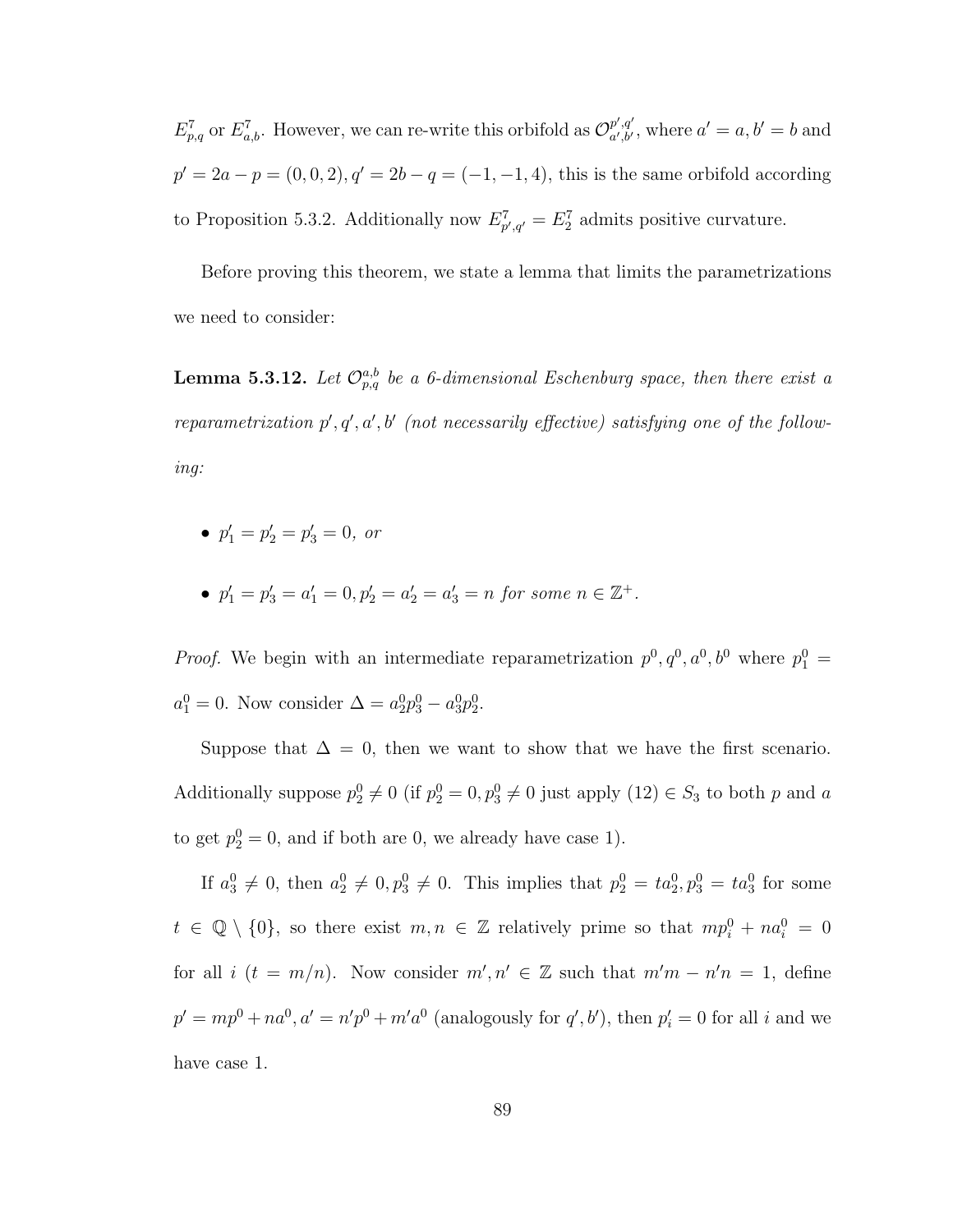$E_{p,q}^7$  or  $E_{a,b}^7$ . However, we can re-write this orbifold as  $\mathcal{O}_{a',b'}^{p',q'}$  $a',b'$ , where  $a'=a,b'=b$  and  $p' = 2a - p = (0, 0, 2), q' = 2b - q = (-1, -1, 4)$ , this is the same orbifold according to Proposition 5.3.2. Additionally now  $E_{p',q'}^7 = E_2^7$  admits positive curvature.

Before proving this theorem, we state a lemma that limits the parametrizations we need to consider:

**Lemma 5.3.12.** Let  $\mathcal{O}_{p,q}^{a,b}$  be a 6-dimensional Eschenburg space, then there exist a reparametrization  $p', q', a', b'$  (not necessarily effective) satisfying one of the following:

- $p'_1 = p'_2 = p'_3 = 0$ , or
- $p'_1 = p'_3 = a'_1 = 0, p'_2 = a'_2 = a'_3 = n$  for some  $n \in \mathbb{Z}^+$ .

*Proof.* We begin with an intermediate reparametrization  $p^0, q^0, a^0, b^0$  where  $p_1^0$  =  $a_1^0 = 0$ . Now consider  $\Delta = a_2^0 p_3^0 - a_3^0 p_2^0$ .

Suppose that  $\Delta = 0$ , then we want to show that we have the first scenario. Additionally suppose  $p_2^0 \neq 0$  (if  $p_2^0 = 0, p_3^0 \neq 0$  just apply  $(12) \in S_3$  to both p and a to get  $p_2^0 = 0$ , and if both are 0, we already have case 1).

If  $a_3^0 \neq 0$ , then  $a_2^0 \neq 0$ ,  $p_3^0 \neq 0$ . This implies that  $p_2^0 = ta_2^0$ ,  $p_3^0 = ta_3^0$  for some  $t \in \mathbb{Q} \setminus \{0\}$ , so there exist  $m, n \in \mathbb{Z}$  relatively prime so that  $mp_i^0 + na_i^0 = 0$ for all i  $(t = m/n)$ . Now consider  $m', n' \in \mathbb{Z}$  such that  $m'm - n'n = 1$ , define  $p' = mp^{0} + na^{0}, a' = n'p^{0} + m'a^{0}$  (analogously for  $q', b'$ ), then  $p'_{i} = 0$  for all i and we have case 1.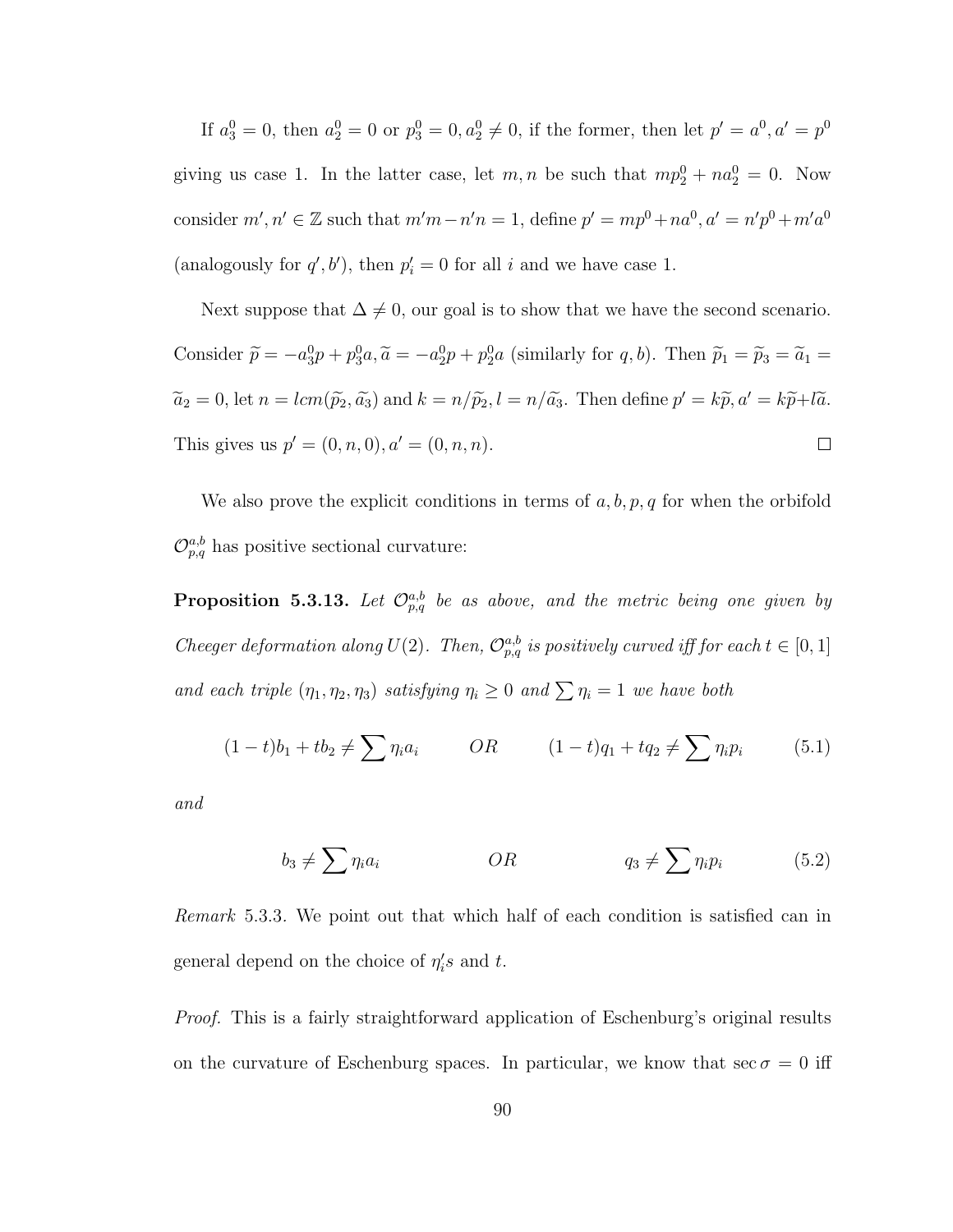If  $a_3^0 = 0$ , then  $a_2^0 = 0$  or  $p_3^0 = 0$ ,  $a_2^0 \neq 0$ , if the former, then let  $p' = a^0$ ,  $a' = p^0$ giving us case 1. In the latter case, let  $m, n$  be such that  $mp_2^0 + na_2^0 = 0$ . Now consider  $m', n' \in \mathbb{Z}$  such that  $m'm - n'n = 1$ , define  $p' = mp^{0} + na^{0}$ ,  $a' = n'p^{0} + m'a^{0}$ (analogously for  $q', b'$ ), then  $p'_i = 0$  for all i and we have case 1.

Next suppose that  $\Delta \neq 0$ , our goal is to show that we have the second scenario. Consider  $\tilde{p} = -a_3^0 p + p_3^0 a$ ,  $\tilde{a} = -a_2^0 p + p_2^0 a$  (similarly for q, b). Then  $\tilde{p}_1 = \tilde{p}_3 = \tilde{a}_1 =$  $\tilde{a}_2 = 0$ , let  $n = lcm(\tilde{p}_2, \tilde{a}_3)$  and  $k = n/\tilde{p}_2$ ,  $l = n/\tilde{a}_3$ . Then define  $p' = k\tilde{p}, a' = k\tilde{p} + l\tilde{a}$ . This gives us  $p' = (0, n, 0), a' = (0, n, n).$  $\Box$ 

We also prove the explicit conditions in terms of  $a, b, p, q$  for when the orbifold  $\mathcal{O}_{p,q}^{a,b}$  has positive sectional curvature:

**Proposition 5.3.13.** Let  $\mathcal{O}_{p,q}^{a,b}$  be as above, and the metric being one given by Cheeger deformation along  $U(2)$ . Then,  $\mathcal{O}_{p,q}^{a,b}$  is positively curved iff for each  $t \in [0,1]$ and each triple  $(\eta_1, \eta_2, \eta_3)$  satisfying  $\eta_i \geq 0$  and  $\sum \eta_i = 1$  we have both

$$
(1-t)b_1 + tb_2 \neq \sum \eta_i a_i \qquad OR \qquad (1-t)q_1 + tq_2 \neq \sum \eta_i p_i \qquad (5.1)
$$

and

$$
b_3 \neq \sum \eta_i a_i \qquad OR \qquad \qquad Q_3 \neq \sum \eta_i p_i \qquad (5.2)
$$

Remark 5.3.3. We point out that which half of each condition is satisfied can in general depend on the choice of  $\eta_i's$  and t.

Proof. This is a fairly straightforward application of Eschenburg's original results on the curvature of Eschenburg spaces. In particular, we know that  $\sec \sigma = 0$  iff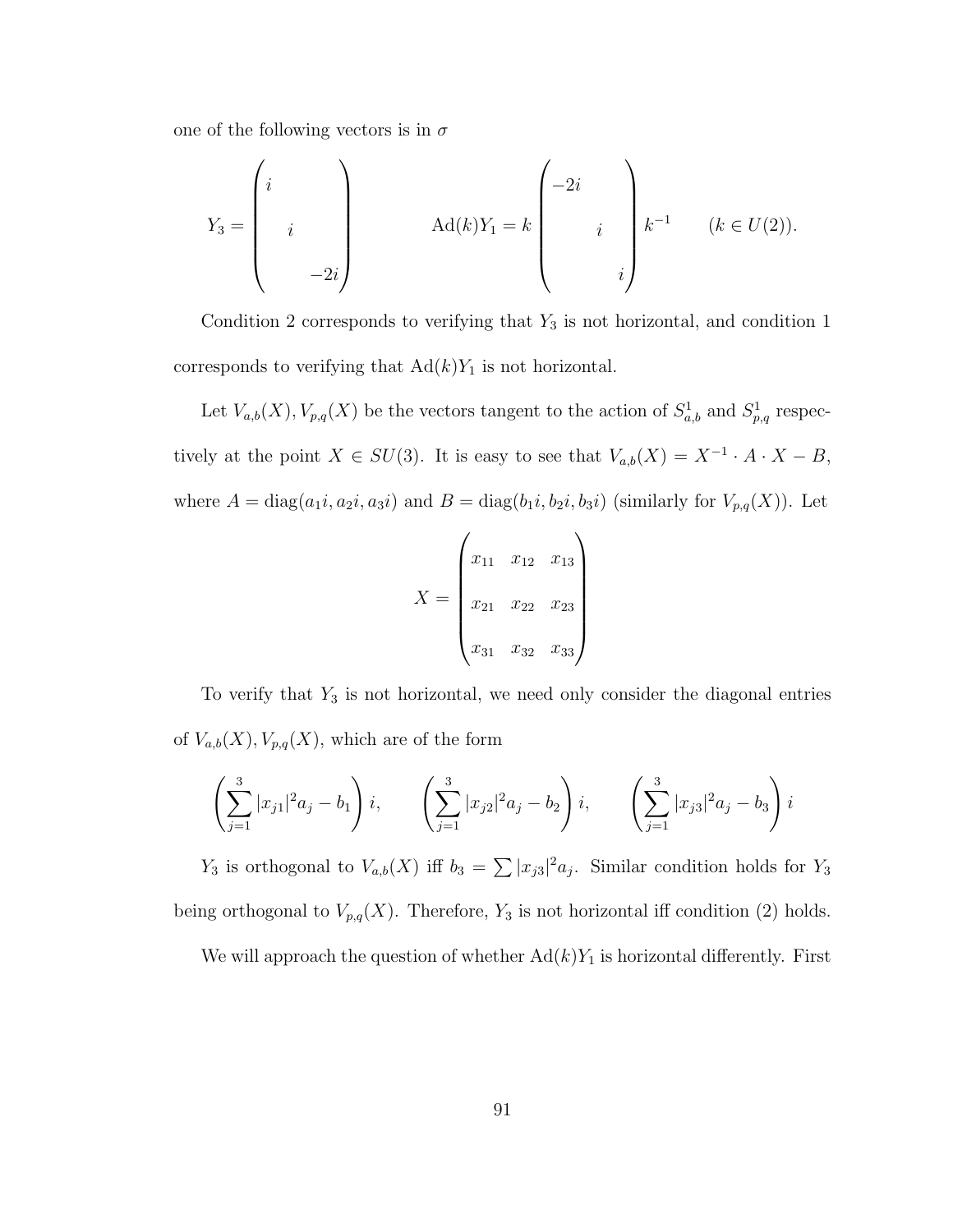one of the following vectors is in  $\sigma$ 

$$
Y_3 = \begin{pmatrix} i & & \\ & i & \\ & & -2i \end{pmatrix} \qquad \text{Ad}(k)Y_1 = k \begin{pmatrix} -2i & & \\ & i & \\ & & i \end{pmatrix} k^{-1} \qquad (k \in U(2)).
$$

Condition 2 corresponds to verifying that  $Y_3$  is not horizontal, and condition 1 corresponds to verifying that  $Ad(k)Y_1$  is not horizontal.

Let  $V_{a,b}(X), V_{p,q}(X)$  be the vectors tangent to the action of  $S^1_{a,b}$  and  $S^1_{p,q}$  respectively at the point  $X \in SU(3)$ . It is easy to see that  $V_{a,b}(X) = X^{-1} \cdot A \cdot X - B$ , where  $A = diag(a_1i, a_2i, a_3i)$  and  $B = diag(b_1i, b_2i, b_3i)$  (similarly for  $V_{p,q}(X)$ ). Let

$$
X = \begin{pmatrix} x_{11} & x_{12} & x_{13} \\ x_{21} & x_{22} & x_{23} \\ x_{31} & x_{32} & x_{33} \end{pmatrix}
$$

To verify that  $Y_3$  is not horizontal, we need only consider the diagonal entries of  $V_{a,b}(X), V_{p,q}(X)$ , which are of the form

$$
\left(\sum_{j=1}^3 |x_{j1}|^2 a_j - b_1\right) i, \qquad \left(\sum_{j=1}^3 |x_{j2}|^2 a_j - b_2\right) i, \qquad \left(\sum_{j=1}^3 |x_{j3}|^2 a_j - b_3\right) i
$$

 $Y_3$  is orthogonal to  $V_{a,b}(X)$  iff  $b_3 = \sum |x_{j3}|^2 a_j$ . Similar condition holds for  $Y_3$ being orthogonal to  $V_{p,q}(X)$ . Therefore,  $Y_3$  is not horizontal iff condition (2) holds.

We will approach the question of whether  $Ad(k)Y_1$  is horizontal differently. First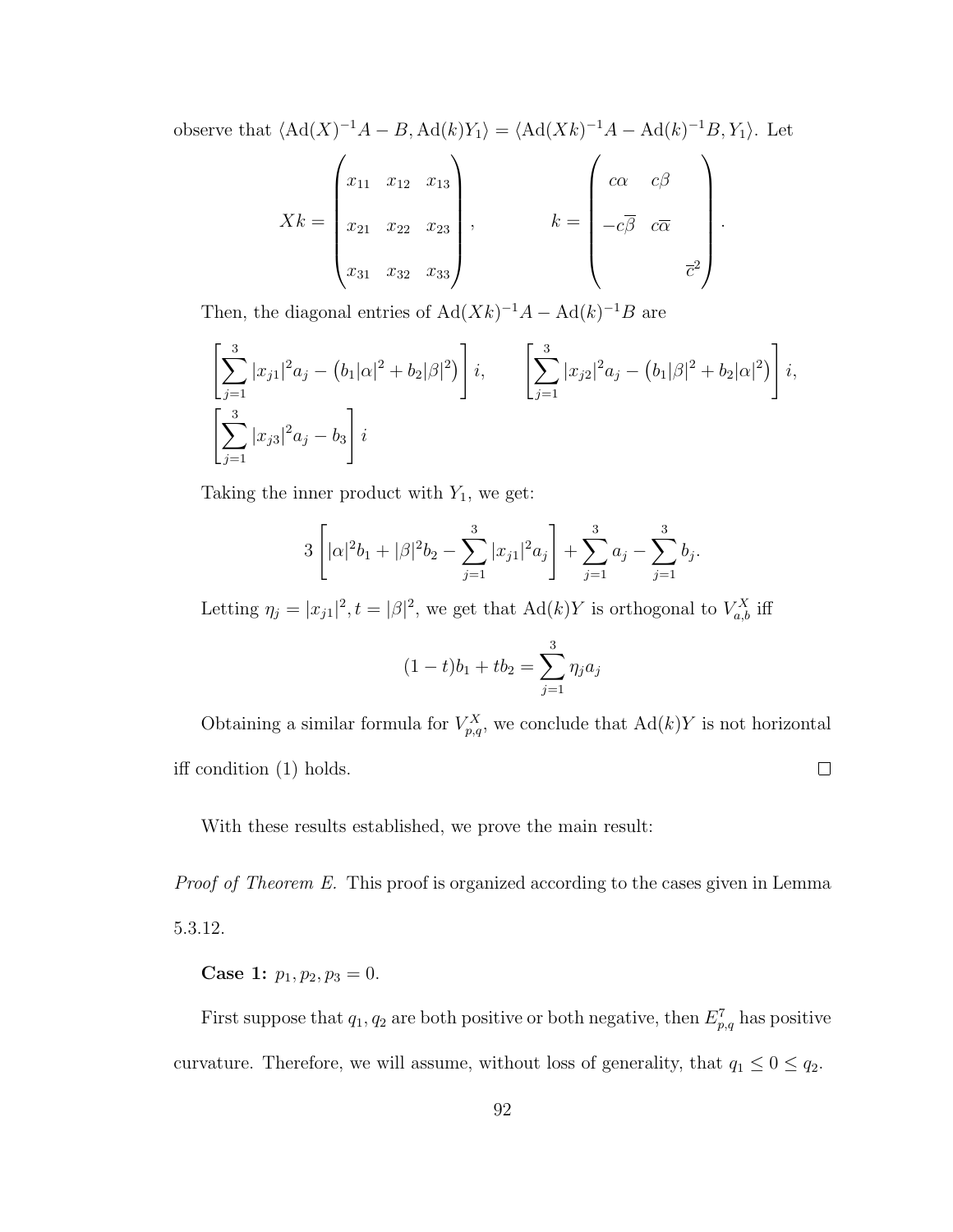observe that  $\langle \text{Ad}(X)^{-1}A - B, \text{Ad}(k)Y_1 \rangle = \langle \text{Ad}(Xk)^{-1}A - \text{Ad}(k)^{-1}B, Y_1 \rangle$ . Let

$$
Xk = \begin{pmatrix} x_{11} & x_{12} & x_{13} \\ x_{21} & x_{22} & x_{23} \\ x_{31} & x_{32} & x_{33} \end{pmatrix}, \qquad k = \begin{pmatrix} c\alpha & c\beta \\ -c\overline{\beta} & c\overline{\alpha} \\ -c\overline{\beta} & c\overline{\alpha} \\ \overline{c}^2 \end{pmatrix}.
$$

Then, the diagonal entries of  $Ad(Xk)^{-1}A - Ad(k)^{-1}B$  are

$$
\left[\sum_{j=1}^{3} |x_{j1}|^2 a_j - (b_1|\alpha|^2 + b_2|\beta|^2)\right] i, \qquad \left[\sum_{j=1}^{3} |x_{j2}|^2 a_j - (b_1|\beta|^2 + b_2|\alpha|^2)\right] i,
$$
  

$$
\left[\sum_{j=1}^{3} |x_{j3}|^2 a_j - b_3\right] i
$$

Taking the inner product with  $Y_1$ , we get:

$$
3\left[|\alpha|^2 b_1 + |\beta|^2 b_2 - \sum_{j=1}^3 |x_{j1}|^2 a_j\right] + \sum_{j=1}^3 a_j - \sum_{j=1}^3 b_j
$$

.

Letting  $\eta_j = |x_{j1}|^2$ ,  $t = |\beta|^2$ , we get that  $Ad(k)Y$  is orthogonal to  $V_{a,b}^X$  iff

$$
(1-t)b_1 + tb_2 = \sum_{j=1}^{3} \eta_j a_j
$$

Obtaining a similar formula for  $V_{p,q}^X$ , we conclude that  $\text{Ad}(k)Y$  is not horizontal iff condition (1) holds.  $\Box$ 

With these results established, we prove the main result:

Proof of Theorem E. This proof is organized according to the cases given in Lemma 5.3.12.

Case 1:  $p_1, p_2, p_3 = 0$ .

First suppose that  $q_1, q_2$  are both positive or both negative, then  $E_{p,q}^7$  has positive curvature. Therefore, we will assume, without loss of generality, that  $q_1 \leq 0 \leq q_2$ .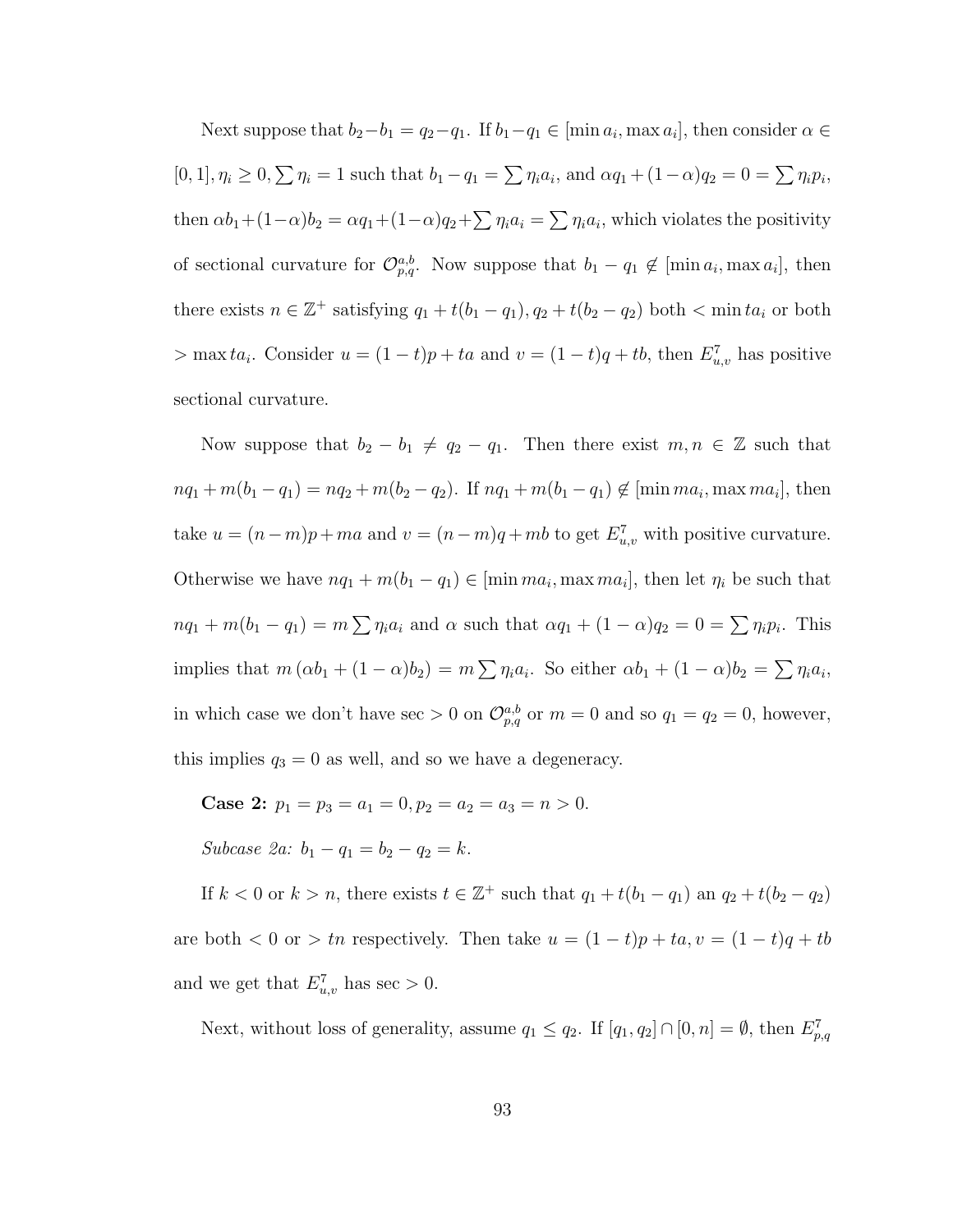Next suppose that  $b_2-b_1 = q_2-q_1$ . If  $b_1-q_1 \in [\min a_i, \max a_i]$ , then consider  $\alpha \in$  $[0, 1], \eta_i \ge 0, \sum \eta_i = 1$  such that  $b_1 - q_1 = \sum \eta_i a_i$ , and  $\alpha q_1 + (1 - \alpha) q_2 = 0 = \sum \eta_i p_i$ , then  $\alpha b_1 + (1-\alpha)b_2 = \alpha q_1 + (1-\alpha)q_2 + \sum \eta_i a_i = \sum \eta_i a_i$ , which violates the positivity of sectional curvature for  $\mathcal{O}_{p,q}^{a,b}$ . Now suppose that  $b_1 - q_1 \notin [\min a_i, \max a_i],$  then there exists  $n \in \mathbb{Z}^+$  satisfying  $q_1 + t(b_1 - q_1), q_2 + t(b_2 - q_2)$  both  $\lt \min ta_i$  or both  $>$  max ta<sub>i</sub>. Consider  $u = (1-t)p + ta$  and  $v = (1-t)q + tb$ , then  $E_{u,v}^7$  has positive sectional curvature.

Now suppose that  $b_2 - b_1 \neq q_2 - q_1$ . Then there exist  $m, n \in \mathbb{Z}$  such that  $nq_1 + m(b_1 - q_1) = nq_2 + m(b_2 - q_2)$ . If  $nq_1 + m(b_1 - q_1) \notin [\text{min }ma_i, \text{max }ma_i]$ , then take  $u = (n-m)p + ma$  and  $v = (n-m)q + mb$  to get  $E_{u,v}^7$  with positive curvature. Otherwise we have  $nq_1 + m(b_1 - q_1) \in [\min ma_i, \max ma_i],$  then let  $\eta_i$  be such that  $nq_1 + m(b_1 - q_1) = m \sum_{i} q_i a_i$  and  $\alpha$  such that  $\alpha q_1 + (1 - \alpha) q_2 = 0 = \sum_{i} q_i p_i$ . This implies that  $m(\alpha b_1 + (1 - \alpha)b_2) = m \sum \eta_i a_i$ . So either  $\alpha b_1 + (1 - \alpha)b_2 = \sum \eta_i a_i$ , in which case we don't have sec  $> 0$  on  $\mathcal{O}_{p,q}^{a,b}$  or  $m = 0$  and so  $q_1 = q_2 = 0$ , however, this implies  $q_3 = 0$  as well, and so we have a degeneracy.

Case 2:  $p_1 = p_3 = a_1 = 0, p_2 = a_2 = a_3 = n > 0.$ Subcase 2a:  $b_1 - q_1 = b_2 - q_2 = k$ .

If  $k < 0$  or  $k > n$ , there exists  $t \in \mathbb{Z}^+$  such that  $q_1 + t(b_1 - q_1)$  an  $q_2 + t(b_2 - q_2)$ are both  $< 0$  or  $> tn$  respectively. Then take  $u = (1-t)p + ta, v = (1-t)q + tb$ and we get that  $E_{u,v}^7$  has sec > 0.

Next, without loss of generality, assume  $q_1 \leq q_2$ . If  $[q_1, q_2] \cap [0, n] = \emptyset$ , then  $E_{p,q}^7$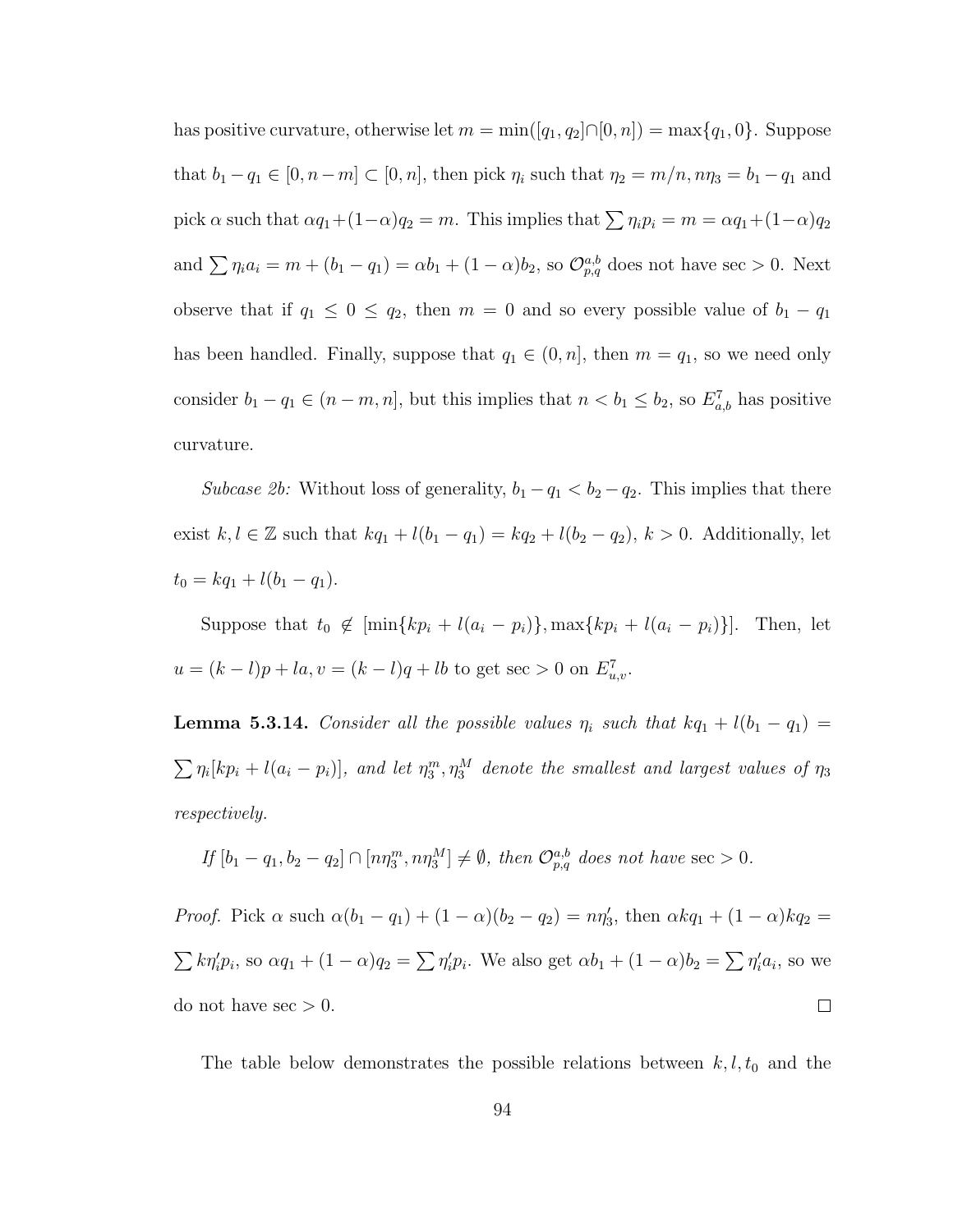has positive curvature, otherwise let  $m = \min([q_1, q_2] \cap [0, n]) = \max\{q_1, 0\}$ . Suppose that  $b_1 - q_1 \in [0, n-m] \subset [0, n]$ , then pick  $\eta_i$  such that  $\eta_2 = m/n$ ,  $n\eta_3 = b_1 - q_1$  and pick  $\alpha$  such that  $\alpha q_1 + (1-\alpha)q_2 = m$ . This implies that  $\sum \eta_i p_i = m = \alpha q_1 + (1-\alpha)q_2$ and  $\sum \eta_i a_i = m + (b_1 - q_1) = \alpha b_1 + (1 - \alpha) b_2$ , so  $\mathcal{O}_{p,q}^{a,b}$  does not have sec > 0. Next observe that if  $q_1 \leq 0 \leq q_2$ , then  $m = 0$  and so every possible value of  $b_1 - q_1$ has been handled. Finally, suppose that  $q_1 \in (0, n]$ , then  $m = q_1$ , so we need only consider  $b_1 - q_1 \in (n - m, n]$ , but this implies that  $n < b_1 \leq b_2$ , so  $E_{a,b}^7$  has positive curvature.

Subcase 2b: Without loss of generality,  $b_1 - q_1 < b_2 - q_2$ . This implies that there exist  $k, l \in \mathbb{Z}$  such that  $kq_1 + l(b_1 - q_1) = kq_2 + l(b_2 - q_2), k > 0$ . Additionally, let  $t_0 = kq_1 + l(b_1 - q_1).$ 

Suppose that  $t_0 \notin [\min\{kp_i + l(a_i - p_i)\}, \max\{kp_i + l(a_i - p_i)\}]$ . Then, let  $u = (k - l)p + la, v = (k - l)q + lb$  to get sec > 0 on  $E_{u,v}^7$ .

**Lemma 5.3.14.** Consider all the possible values  $\eta_i$  such that  $kq_1 + l(b_1 - q_1) =$  $\sum_{i} \eta_i [kp_i + l(a_i - p_i)],$  and let  $\eta_3^m, \eta_3^M$  denote the smallest and largest values of  $\eta_3$ respectively.

If 
$$
[b_1 - q_1, b_2 - q_2] \cap [n\eta_3^m, n\eta_3^M] \neq \emptyset
$$
, then  $\mathcal{O}_{p,q}^{a,b}$  does not have sec > 0.

*Proof.* Pick  $\alpha$  such  $\alpha(b_1 - q_1) + (1 - \alpha)(b_2 - q_2) = n\eta'_3$ , then  $\alpha kq_1 + (1 - \alpha)kq_2 =$  $\sum k \eta'_i p_i$ , so  $\alpha q_1 + (1 - \alpha) q_2 = \sum \eta'_i p_i$ . We also get  $\alpha b_1 + (1 - \alpha) b_2 = \sum \eta'_i a_i$ , so we do not have  $\sec$  > 0.  $\Box$ 

The table below demonstrates the possible relations between  $k, l, t_0$  and the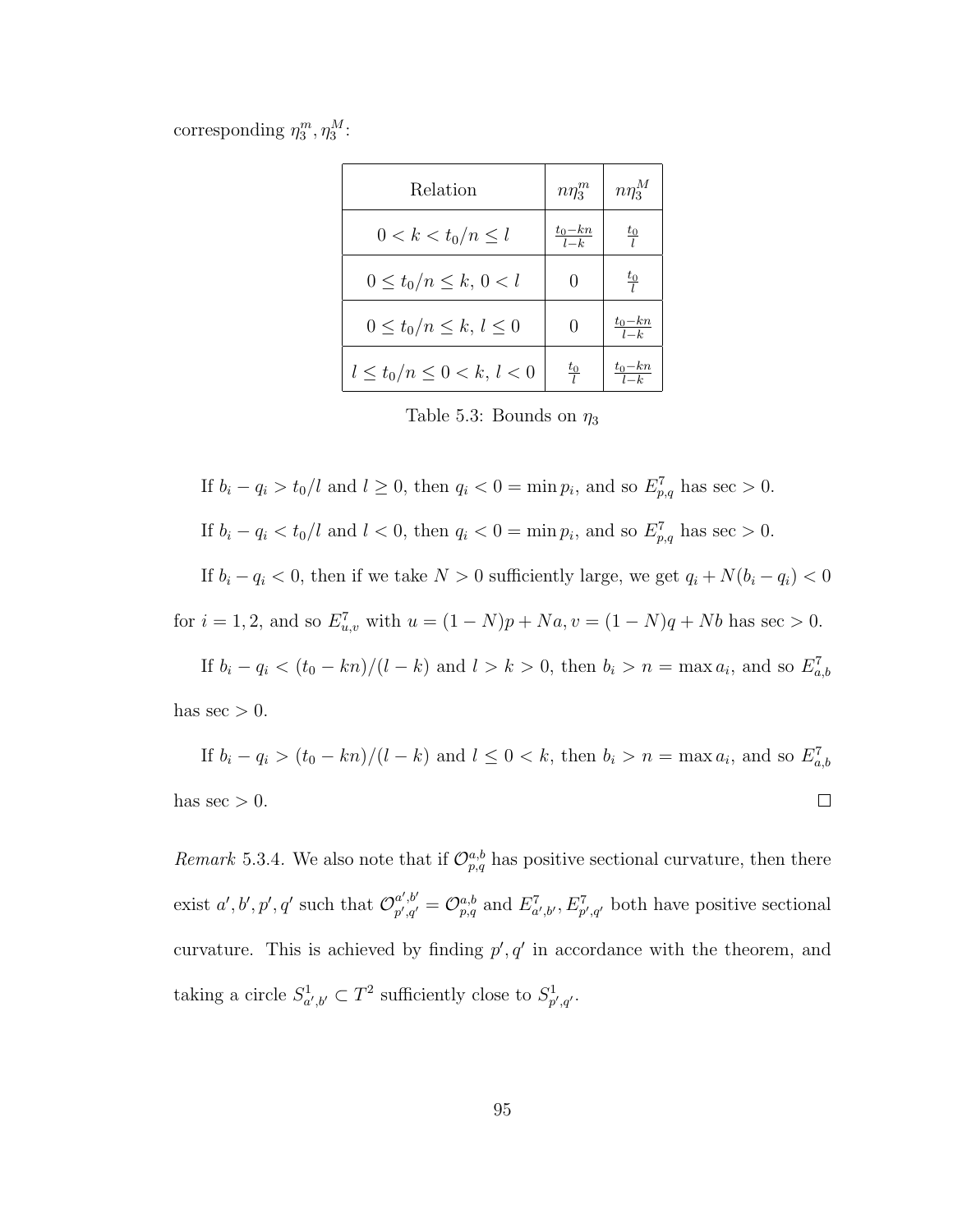corresponding  $\eta_3^m, \eta_3^M$ :

| Relation                        | $n\eta_3^m$          | $n\eta_3^M$                  |
|---------------------------------|----------------------|------------------------------|
| $0 < k < t_0/n \leq l$          | $\frac{t_0-kn}{l-k}$ | $rac{t_0}{l}$                |
| $0 \le t_0/n \le k, 0 < l$      | $\left( \right)$     | $rac{t_0}{l}$                |
| $0 \leq t_0/n \leq k, l \leq 0$ |                      | $t_0-kn$<br>$\overline{l-k}$ |
| $l \le t_0/n \le 0 < k, l < 0$  | $rac{t_0}{l}$        | $t_0$ – $kn$                 |

Table 5.3: Bounds on  $\eta_3$ 

If 
$$
b_i - q_i > t_0/l
$$
 and  $l \ge 0$ , then  $q_i < 0 = \min p_i$ , and so  $E_{p,q}^7$  has sec > 0.  
If  $b_i - q_i < t_0/l$  and  $l < 0$ , then  $q_i < 0 = \min p_i$ , and so  $E_{p,q}^7$  has sec > 0.

If  $b_i - q_i < 0$ , then if we take  $N > 0$  sufficiently large, we get  $q_i + N(b_i - q_i) < 0$ for  $i = 1, 2$ , and so  $E_{u,v}^7$  with  $u = (1 - N)p + Na, v = (1 - N)q + Nb$  has sec > 0.

If  $b_i - q_i < (t_0 - kn)/(l - k)$  and  $l > k > 0$ , then  $b_i > n = \max a_i$ , and so  $E_{a,b}^7$ has  $\sec$  > 0.

If 
$$
b_i - q_i > (t_0 - kn)/(l - k)
$$
 and  $l \le 0 < k$ , then  $b_i > n = \max a_i$ , and so  $E_{a,b}^7$   
has sec > 0.

Remark 5.3.4. We also note that if  $\mathcal{O}_{p,q}^{a,b}$  has positive sectional curvature, then there exist  $a', b', p', q'$  such that  $\mathcal{O}_{p',q'}^{a',b'}$  $p'_{p',q'} = \mathcal{O}_{p,q}^{a,b}$  and  $E_{a',b'}^7, E_{p',q'}^7$  both have positive sectional curvature. This is achieved by finding  $p', q'$  in accordance with the theorem, and taking a circle  $S^1_{a',b'} \subset T^2$  sufficiently close to  $S^1_{p',q'}.$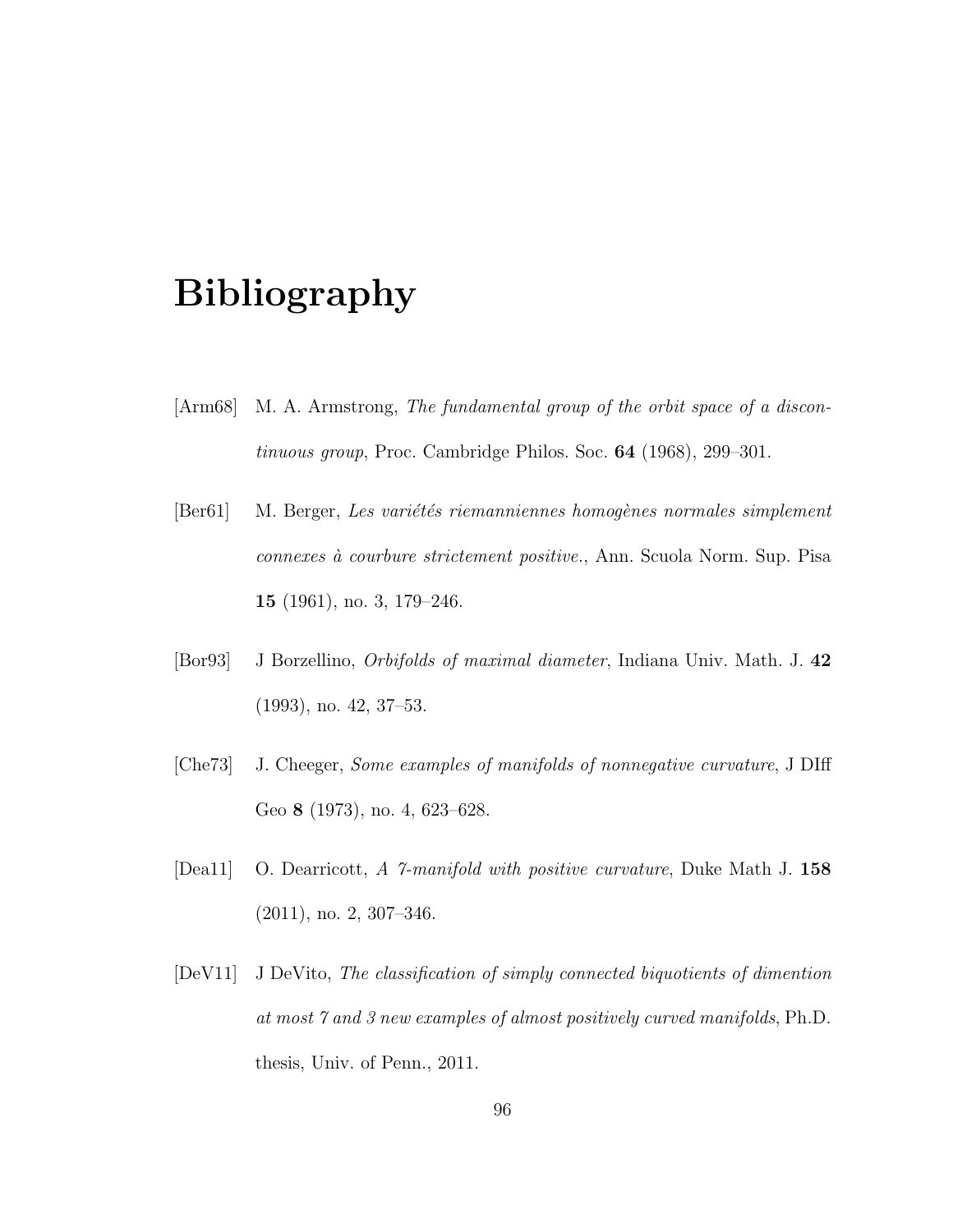# Bibliography

- [Arm68] M. A. Armstrong, The fundamental group of the orbit space of a discontinuous group, Proc. Cambridge Philos. Soc. 64 (1968), 299–301.
- [Ber61] M. Berger, Les variétés riemanniennes homogènes normales simplement connexes à courbure strictement positive., Ann. Scuola Norm. Sup. Pisa 15 (1961), no. 3, 179–246.
- [Bor93] J Borzellino, Orbifolds of maximal diameter, Indiana Univ. Math. J. 42 (1993), no. 42, 37–53.
- [Che73] J. Cheeger, Some examples of manifolds of nonnegative curvature, J DIff Geo 8 (1973), no. 4, 623–628.
- [Dea11] O. Dearricott, A 7-manifold with positive curvature, Duke Math J. 158 (2011), no. 2, 307–346.
- [DeV11] J DeVito, The classification of simply connected biquotients of dimention at most 7 and 3 new examples of almost positively curved manifolds, Ph.D. thesis, Univ. of Penn., 2011.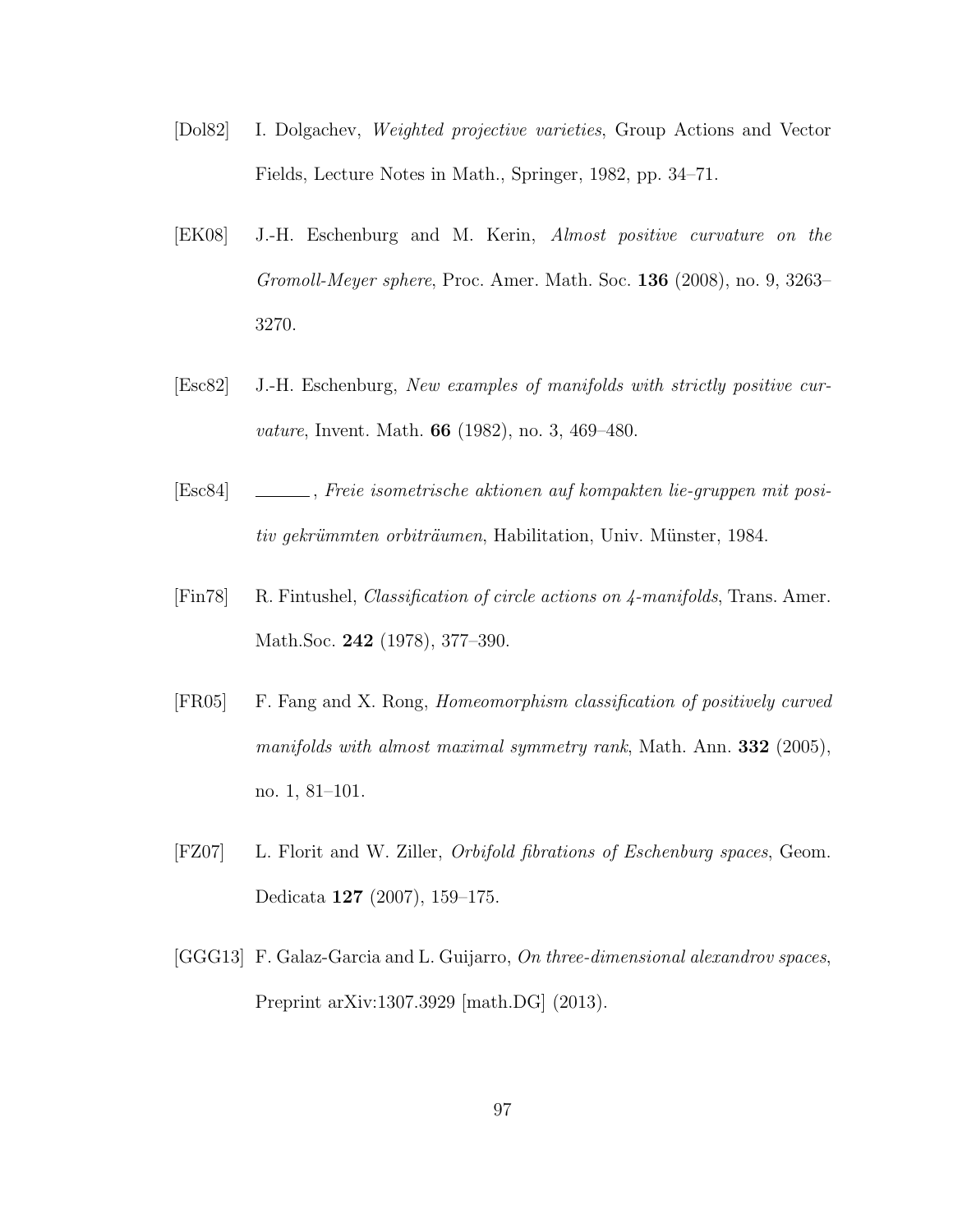- [Dol82] I. Dolgachev, Weighted projective varieties, Group Actions and Vector Fields, Lecture Notes in Math., Springer, 1982, pp. 34–71.
- [EK08] J.-H. Eschenburg and M. Kerin, Almost positive curvature on the Gromoll-Meyer sphere, Proc. Amer. Math. Soc. 136 (2008), no. 9, 3263– 3270.
- [Esc82] J.-H. Eschenburg, New examples of manifolds with strictly positive curvature, Invent. Math. 66 (1982), no. 3, 469–480.
- [Esc84] , Freie isometrische aktionen auf kompakten lie-gruppen mit positiv gekrümmten orbiträumen, Habilitation, Univ. Münster, 1984.
- [Fin78] R. Fintushel, Classification of circle actions on 4-manifolds, Trans. Amer. Math.Soc. 242 (1978), 377–390.
- [FR05] F. Fang and X. Rong, Homeomorphism classification of positively curved manifolds with almost maximal symmetry rank, Math. Ann. **332** (2005), no. 1, 81–101.
- [FZ07] L. Florit and W. Ziller, Orbifold fibrations of Eschenburg spaces, Geom. Dedicata 127 (2007), 159–175.
- [GGG13] F. Galaz-Garcia and L. Guijarro, On three-dimensional alexandrov spaces, Preprint arXiv:1307.3929 [math.DG] (2013).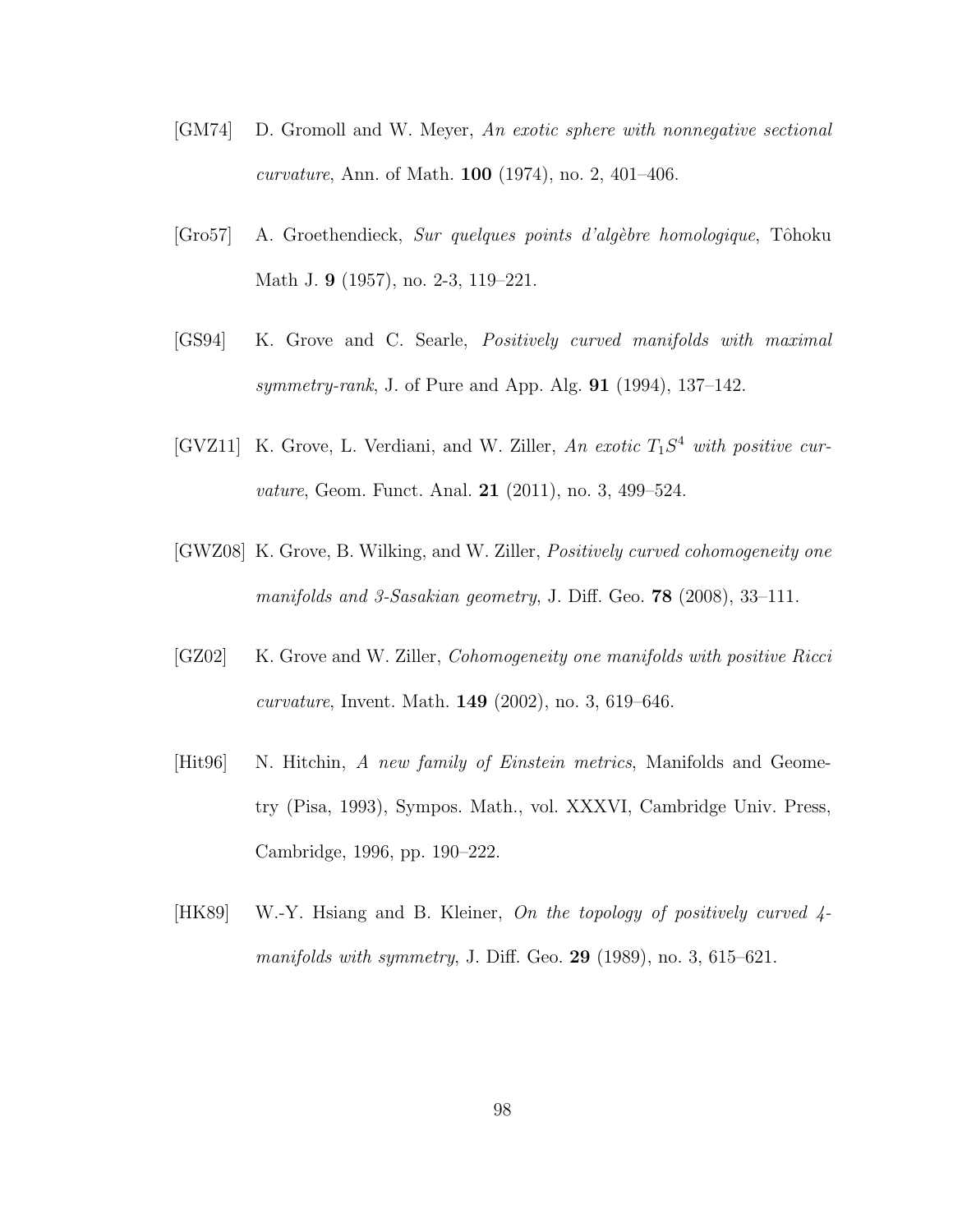- [GM74] D. Gromoll and W. Meyer, An exotic sphere with nonnegative sectional *curvature*, Ann. of Math. **100** (1974), no. 2, 401–406.
- $[Gro57]$  A. Groethendieck, *Sur quelques points d'algèbre homologique*, Tôhoku Math J. 9 (1957), no. 2-3, 119–221.
- [GS94] K. Grove and C. Searle, Positively curved manifolds with maximal symmetry-rank, J. of Pure and App. Alg. 91 (1994), 137–142.
- [GVZ11] K. Grove, L. Verdiani, and W. Ziller, An exotic  $T_1S^4$  with positive curvature, Geom. Funct. Anal. **21** (2011), no. 3, 499-524.
- [GWZ08] K. Grove, B. Wilking, and W. Ziller, Positively curved cohomogeneity one manifolds and 3-Sasakian geometry, J. Diff. Geo. **78** (2008), 33-111.
- [GZ02] K. Grove and W. Ziller, *Cohomogeneity one manifolds with positive Ricci* curvature, Invent. Math. 149 (2002), no. 3, 619–646.
- [Hit96] N. Hitchin, A new family of Einstein metrics, Manifolds and Geometry (Pisa, 1993), Sympos. Math., vol. XXXVI, Cambridge Univ. Press, Cambridge, 1996, pp. 190–222.
- [HK89] W.-Y. Hsiang and B. Kleiner, On the topology of positively curved 4 manifolds with symmetry, J. Diff. Geo. 29  $(1989)$ , no. 3, 615–621.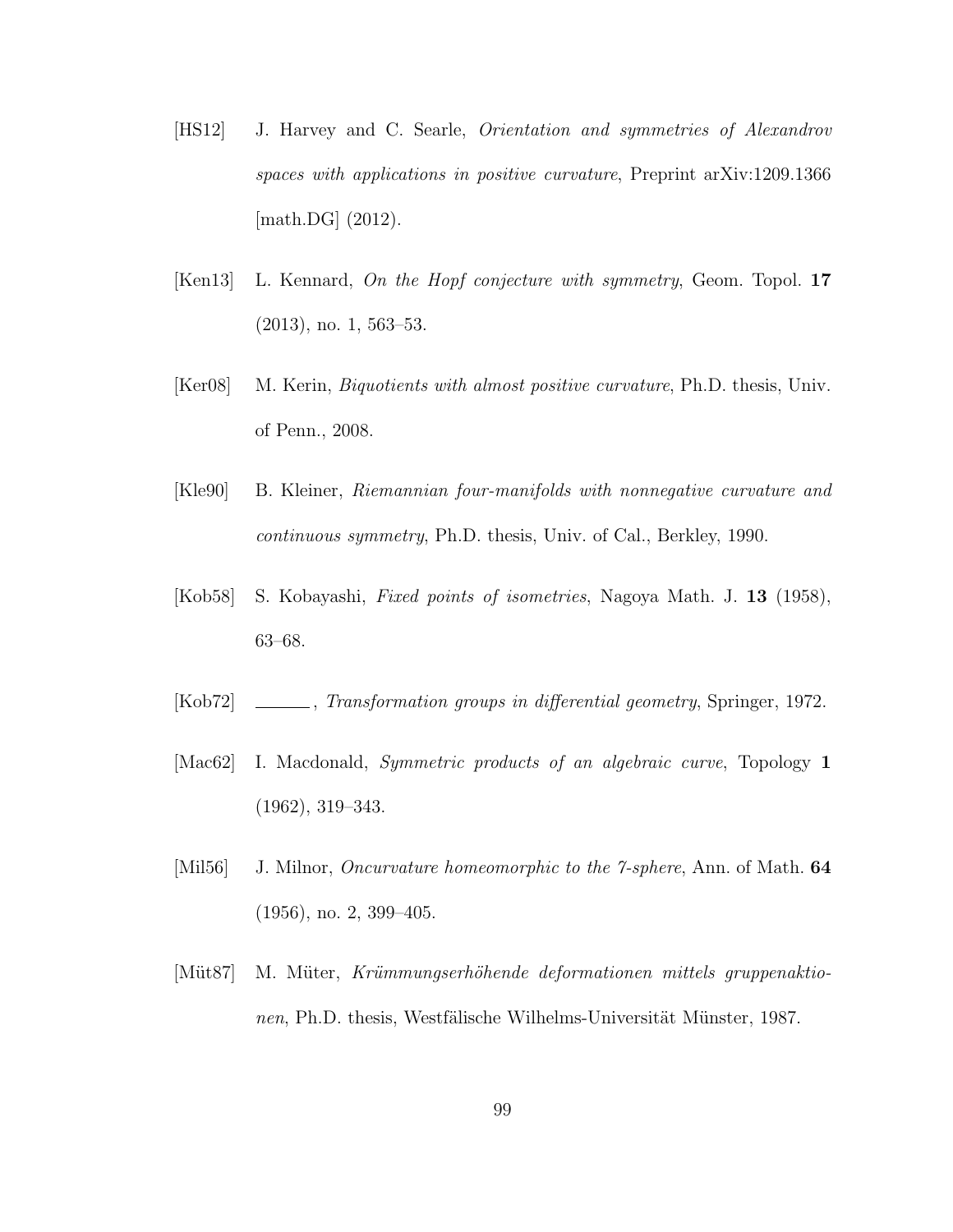- [HS12] J. Harvey and C. Searle, Orientation and symmetries of Alexandrov spaces with applications in positive curvature, Preprint arXiv:1209.1366 [math.DG]  $(2012)$ .
- [Ken13] L. Kennard, *On the Hopf conjecture with symmetry*, Geom. Topol. 17 (2013), no. 1, 563–53.
- [Ker08] M. Kerin, Biquotients with almost positive curvature, Ph.D. thesis, Univ. of Penn., 2008.
- [Kle90] B. Kleiner, Riemannian four-manifolds with nonnegative curvature and continuous symmetry, Ph.D. thesis, Univ. of Cal., Berkley, 1990.
- [Kob58] S. Kobayashi, Fixed points of isometries, Nagoya Math. J. 13 (1958), 63–68.
- [Kob72]  $\_\_\_\_\_\$  Transformation groups in differential geometry, Springer, 1972.
- [Mac62] I. Macdonald, Symmetric products of an algebraic curve, Topology 1 (1962), 319–343.
- [Mil56] J. Milnor, *Oncurvature homeomorphic to the 7-sphere*, Ann. of Math. **64** (1956), no. 2, 399–405.
- [Müt87] M. Müter, Krümmungserhöhende deformationen mittels gruppenaktionen, Ph.D. thesis, Westfälische Wilhelms-Universität Münster, 1987.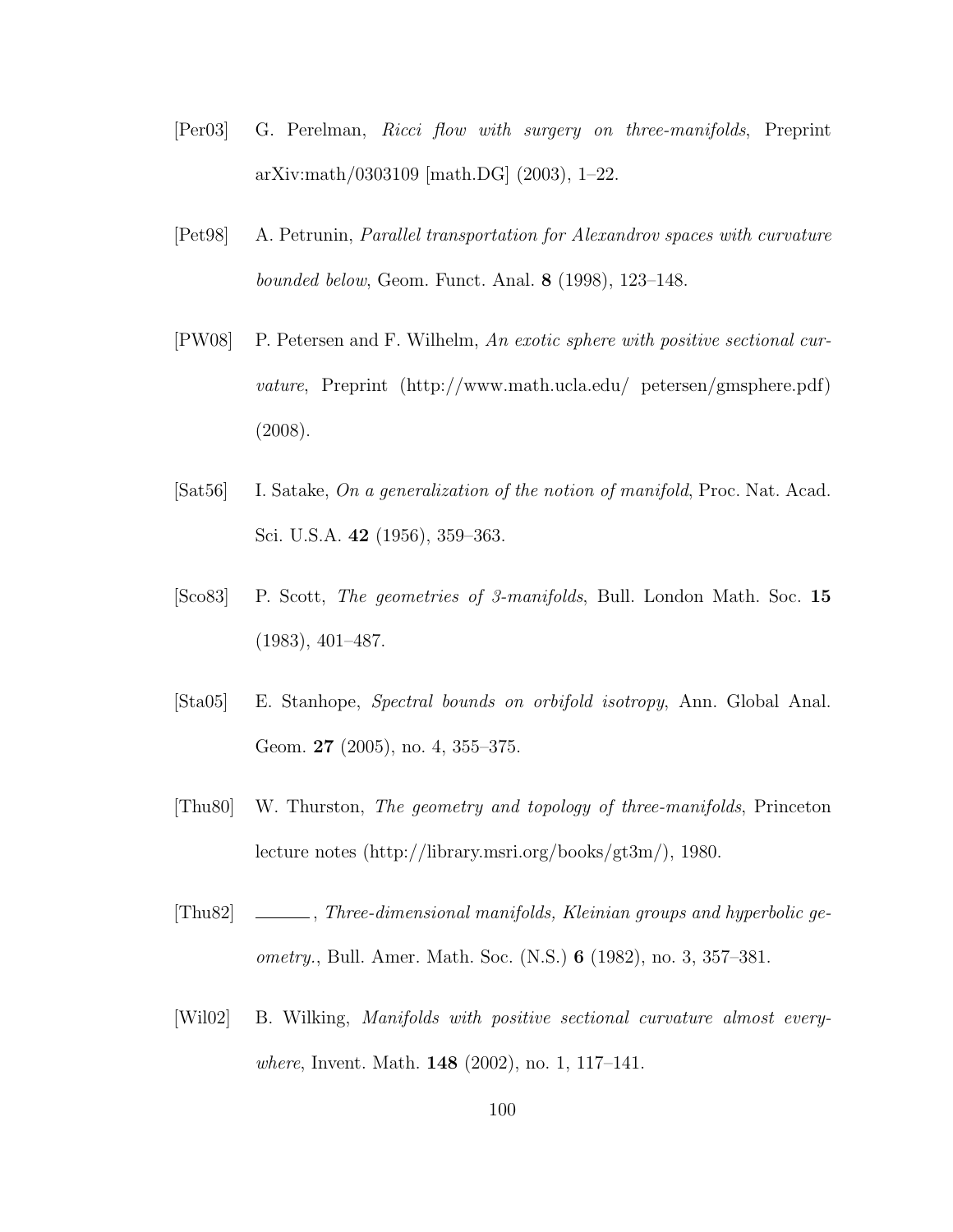- [Per03] G. Perelman, Ricci flow with surgery on three-manifolds, Preprint arXiv:math/0303109 [math.DG] (2003), 1–22.
- [Pet98] A. Petrunin, Parallel transportation for Alexandrov spaces with curvature bounded below, Geom. Funct. Anal. 8 (1998), 123–148.
- [PW08] P. Petersen and F. Wilhelm, An exotic sphere with positive sectional curvature, Preprint (http://www.math.ucla.edu/ petersen/gmsphere.pdf) (2008).
- [Sat56] I. Satake, On a generalization of the notion of manifold, Proc. Nat. Acad. Sci. U.S.A. 42 (1956), 359–363.
- [Sco83] P. Scott, The geometries of 3-manifolds, Bull. London Math. Soc. 15 (1983), 401–487.
- [Sta05] E. Stanhope, Spectral bounds on orbifold isotropy, Ann. Global Anal. Geom. 27 (2005), no. 4, 355–375.
- [Thu80] W. Thurston, The geometry and topology of three-manifolds, Princeton lecture notes (http://library.msri.org/books/gt3m/), 1980.
- [Thu82] , Three-dimensional manifolds, Kleinian groups and hyperbolic geometry., Bull. Amer. Math. Soc. (N.S.) 6 (1982), no. 3, 357–381.
- [Wil02] B. Wilking, Manifolds with positive sectional curvature almost everywhere, Invent. Math. 148 (2002), no. 1, 117–141.